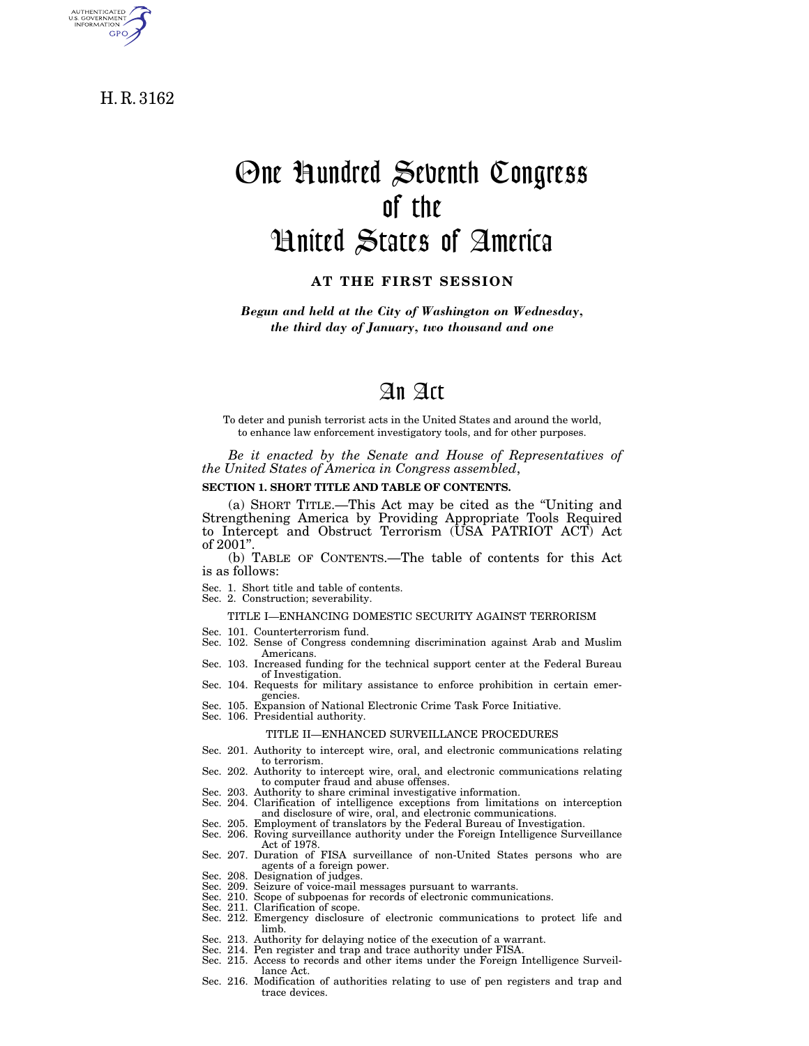H. R. 3162

AUTHENTICATED<br>U.S. GOVERNMENT<br>INFORMATION GPO

# One Hundred Seventh Congress of the United States of America

**AT THE FIRST SESSION**

*Begun and held at the City of Washington on Wednesday, the third day of January, two thousand and one*

# An Act

To deter and punish terrorist acts in the United States and around the world, to enhance law enforcement investigatory tools, and for other purposes.

*Be it enacted by the Senate and House of Representatives of the United States of America in Congress assembled*,

#### **SECTION 1. SHORT TITLE AND TABLE OF CONTENTS.**

(a) SHORT TITLE.—This Act may be cited as the ''Uniting and Strengthening America by Providing Appropriate Tools Required to Intercept and Obstruct Terrorism (USA PATRIOT ACT) Act of 2001''.

(b) TABLE OF CONTENTS.—The table of contents for this Act is as follows:

- Sec. 1. Short title and table of contents.
- Sec. 2. Construction; severability.

#### TITLE I—ENHANCING DOMESTIC SECURITY AGAINST TERRORISM

- Sec. 101. Counterterrorism fund.
- Sec. 102. Sense of Congress condemning discrimination against Arab and Muslim Americans.
- Sec. 103. Increased funding for the technical support center at the Federal Bureau of Investigation.
- Sec. 104. Requests for military assistance to enforce prohibition in certain emergencies. Sec. 105. Expansion of National Electronic Crime Task Force Initiative.
- Sec. 106. Presidential authority.

#### TITLE II—ENHANCED SURVEILLANCE PROCEDURES

- Sec. 201. Authority to intercept wire, oral, and electronic communications relating to terrorism.
- Sec. 202. Authority to intercept wire, oral, and electronic communications relating to computer fraud and abuse offenses.
- Sec. 203. Authority to share criminal investigative information.
- Sec. 204. Clarification of intelligence exceptions from limitations on interception and disclosure of wire, oral, and electronic communications. Sec. 205. Employment of translators by the Federal Bureau of Investigation.
- Sec. 206. Roving surveillance authority under the Foreign Intelligence Surveillance
	- Act of 1978.
- Sec. 207. Duration of FISA surveillance of non-United States persons who are agents of a foreign power.
- Sec. 208. Designation of judges.
- Sec. 209. Seizure of voice-mail messages pursuant to warrants.
- Sec. 210. Scope of subpoenas for records of electronic communications.
- Sec. 211. Clarification of scope.
- Sec. 212. Emergency disclosure of electronic communications to protect life and limb.
- Sec. 213. Authority for delaying notice of the execution of a warrant.
- Sec. 214. Pen register and trap and trace authority under FISA
- Sec. 215. Access to records and other items under the Foreign Intelligence Surveillance Act.
- Sec. 216. Modification of authorities relating to use of pen registers and trap and trace devices.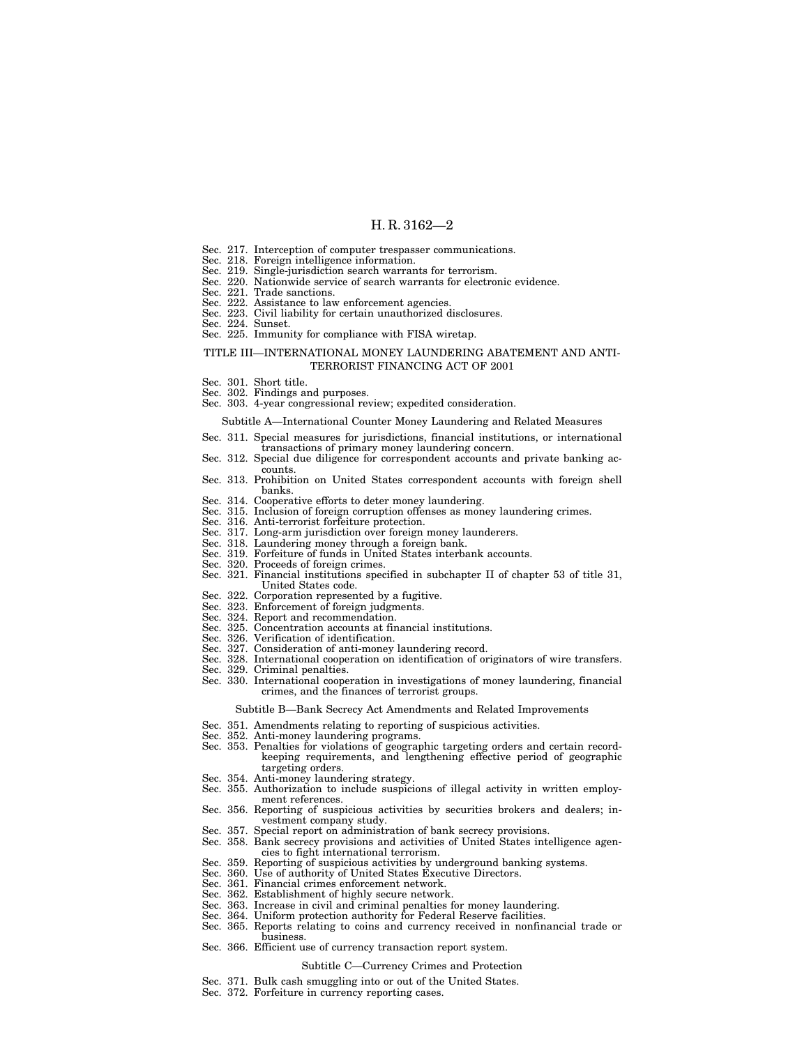- Sec. 217. Interception of computer trespasser communications.
- Sec. 218. Foreign intelligence information.
- Sec. 219. Single-jurisdiction search warrants for terrorism.
- Sec. 220. Nationwide service of search warrants for electronic evidence.
- Sec. 221. Trade sanctions.
- Sec. 222. Assistance to law enforcement agencies.
- Sec. 223. Civil liability for certain unauthorized disclosures.
- Sec. 224. Sunset.
- Sec. 225. Immunity for compliance with FISA wiretap.

#### TITLE III—INTERNATIONAL MONEY LAUNDERING ABATEMENT AND ANTI-TERRORIST FINANCING ACT OF 2001

- Sec. 301. Short title.
- Sec. 302. Findings and purposes.
- Sec. 303. 4-year congressional review; expedited consideration.

#### Subtitle A—International Counter Money Laundering and Related Measures

- Sec. 311. Special measures for jurisdictions, financial institutions, or international transactions of primary money laundering concern.
- Sec. 312. Special due diligence for correspondent accounts and private banking accounts.
- Sec. 313. Prohibition on United States correspondent accounts with foreign shell banks.
- Sec. 314. Cooperative efforts to deter money laundering.
- Sec. 315. Inclusion of foreign corruption offenses as money laundering crimes.
- Sec. 316. Anti-terrorist forfeiture protection.
- Sec. 317. Long-arm jurisdiction over foreign money launderers.
- Sec. 318. Laundering money through a foreign bank.
- Sec. 319. Forfeiture of funds in United States interbank accounts.
- Sec. 320. Proceeds of foreign crimes.
- Sec. 321. Financial institutions specified in subchapter II of chapter 53 of title 31, United States code.
- Sec. 322. Corporation represented by a fugitive.
- Sec. 323. Enforcement of foreign judgments.
- Sec. 324. Report and recommendation.
- Sec. 325. Concentration accounts at financial institutions.
- Sec. 326. Verification of identification.
- Sec. 327. Consideration of anti-money laundering record.
- Sec. 328. International cooperation on identification of originators of wire transfers.
- Sec. 329. Criminal penalties.
- Sec. 330. International cooperation in investigations of money laundering, financial crimes, and the finances of terrorist groups.

#### Subtitle B—Bank Secrecy Act Amendments and Related Improvements

- Sec. 351. Amendments relating to reporting of suspicious activities.
- Sec. 352. Anti-money laundering programs.
- Sec. 353. Penalties for violations of geographic targeting orders and certain recordkeeping requirements, and lengthening effective period of geographic targeting orders.
- Sec. 354. Anti-money laundering strategy.
- Sec. 355. Authorization to include suspicions of illegal activity in written employment references.
- Sec. 356. Reporting of suspicious activities by securities brokers and dealers; investment company study.
- Sec. 357. Special report on administration of bank secrecy provisions.
- Sec. 358. Bank secrecy provisions and activities of United States intelligence agencies to fight international terrorism.
- Sec. 359. Reporting of suspicious activities by underground banking systems.
- Sec. 360. Use of authority of United States Executive Directors.
- Sec. 361. Financial crimes enforcement network.
- Sec. 362. Establishment of highly secure network.
- Sec. 363. Increase in civil and criminal penalties for money laundering.
- Uniform protection authority for Federal Reserve facilities.
- Sec. 365. Reports relating to coins and currency received in nonfinancial trade or business.
- Sec. 366. Efficient use of currency transaction report system.

#### Subtitle C—Currency Crimes and Protection

- Sec. 371. Bulk cash smuggling into or out of the United States.
- Sec. 372. Forfeiture in currency reporting cases.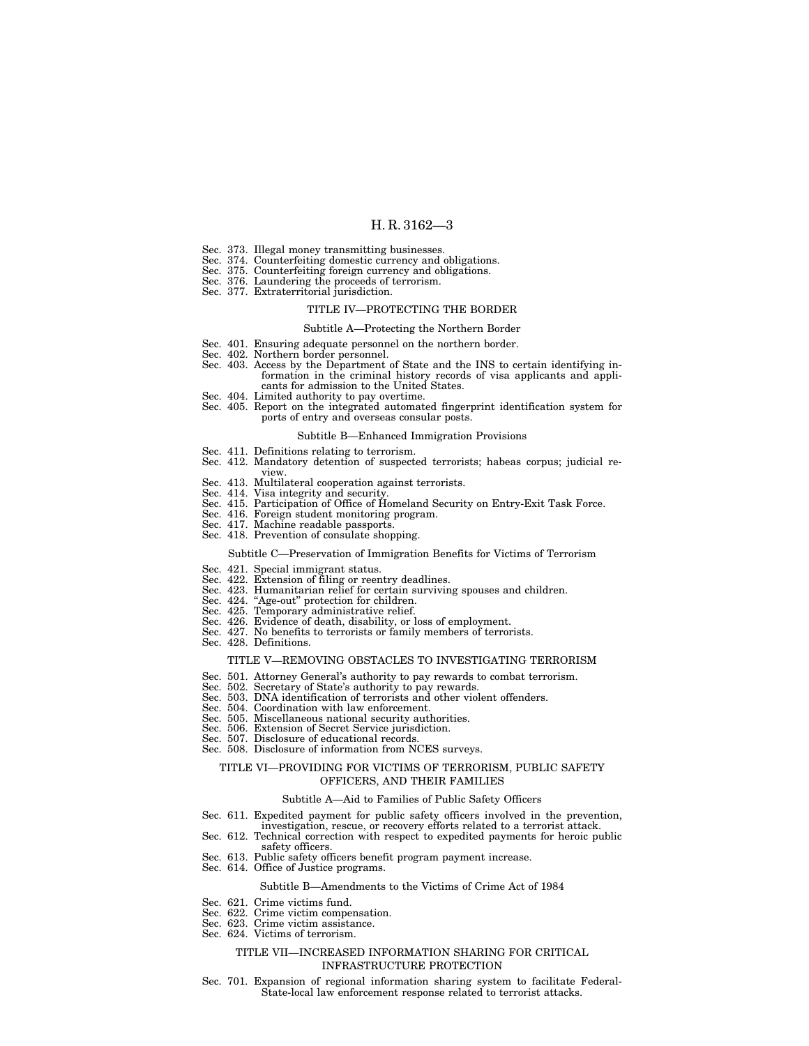- Sec. 373. Illegal money transmitting businesses.
- Sec. 374. Counterfeiting domestic currency and obligations. Sec. 375. Counterfeiting foreign currency and obligations.
- 
- Sec. 376. Laundering the proceeds of terrorism. Sec. 377. Extraterritorial jurisdiction.
- 

#### TITLE IV—PROTECTING THE BORDER

#### Subtitle A—Protecting the Northern Border

- Sec. 401. Ensuring adequate personnel on the northern border.
- Sec. 402. Northern border personnel.
- Sec. 403. Access by the Department of State and the INS to certain identifying information in the criminal history records of visa applicants and applicants for admission to the United States.
- Sec. 404. Limited authority to pay overtime.
- Sec. 405. Report on the integrated automated fingerprint identification system for ports of entry and overseas consular posts.

#### Subtitle B—Enhanced Immigration Provisions

- Sec. 411. Definitions relating to terrorism. Sec. 412. Mandatory detention of suspected terrorists; habeas corpus; judicial re-
- view
- Sec. 413. Multilateral cooperation against terrorists.
- 
- Sec. 414. Visa integrity and security. Sec. 415. Participation of Office of Homeland Security on Entry-Exit Task Force.
- Sec. 416. Foreign student monitoring program.
- Sec. 417. Machine readable passports.
- Sec. 418. Prevention of consulate shopping.

#### Subtitle C—Preservation of Immigration Benefits for Victims of Terrorism

- Sec. 421. Special immigrant status.
- 
- Sec. 422. Extension of filing or reentry deadlines. Sec. 423. Humanitarian relief for certain surviving spouses and children.
- 
- 
- Sec. 424. ''Age-out'' protection for children. Sec. 425. Temporary administrative relief. Sec. 426. Evidence of death, disability, or loss of employment.
- Sec. 427. No benefits to terrorists or family members of terrorists. Sec. 428. Definitions.
- 

#### TITLE V—REMOVING OBSTACLES TO INVESTIGATING TERRORISM

- Sec. 501. Attorney General's authority to pay rewards to combat terrorism. Sec. 502. Secretary of State's authority to pay rewards.
- 
- Sec. 503. DNA identification of terrorists and other violent offenders.
- Sec. 504. Coordination with law enforcement.
- Sec. 505. Miscellaneous national security authorities. Sec. 506. Extension of Secret Service jurisdiction.
- 
- Sec. 507. Disclosure of educational records.
- Sec. 508. Disclosure of information from NCES surveys.

#### TITLE VI—PROVIDING FOR VICTIMS OF TERRORISM, PUBLIC SAFETY OFFICERS, AND THEIR FAMILIES

#### Subtitle A—Aid to Families of Public Safety Officers

- Sec. 611. Expedited payment for public safety officers involved in the prevention,
- investigation, rescue, or recovery efforts related to a terrorist attack. Sec. 612. Technical correction with respect to expedited payments for heroic public
- safety officers. Sec. 613. Public safety officers benefit program payment increase.
- Sec. 614. Office of Justice programs.

# Subtitle B—Amendments to the Victims of Crime Act of 1984

- Sec. 621. Crime victims fund.
- Sec. 622. Crime victim compensation.
- Sec. 623. Crime victim assistance.
- Sec. 624. Victims of terrorism.

### TITLE VII—INCREASED INFORMATION SHARING FOR CRITICAL INFRASTRUCTURE PROTECTION

#### Sec. 701. Expansion of regional information sharing system to facilitate Federal-State-local law enforcement response related to terrorist attacks.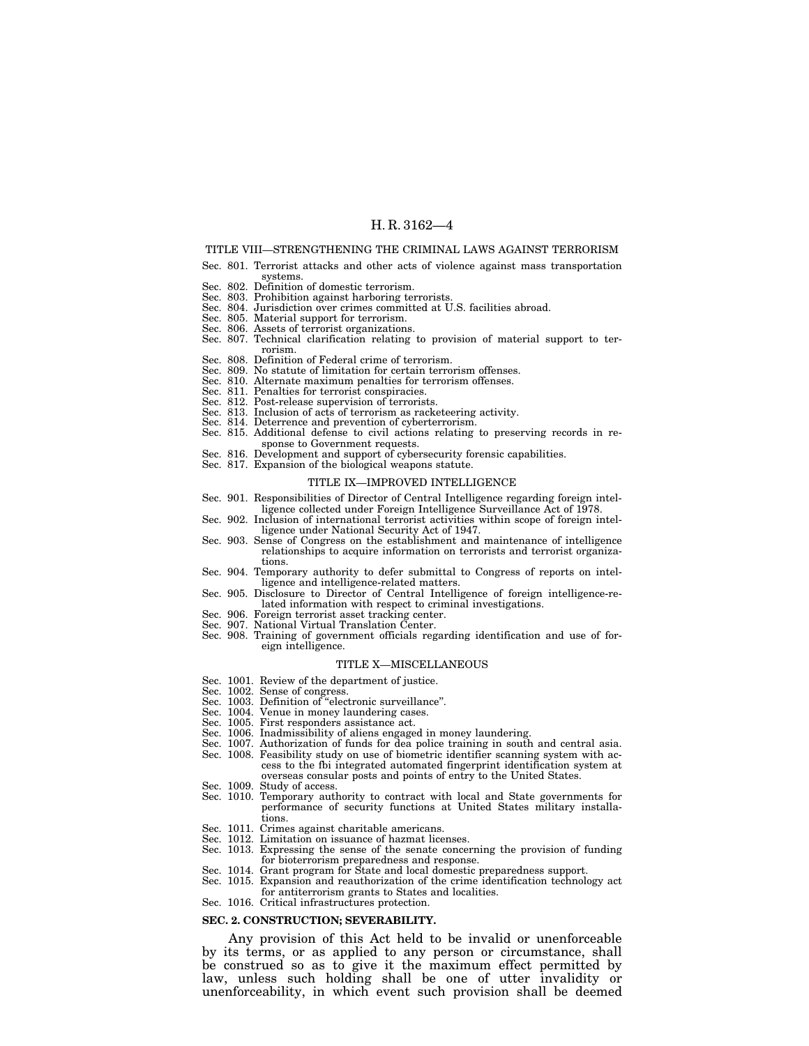#### TITLE VIII—STRENGTHENING THE CRIMINAL LAWS AGAINST TERRORISM

- Sec. 801. Terrorist attacks and other acts of violence against mass transportation systems.
- Sec. 802. Definition of domestic terrorism.
- Sec. 803. Prohibition against harboring terrorists.
- Sec. 804. Jurisdiction over crimes committed at U.S. facilities abroad.
- Sec. 805. Material support for terrorism.
- 
- Sec. 806. Assets of terrorist organizations. Sec. 807. Technical clarification relating to provision of material support to terrorism.
- Sec. 808. Definition of Federal crime of terrorism.
- Sec. 809. No statute of limitation for certain terrorism offenses.
- Sec. 810. Alternate maximum penalties for terrorism offenses.
- Sec. 811. Penalties for terrorist conspiracies. Sec. 812. Post-release supervision of terrorists.
- 
- Sec. 813. Inclusion of acts of terrorism as racketeering activity. Sec. 814. Deterrence and prevention of cyberterrorism.
- 
- Sec. 815. Additional defense to civil actions relating to preserving records in response to Government requests.
- Sec. 816. Development and support of cybersecurity forensic capabilities.
- Sec. 817. Expansion of the biological weapons statute.

#### TITLE IX—IMPROVED INTELLIGENCE

- Sec. 901. Responsibilities of Director of Central Intelligence regarding foreign intelligence collected under Foreign Intelligence Surveillance Act of 1978.
- Sec. 902. Inclusion of international terrorist activities within scope of foreign intelligence under National Security Act of 1947.
- Sec. 903. Sense of Congress on the establishment and maintenance of intelligence relationships to acquire information on terrorists and terrorist organizations.
- Sec. 904. Temporary authority to defer submittal to Congress of reports on intelligence and intelligence-related matters.
- Sec. 905. Disclosure to Director of Central Intelligence of foreign intelligence-related information with respect to criminal investigations.
- Sec. 906. Foreign terrorist asset tracking center.
- Sec. 907. National Virtual Translation Center.
- Sec. 908. Training of government officials regarding identification and use of foreign intelligence.

#### TITLE X—MISCELLANEOUS

- Sec. 1001. Review of the department of justice.
- Sec. 1002. Sense of congress.
- Sec. 1003. Definition of ''electronic surveillance''.
- Sec. 1004. Venue in money laundering cases.
- Sec. 1005. First responders assistance act.
- Sec. 1006. Inadmissibility of aliens engaged in money laundering.
- Sec. 1007. Authorization of funds for dea police training in south and central asia. Sec. 1008. Feasibility study on use of biometric identifier scanning system with ac-
- cess to the fbi integrated automated fingerprint identification system at
- overseas consular posts and points of entry to the United States. Sec. 1009. Study of access.
- 
- Sec. 1010. Temporary authority to contract with local and State governments for performance of security functions at United States military installations.
- Sec. 1011. Crimes against charitable americans.
- Sec. 1012. Limitation on issuance of hazmat licenses.
- Sec. 1013. Expressing the sense of the senate concerning the provision of funding for bioterrorism preparedness and response.
- Sec. 1014. Grant program for State and local domestic preparedness support.
- Sec. 1015. Expansion and reauthorization of the crime identification technology act for antiterrorism grants to States and localities.
- Sec. 1016. Critical infrastructures protection.

#### **SEC. 2. CONSTRUCTION; SEVERABILITY.**

Any provision of this Act held to be invalid or unenforceable by its terms, or as applied to any person or circumstance, shall be construed so as to give it the maximum effect permitted by law, unless such holding shall be one of utter invalidity or unenforceability, in which event such provision shall be deemed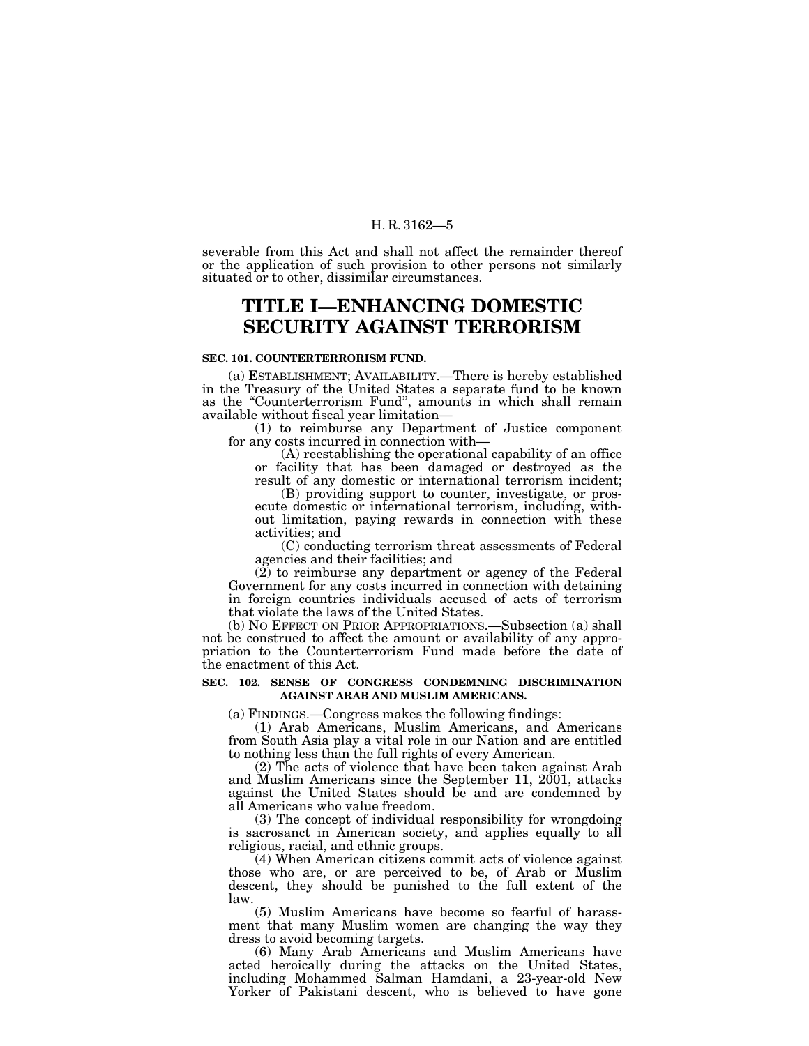severable from this Act and shall not affect the remainder thereof or the application of such provision to other persons not similarly situated or to other, dissimilar circumstances.

# **TITLE I—ENHANCING DOMESTIC SECURITY AGAINST TERRORISM**

## **SEC. 101. COUNTERTERRORISM FUND.**

(a) ESTABLISHMENT; AVAILABILITY.—There is hereby established in the Treasury of the United States a separate fund to be known as the "Counterterrorism Fund", amounts in which shall remain available without fiscal year limitation—

(1) to reimburse any Department of Justice component for any costs incurred in connection with—

 $f(A)$  reestablishing the operational capability of an office or facility that has been damaged or destroyed as the result of any domestic or international terrorism incident;

(B) providing support to counter, investigate, or prosecute domestic or international terrorism, including, without limitation, paying rewards in connection with these activities; and

(C) conducting terrorism threat assessments of Federal agencies and their facilities; and

 $(2)$  to reimburse any department or agency of the Federal Government for any costs incurred in connection with detaining in foreign countries individuals accused of acts of terrorism that violate the laws of the United States.

(b) NO EFFECT ON PRIOR APPROPRIATIONS.—Subsection (a) shall not be construed to affect the amount or availability of any appropriation to the Counterterrorism Fund made before the date of the enactment of this Act.

### **SEC. 102. SENSE OF CONGRESS CONDEMNING DISCRIMINATION AGAINST ARAB AND MUSLIM AMERICANS.**

(a) FINDINGS.—Congress makes the following findings:

(1) Arab Americans, Muslim Americans, and Americans from South Asia play a vital role in our Nation and are entitled to nothing less than the full rights of every American.

(2) The acts of violence that have been taken against Arab and Muslim Americans since the September 11, 2001, attacks against the United States should be and are condemned by all Americans who value freedom.

(3) The concept of individual responsibility for wrongdoing is sacrosanct in American society, and applies equally to all religious, racial, and ethnic groups.

(4) When American citizens commit acts of violence against those who are, or are perceived to be, of Arab or Muslim descent, they should be punished to the full extent of the law.

(5) Muslim Americans have become so fearful of harassment that many Muslim women are changing the way they dress to avoid becoming targets.

(6) Many Arab Americans and Muslim Americans have acted heroically during the attacks on the United States, including Mohammed Salman Hamdani, a 23-year-old New Yorker of Pakistani descent, who is believed to have gone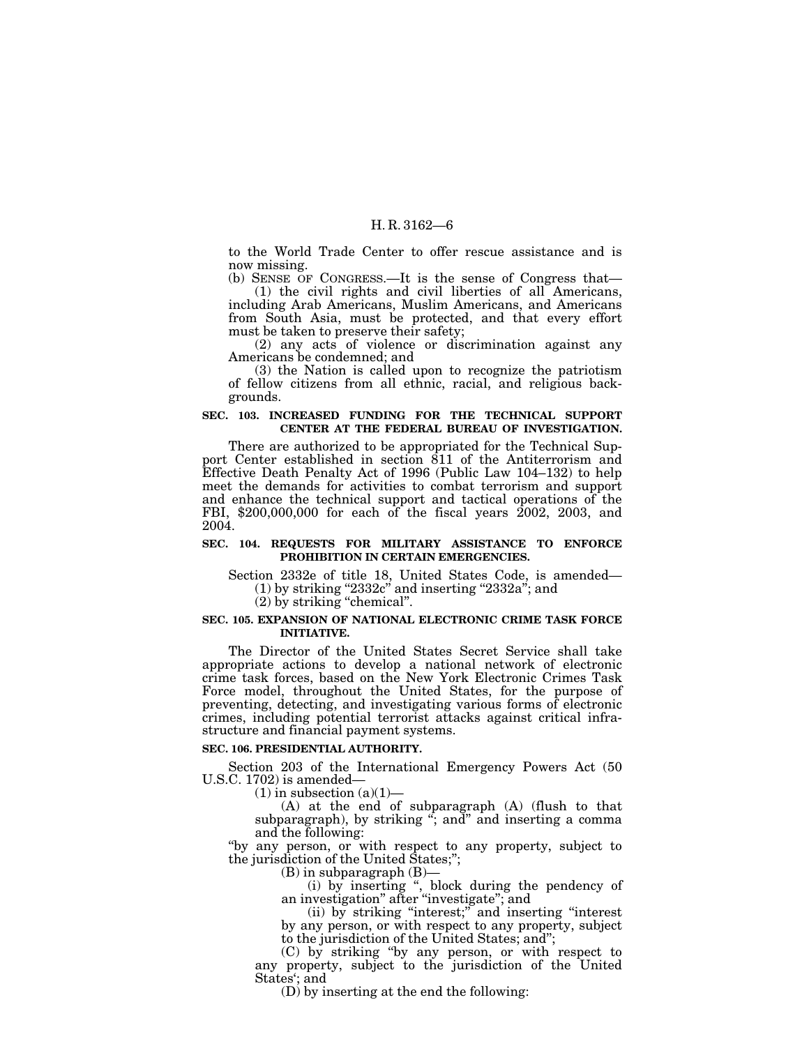to the World Trade Center to offer rescue assistance and is now missing.

(b) SENSE OF CONGRESS.—It is the sense of Congress that— (1) the civil rights and civil liberties of all Americans,

including Arab Americans, Muslim Americans, and Americans from South Asia, must be protected, and that every effort must be taken to preserve their safety;

(2) any acts of violence or discrimination against any Americans be condemned; and

(3) the Nation is called upon to recognize the patriotism of fellow citizens from all ethnic, racial, and religious backgrounds.

# **SEC. 103. INCREASED FUNDING FOR THE TECHNICAL SUPPORT CENTER AT THE FEDERAL BUREAU OF INVESTIGATION.**

There are authorized to be appropriated for the Technical Support Center established in section 811 of the Antiterrorism and Effective Death Penalty Act of 1996 (Public Law 104–132) to help meet the demands for activities to combat terrorism and support and enhance the technical support and tactical operations of the FBI, \$200,000,000 for each of the fiscal years 2002, 2003, and 2004.

# **SEC. 104. REQUESTS FOR MILITARY ASSISTANCE TO ENFORCE PROHIBITION IN CERTAIN EMERGENCIES.**

Section 2332e of title 18, United States Code, is amended— (1) by striking " $2332c$ " and inserting " $2332a$ "; and

 $(2)$  by striking "chemical".

#### **SEC. 105. EXPANSION OF NATIONAL ELECTRONIC CRIME TASK FORCE INITIATIVE.**

The Director of the United States Secret Service shall take appropriate actions to develop a national network of electronic crime task forces, based on the New York Electronic Crimes Task Force model, throughout the United States, for the purpose of preventing, detecting, and investigating various forms of electronic crimes, including potential terrorist attacks against critical infrastructure and financial payment systems.

#### **SEC. 106. PRESIDENTIAL AUTHORITY.**

Section 203 of the International Emergency Powers Act (50 U.S.C. 1702) is amended—

 $(1)$  in subsection  $(a)(1)$ —

(A) at the end of subparagraph (A) (flush to that subparagraph), by striking "; and" and inserting a comma and the following:

"by any person, or with respect to any property, subject to the jurisdiction of the United States;'';

(B) in subparagraph (B)—

(i) by inserting '', block during the pendency of an investigation'' after ''investigate''; and

(ii) by striking ''interest;'' and inserting ''interest by any person, or with respect to any property, subject to the jurisdiction of the United States; and'';

(C) by striking ''by any person, or with respect to any property, subject to the jurisdiction of the United States'; and

(D) by inserting at the end the following: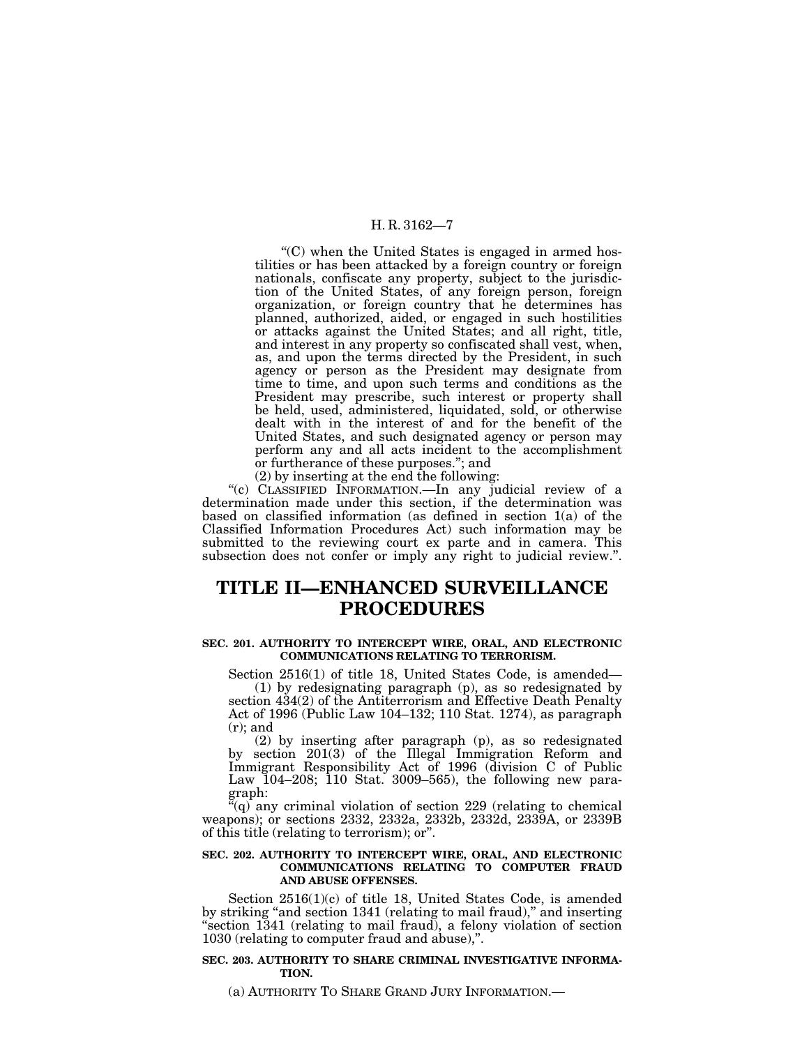$C$ ) when the United States is engaged in armed hostilities or has been attacked by a foreign country or foreign nationals, confiscate any property, subject to the jurisdiction of the United States, of any foreign person, foreign organization, or foreign country that he determines has planned, authorized, aided, or engaged in such hostilities or attacks against the United States; and all right, title, and interest in any property so confiscated shall vest, when, as, and upon the terms directed by the President, in such agency or person as the President may designate from time to time, and upon such terms and conditions as the President may prescribe, such interest or property shall be held, used, administered, liquidated, sold, or otherwise dealt with in the interest of and for the benefit of the United States, and such designated agency or person may perform any and all acts incident to the accomplishment or furtherance of these purposes.''; and

(2) by inserting at the end the following:

''(c) CLASSIFIED INFORMATION.—In any judicial review of a determination made under this section, if the determination was based on classified information (as defined in section 1(a) of the Classified Information Procedures Act) such information may be submitted to the reviewing court ex parte and in camera. This subsection does not confer or imply any right to judicial review.".

# **TITLE II—ENHANCED SURVEILLANCE PROCEDURES**

#### **SEC. 201. AUTHORITY TO INTERCEPT WIRE, ORAL, AND ELECTRONIC COMMUNICATIONS RELATING TO TERRORISM.**

Section 2516(1) of title 18, United States Code, is amended— (1) by redesignating paragraph (p), as so redesignated by section 434(2) of the Antiterrorism and Effective Death Penalty Act of 1996 (Public Law 104–132; 110 Stat. 1274), as paragraph  $(r)$ ; and

(2) by inserting after paragraph (p), as so redesignated by section 201(3) of the Illegal Immigration Reform and Immigrant Responsibility Act of 1996 (division C of Public Law 104–208; 110 Stat. 3009–565), the following new paragraph:

 $\mathbb{F}(q)$  any criminal violation of section 229 (relating to chemical weapons); or sections 2332, 2332a, 2332b, 2332d, 2339A, or 2339B of this title (relating to terrorism); or''.

### **SEC. 202. AUTHORITY TO INTERCEPT WIRE, ORAL, AND ELECTRONIC COMMUNICATIONS RELATING TO COMPUTER FRAUD AND ABUSE OFFENSES.**

Section 2516(1)(c) of title 18, United States Code, is amended by striking "and section 1341 (relating to mail fraud)," and inserting "section 1341 (relating to mail fraud), a felony violation of section 1030 (relating to computer fraud and abuse),''.

#### **SEC. 203. AUTHORITY TO SHARE CRIMINAL INVESTIGATIVE INFORMA-TION.**

(a) AUTHORITY TO SHARE GRAND JURY INFORMATION.—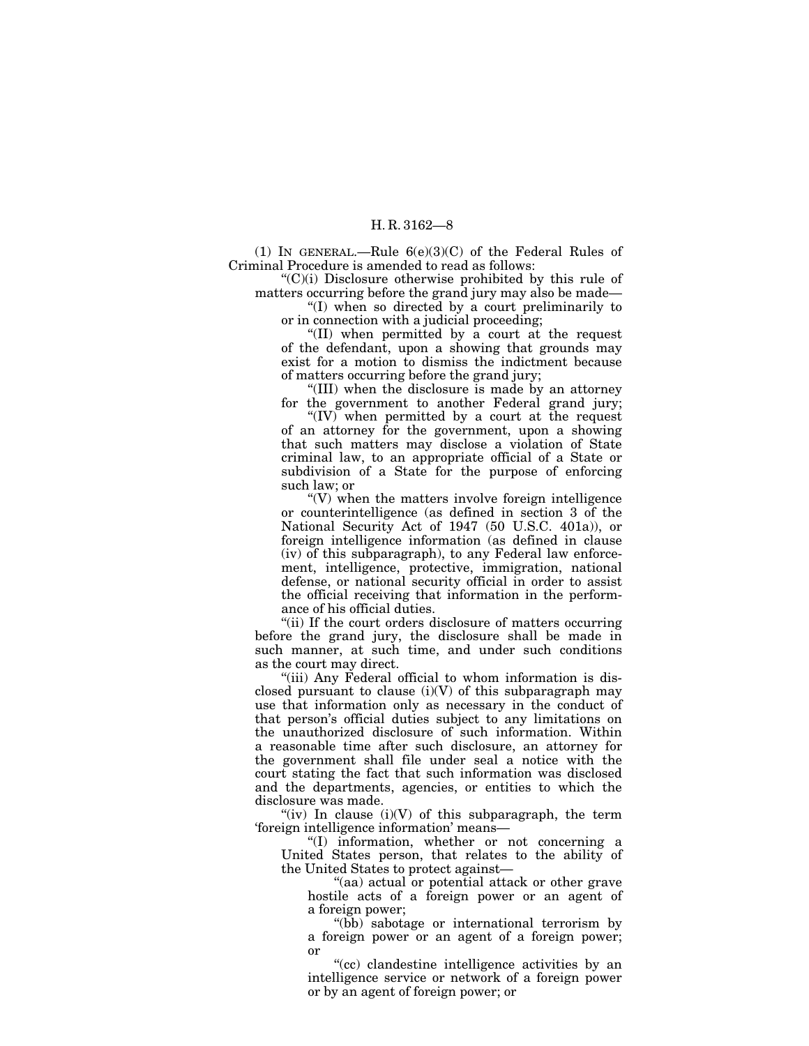(1) IN GENERAL.—Rule 6(e)(3)(C) of the Federal Rules of Criminal Procedure is amended to read as follows:

 $(C)(i)$  Disclosure otherwise prohibited by this rule of matters occurring before the grand jury may also be made—

''(I) when so directed by a court preliminarily to or in connection with a judicial proceeding;

''(II) when permitted by a court at the request of the defendant, upon a showing that grounds may exist for a motion to dismiss the indictment because of matters occurring before the grand jury;

''(III) when the disclosure is made by an attorney for the government to another Federal grand jury;

 $\Gamma(W)$  when permitted by a court at the request of an attorney for the government, upon a showing that such matters may disclose a violation of State criminal law, to an appropriate official of a State or subdivision of a State for the purpose of enforcing such law; or

 $\mathcal{H}(V)$  when the matters involve foreign intelligence or counterintelligence (as defined in section 3 of the National Security Act of 1947 (50 U.S.C. 401a)), or foreign intelligence information (as defined in clause (iv) of this subparagraph), to any Federal law enforcement, intelligence, protective, immigration, national defense, or national security official in order to assist the official receiving that information in the performance of his official duties.

''(ii) If the court orders disclosure of matters occurring before the grand jury, the disclosure shall be made in such manner, at such time, and under such conditions as the court may direct.

"(iii) Any Federal official to whom information is disclosed pursuant to clause  $(i)(V)$  of this subparagraph may use that information only as necessary in the conduct of that person's official duties subject to any limitations on the unauthorized disclosure of such information. Within a reasonable time after such disclosure, an attorney for the government shall file under seal a notice with the court stating the fact that such information was disclosed and the departments, agencies, or entities to which the disclosure was made.

"(iv) In clause  $(i)(V)$  of this subparagraph, the term 'foreign intelligence information' means—

''(I) information, whether or not concerning a United States person, that relates to the ability of the United States to protect against—

''(aa) actual or potential attack or other grave hostile acts of a foreign power or an agent of a foreign power;

''(bb) sabotage or international terrorism by a foreign power or an agent of a foreign power; or

"(cc) clandestine intelligence activities by an intelligence service or network of a foreign power or by an agent of foreign power; or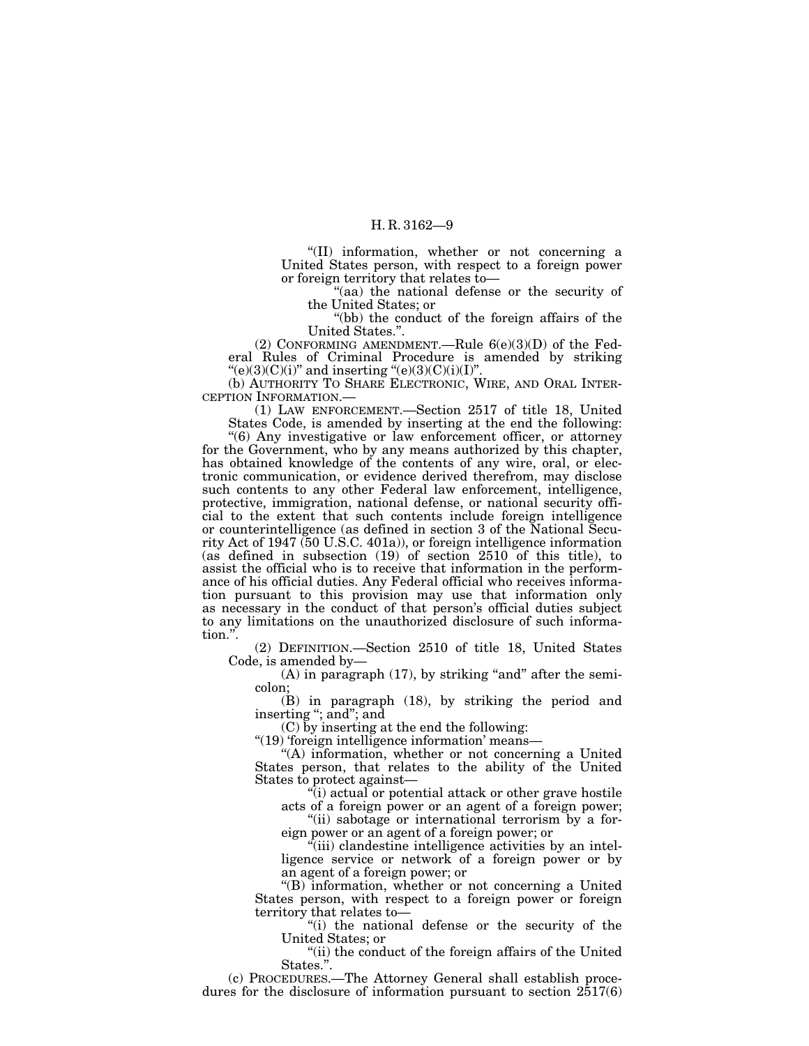''(II) information, whether or not concerning a United States person, with respect to a foreign power or foreign territory that relates to—

"(aa) the national defense or the security of the United States; or

"(bb) the conduct of the foreign affairs of the United States.''.

(2) CONFORMING AMENDMENT.—Rule  $6(e)(3)(D)$  of the Federal Rules of Criminal Procedure is amended by striking "(e)(3)(C)(i)" and inserting "(e)(3)(C)(i)(I)".

(b) AUTHORITY TO SHARE ELECTRONIC, WIRE, AND ORAL INTER-CEPTION INFORMATION.—

(1) LAW ENFORCEMENT.—Section 2517 of title 18, United States Code, is amended by inserting at the end the following:

''(6) Any investigative or law enforcement officer, or attorney for the Government, who by any means authorized by this chapter, has obtained knowledge of the contents of any wire, oral, or electronic communication, or evidence derived therefrom, may disclose such contents to any other Federal law enforcement, intelligence, protective, immigration, national defense, or national security official to the extent that such contents include foreign intelligence or counterintelligence (as defined in section 3 of the National Security Act of 1947 (50 U.S.C. 401a)), or foreign intelligence information (as defined in subsection (19) of section 2510 of this title), to assist the official who is to receive that information in the performance of his official duties. Any Federal official who receives information pursuant to this provision may use that information only as necessary in the conduct of that person's official duties subject to any limitations on the unauthorized disclosure of such information.''.

(2) DEFINITION.—Section 2510 of title 18, United States Code, is amended by—

 $(A)$  in paragraph  $(17)$ , by striking "and" after the semicolon;

(B) in paragraph (18), by striking the period and inserting "; and"; and

(C) by inserting at the end the following:

''(19) 'foreign intelligence information' means—

"(A) information, whether or not concerning a United States person, that relates to the ability of the United States to protect against—

 $\tilde{\mathfrak{g}}$  actual or potential attack or other grave hostile

acts of a foreign power or an agent of a foreign power; "(ii) sabotage or international terrorism by a for-

eign power or an agent of a foreign power; or

''(iii) clandestine intelligence activities by an intelligence service or network of a foreign power or by an agent of a foreign power; or

''(B) information, whether or not concerning a United States person, with respect to a foreign power or foreign territory that relates to—<br>"(i) the national defense or the security of the

United States; or

''(ii) the conduct of the foreign affairs of the United States.''.

(c) PROCEDURES.—The Attorney General shall establish procedures for the disclosure of information pursuant to section  $2517(6)$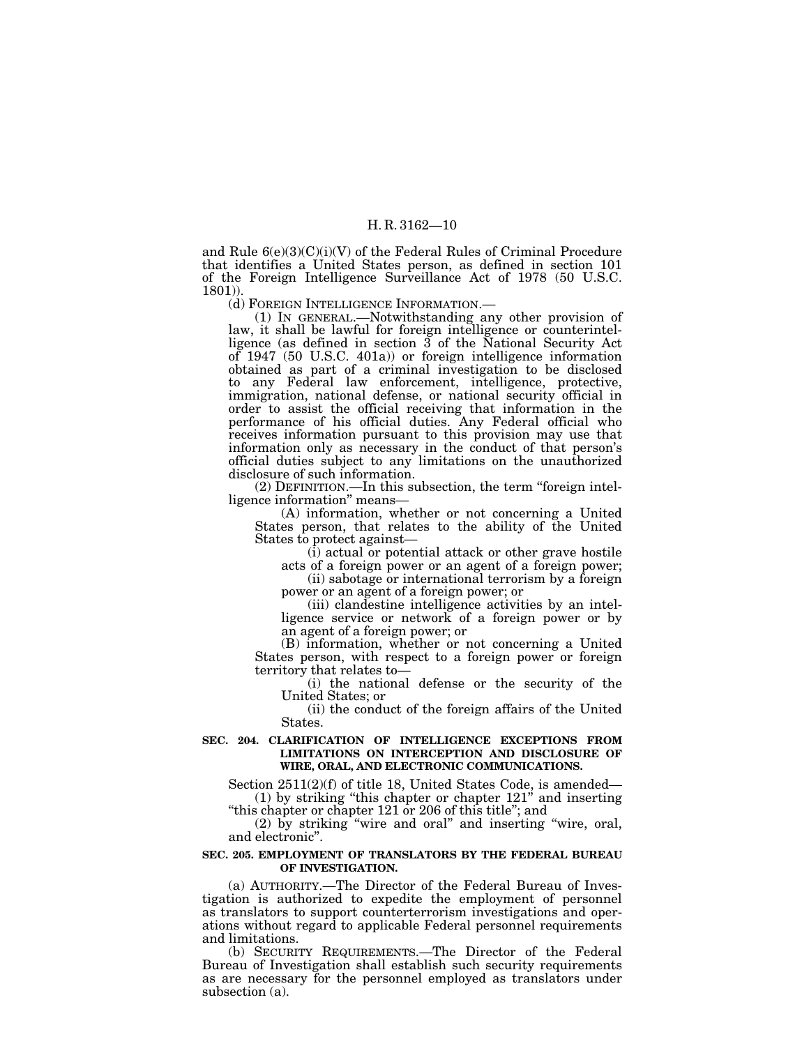and Rule  $6(e)(3)(C)(i)(V)$  of the Federal Rules of Criminal Procedure that identifies a United States person, as defined in section 101 of the Foreign Intelligence Surveillance Act of 1978 (50 U.S.C. 1801)).<br>(d) Foreign Intelligence Information.—

 $(1)$  In GENERAL.—Notwithstanding any other provision of law, it shall be lawful for foreign intelligence or counterintelligence (as defined in section 3 of the National Security Act of 1947 (50 U.S.C. 401a)) or foreign intelligence information obtained as part of a criminal investigation to be disclosed to any Federal law enforcement, intelligence, protective, immigration, national defense, or national security official in order to assist the official receiving that information in the performance of his official duties. Any Federal official who receives information pursuant to this provision may use that information only as necessary in the conduct of that person's official duties subject to any limitations on the unauthorized disclosure of such information.

(2) DEFINITION.—In this subsection, the term "foreign intelligence information" means—

 $(A)$  information, whether or not concerning a United States person, that relates to the ability of the United States to protect against— (i) actual or potential attack or other grave hostile

acts of a foreign power or an agent of a foreign power;

(ii) sabotage or international terrorism by a foreign power or an agent of a foreign power; or

(iii) clandestine intelligence activities by an intelligence service or network of a foreign power or by an agent of a foreign power; or

(B) information, whether or not concerning a United States person, with respect to a foreign power or foreign

 $(i)$  the national defense or the security of the United States; or

(ii) the conduct of the foreign affairs of the United States.

### **SEC. 204. CLARIFICATION OF INTELLIGENCE EXCEPTIONS FROM LIMITATIONS ON INTERCEPTION AND DISCLOSURE OF WIRE, ORAL, AND ELECTRONIC COMMUNICATIONS.**

Section 2511(2)(f) of title 18, United States Code, is amended—<br>
(1) by striking "this chapter or chapter 121" and inserting "this chapter or chapter 121 or 206 of this title"; and

(2) by striking ''wire and oral'' and inserting ''wire, oral, and electronic''.

#### **SEC. 205. EMPLOYMENT OF TRANSLATORS BY THE FEDERAL BUREAU OF INVESTIGATION.**

(a) AUTHORITY.—The Director of the Federal Bureau of Investigation is authorized to expedite the employment of personnel as translators to support counterterrorism investigations and operations without regard to applicable Federal personnel requirements and limitations.

(b) SECURITY REQUIREMENTS.—The Director of the Federal Bureau of Investigation shall establish such security requirements as are necessary for the personnel employed as translators under subsection (a).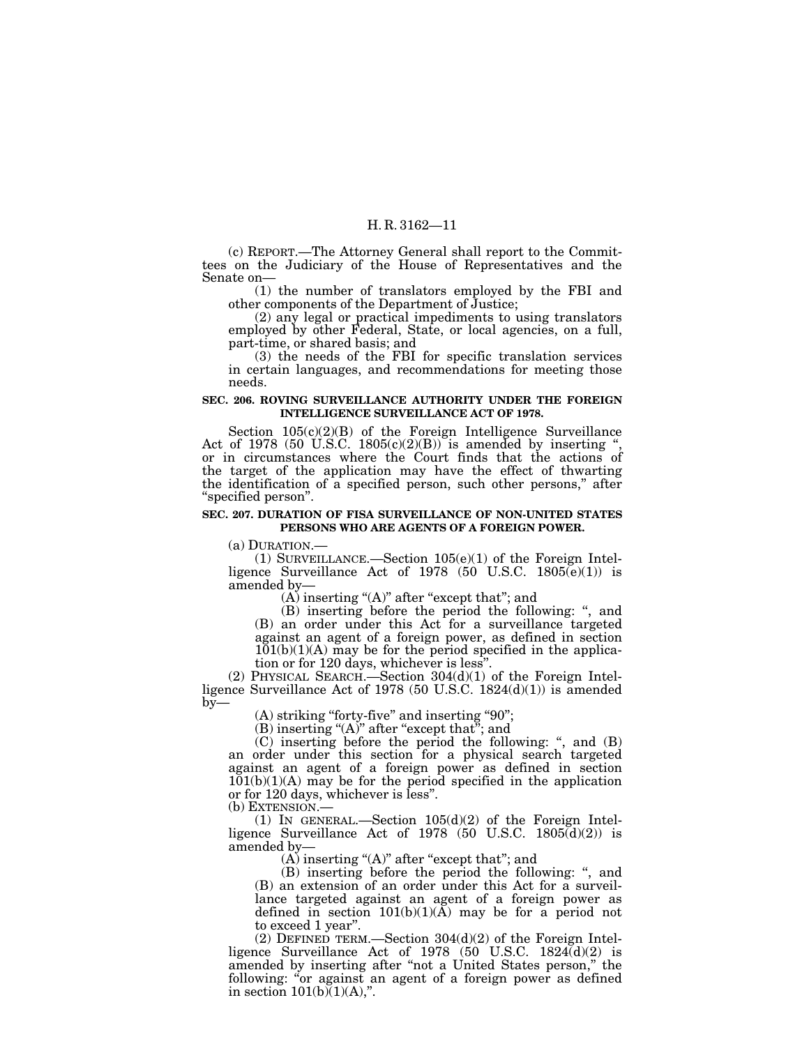(c) REPORT.—The Attorney General shall report to the Committees on the Judiciary of the House of Representatives and the Senate on—

(1) the number of translators employed by the FBI and other components of the Department of Justice;

(2) any legal or practical impediments to using translators employed by other Federal, State, or local agencies, on a full, part-time, or shared basis; and

(3) the needs of the FBI for specific translation services in certain languages, and recommendations for meeting those needs.

### **SEC. 206. ROVING SURVEILLANCE AUTHORITY UNDER THE FOREIGN INTELLIGENCE SURVEILLANCE ACT OF 1978.**

Section 105(c)(2)(B) of the Foreign Intelligence Surveillance Act of 1978 (50 U.S.C. 1805(c)(2)(B)) is amended by inserting ", or in circumstances where the Court finds that the actions of the target of the application may have the effect of thwarting the identification of a specified person, such other persons,'' after ''specified person''.

#### **SEC. 207. DURATION OF FISA SURVEILLANCE OF NON-UNITED STATES PERSONS WHO ARE AGENTS OF A FOREIGN POWER.**

(a) DURATION.—<br>(1) SURVEILLANCE.—Section  $105(e)(1)$  of the Foreign Intelligence Surveillance Act of 1978  $(50 \text{ U.S.C. } 1805(e)(1))$  is amended by— $(A)$  inserting " $(A)$ " after "except that"; and

(B) inserting before the period the following: '', and (B) an order under this Act for a surveillance targeted against an agent of a foreign power, as defined in section  $101(b)(1)(A)$  may be for the period specified in the applica-

tion or for 120 days, whichever is less".<br>(2) PHYSICAL SEARCH.—Section  $304(d)(1)$  of the Foreign Intelligence Surveillance Act of 1978 (50 U.S.C. 1824(d)(1)) is amended by—<br>(A) striking "forty-five" and inserting "90";

 $(B)$  inserting " $(A)$ " after "except that"; and

(C) inserting before the period the following: '', and (B) an order under this section for a physical search targeted against an agent of a foreign power as defined in section  $101(b)(1)(A)$  may be for the period specified in the application or for 120 days, whichever is less".<br>(b) EXTENSION.—<br>(1) IN GENERAL.—Section 105(d)(2) of the Foreign Intel-

ligence Surveillance Act of 1978 (50 U.S.C. 1805 $(d)(2)$ ) is amended by— $(A)$  inserting " $(A)$ " after "except that"; and

(B) inserting before the period the following: '', and (B) an extension of an order under this Act for a surveillance targeted against an agent of a foreign power as defined in section  $101(b)(1)(\overline{A})$  may be for a period not to exceed 1 year''.

(2) DEFINED TERM.—Section  $304(d)(2)$  of the Foreign Intelligence Surveillance Act of 1978 (50 U.S.C. 1824 $\vec{d}$ )(2) is amended by inserting after ''not a United States person,'' the following: "or against an agent of a foreign power as defined in section  $101(b)$  $(1)(A)$ ,".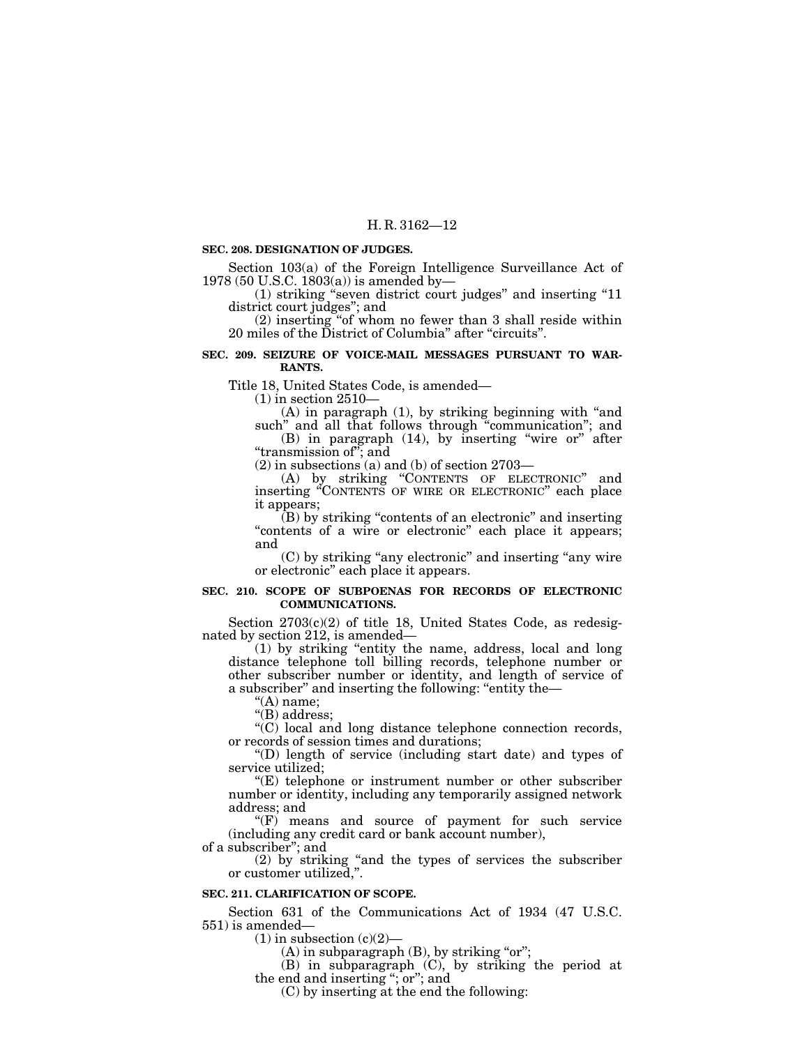# **SEC. 208. DESIGNATION OF JUDGES.**

Section 103(a) of the Foreign Intelligence Surveillance Act of 1978 (50 U.S.C. 1803(a)) is amended by—

 $(1)$  striking "seven district court judges" and inserting "11 district court judges''; and

(2) inserting ''of whom no fewer than 3 shall reside within 20 miles of the District of Columbia'' after ''circuits''.

#### **SEC. 209. SEIZURE OF VOICE-MAIL MESSAGES PURSUANT TO WAR-RANTS.**

Title 18, United States Code, is amended—

(1) in section 2510—

(A) in paragraph (1), by striking beginning with ''and such" and all that follows through "communication"; and (B) in paragraph (14), by inserting ''wire or'' after ''transmission of''; and

(2) in subsections (a) and (b) of section 2703—

(A) by striking ''CONTENTS OF ELECTRONIC'' and inserting ''CONTENTS OF WIRE OR ELECTRONIC'' each place it appears;

(B) by striking ''contents of an electronic'' and inserting "contents of a wire or electronic" each place it appears; and

(C) by striking ''any electronic'' and inserting ''any wire or electronic'' each place it appears.

#### **SEC. 210. SCOPE OF SUBPOENAS FOR RECORDS OF ELECTRONIC COMMUNICATIONS.**

Section  $2703(c)(2)$  of title 18, United States Code, as redesignated by section 212, is amended—

(1) by striking ''entity the name, address, local and long distance telephone toll billing records, telephone number or other subscriber number or identity, and length of service of a subscriber'' and inserting the following: ''entity the—

''(A) name;

"(B) address;

''(C) local and long distance telephone connection records, or records of session times and durations;

''(D) length of service (including start date) and types of service utilized;

 $E(E)$  telephone or instrument number or other subscriber number or identity, including any temporarily assigned network address; and

 $(F)$  means and source of payment for such service (including any credit card or bank account number),

of a subscriber''; and

(2) by striking ''and the types of services the subscriber or customer utilized,''.

### **SEC. 211. CLARIFICATION OF SCOPE.**

Section 631 of the Communications Act of 1934 (47 U.S.C. 551) is amended—<br>
(1) in subsection (c)(2)—<br>
(A) in subparagraph (B), by striking "or";

(B) in subparagraph (C), by striking the period at

the end and inserting ''; or''; and

(C) by inserting at the end the following: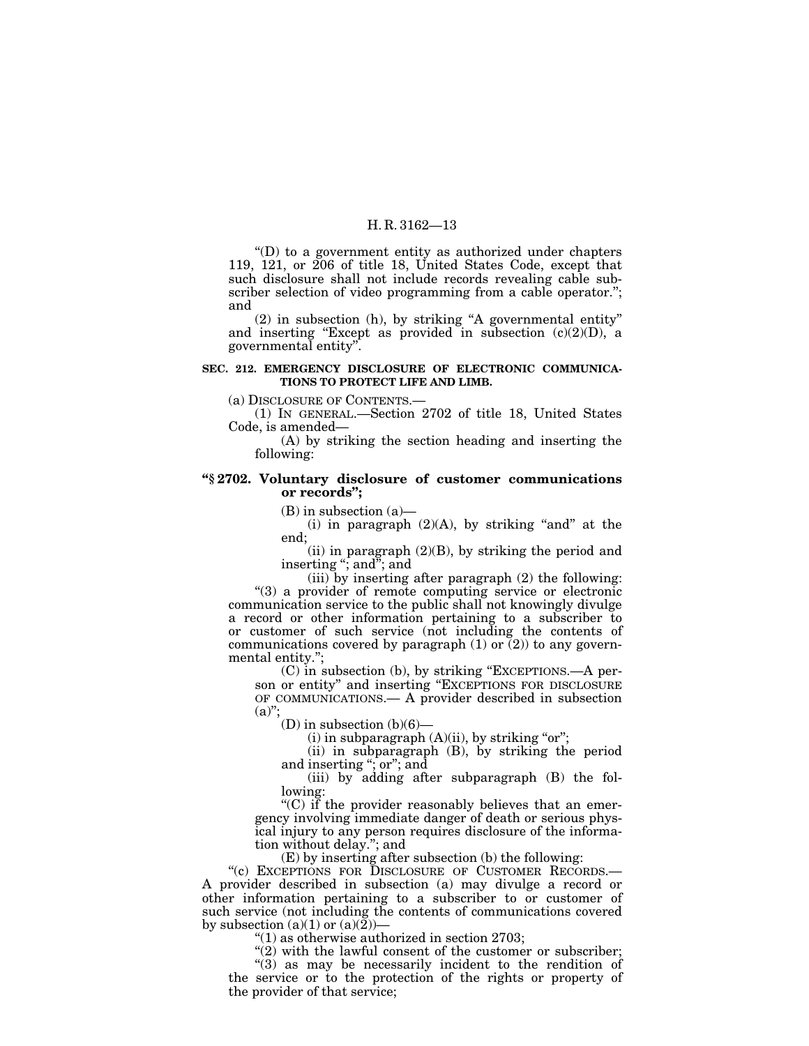''(D) to a government entity as authorized under chapters 119, 121, or 206 of title 18, United States Code, except that such disclosure shall not include records revealing cable subscriber selection of video programming from a cable operator."; and

(2) in subsection (h), by striking ''A governmental entity'' and inserting "Except as provided in subsection  $(c)(2)(D)$ , a governmental entity''.

### **SEC. 212. EMERGENCY DISCLOSURE OF ELECTRONIC COMMUNICA-TIONS TO PROTECT LIFE AND LIMB.**

(a) DISCLOSURE OF CONTENTS.—

(1) IN GENERAL.—Section 2702 of title 18, United States Code, is amended—

(A) by striking the section heading and inserting the following:

# **''§ 2702. Voluntary disclosure of customer communications or records'';**

(B) in subsection (a)—

(i) in paragraph  $(2)(A)$ , by striking "and" at the end;

(ii) in paragraph (2)(B), by striking the period and inserting ''; and''; and

(iii) by inserting after paragraph (2) the following: ''(3) a provider of remote computing service or electronic

communication service to the public shall not knowingly divulge a record or other information pertaining to a subscriber to or customer of such service (not including the contents of communications covered by paragraph  $(1)$  or  $(2)$ ) to any governmental entity.'';

(C) in subsection (b), by striking ''EXCEPTIONS.—A person or entity" and inserting "EXCEPTIONS FOR DISCLOSURE OF COMMUNICATIONS.— A provider described in subsection  $(a)$ ";

 $(D)$  in subsection  $(b)(6)$ —

(i) in subparagraph  $(A)(ii)$ , by striking "or";

(ii) in subparagraph (B), by striking the period and inserting ''; or''; and

(iii) by adding after subparagraph (B) the following:

 $(C)$  if the provider reasonably believes that an emergency involving immediate danger of death or serious physical injury to any person requires disclosure of the information without delay.''; and

(E) by inserting after subsection (b) the following:

''(c) EXCEPTIONS FOR DISCLOSURE OF CUSTOMER RECORDS.— A provider described in subsection (a) may divulge a record or other information pertaining to a subscriber to or customer of such service (not including the contents of communications covered by subsection  $(a)(1)$  or  $(a)(2)$ )—

 $"(1)$  as otherwise authorized in section 2703;

" $(2)$  with the lawful consent of the customer or subscriber;

"(3) as may be necessarily incident to the rendition of the service or to the protection of the rights or property of the provider of that service;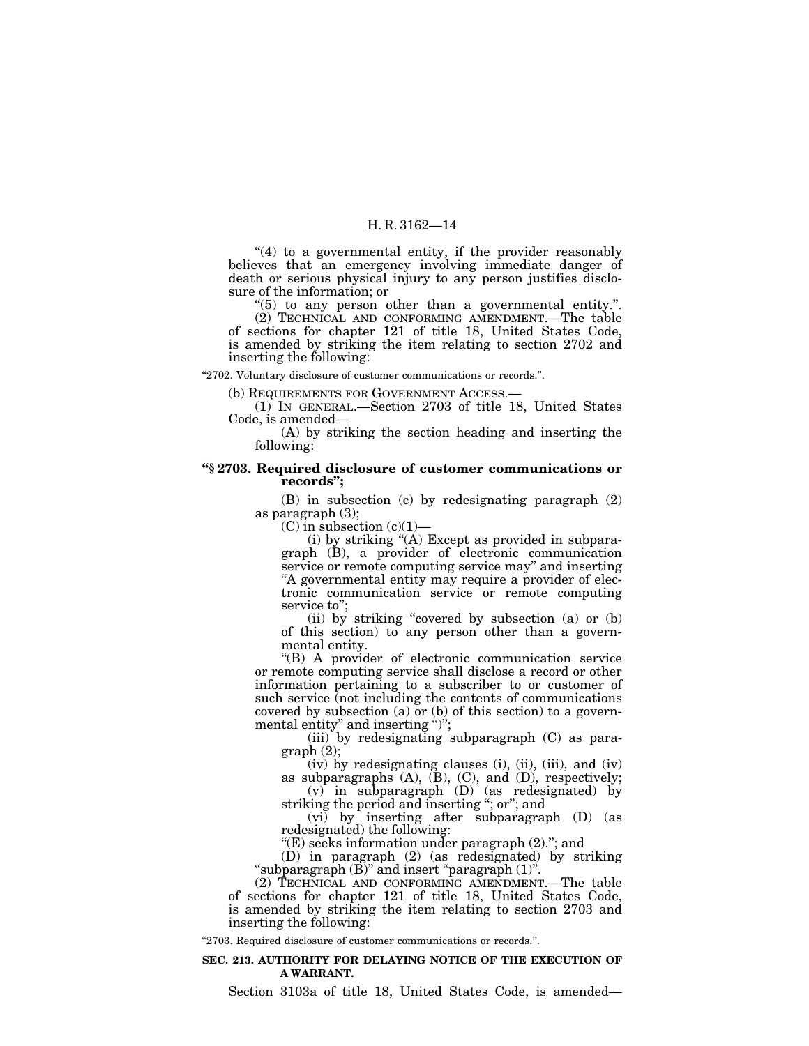" $(4)$  to a governmental entity, if the provider reasonably believes that an emergency involving immediate danger of death or serious physical injury to any person justifies disclosure of the information; or

" $(5)$  to any person other than a governmental entity.". (2) TECHNICAL AND CONFORMING AMENDMENT.—The table of sections for chapter 121 of title 18, United States Code, is amended by striking the item relating to section 2702 and inserting the following:

''2702. Voluntary disclosure of customer communications or records.''.

(b) REQUIREMENTS FOR GOVERNMENT ACCESS.—

(1) IN GENERAL.—Section 2703 of title 18, United States Code, is amended—

(A) by striking the section heading and inserting the following:

# **''§ 2703. Required disclosure of customer communications or records'';**

(B) in subsection (c) by redesignating paragraph (2) as paragraph (3);

 $(C)$  in subsection  $(c)(1)$ —

(i) by striking " $(A)$  Except as provided in subparagraph (B), a provider of electronic communication service or remote computing service may'' and inserting ''A governmental entity may require a provider of electronic communication service or remote computing service to'';

(ii) by striking "covered by subsection (a) or  $(b)$ of this section) to any person other than a governmental entity.

''(B) A provider of electronic communication service or remote computing service shall disclose a record or other information pertaining to a subscriber to or customer of such service (not including the contents of communications covered by subsection (a) or (b) of this section) to a governmental entity" and inserting ")";

(iii) by redesignating subparagraph (C) as paragraph (2);

(iv) by redesignating clauses (i), (ii), (iii), and (iv) as subparagraphs  $(A)$ ,  $(B)$ ,  $(C)$ , and  $(D)$ , respectively;

(v) in subparagraph (D) (as redesignated) by striking the period and inserting "; or"; and

(vi) by inserting after subparagraph (D) (as redesignated) the following:

''(E) seeks information under paragraph (2).''; and

(D) in paragraph (2) (as redesignated) by striking " $\text{subparagraph} \left( \text{B} \right)$ " and insert "paragraph  $\left( 1 \right)$ ".

(2) TECHNICAL AND CONFORMING AMENDMENT.—The table of sections for chapter 121 of title 18, United States Code, is amended by striking the item relating to section 2703 and inserting the following:

''2703. Required disclosure of customer communications or records.''.

#### **SEC. 213. AUTHORITY FOR DELAYING NOTICE OF THE EXECUTION OF A WARRANT.**

Section 3103a of title 18, United States Code, is amended—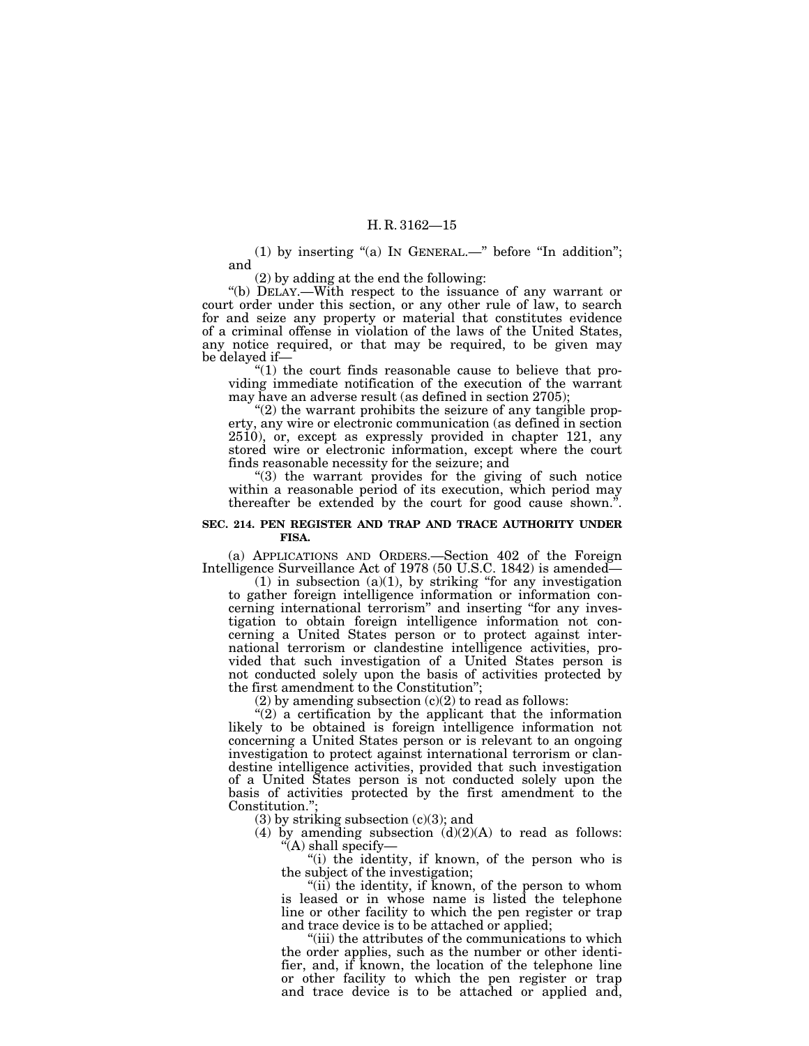(1) by inserting "(a) IN GENERAL.—" before "In addition"; and

(2) by adding at the end the following:

''(b) DELAY.—With respect to the issuance of any warrant or court order under this section, or any other rule of law, to search for and seize any property or material that constitutes evidence of a criminal offense in violation of the laws of the United States, any notice required, or that may be required, to be given may be delayed if—

"(1) the court finds reasonable cause to believe that providing immediate notification of the execution of the warrant may have an adverse result (as defined in section 2705);

" $(2)$  the warrant prohibits the seizure of any tangible property, any wire or electronic communication (as defined in section 2510), or, except as expressly provided in chapter 121, any stored wire or electronic information, except where the court finds reasonable necessity for the seizure; and

 $(3)$  the warrant provides for the giving of such notice within a reasonable period of its execution, which period may thereafter be extended by the court for good cause shown.''.

# **SEC. 214. PEN REGISTER AND TRAP AND TRACE AUTHORITY UNDER FISA.**

(a) APPLICATIONS AND ORDERS.—Section 402 of the Foreign Intelligence Surveillance Act of 1978 (50 U.S.C. 1842) is amended—

 $(1)$  in subsection  $(a)(1)$ , by striking "for any investigation to gather foreign intelligence information or information concerning international terrorism'' and inserting ''for any investigation to obtain foreign intelligence information not concerning a United States person or to protect against international terrorism or clandestine intelligence activities, provided that such investigation of a United States person is not conducted solely upon the basis of activities protected by the first amendment to the Constitution'';

 $(2)$  by amending subsection  $(c)(2)$  to read as follows:

 $(2)$  a certification by the applicant that the information likely to be obtained is foreign intelligence information not concerning a United States person or is relevant to an ongoing investigation to protect against international terrorism or clandestine intelligence activities, provided that such investigation of a United States person is not conducted solely upon the basis of activities protected by the first amendment to the Constitution.'';

 $(3)$  by striking subsection  $(c)(3)$ ; and

(4) by amending subsection  $(d)(2)(A)$  to read as follows: ''(A) shall specify—

''(i) the identity, if known, of the person who is the subject of the investigation;

''(ii) the identity, if known, of the person to whom is leased or in whose name is listed the telephone line or other facility to which the pen register or trap and trace device is to be attached or applied;

"(iii) the attributes of the communications to which the order applies, such as the number or other identifier, and, if known, the location of the telephone line or other facility to which the pen register or trap and trace device is to be attached or applied and,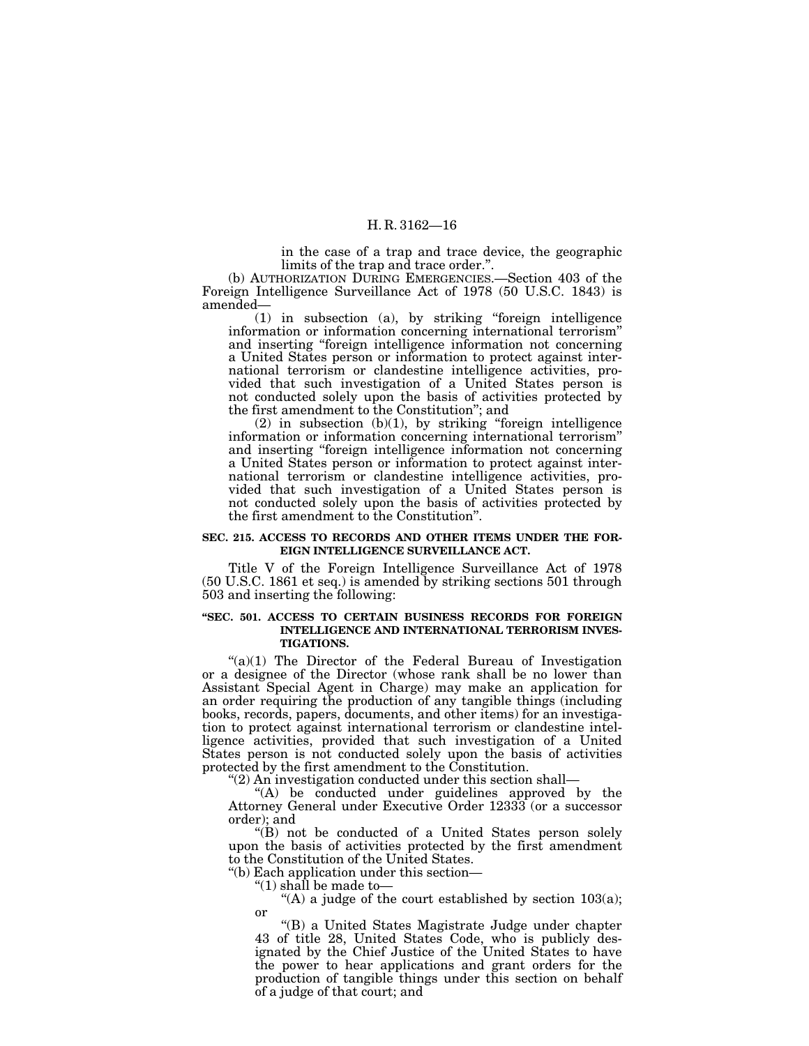in the case of a trap and trace device, the geographic limits of the trap and trace order.''.

(b) AUTHORIZATION DURING EMERGENCIES.—Section 403 of the Foreign Intelligence Surveillance Act of 1978 (50 U.S.C. 1843) is amended—

(1) in subsection (a), by striking ''foreign intelligence information or information concerning international terrorism'' and inserting ''foreign intelligence information not concerning a United States person or information to protect against international terrorism or clandestine intelligence activities, provided that such investigation of a United States person is not conducted solely upon the basis of activities protected by the first amendment to the Constitution''; and

 $(2)$  in subsection  $(b)(1)$ , by striking "foreign intelligence information or information concerning international terrorism'' and inserting ''foreign intelligence information not concerning a United States person or information to protect against international terrorism or clandestine intelligence activities, provided that such investigation of a United States person is not conducted solely upon the basis of activities protected by the first amendment to the Constitution''.

# **SEC. 215. ACCESS TO RECORDS AND OTHER ITEMS UNDER THE FOR-EIGN INTELLIGENCE SURVEILLANCE ACT.**

Title V of the Foreign Intelligence Surveillance Act of 1978 (50 U.S.C. 1861 et seq.) is amended by striking sections 501 through 503 and inserting the following:

#### **''SEC. 501. ACCESS TO CERTAIN BUSINESS RECORDS FOR FOREIGN INTELLIGENCE AND INTERNATIONAL TERRORISM INVES-TIGATIONS.**

 $((a)(1)$  The Director of the Federal Bureau of Investigation or a designee of the Director (whose rank shall be no lower than Assistant Special Agent in Charge) may make an application for an order requiring the production of any tangible things (including books, records, papers, documents, and other items) for an investigation to protect against international terrorism or clandestine intelligence activities, provided that such investigation of a United States person is not conducted solely upon the basis of activities protected by the first amendment to the Constitution.

 $\degree$ (2) An investigation conducted under this section shall-

"(A) be conducted under guidelines approved by the Attorney General under Executive Order 12333 (or a successor order); and

''(B) not be conducted of a United States person solely upon the basis of activities protected by the first amendment to the Constitution of the United States.

''(b) Each application under this section—

''(1) shall be made to—

"(A) a judge of the court established by section  $103(a)$ ;

or ''(B) a United States Magistrate Judge under chapter 43 of title 28, United States Code, who is publicly designated by the Chief Justice of the United States to have the power to hear applications and grant orders for the production of tangible things under this section on behalf of a judge of that court; and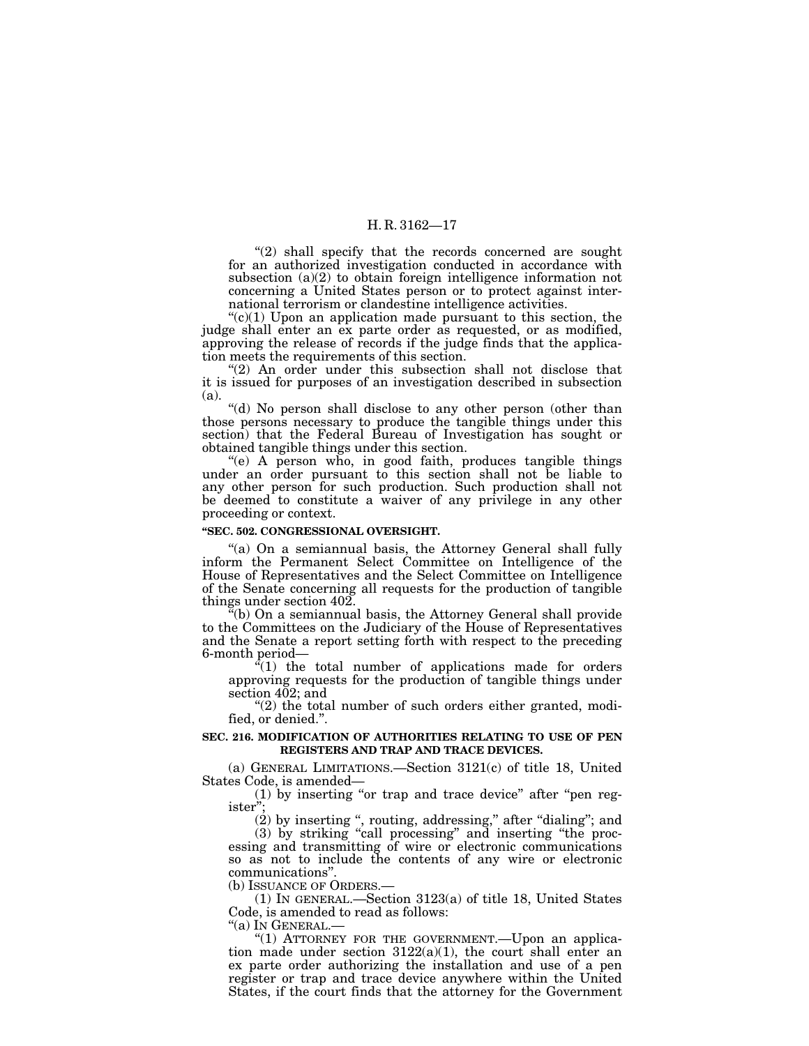"(2) shall specify that the records concerned are sought for an authorized investigation conducted in accordance with subsection (a)(2) to obtain foreign intelligence information not concerning a United States person or to protect against international terrorism or clandestine intelligence activities.

 $C(1)$  Upon an application made pursuant to this section, the judge shall enter an ex parte order as requested, or as modified, approving the release of records if the judge finds that the application meets the requirements of this section.  $(2)$  An order under this subsection shall not disclose that

it is issued for purposes of an investigation described in subsection

(a). "(d) No person shall disclose to any other person (other than those persons necessary to produce the tangible things under this section) that the Federal Bureau of Investigation has sought or obtained tangible things under this section.

"(e) A person who, in good faith, produces tangible things under an order pursuant to this section shall not be liable to any other person for such production. Such production shall not be deemed to constitute a waiver of any privilege in any other proceeding or context.

#### **''SEC. 502. CONGRESSIONAL OVERSIGHT.**

"(a) On a semiannual basis, the Attorney General shall fully inform the Permanent Select Committee on Intelligence of the House of Representatives and the Select Committee on Intelligence of the Senate concerning all requests for the production of tangible

 $t(b)$  On a semiannual basis, the Attorney General shall provide to the Committees on the Judiciary of the House of Representatives and the Senate a report setting forth with respect to the preceding

 $f(1)$  the total number of applications made for orders approving requests for the production of tangible things under section 402; and  $(2)$  the total number of such orders either granted, modi-

fied, or denied.''.

# **SEC. 216. MODIFICATION OF AUTHORITIES RELATING TO USE OF PEN REGISTERS AND TRAP AND TRACE DEVICES.**

(a) GENERAL LIMITATIONS.—Section 3121(c) of title 18, United States Code, is amended—<br>(1) by inserting "or trap and trace device" after "pen reg-

ister'';

(2) by inserting ", routing, addressing," after "dialing"; and

(3) by striking "call processing" and inserting "the processing and transmitting of wire or electronic communications so as not to include the contents of any wire or electronic communications''.

(b) ISSUANCE OF ORDERS.—

(1) IN GENERAL.—Section 3123(a) of title 18, United States Code, is amended to read as follows:

''(a) IN GENERAL.—

" $(1)$  ATTORNEY FOR THE GOVERNMENT. - Upon an application made under section  $3122(a)(1)$ , the court shall enter an ex parte order authorizing the installation and use of a pen register or trap and trace device anywhere within the United States, if the court finds that the attorney for the Government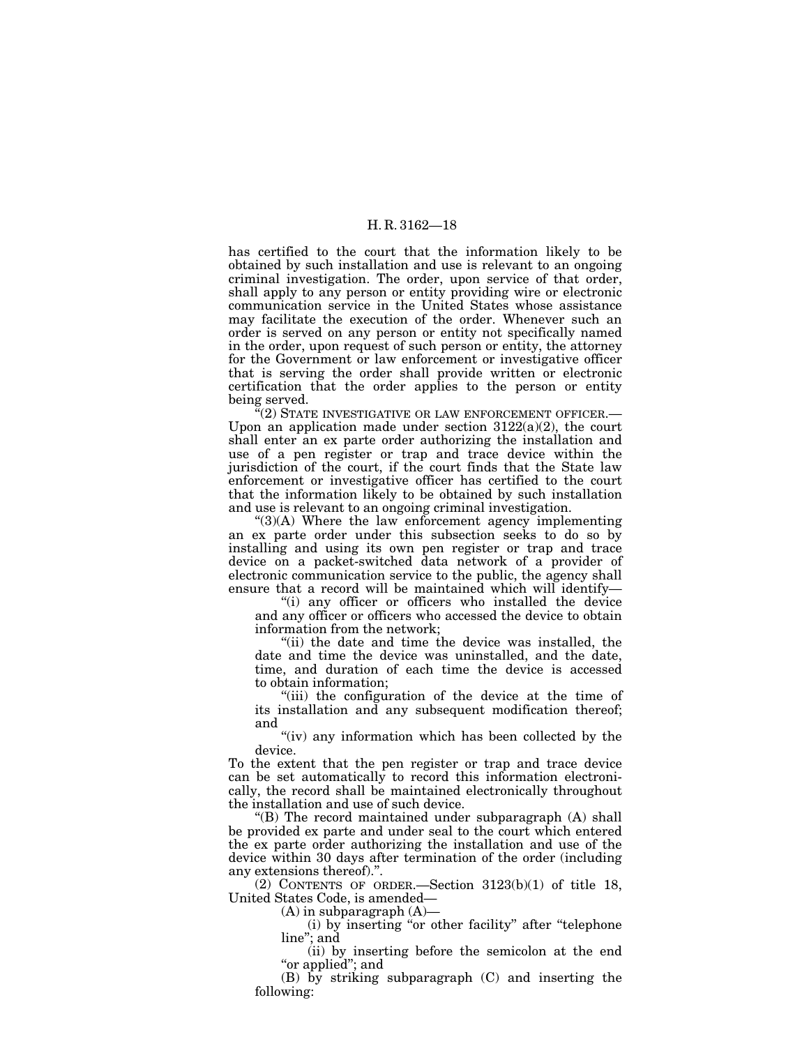has certified to the court that the information likely to be obtained by such installation and use is relevant to an ongoing criminal investigation. The order, upon service of that order, shall apply to any person or entity providing wire or electronic communication service in the United States whose assistance may facilitate the execution of the order. Whenever such an order is served on any person or entity not specifically named in the order, upon request of such person or entity, the attorney for the Government or law enforcement or investigative officer that is serving the order shall provide written or electronic certification that the order applies to the person or entity being served.

 $\tilde{H}(2)$  State investigative or law enforcement officer.— Upon an application made under section  $3122(a)(2)$ , the court shall enter an ex parte order authorizing the installation and use of a pen register or trap and trace device within the jurisdiction of the court, if the court finds that the State law enforcement or investigative officer has certified to the court that the information likely to be obtained by such installation and use is relevant to an ongoing criminal investigation.

 $!(3)(A)$  Where the law enforcement agency implementing an ex parte order under this subsection seeks to do so by installing and using its own pen register or trap and trace device on a packet-switched data network of a provider of electronic communication service to the public, the agency shall ensure that a record will be maintained which will identify—

''(i) any officer or officers who installed the device and any officer or officers who accessed the device to obtain information from the network;

''(ii) the date and time the device was installed, the date and time the device was uninstalled, and the date, time, and duration of each time the device is accessed to obtain information;

"(iii) the configuration of the device at the time of its installation and any subsequent modification thereof; and

"(iv) any information which has been collected by the device.

To the extent that the pen register or trap and trace device can be set automatically to record this information electronically, the record shall be maintained electronically throughout the installation and use of such device.

''(B) The record maintained under subparagraph (A) shall be provided ex parte and under seal to the court which entered the ex parte order authorizing the installation and use of the device within 30 days after termination of the order (including any extensions thereof).''.

(2) CONTENTS OF ORDER.—Section 3123(b)(1) of title 18, United States Code, is amended—

 $(A)$  in subparagraph  $(A)$ —

(i) by inserting ''or other facility'' after ''telephone line''; and

(ii) by inserting before the semicolon at the end "or applied"; and

(B) by striking subparagraph (C) and inserting the following: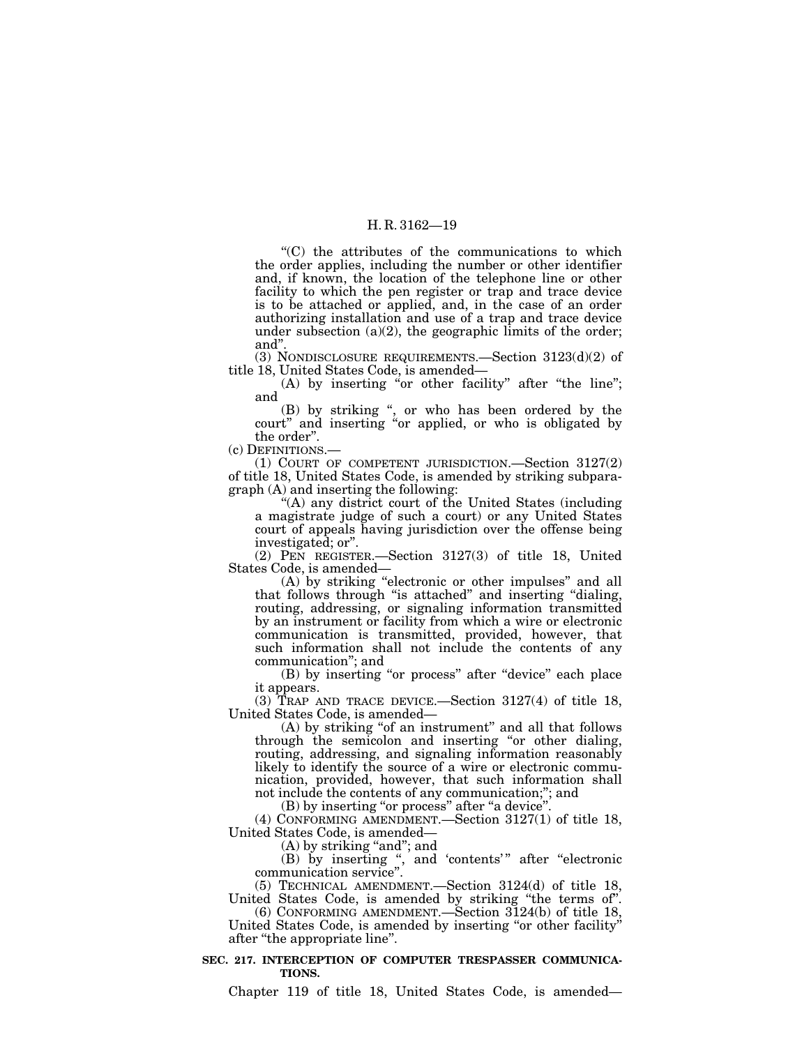''(C) the attributes of the communications to which the order applies, including the number or other identifier and, if known, the location of the telephone line or other facility to which the pen register or trap and trace device is to be attached or applied, and, in the case of an order authorizing installation and use of a trap and trace device under subsection  $(a)(2)$ , the geographic limits of the order; and''.

(3) NONDISCLOSURE REQUIREMENTS.—Section 3123(d)(2) of title 18, United States Code, is amended—<br>(A) by inserting "or other facility" after "the line";

and

(B) by striking ", or who has been ordered by the court'' and inserting ''or applied, or who is obligated by the order''. (c) DEFINITIONS.—

(1) COURT OF COMPETENT JURISDICTION.—Section 3127(2) of title 18, United States Code, is amended by striking subparagraph (A) and inserting the following:

 $(A)$  any district court of the United States (including) a magistrate judge of such a court) or any United States court of appeals having jurisdiction over the offense being investigated; or''.

(2) PEN REGISTER.—Section 3127(3) of title 18, United States Code, is amended—

(A) by striking ''electronic or other impulses'' and all that follows through ''is attached'' and inserting ''dialing, routing, addressing, or signaling information transmitted by an instrument or facility from which a wire or electronic communication is transmitted, provided, however, that such information shall not include the contents of any communication''; and

(B) by inserting ''or process'' after ''device'' each place it appears.

(3) TRAP AND TRACE DEVICE.—Section 3127(4) of title 18, United States Code, is amended—

(A) by striking "of an instrument" and all that follows through the semicolon and inserting "or other dialing, routing, addressing, and signaling information reasonably likely to identify the source of a wire or electronic communication, provided, however, that such information shall not include the contents of any communication;''; and

(B) by inserting "or process" after "a device"

(4) CONFORMING AMENDMENT.—Section 3127(1) of title 18, United States Code, is amended—

 $(A)$  by striking "and"; and

(B) by inserting ", and 'contents'" after "electronic communication service''.

(5) TECHNICAL AMENDMENT.—Section 3124(d) of title 18, United States Code, is amended by striking ''the terms of''.

(6) CONFORMING AMENDMENT.—Section 3124(b) of title 18, United States Code, is amended by inserting ''or other facility'' after ''the appropriate line''.

#### **SEC. 217. INTERCEPTION OF COMPUTER TRESPASSER COMMUNICA-TIONS.**

Chapter 119 of title 18, United States Code, is amended—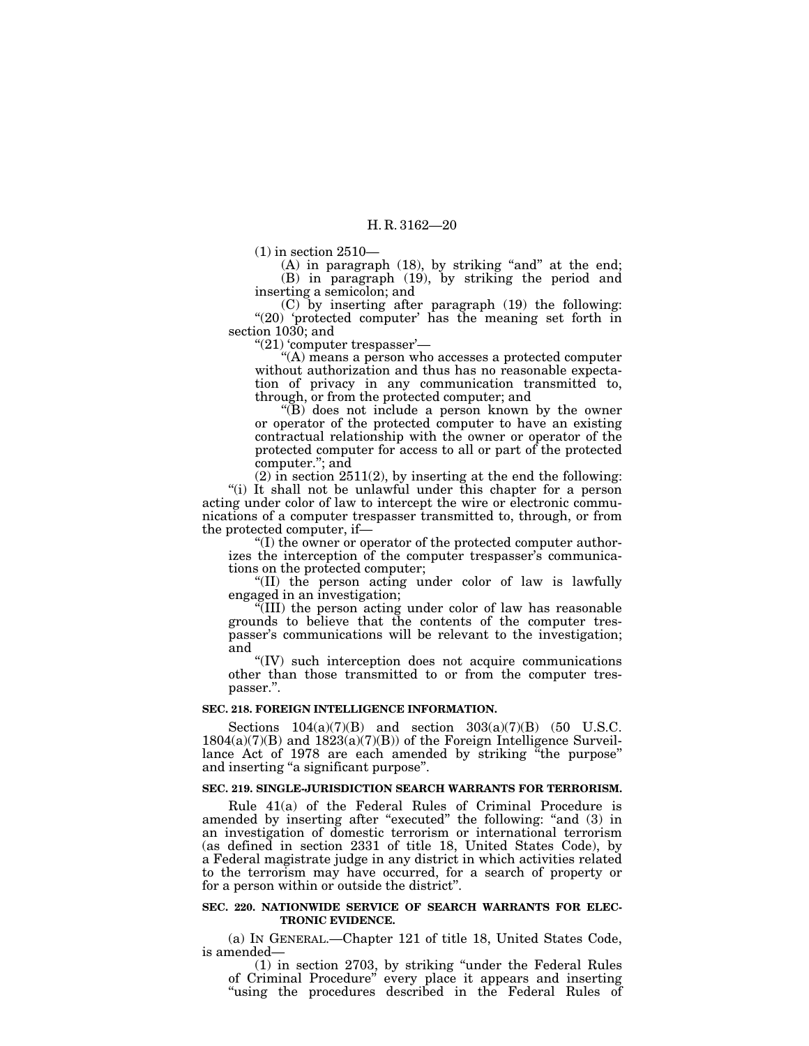(1) in section 2510—

(A) in paragraph (18), by striking "and" at the end; (B) in paragraph (19), by striking the period and inserting a semicolon; and

(C) by inserting after paragraph (19) the following: "(20) 'protected computer' has the meaning set forth in section 1030; and

" $(21)$  'computer trespasser'—

''(A) means a person who accesses a protected computer without authorization and thus has no reasonable expectation of privacy in any communication transmitted to, through, or from the protected computer; and

''(B) does not include a person known by the owner or operator of the protected computer to have an existing contractual relationship with the owner or operator of the protected computer for access to all or part of the protected computer.''; and

 $(2)$  in section  $2511(2)$ , by inserting at the end the following: ''(i) It shall not be unlawful under this chapter for a person acting under color of law to intercept the wire or electronic communications of a computer trespasser transmitted to, through, or from the protected computer, if—

''(I) the owner or operator of the protected computer authorizes the interception of the computer trespasser's communications on the protected computer;

''(II) the person acting under color of law is lawfully engaged in an investigation;

''(III) the person acting under color of law has reasonable grounds to believe that the contents of the computer trespasser's communications will be relevant to the investigation;

and  $\text{``(IV)}$  such interception does not acquire communications other than those transmitted to or from the computer trespasser.''.

#### **SEC. 218. FOREIGN INTELLIGENCE INFORMATION.**

Sections  $104(a)(7)(B)$  and section  $303(a)(7)(B)$  (50 U.S.C.  $1804(a)(7)(B)$  and  $1823(a)(7)(B)$ ) of the Foreign Intelligence Surveillance Act of 1978 are each amended by striking "the purpose" and inserting "a significant purpose".

# **SEC. 219. SINGLE-JURISDICTION SEARCH WARRANTS FOR TERRORISM.**

Rule 41(a) of the Federal Rules of Criminal Procedure is amended by inserting after "executed" the following: "and (3) in an investigation of domestic terrorism or international terrorism (as defined in section 2331 of title 18, United States Code), by a Federal magistrate judge in any district in which activities related to the terrorism may have occurred, for a search of property or for a person within or outside the district''.

## **SEC. 220. NATIONWIDE SERVICE OF SEARCH WARRANTS FOR ELEC-TRONIC EVIDENCE.**

(a) IN GENERAL.—Chapter 121 of title 18, United States Code,

is amended—<br>
(1) in section 2703, by striking "under the Federal Rules of Criminal Procedure'' every place it appears and inserting ''using the procedures described in the Federal Rules of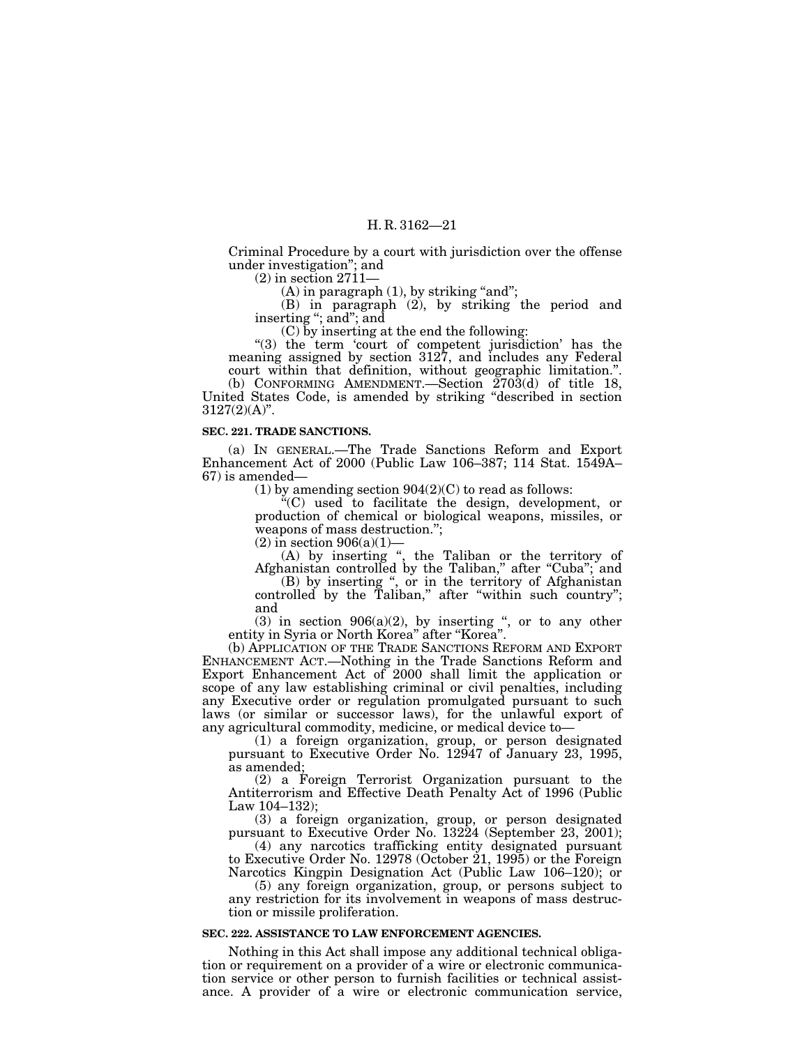Criminal Procedure by a court with jurisdiction over the offense under investigation''; and

 $(2)$  in section 2711-

 $(A)$  in paragraph  $(1)$ , by striking "and";

(B) in paragraph (2), by striking the period and inserting "; and"; and

(C) by inserting at the end the following:

"(3) the term 'court of competent jurisdiction' has the meaning assigned by section 3127, and includes any Federal court within that definition, without geographic limitation.''.

(b) CONFORMING AMENDMENT.—Section 2703(d) of title 18, United States Code, is amended by striking ''described in section  $3127(2)(A)$ ".

# **SEC. 221. TRADE SANCTIONS.**

(a) IN GENERAL.—The Trade Sanctions Reform and Export Enhancement Act of 2000 (Public Law 106–387; 114 Stat. 1549A– 67) is amended—

(1) by amending section  $904(2)(C)$  to read as follows:

 $\mathcal{H}(\mathbf{C})$  used to facilitate the design, development, or production of chemical or biological weapons, missiles, or weapons of mass destruction.'';

 $(2)$  in section  $906(a)(1)$ —

(A) by inserting '', the Taliban or the territory of Afghanistan controlled by the Taliban," after "Cuba"; and

(B) by inserting '', or in the territory of Afghanistan controlled by the Taliban," after "within such country"; and

(3) in section  $906(a)(2)$ , by inserting ", or to any other entity in Syria or North Korea'' after ''Korea''.

(b) APPLICATION OF THE TRADE SANCTIONS REFORM AND EXPORT ENHANCEMENT ACT.—Nothing in the Trade Sanctions Reform and Export Enhancement Act of 2000 shall limit the application or scope of any law establishing criminal or civil penalties, including any Executive order or regulation promulgated pursuant to such laws (or similar or successor laws), for the unlawful export of any agricultural commodity, medicine, or medical device to—

(1) a foreign organization, group, or person designated pursuant to Executive Order No. 12947 of January 23, 1995, as amended;

(2) a Foreign Terrorist Organization pursuant to the Antiterrorism and Effective Death Penalty Act of 1996 (Public Law 104–132);

(3) a foreign organization, group, or person designated pursuant to Executive Order No. 13224 (September 23, 2001);

(4) any narcotics trafficking entity designated pursuant to Executive Order No. 12978 (October 21, 1995) or the Foreign Narcotics Kingpin Designation Act (Public Law 106–120); or

(5) any foreign organization, group, or persons subject to any restriction for its involvement in weapons of mass destruction or missile proliferation.

#### **SEC. 222. ASSISTANCE TO LAW ENFORCEMENT AGENCIES.**

Nothing in this Act shall impose any additional technical obligation or requirement on a provider of a wire or electronic communication service or other person to furnish facilities or technical assistance. A provider of a wire or electronic communication service,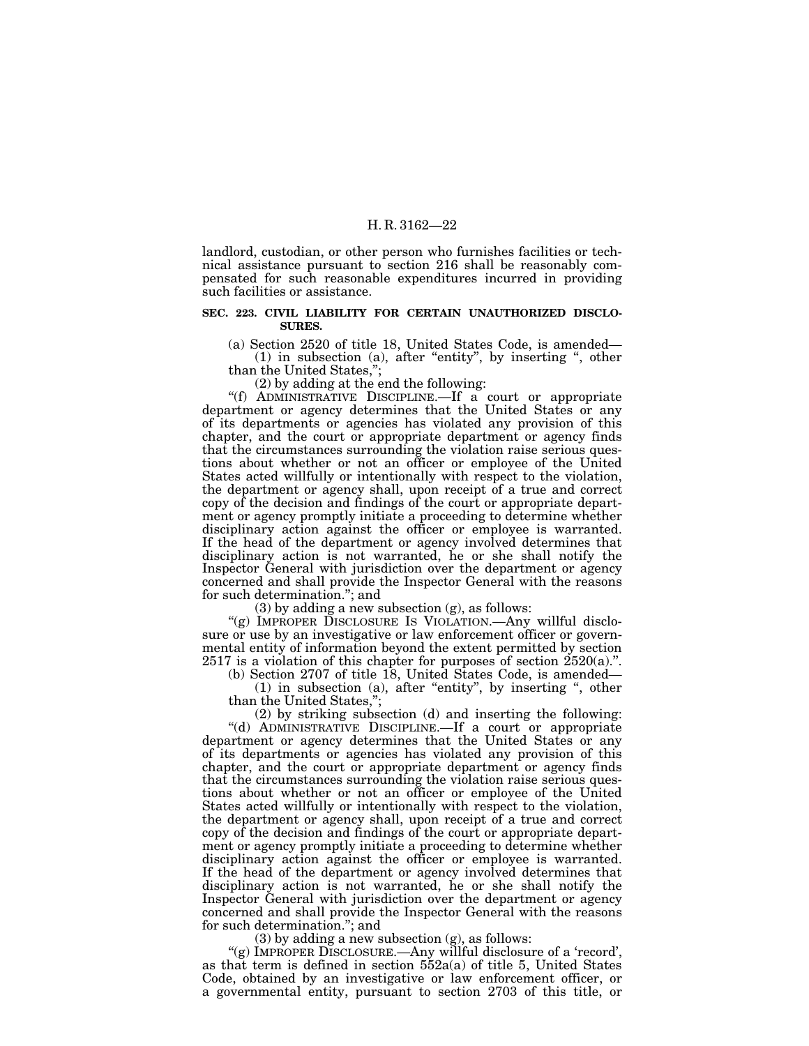landlord, custodian, or other person who furnishes facilities or technical assistance pursuant to section 216 shall be reasonably compensated for such reasonable expenditures incurred in providing such facilities or assistance.

#### **SEC. 223. CIVIL LIABILITY FOR CERTAIN UNAUTHORIZED DISCLO-SURES.**

(a) Section 2520 of title 18, United States Code, is amended— (1) in subsection (a), after ''entity'', by inserting '', other than the United States,'';

(2) by adding at the end the following:

''(f) ADMINISTRATIVE DISCIPLINE.—If a court or appropriate department or agency determines that the United States or any of its departments or agencies has violated any provision of this chapter, and the court or appropriate department or agency finds that the circumstances surrounding the violation raise serious questions about whether or not an officer or employee of the United States acted willfully or intentionally with respect to the violation, the department or agency shall, upon receipt of a true and correct copy of the decision and findings of the court or appropriate department or agency promptly initiate a proceeding to determine whether disciplinary action against the officer or employee is warranted. If the head of the department or agency involved determines that disciplinary action is not warranted, he or she shall notify the Inspector General with jurisdiction over the department or agency concerned and shall provide the Inspector General with the reasons for such determination.''; and

(3) by adding a new subsection (g), as follows:

''(g) IMPROPER DISCLOSURE IS VIOLATION.—Any willful disclosure or use by an investigative or law enforcement officer or governmental entity of information beyond the extent permitted by section  $2517$  is a violation of this chapter for purposes of section  $2520(a)$ .".

(b) Section 2707 of title 18, United States Code, is amended— (1) in subsection (a), after ''entity'', by inserting '', other than the United States,'';

(2) by striking subsection (d) and inserting the following:

"(d) ADMINISTRATIVE DISCIPLINE.—If a court or appropriate department or agency determines that the United States or any of its departments or agencies has violated any provision of this chapter, and the court or appropriate department or agency finds that the circumstances surrounding the violation raise serious questions about whether or not an officer or employee of the United States acted willfully or intentionally with respect to the violation, the department or agency shall, upon receipt of a true and correct copy of the decision and findings of the court or appropriate department or agency promptly initiate a proceeding to determine whether disciplinary action against the officer or employee is warranted. If the head of the department or agency involved determines that disciplinary action is not warranted, he or she shall notify the Inspector General with jurisdiction over the department or agency concerned and shall provide the Inspector General with the reasons for such determination.''; and

(3) by adding a new subsection (g), as follows:

"(g) IMPROPER DISCLOSURE.—Any willful disclosure of a 'record', as that term is defined in section 552a(a) of title 5, United States Code, obtained by an investigative or law enforcement officer, or a governmental entity, pursuant to section 2703 of this title, or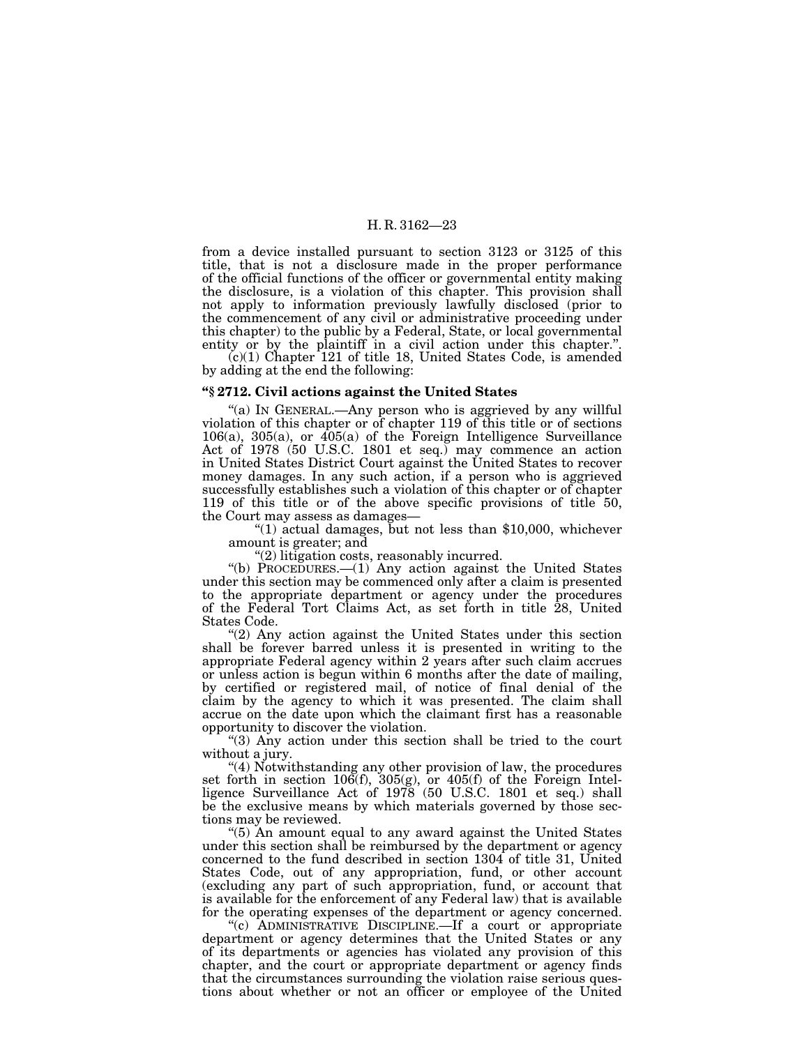from a device installed pursuant to section 3123 or 3125 of this title, that is not a disclosure made in the proper performance of the official functions of the officer or governmental entity making the disclosure, is a violation of this chapter. This provision shall not apply to information previously lawfully disclosed (prior to the commencement of any civil or administrative proceeding under this chapter) to the public by a Federal, State, or local governmental entity or by the plaintiff in a civil action under this chapter.''.

 $(c)(1)$  Chapter 121 of title 18, United States Code, is amended by adding at the end the following:

### **''§ 2712. Civil actions against the United States**

''(a) IN GENERAL.—Any person who is aggrieved by any willful violation of this chapter or of chapter 119 of this title or of sections  $106(a)$ ,  $305(a)$ , or  $405(a)$  of the Foreign Intelligence Surveillance Act of 1978 (50 U.S.C. 1801 et seq.) may commence an action in United States District Court against the United States to recover money damages. In any such action, if a person who is aggrieved successfully establishes such a violation of this chapter or of chapter 119 of this title or of the above specific provisions of title 50, the Court may assess as damages—

''(1) actual damages, but not less than \$10,000, whichever amount is greater; and

''(2) litigation costs, reasonably incurred.

''(b) PROCEDURES.—(1) Any action against the United States under this section may be commenced only after a claim is presented to the appropriate department or agency under the procedures of the Federal Tort Claims Act, as set forth in title 28, United States Code.

 $(2)$  Any action against the United States under this section shall be forever barred unless it is presented in writing to the appropriate Federal agency within 2 years after such claim accrues or unless action is begun within 6 months after the date of mailing, by certified or registered mail, of notice of final denial of the claim by the agency to which it was presented. The claim shall accrue on the date upon which the claimant first has a reasonable opportunity to discover the violation.

''(3) Any action under this section shall be tried to the court without a jury.

''(4) Notwithstanding any other provision of law, the procedures set forth in section 106(f), 305(g), or 405(f) of the Foreign Intelligence Surveillance Act of 1978 (50 U.S.C. 1801 et seq.) shall be the exclusive means by which materials governed by those sections may be reviewed.

''(5) An amount equal to any award against the United States under this section shall be reimbursed by the department or agency concerned to the fund described in section 1304 of title 31, United States Code, out of any appropriation, fund, or other account (excluding any part of such appropriation, fund, or account that is available for the enforcement of any Federal law) that is available for the operating expenses of the department or agency concerned. ''(c) ADMINISTRATIVE DISCIPLINE.—If a court or appropriate

department or agency determines that the United States or any of its departments or agencies has violated any provision of this chapter, and the court or appropriate department or agency finds that the circumstances surrounding the violation raise serious questions about whether or not an officer or employee of the United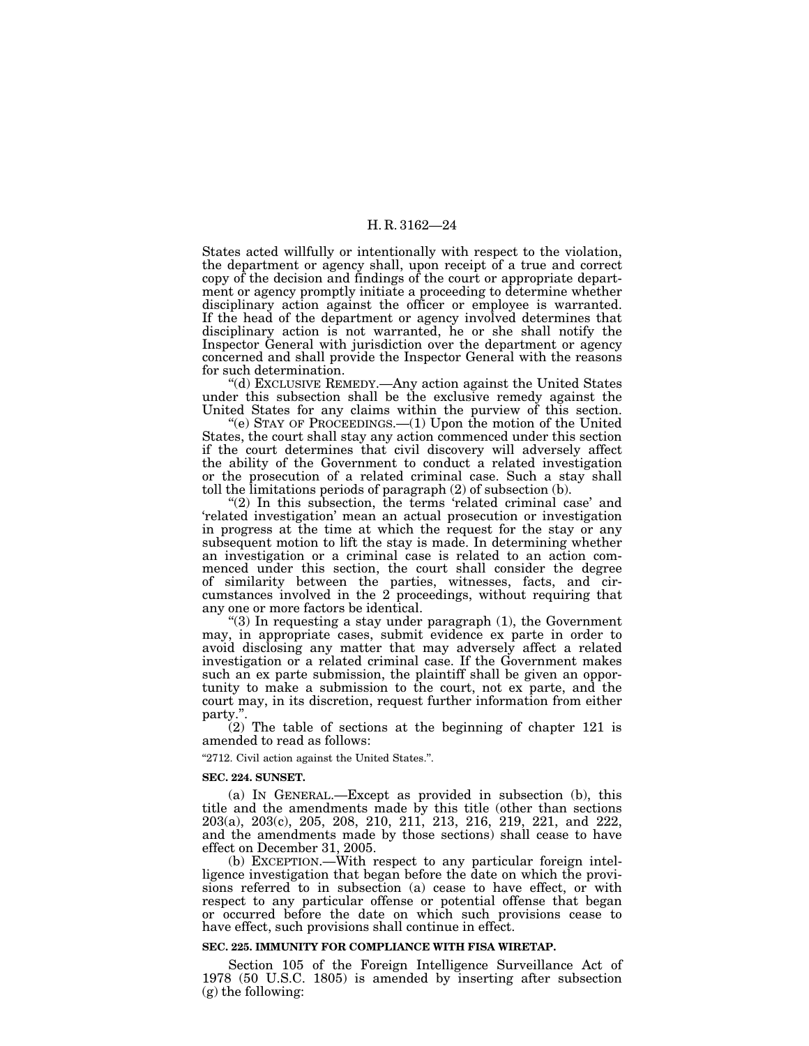States acted willfully or intentionally with respect to the violation, the department or agency shall, upon receipt of a true and correct copy of the decision and findings of the court or appropriate department or agency promptly initiate a proceeding to determine whether disciplinary action against the officer or employee is warranted. If the head of the department or agency involved determines that disciplinary action is not warranted, he or she shall notify the Inspector General with jurisdiction over the department or agency concerned and shall provide the Inspector General with the reasons for such determination.

''(d) EXCLUSIVE REMEDY.—Any action against the United States under this subsection shall be the exclusive remedy against the United States for any claims within the purview of this section.

''(e) STAY OF PROCEEDINGS.—(1) Upon the motion of the United States, the court shall stay any action commenced under this section if the court determines that civil discovery will adversely affect the ability of the Government to conduct a related investigation or the prosecution of a related criminal case. Such a stay shall toll the limitations periods of paragraph (2) of subsection (b).

"(2) In this subsection, the terms 'related criminal case' and 'related investigation' mean an actual prosecution or investigation in progress at the time at which the request for the stay or any subsequent motion to lift the stay is made. In determining whether an investigation or a criminal case is related to an action commenced under this section, the court shall consider the degree of similarity between the parties, witnesses, facts, and circumstances involved in the 2 proceedings, without requiring that any one or more factors be identical.

"(3) In requesting a stay under paragraph (1), the Government may, in appropriate cases, submit evidence ex parte in order to avoid disclosing any matter that may adversely affect a related investigation or a related criminal case. If the Government makes such an ex parte submission, the plaintiff shall be given an opportunity to make a submission to the court, not ex parte, and the court may, in its discretion, request further information from either party.''.

(2) The table of sections at the beginning of chapter 121 is amended to read as follows:

"2712. Civil action against the United States.".

#### **SEC. 224. SUNSET.**

(a) IN GENERAL.—Except as provided in subsection (b), this title and the amendments made by this title (other than sections 203(a), 203(c), 205, 208, 210, 211, 213, 216, 219, 221, and 222, and the amendments made by those sections) shall cease to have effect on December 31, 2005.

(b) EXCEPTION.—With respect to any particular foreign intelligence investigation that began before the date on which the provisions referred to in subsection (a) cease to have effect, or with respect to any particular offense or potential offense that began or occurred before the date on which such provisions cease to have effect, such provisions shall continue in effect.

# **SEC. 225. IMMUNITY FOR COMPLIANCE WITH FISA WIRETAP.**

Section 105 of the Foreign Intelligence Surveillance Act of 1978 (50 U.S.C. 1805) is amended by inserting after subsection (g) the following: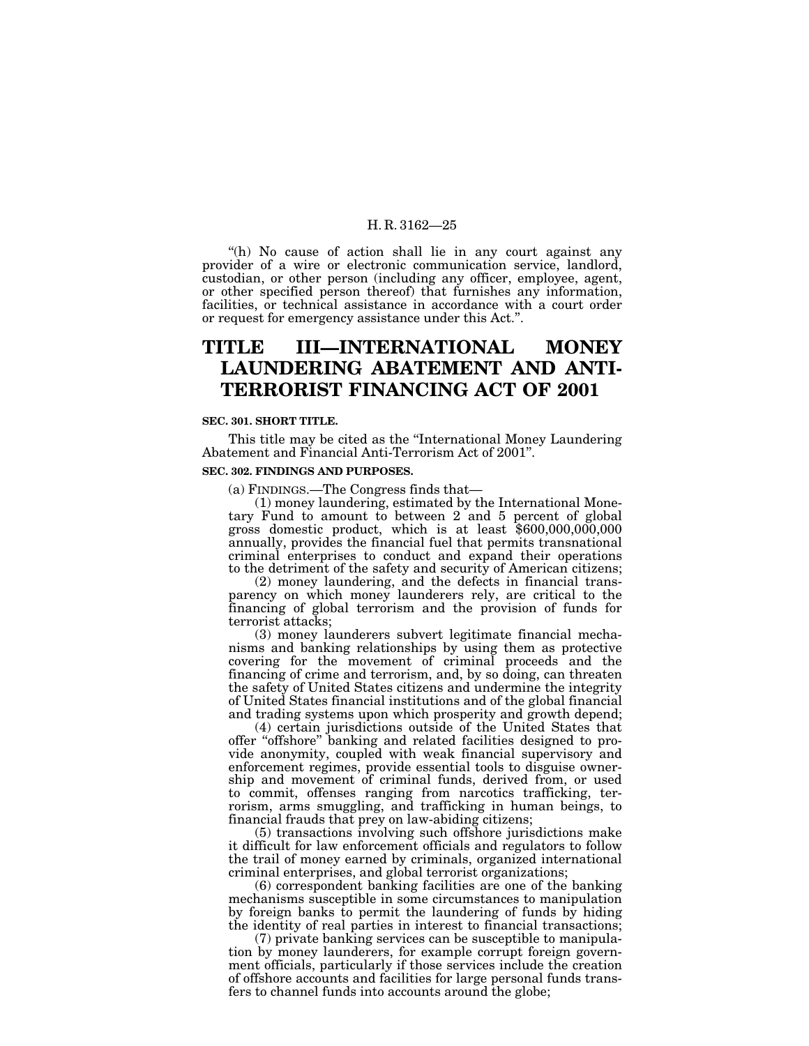''(h) No cause of action shall lie in any court against any provider of a wire or electronic communication service, landlord, custodian, or other person (including any officer, employee, agent, or other specified person thereof) that furnishes any information, facilities, or technical assistance in accordance with a court order or request for emergency assistance under this Act.''.

# **TITLE III—INTERNATIONAL MONEY LAUNDERING ABATEMENT AND ANTI-TERRORIST FINANCING ACT OF 2001**

#### **SEC. 301. SHORT TITLE.**

This title may be cited as the ''International Money Laundering Abatement and Financial Anti-Terrorism Act of 2001''.

#### **SEC. 302. FINDINGS AND PURPOSES.**

(a) FINDINGS.—The Congress finds that—

(1) money laundering, estimated by the International Monetary Fund to amount to between 2 and 5 percent of global gross domestic product, which is at least \$600,000,000,000 annually, provides the financial fuel that permits transnational criminal enterprises to conduct and expand their operations to the detriment of the safety and security of American citizens;

(2) money laundering, and the defects in financial transparency on which money launderers rely, are critical to the financing of global terrorism and the provision of funds for terrorist attacks;

(3) money launderers subvert legitimate financial mechanisms and banking relationships by using them as protective covering for the movement of criminal proceeds and the financing of crime and terrorism, and, by so doing, can threaten the safety of United States citizens and undermine the integrity of United States financial institutions and of the global financial and trading systems upon which prosperity and growth depend;

(4) certain jurisdictions outside of the United States that offer "offshore" banking and related facilities designed to provide anonymity, coupled with weak financial supervisory and enforcement regimes, provide essential tools to disguise ownership and movement of criminal funds, derived from, or used to commit, offenses ranging from narcotics trafficking, terrorism, arms smuggling, and trafficking in human beings, to financial frauds that prey on law-abiding citizens;

(5) transactions involving such offshore jurisdictions make it difficult for law enforcement officials and regulators to follow the trail of money earned by criminals, organized international criminal enterprises, and global terrorist organizations;

(6) correspondent banking facilities are one of the banking mechanisms susceptible in some circumstances to manipulation by foreign banks to permit the laundering of funds by hiding the identity of real parties in interest to financial transactions;

(7) private banking services can be susceptible to manipulation by money launderers, for example corrupt foreign government officials, particularly if those services include the creation of offshore accounts and facilities for large personal funds transfers to channel funds into accounts around the globe;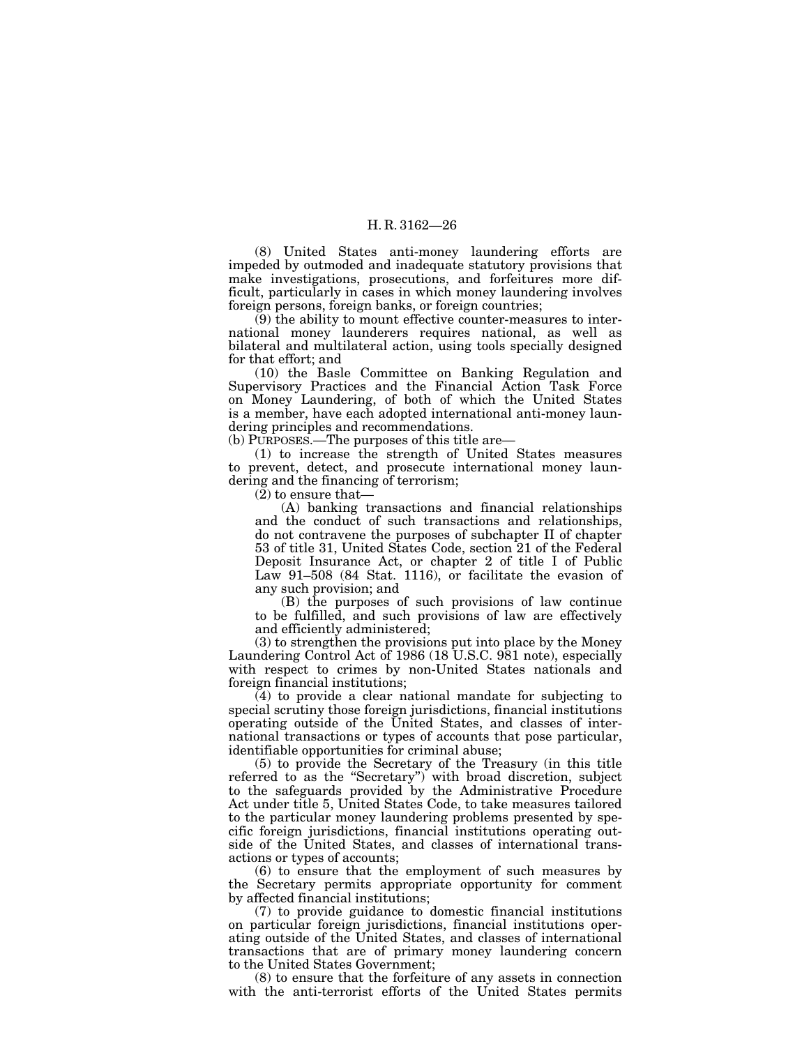(8) United States anti-money laundering efforts are impeded by outmoded and inadequate statutory provisions that make investigations, prosecutions, and forfeitures more difficult, particularly in cases in which money laundering involves foreign persons, foreign banks, or foreign countries;

(9) the ability to mount effective counter-measures to international money launderers requires national, as well as bilateral and multilateral action, using tools specially designed for that effort; and

(10) the Basle Committee on Banking Regulation and Supervisory Practices and the Financial Action Task Force on Money Laundering, of both of which the United States is a member, have each adopted international anti-money laundering principles and recommendations.

(b) PURPOSES.—The purposes of this title are—

(1) to increase the strength of United States measures to prevent, detect, and prosecute international money laundering and the financing of terrorism;

(2) to ensure that—

(A) banking transactions and financial relationships and the conduct of such transactions and relationships, do not contravene the purposes of subchapter II of chapter 53 of title 31, United States Code, section 21 of the Federal Deposit Insurance Act, or chapter 2 of title I of Public Law 91–508 (84 Stat. 1116), or facilitate the evasion of any such provision; and

(B) the purposes of such provisions of law continue to be fulfilled, and such provisions of law are effectively and efficiently administered;

(3) to strengthen the provisions put into place by the Money Laundering Control Act of 1986 (18 U.S.C. 981 note), especially with respect to crimes by non-United States nationals and foreign financial institutions;

 $(4)$  to provide a clear national mandate for subjecting to special scrutiny those foreign jurisdictions, financial institutions operating outside of the United States, and classes of international transactions or types of accounts that pose particular, identifiable opportunities for criminal abuse;

(5) to provide the Secretary of the Treasury (in this title referred to as the "Secretary") with broad discretion, subject to the safeguards provided by the Administrative Procedure Act under title 5, United States Code, to take measures tailored to the particular money laundering problems presented by specific foreign jurisdictions, financial institutions operating outside of the United States, and classes of international transactions or types of accounts;

(6) to ensure that the employment of such measures by the Secretary permits appropriate opportunity for comment by affected financial institutions;

(7) to provide guidance to domestic financial institutions on particular foreign jurisdictions, financial institutions operating outside of the United States, and classes of international transactions that are of primary money laundering concern to the United States Government;

(8) to ensure that the forfeiture of any assets in connection with the anti-terrorist efforts of the United States permits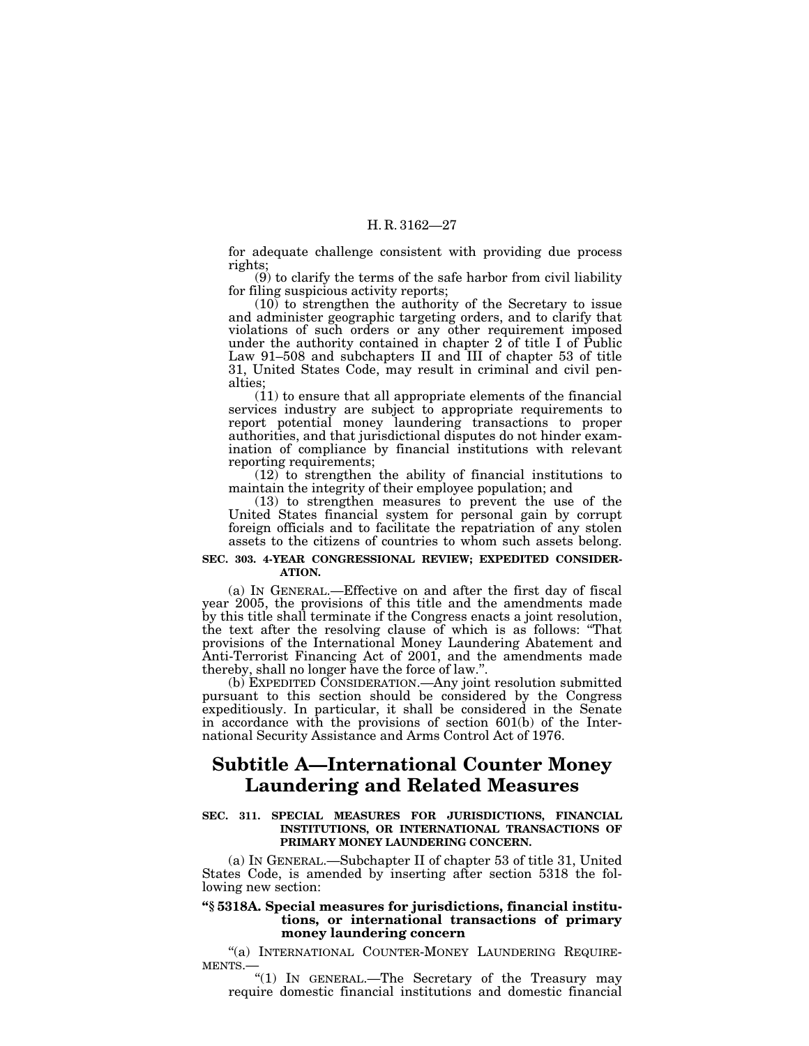for adequate challenge consistent with providing due process rights;

(9) to clarify the terms of the safe harbor from civil liability for filing suspicious activity reports;

(10) to strengthen the authority of the Secretary to issue and administer geographic targeting orders, and to clarify that violations of such orders or any other requirement imposed under the authority contained in chapter  $2<sup>o</sup>$  of title I of Public Law 91–508 and subchapters II and III of chapter 53 of title 31, United States Code, may result in criminal and civil penalties;

(11) to ensure that all appropriate elements of the financial services industry are subject to appropriate requirements to report potential money laundering transactions to proper authorities, and that jurisdictional disputes do not hinder examination of compliance by financial institutions with relevant reporting requirements;

 $(12)$  to strengthen the ability of financial institutions to maintain the integrity of their employee population; and

(13) to strengthen measures to prevent the use of the United States financial system for personal gain by corrupt foreign officials and to facilitate the repatriation of any stolen assets to the citizens of countries to whom such assets belong.

# **SEC. 303. 4-YEAR CONGRESSIONAL REVIEW; EXPEDITED CONSIDER-ATION.**

(a) IN GENERAL.—Effective on and after the first day of fiscal year 2005, the provisions of this title and the amendments made by this title shall terminate if the Congress enacts a joint resolution, the text after the resolving clause of which is as follows: ''That provisions of the International Money Laundering Abatement and Anti-Terrorist Financing Act of 2001, and the amendments made thereby, shall no longer have the force of law.''.

(b) EXPEDITED CONSIDERATION.—Any joint resolution submitted pursuant to this section should be considered by the Congress expeditiously. In particular, it shall be considered in the Senate in accordance with the provisions of section 601(b) of the International Security Assistance and Arms Control Act of 1976.

# **Subtitle A—International Counter Money Laundering and Related Measures**

## **SEC. 311. SPECIAL MEASURES FOR JURISDICTIONS, FINANCIAL INSTITUTIONS, OR INTERNATIONAL TRANSACTIONS OF PRIMARY MONEY LAUNDERING CONCERN.**

(a) IN GENERAL.—Subchapter II of chapter 53 of title 31, United States Code, is amended by inserting after section 5318 the following new section:

# **''§ 5318A. Special measures for jurisdictions, financial institutions, or international transactions of primary money laundering concern**

''(a) INTERNATIONAL COUNTER-MONEY LAUNDERING REQUIRE-MENTS.

"(1) IN GENERAL.-The Secretary of the Treasury may require domestic financial institutions and domestic financial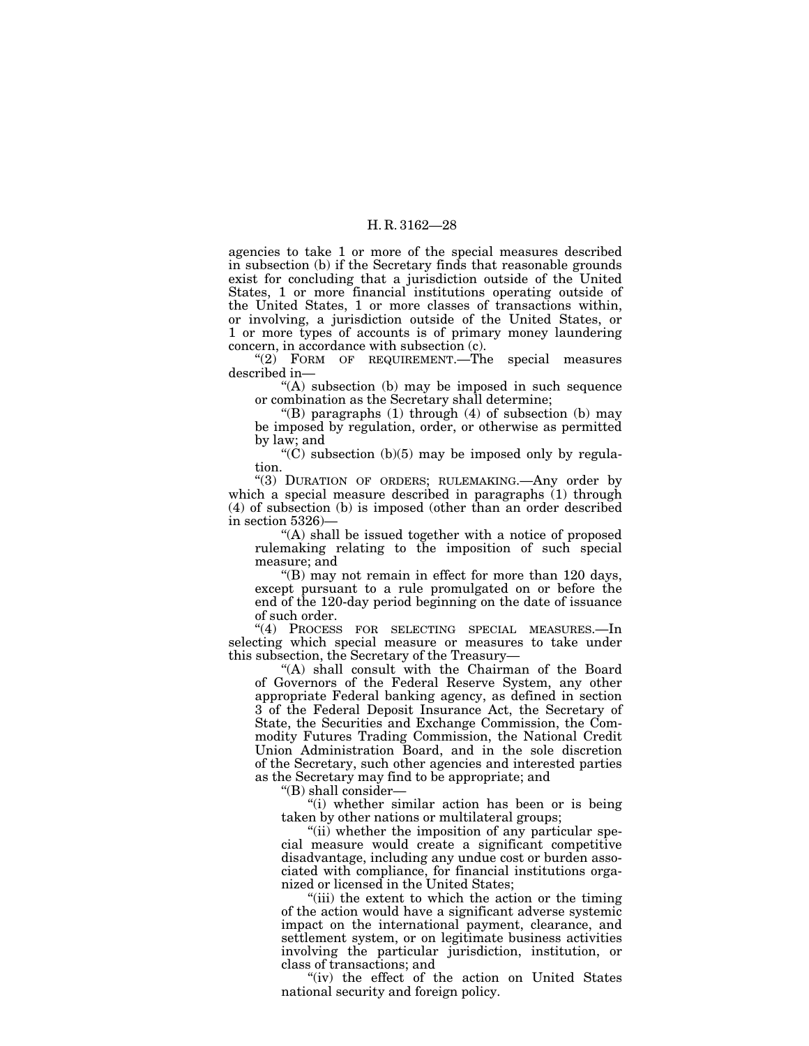agencies to take 1 or more of the special measures described in subsection (b) if the Secretary finds that reasonable grounds exist for concluding that a jurisdiction outside of the United States, 1 or more financial institutions operating outside of the United States, 1 or more classes of transactions within, or involving, a jurisdiction outside of the United States, or 1 or more types of accounts is of primary money laundering concern, in accordance with subsection (c).

''(2) FORM OF REQUIREMENT.—The special measures described in—

"(A) subsection (b) may be imposed in such sequence or combination as the Secretary shall determine;

"(B) paragraphs  $(1)$  through  $(4)$  of subsection  $(b)$  may be imposed by regulation, order, or otherwise as permitted by law; and

"(C) subsection  $(b)(5)$  may be imposed only by regulation.

''(3) DURATION OF ORDERS; RULEMAKING.—Any order by which a special measure described in paragraphs (1) through (4) of subsection (b) is imposed (other than an order described in section 5326)—

''(A) shall be issued together with a notice of proposed rulemaking relating to the imposition of such special measure; and

''(B) may not remain in effect for more than 120 days, except pursuant to a rule promulgated on or before the end of the 120-day period beginning on the date of issuance of such order.

''(4) PROCESS FOR SELECTING SPECIAL MEASURES.—In selecting which special measure or measures to take under this subsection, the Secretary of the Treasury—

''(A) shall consult with the Chairman of the Board of Governors of the Federal Reserve System, any other appropriate Federal banking agency, as defined in section 3 of the Federal Deposit Insurance Act, the Secretary of State, the Securities and Exchange Commission, the Commodity Futures Trading Commission, the National Credit Union Administration Board, and in the sole discretion of the Secretary, such other agencies and interested parties as the Secretary may find to be appropriate; and

''(B) shall consider—

''(i) whether similar action has been or is being taken by other nations or multilateral groups;

"(ii) whether the imposition of any particular special measure would create a significant competitive disadvantage, including any undue cost or burden associated with compliance, for financial institutions organized or licensed in the United States;

''(iii) the extent to which the action or the timing of the action would have a significant adverse systemic impact on the international payment, clearance, and settlement system, or on legitimate business activities involving the particular jurisdiction, institution, or class of transactions; and

"(iv) the effect of the action on United States national security and foreign policy.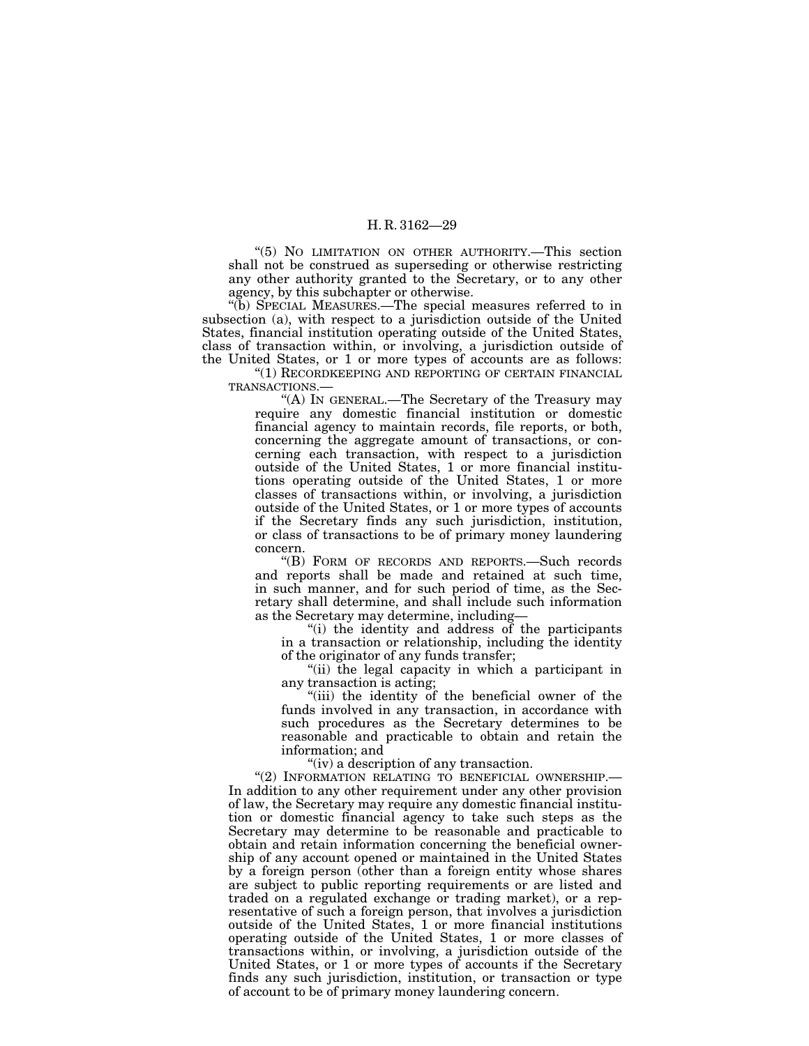''(5) NO LIMITATION ON OTHER AUTHORITY.—This section shall not be construed as superseding or otherwise restricting any other authority granted to the Secretary, or to any other agency, by this subchapter or otherwise.

''(b) SPECIAL MEASURES.—The special measures referred to in subsection (a), with respect to a jurisdiction outside of the United States, financial institution operating outside of the United States, class of transaction within, or involving, a jurisdiction outside of the United States, or 1 or more types of accounts are as follows:

''(1) RECORDKEEPING AND REPORTING OF CERTAIN FINANCIAL TRANSACTIONS.—

''(A) IN GENERAL.—The Secretary of the Treasury may require any domestic financial institution or domestic financial agency to maintain records, file reports, or both, concerning the aggregate amount of transactions, or concerning each transaction, with respect to a jurisdiction outside of the United States, 1 or more financial institutions operating outside of the United States, 1 or more classes of transactions within, or involving, a jurisdiction outside of the United States, or 1 or more types of accounts if the Secretary finds any such jurisdiction, institution, or class of transactions to be of primary money laundering concern.

''(B) FORM OF RECORDS AND REPORTS.—Such records and reports shall be made and retained at such time, in such manner, and for such period of time, as the Secretary shall determine, and shall include such information as the Secretary may determine, including—

''(i) the identity and address of the participants in a transaction or relationship, including the identity of the originator of any funds transfer;

''(ii) the legal capacity in which a participant in any transaction is acting;

"(iii) the identity of the beneficial owner of the funds involved in any transaction, in accordance with such procedures as the Secretary determines to be reasonable and practicable to obtain and retain the information; and

''(iv) a description of any transaction.

''(2) INFORMATION RELATING TO BENEFICIAL OWNERSHIP.— In addition to any other requirement under any other provision of law, the Secretary may require any domestic financial institution or domestic financial agency to take such steps as the Secretary may determine to be reasonable and practicable to obtain and retain information concerning the beneficial ownership of any account opened or maintained in the United States by a foreign person (other than a foreign entity whose shares are subject to public reporting requirements or are listed and traded on a regulated exchange or trading market), or a representative of such a foreign person, that involves a jurisdiction outside of the United States, 1 or more financial institutions operating outside of the United States, 1 or more classes of transactions within, or involving, a jurisdiction outside of the United States, or 1 or more types of accounts if the Secretary finds any such jurisdiction, institution, or transaction or type of account to be of primary money laundering concern.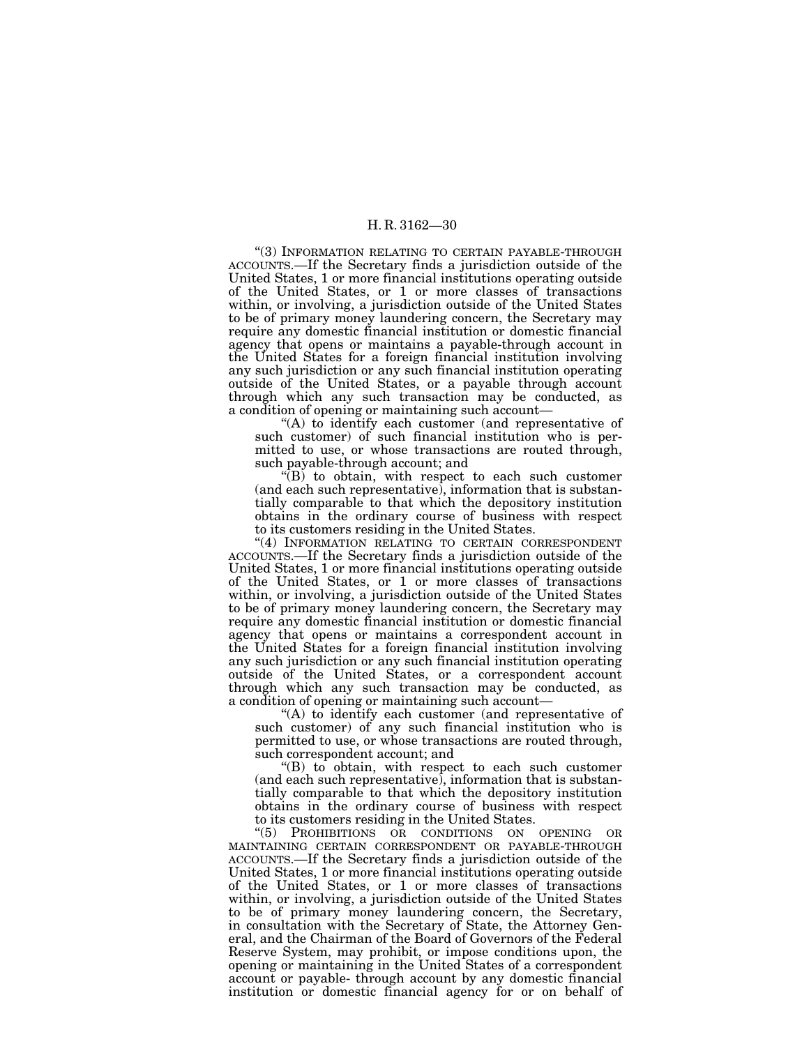"(3) INFORMATION RELATING TO CERTAIN PAYABLE-THROUGH ACCOUNTS.—If the Secretary finds a jurisdiction outside of the United States, 1 or more financial institutions operating outside of the United States, or 1 or more classes of transactions within, or involving, a jurisdiction outside of the United States to be of primary money laundering concern, the Secretary may require any domestic financial institution or domestic financial agency that opens or maintains a payable-through account in the United States for a foreign financial institution involving any such jurisdiction or any such financial institution operating outside of the United States, or a payable through account through which any such transaction may be conducted, as a condition of opening or maintaining such account—

''(A) to identify each customer (and representative of such customer) of such financial institution who is permitted to use, or whose transactions are routed through, such payable-through account; and

''(B) to obtain, with respect to each such customer (and each such representative), information that is substantially comparable to that which the depository institution obtains in the ordinary course of business with respect to its customers residing in the United States.

"(4) INFORMATION RELATING TO CERTAIN CORRESPONDENT ACCOUNTS.—If the Secretary finds a jurisdiction outside of the United States, 1 or more financial institutions operating outside of the United States, or 1 or more classes of transactions within, or involving, a jurisdiction outside of the United States to be of primary money laundering concern, the Secretary may require any domestic financial institution or domestic financial agency that opens or maintains a correspondent account in the United States for a foreign financial institution involving any such jurisdiction or any such financial institution operating outside of the United States, or a correspondent account through which any such transaction may be conducted, as a condition of opening or maintaining such account—

''(A) to identify each customer (and representative of such customer) of any such financial institution who is permitted to use, or whose transactions are routed through, such correspondent account; and

''(B) to obtain, with respect to each such customer (and each such representative), information that is substantially comparable to that which the depository institution obtains in the ordinary course of business with respect to its customers residing in the United States.

''(5) PROHIBITIONS OR CONDITIONS ON OPENING OR MAINTAINING CERTAIN CORRESPONDENT OR PAYABLE-THROUGH ACCOUNTS.—If the Secretary finds a jurisdiction outside of the United States, 1 or more financial institutions operating outside of the United States, or 1 or more classes of transactions within, or involving, a jurisdiction outside of the United States to be of primary money laundering concern, the Secretary, in consultation with the Secretary of State, the Attorney General, and the Chairman of the Board of Governors of the Federal Reserve System, may prohibit, or impose conditions upon, the opening or maintaining in the United States of a correspondent account or payable- through account by any domestic financial institution or domestic financial agency for or on behalf of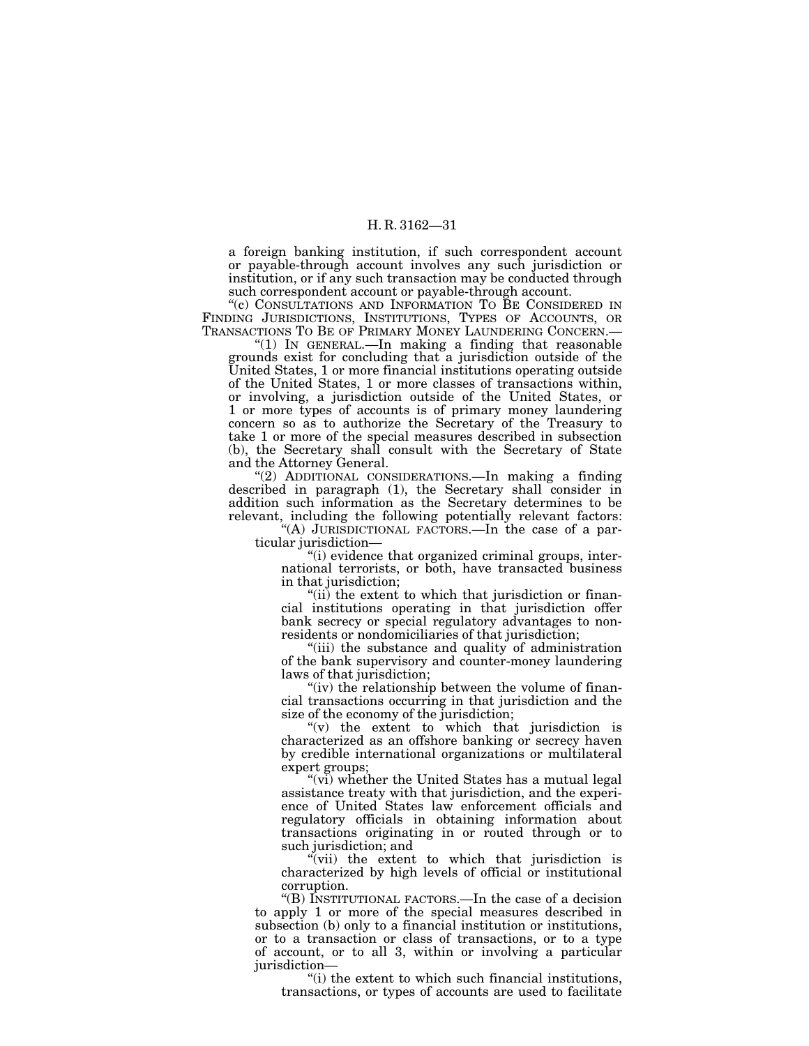a foreign banking institution, if such correspondent account or payable-through account involves any such jurisdiction or institution, or if any such transaction may be conducted through such correspondent account or payable-through account.

"(c) CONSULTATIONS AND INFORMATION TO BE CONSIDERED IN FINDING JURISDICTIONS, INSTITUTIONS, TYPES OF ACCOUNTS, OR TRANSACTIONS TO BE OF PRIMARY MONEY LAUNDERING CONCERN.—

" $(1)$  In GENERAL.—In making a finding that reasonable grounds exist for concluding that a jurisdiction outside of the United States, 1 or more financial institutions operating outside of the United States, 1 or more classes of transactions within, or involving, a jurisdiction outside of the United States, or 1 or more types of accounts is of primary money laundering concern so as to authorize the Secretary of the Treasury to take 1 or more of the special measures described in subsection (b), the Secretary shall consult with the Secretary of State and the Attorney General.

''(2) ADDITIONAL CONSIDERATIONS.—In making a finding described in paragraph (1), the Secretary shall consider in addition such information as the Secretary determines to be relevant, including the following potentially relevant factors:

''(A) JURISDICTIONAL FACTORS.—In the case of a particular jurisdiction—

''(i) evidence that organized criminal groups, international terrorists, or both, have transacted business in that jurisdiction;

"(ii) the extent to which that jurisdiction or financial institutions operating in that jurisdiction offer bank secrecy or special regulatory advantages to nonresidents or nondomiciliaries of that jurisdiction;

''(iii) the substance and quality of administration of the bank supervisory and counter-money laundering laws of that jurisdiction;

"(iv) the relationship between the volume of financial transactions occurring in that jurisdiction and the size of the economy of the jurisdiction;

" $(v)$  the extent to which that jurisdiction is characterized as an offshore banking or secrecy haven by credible international organizations or multilateral expert groups;

"(vi) whether the United States has a mutual legal assistance treaty with that jurisdiction, and the experience of United States law enforcement officials and regulatory officials in obtaining information about transactions originating in or routed through or to such jurisdiction; and

''(vii) the extent to which that jurisdiction is characterized by high levels of official or institutional corruption.

''(B) INSTITUTIONAL FACTORS.—In the case of a decision to apply 1 or more of the special measures described in subsection (b) only to a financial institution or institutions, or to a transaction or class of transactions, or to a type of account, or to all 3, within or involving a particular

 $\degree$ (i) the extent to which such financial institutions, transactions, or types of accounts are used to facilitate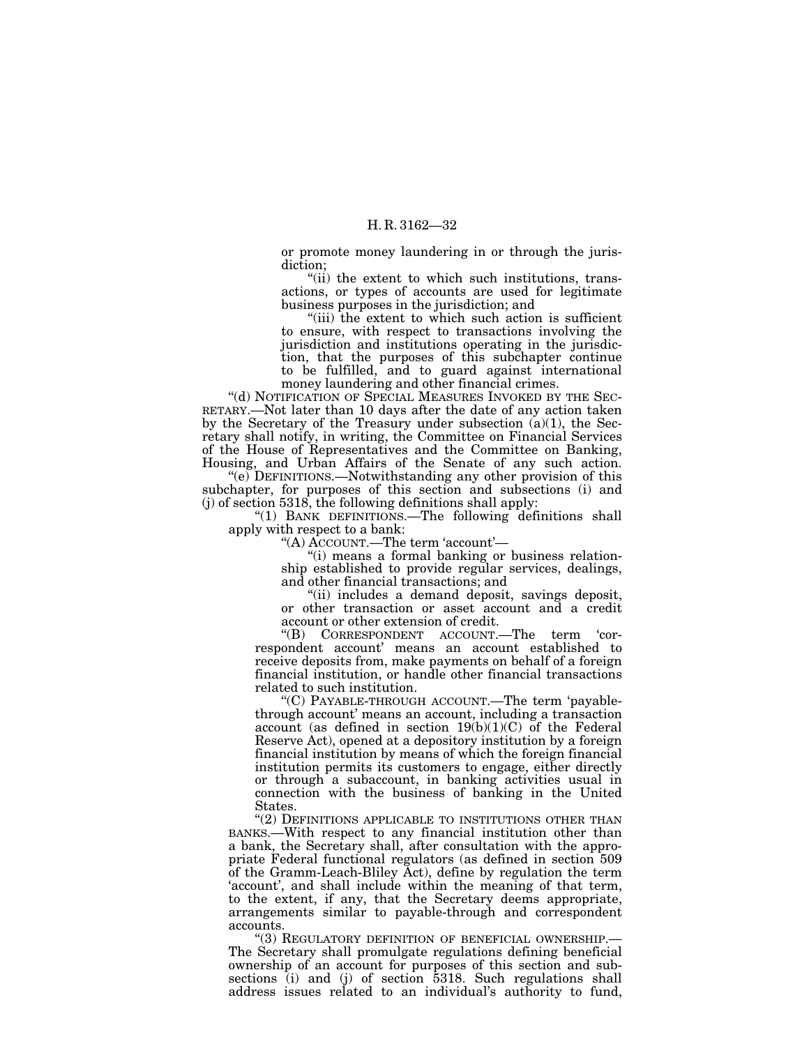or promote money laundering in or through the jurisdiction;

"(ii) the extent to which such institutions, transactions, or types of accounts are used for legitimate business purposes in the jurisdiction; and

''(iii) the extent to which such action is sufficient to ensure, with respect to transactions involving the jurisdiction and institutions operating in the jurisdiction, that the purposes of this subchapter continue to be fulfilled, and to guard against international money laundering and other financial crimes.

''(d) NOTIFICATION OF SPECIAL MEASURES INVOKED BY THE SEC-RETARY.—Not later than 10 days after the date of any action taken by the Secretary of the Treasury under subsection  $(a)(1)$ , the Secretary shall notify, in writing, the Committee on Financial Services of the House of Representatives and the Committee on Banking, Housing, and Urban Affairs of the Senate of any such action.

"(e) DEFINITIONS.—Notwithstanding any other provision of this subchapter, for purposes of this section and subsections (i) and (j) of section 5318, the following definitions shall apply:

"(1) BANK DEFINITIONS.—The following definitions shall apply with respect to a bank:

''(A) ACCOUNT.—The term 'account'—

''(i) means a formal banking or business relationship established to provide regular services, dealings, and other financial transactions; and

"(ii) includes a demand deposit, savings deposit, or other transaction or asset account and a credit account or other extension of credit.

''(B) CORRESPONDENT ACCOUNT.—The term 'correspondent account' means an account established to receive deposits from, make payments on behalf of a foreign financial institution, or handle other financial transactions related to such institution.

''(C) PAYABLE-THROUGH ACCOUNT.—The term 'payablethrough account' means an account, including a transaction account (as defined in section  $19(b)(1)(C)$  of the Federal Reserve Act), opened at a depository institution by a foreign financial institution by means of which the foreign financial institution permits its customers to engage, either directly or through a subaccount, in banking activities usual in connection with the business of banking in the United States.

"(2) DEFINITIONS APPLICABLE TO INSTITUTIONS OTHER THAN BANKS.—With respect to any financial institution other than a bank, the Secretary shall, after consultation with the appropriate Federal functional regulators (as defined in section 509 of the Gramm-Leach-Bliley Act), define by regulation the term 'account', and shall include within the meaning of that term, to the extent, if any, that the Secretary deems appropriate, arrangements similar to payable-through and correspondent accounts.<br>"(3) REGULATORY DEFINITION OF BENEFICIAL OWNERSHIP.—

The Secretary shall promulgate regulations defining beneficial ownership of an account for purposes of this section and subsections (i) and (j) of section 5318. Such regulations shall address issues related to an individual's authority to fund,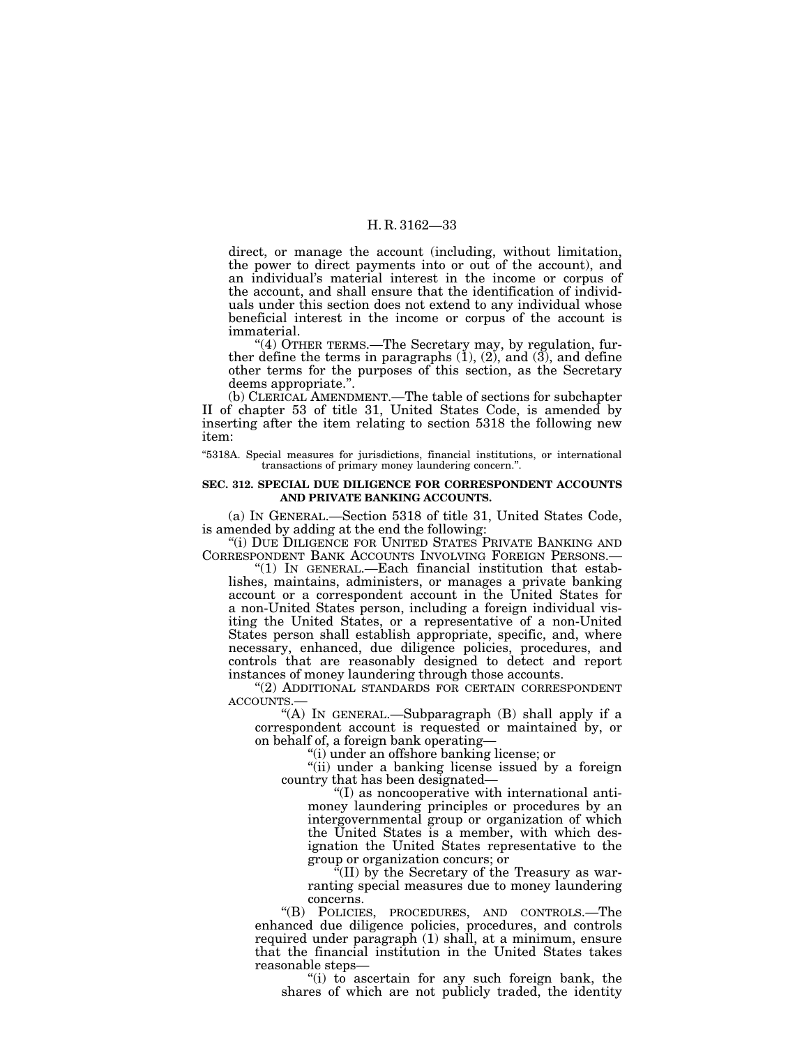direct, or manage the account (including, without limitation, the power to direct payments into or out of the account), and an individual's material interest in the income or corpus of the account, and shall ensure that the identification of individuals under this section does not extend to any individual whose beneficial interest in the income or corpus of the account is immaterial.

 $\mathcal{H}(4)$  OTHER TERMS.—The Secretary may, by regulation, further define the terms in paragraphs  $(1)$ ,  $(2)$ , and  $(3)$ , and define other terms for the purposes of this section, as the Secretary deems appropriate.''.

(b) CLERICAL AMENDMENT.—The table of sections for subchapter II of chapter 53 of title 31, United States Code, is amended by inserting after the item relating to section 5318 the following new item:

''5318A. Special measures for jurisdictions, financial institutions, or international transactions of primary money laundering concern.''.

#### **SEC. 312. SPECIAL DUE DILIGENCE FOR CORRESPONDENT ACCOUNTS AND PRIVATE BANKING ACCOUNTS.**

(a) IN GENERAL.—Section 5318 of title 31, United States Code, is amended by adding at the end the following:

''(i) DUE DILIGENCE FOR UNITED STATES PRIVATE BANKING AND CORRESPONDENT BANK ACCOUNTS INVOLVING FOREIGN PERSONS.—

" $(1)$  In GENERAL.—Each financial institution that establishes, maintains, administers, or manages a private banking account or a correspondent account in the United States for a non-United States person, including a foreign individual visiting the United States, or a representative of a non-United States person shall establish appropriate, specific, and, where necessary, enhanced, due diligence policies, procedures, and controls that are reasonably designed to detect and report instances of money laundering through those accounts.

''(2) ADDITIONAL STANDARDS FOR CERTAIN CORRESPONDENT ACCOUNTS.—

"(A) IN GENERAL.—Subparagraph  $(B)$  shall apply if a correspondent account is requested or maintained by, or on behalf of, a foreign bank operating—

''(i) under an offshore banking license; or

"(ii) under a banking license issued by a foreign country that has been designated—

''(I) as noncooperative with international antimoney laundering principles or procedures by an intergovernmental group or organization of which the United States is a member, with which designation the United States representative to the group or organization concurs; or

 $\sqrt{f(II)}$  by the Secretary of the Treasury as warranting special measures due to money laundering concerns.

''(B) POLICIES, PROCEDURES, AND CONTROLS.—The enhanced due diligence policies, procedures, and controls required under paragraph (1) shall, at a minimum, ensure that the financial institution in the United States takes

" $(i)$  to ascertain for any such foreign bank, the shares of which are not publicly traded, the identity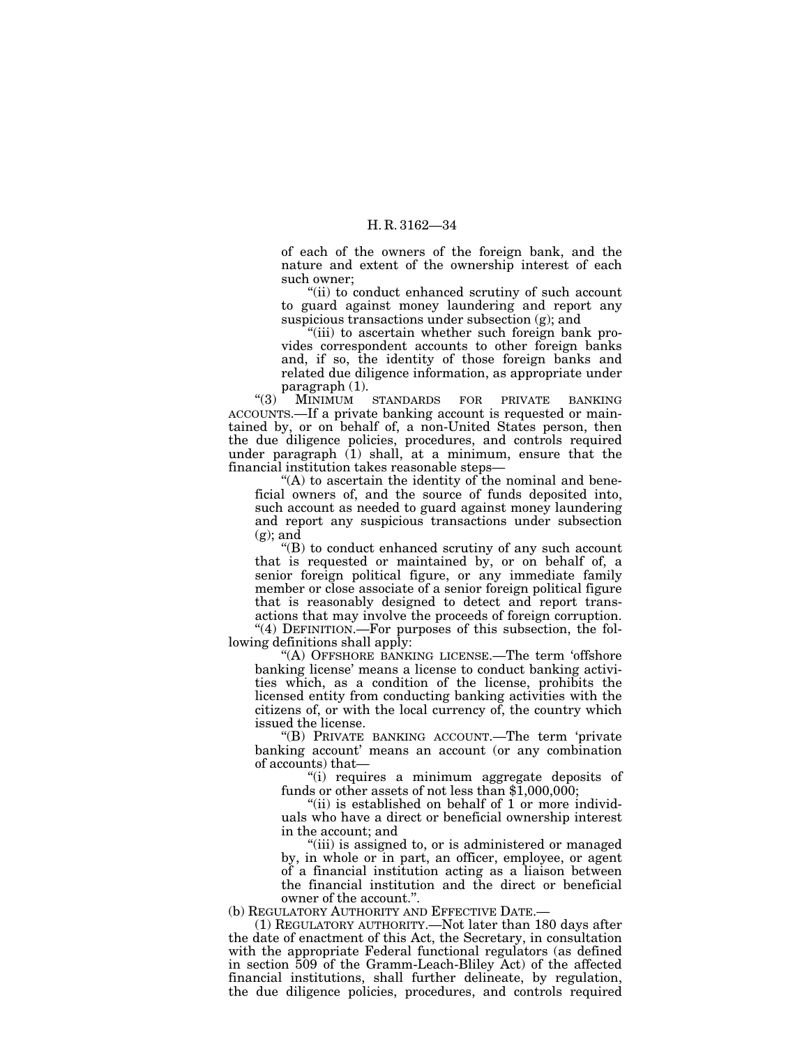of each of the owners of the foreign bank, and the nature and extent of the ownership interest of each such owner;

"(ii) to conduct enhanced scrutiny of such account to guard against money laundering and report any suspicious transactions under subsection (g); and

''(iii) to ascertain whether such foreign bank provides correspondent accounts to other foreign banks and, if so, the identity of those foreign banks and related due diligence information, as appropriate under paragraph (1).

''(3) MINIMUM STANDARDS FOR PRIVATE BANKING ACCOUNTS.—If a private banking account is requested or maintained by, or on behalf of, a non-United States person, then the due diligence policies, procedures, and controls required under paragraph (1) shall, at a minimum, ensure that the financial institution takes reasonable steps—

 $f(A)$  to ascertain the identity of the nominal and beneficial owners of, and the source of funds deposited into, such account as needed to guard against money laundering and report any suspicious transactions under subsection  $(g)$ ; and

''(B) to conduct enhanced scrutiny of any such account that is requested or maintained by, or on behalf of, a senior foreign political figure, or any immediate family member or close associate of a senior foreign political figure that is reasonably designed to detect and report transactions that may involve the proceeds of foreign corruption. "(4) DEFINITION.—For purposes of this subsection, the fol-

lowing definitions shall apply:

"(A) OFFSHORE BANKING LICENSE.—The term 'offshore banking license' means a license to conduct banking activities which, as a condition of the license, prohibits the licensed entity from conducting banking activities with the citizens of, or with the local currency of, the country which issued the license.

''(B) PRIVATE BANKING ACCOUNT.—The term 'private banking account' means an account (or any combination of accounts) that—

''(i) requires a minimum aggregate deposits of funds or other assets of not less than \$1,000,000;

"(ii) is established on behalf of 1 or more individuals who have a direct or beneficial ownership interest in the account; and

"(iii) is assigned to, or is administered or managed by, in whole or in part, an officer, employee, or agent of a financial institution acting as a liaison between the financial institution and the direct or beneficial owner of the account."

(b) REGULATORY AUTHORITY AND EFFECTIVE DATE.—

(1) REGULATORY AUTHORITY.—Not later than 180 days after the date of enactment of this Act, the Secretary, in consultation with the appropriate Federal functional regulators (as defined in section 509 of the Gramm-Leach-Bliley Act) of the affected financial institutions, shall further delineate, by regulation, the due diligence policies, procedures, and controls required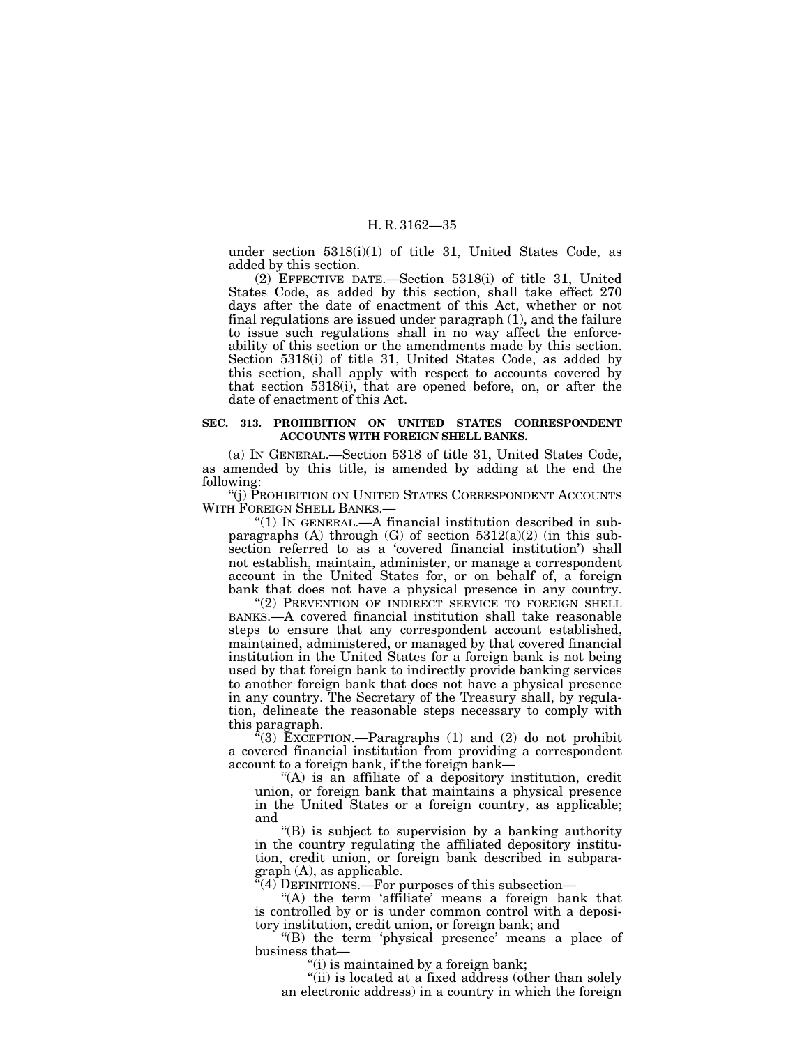under section 5318(i)(1) of title 31, United States Code, as added by this section.

(2) EFFECTIVE DATE.—Section 5318(i) of title 31, United States Code, as added by this section, shall take effect 270 days after the date of enactment of this Act, whether or not final regulations are issued under paragraph  $(1)$ , and the failure to issue such regulations shall in no way affect the enforceability of this section or the amendments made by this section. Section 5318(i) of title 31, United States Code, as added by this section, shall apply with respect to accounts covered by that section 5318(i), that are opened before, on, or after the date of enactment of this Act.

# **SEC. 313. PROHIBITION ON UNITED STATES CORRESPONDENT ACCOUNTS WITH FOREIGN SHELL BANKS.**

(a) IN GENERAL.—Section 5318 of title 31, United States Code, as amended by this title, is amended by adding at the end the following:

'(j) PROHIBITION ON UNITED STATES CORRESPONDENT ACCOUNTS WITH FOREIGN SHELL BANKS.—

" $(1)$  In GENERAL.—A financial institution described in subparagraphs (A) through (G) of section  $5312(a)(2)$  (in this subsection referred to as a 'covered financial institution') shall not establish, maintain, administer, or manage a correspondent account in the United States for, or on behalf of, a foreign bank that does not have a physical presence in any country.

''(2) PREVENTION OF INDIRECT SERVICE TO FOREIGN SHELL BANKS.—A covered financial institution shall take reasonable steps to ensure that any correspondent account established, maintained, administered, or managed by that covered financial institution in the United States for a foreign bank is not being used by that foreign bank to indirectly provide banking services to another foreign bank that does not have a physical presence in any country. The Secretary of the Treasury shall, by regulation, delineate the reasonable steps necessary to comply with this paragraph.

 $\epsilon$ <sup>'(3)</sup> EXCEPTION.—Paragraphs (1) and (2) do not prohibit a covered financial institution from providing a correspondent account to a foreign bank, if the foreign bank—

"(A) is an affiliate of a depository institution, credit union, or foreign bank that maintains a physical presence in the United States or a foreign country, as applicable; and

''(B) is subject to supervision by a banking authority in the country regulating the affiliated depository institution, credit union, or foreign bank described in subparagraph (A), as applicable.

''(4) DEFINITIONS.—For purposes of this subsection—

''(A) the term 'affiliate' means a foreign bank that is controlled by or is under common control with a depository institution, credit union, or foreign bank; and

''(B) the term 'physical presence' means a place of business that—

''(i) is maintained by a foreign bank;

"(ii) is located at a fixed address (other than solely an electronic address) in a country in which the foreign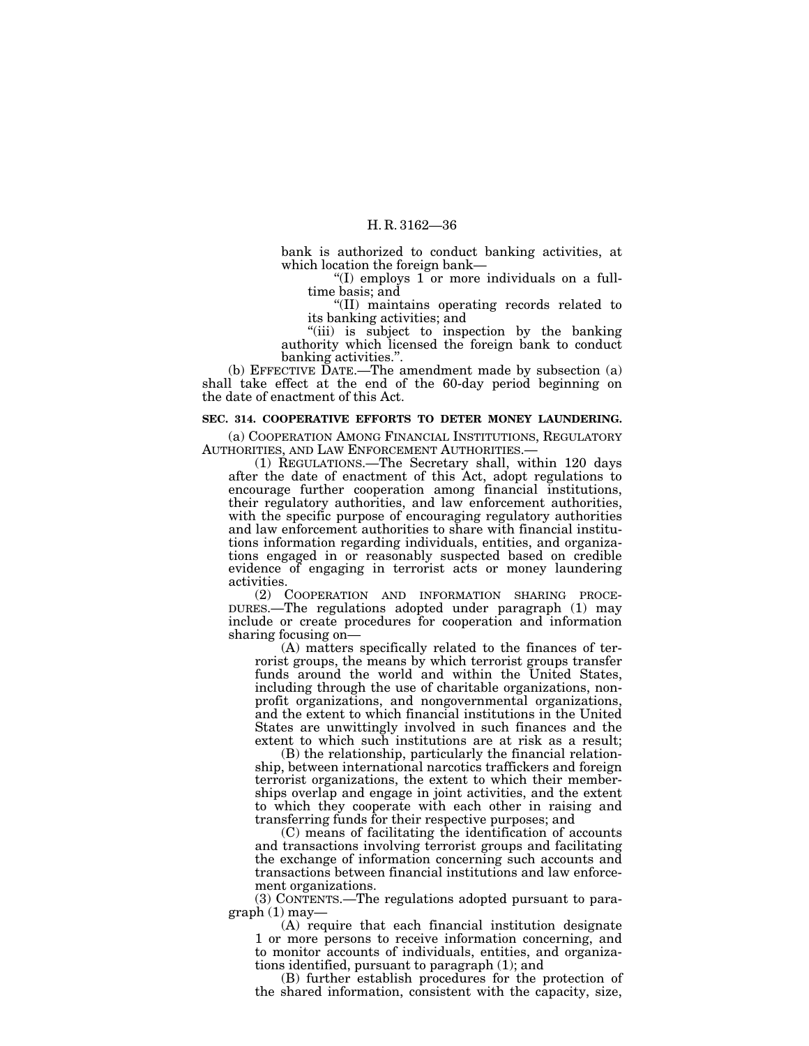bank is authorized to conduct banking activities, at which location the foreign bank—

''(I) employs 1 or more individuals on a fulltime basis; and

''(II) maintains operating records related to its banking activities; and

''(iii) is subject to inspection by the banking authority which licensed the foreign bank to conduct banking activities.''.

(b) EFFECTIVE DATE.—The amendment made by subsection (a) shall take effect at the end of the 60-day period beginning on the date of enactment of this Act.

# **SEC. 314. COOPERATIVE EFFORTS TO DETER MONEY LAUNDERING.**

(a) COOPERATION AMONG FINANCIAL INSTITUTIONS, REGULATORY AUTHORITIES, AND LAW ENFORCEMENT AUTHORITIES.—

(1) REGULATIONS.—The Secretary shall, within 120 days after the date of enactment of this Act, adopt regulations to encourage further cooperation among financial institutions, their regulatory authorities, and law enforcement authorities, with the specific purpose of encouraging regulatory authorities and law enforcement authorities to share with financial institutions information regarding individuals, entities, and organizations engaged in or reasonably suspected based on credible evidence of engaging in terrorist acts or money laundering activities.

(2) COOPERATION AND INFORMATION SHARING PROCE-DURES.—The regulations adopted under paragraph (1) may include or create procedures for cooperation and information sharing focusing on—

(A) matters specifically related to the finances of terrorist groups, the means by which terrorist groups transfer funds around the world and within the United States, including through the use of charitable organizations, nonprofit organizations, and nongovernmental organizations, and the extent to which financial institutions in the United States are unwittingly involved in such finances and the extent to which such institutions are at risk as a result;

(B) the relationship, particularly the financial relationship, between international narcotics traffickers and foreign terrorist organizations, the extent to which their memberships overlap and engage in joint activities, and the extent to which they cooperate with each other in raising and transferring funds for their respective purposes; and

(C) means of facilitating the identification of accounts and transactions involving terrorist groups and facilitating the exchange of information concerning such accounts and transactions between financial institutions and law enforcement organizations.

(3) CONTENTS.—The regulations adopted pursuant to paragraph (1) may—

(A) require that each financial institution designate 1 or more persons to receive information concerning, and to monitor accounts of individuals, entities, and organizations identified, pursuant to paragraph (1); and

(B) further establish procedures for the protection of the shared information, consistent with the capacity, size,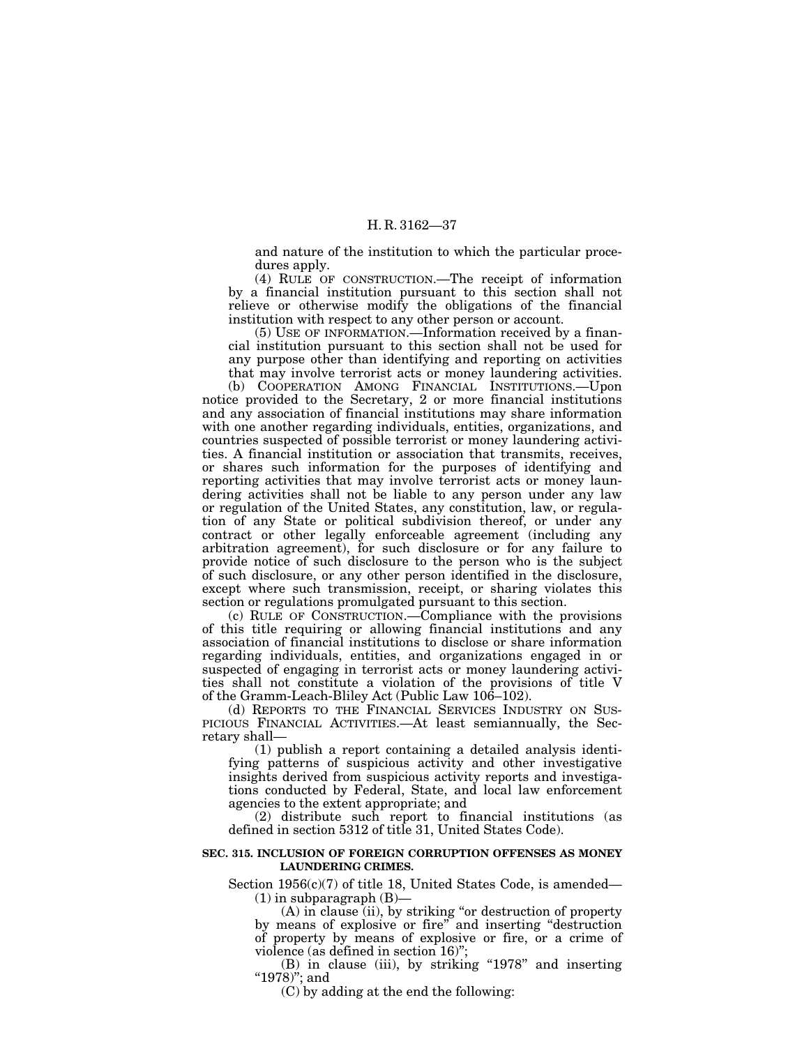and nature of the institution to which the particular procedures apply.

(4) RULE OF CONSTRUCTION.—The receipt of information by a financial institution pursuant to this section shall not relieve or otherwise modify the obligations of the financial institution with respect to any other person or account.

(5) USE OF INFORMATION.—Information received by a financial institution pursuant to this section shall not be used for any purpose other than identifying and reporting on activities that may involve terrorist acts or money laundering activities.

(b) COOPERATION AMONG FINANCIAL INSTITUTIONS.—Upon notice provided to the Secretary, 2 or more financial institutions and any association of financial institutions may share information with one another regarding individuals, entities, organizations, and countries suspected of possible terrorist or money laundering activities. A financial institution or association that transmits, receives, or shares such information for the purposes of identifying and reporting activities that may involve terrorist acts or money laundering activities shall not be liable to any person under any law or regulation of the United States, any constitution, law, or regulation of any State or political subdivision thereof, or under any contract or other legally enforceable agreement (including any arbitration agreement), for such disclosure or for any failure to provide notice of such disclosure to the person who is the subject of such disclosure, or any other person identified in the disclosure, except where such transmission, receipt, or sharing violates this section or regulations promulgated pursuant to this section.

(c) RULE OF CONSTRUCTION.—Compliance with the provisions of this title requiring or allowing financial institutions and any association of financial institutions to disclose or share information regarding individuals, entities, and organizations engaged in or suspected of engaging in terrorist acts or money laundering activities shall not constitute a violation of the provisions of title V of the Gramm-Leach-Bliley Act (Public Law 106–102).

(d) REPORTS TO THE FINANCIAL SERVICES INDUSTRY ON SUS-PICIOUS FINANCIAL ACTIVITIES.—At least semiannually, the Secretary shall—

(1) publish a report containing a detailed analysis identifying patterns of suspicious activity and other investigative insights derived from suspicious activity reports and investigations conducted by Federal, State, and local law enforcement agencies to the extent appropriate; and

(2) distribute such report to financial institutions (as defined in section 5312 of title 31, United States Code).

#### **SEC. 315. INCLUSION OF FOREIGN CORRUPTION OFFENSES AS MONEY LAUNDERING CRIMES.**

Section 1956(c)(7) of title 18, United States Code, is amended—  $(1)$  in subparagraph  $(B)$ –

(A) in clause (ii), by striking ''or destruction of property by means of explosive or fire'' and inserting ''destruction of property by means of explosive or fire, or a crime of violence (as defined in section 16)'';

(B) in clause (iii), by striking "1978" and inserting ''1978)''; and

(C) by adding at the end the following: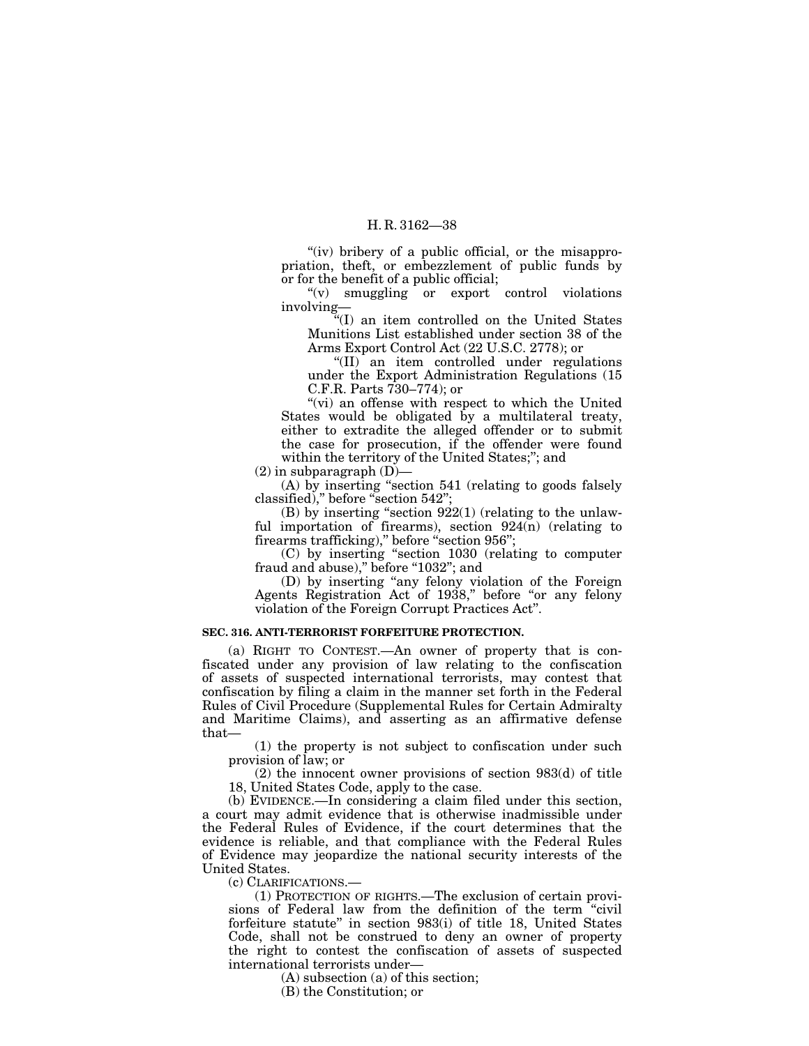"(iv) bribery of a public official, or the misappropriation, theft, or embezzlement of public funds by or for the benefit of a public official;

''(v) smuggling or export control violations involving—

''(I) an item controlled on the United States Munitions List established under section 38 of the Arms Export Control Act (22 U.S.C. 2778); or

''(II) an item controlled under regulations under the Export Administration Regulations (15 C.F.R. Parts 730–774); or

"(vi) an offense with respect to which the United States would be obligated by a multilateral treaty, either to extradite the alleged offender or to submit the case for prosecution, if the offender were found within the territory of the United States;''; and

 $(2)$  in subparagraph  $(D)$ –

(A) by inserting ''section 541 (relating to goods falsely classified),'' before ''section 542'';

 $(B)$  by inserting "section 922(1) (relating to the unlawful importation of firearms), section 924(n) (relating to firearms trafficking)," before "section 956";

(C) by inserting ''section 1030 (relating to computer fraud and abuse)," before "1032"; and

(D) by inserting ''any felony violation of the Foreign Agents Registration Act of 1938," before "or any felony violation of the Foreign Corrupt Practices Act''.

## **SEC. 316. ANTI-TERRORIST FORFEITURE PROTECTION.**

(a) RIGHT TO CONTEST.—An owner of property that is confiscated under any provision of law relating to the confiscation of assets of suspected international terrorists, may contest that confiscation by filing a claim in the manner set forth in the Federal Rules of Civil Procedure (Supplemental Rules for Certain Admiralty and Maritime Claims), and asserting as an affirmative defense that—

(1) the property is not subject to confiscation under such provision of law; or

(2) the innocent owner provisions of section 983(d) of title 18, United States Code, apply to the case.

(b) EVIDENCE.—In considering a claim filed under this section, a court may admit evidence that is otherwise inadmissible under the Federal Rules of Evidence, if the court determines that the evidence is reliable, and that compliance with the Federal Rules of Evidence may jeopardize the national security interests of the United States.

(c) CLARIFICATIONS.—

(1) PROTECTION OF RIGHTS.—The exclusion of certain provisions of Federal law from the definition of the term "civil" forfeiture statute'' in section 983(i) of title 18, United States Code, shall not be construed to deny an owner of property the right to contest the confiscation of assets of suspected international terrorists under—

(A) subsection (a) of this section;

(B) the Constitution; or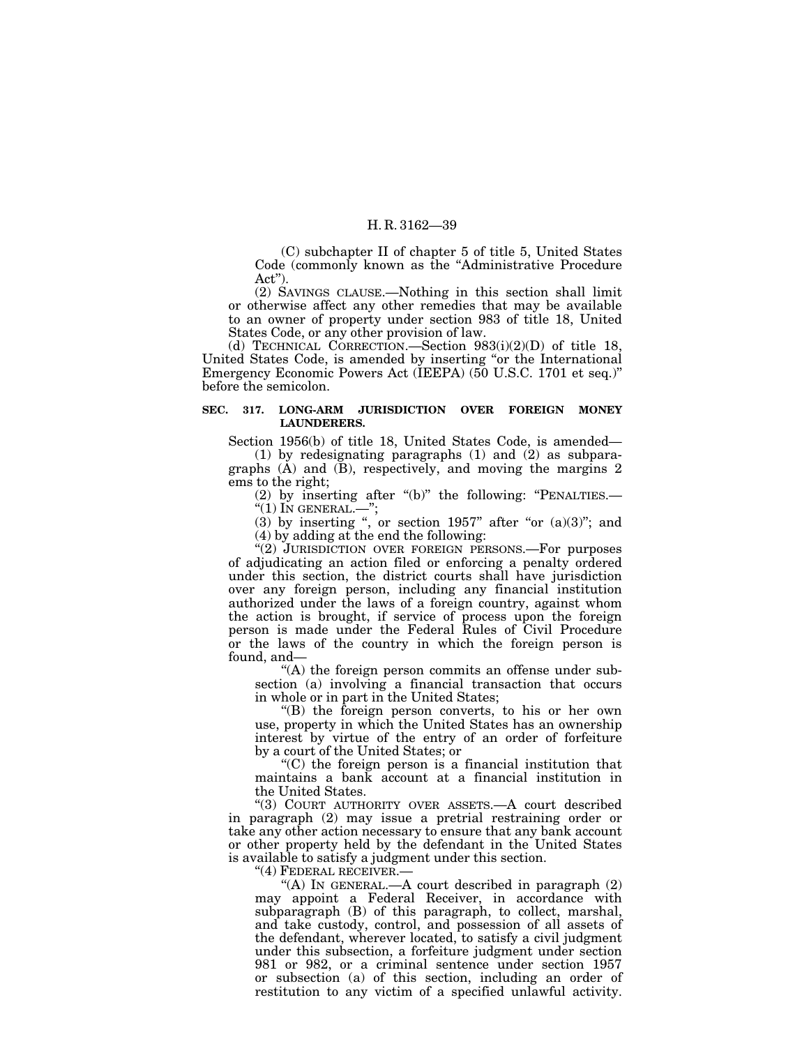(C) subchapter II of chapter 5 of title 5, United States Code (commonly known as the ''Administrative Procedure  $Act$ ").

(2) SAVINGS CLAUSE.—Nothing in this section shall limit or otherwise affect any other remedies that may be available to an owner of property under section 983 of title 18, United States Code, or any other provision of law.

(d) TECHNICAL CORRECTION.—Section 983(i)(2)(D) of title 18, United States Code, is amended by inserting "or the International Emergency Economic Powers Act (IEEPA) (50 U.S.C. 1701 et seq.)'' before the semicolon.

## **SEC. 317. LONG-ARM JURISDICTION OVER FOREIGN MONEY LAUNDERERS.**

Section 1956(b) of title 18, United States Code, is amended— (1) by redesignating paragraphs (1) and (2) as subpara-

graphs (A) and (B), respectively, and moving the margins 2 ems to the right;

(2) by inserting after " $(b)$ " the following: "PENALTIES.— " $(1)$  In general.—";

(3) by inserting ", or section  $1957$ " after "or  $(a)(3)$ "; and (4) by adding at the end the following:

"(2) JURISDICTION OVER FOREIGN PERSONS.—For purposes of adjudicating an action filed or enforcing a penalty ordered under this section, the district courts shall have jurisdiction over any foreign person, including any financial institution authorized under the laws of a foreign country, against whom the action is brought, if service of process upon the foreign person is made under the Federal Rules of Civil Procedure or the laws of the country in which the foreign person is found, and—

"(A) the foreign person commits an offense under subsection (a) involving a financial transaction that occurs in whole or in part in the United States;

''(B) the foreign person converts, to his or her own use, property in which the United States has an ownership interest by virtue of the entry of an order of forfeiture by a court of the United States; or

 $(C)$  the foreign person is a financial institution that maintains a bank account at a financial institution in the United States.

''(3) COURT AUTHORITY OVER ASSETS.—A court described in paragraph (2) may issue a pretrial restraining order or take any other action necessary to ensure that any bank account or other property held by the defendant in the United States is available to satisfy a judgment under this section.

''(4) FEDERAL RECEIVER.—

"(A) In GENERAL.—A court described in paragraph (2) may appoint a Federal Receiver, in accordance with subparagraph (B) of this paragraph, to collect, marshal, and take custody, control, and possession of all assets of the defendant, wherever located, to satisfy a civil judgment under this subsection, a forfeiture judgment under section 981 or 982, or a criminal sentence under section 1957 or subsection (a) of this section, including an order of restitution to any victim of a specified unlawful activity.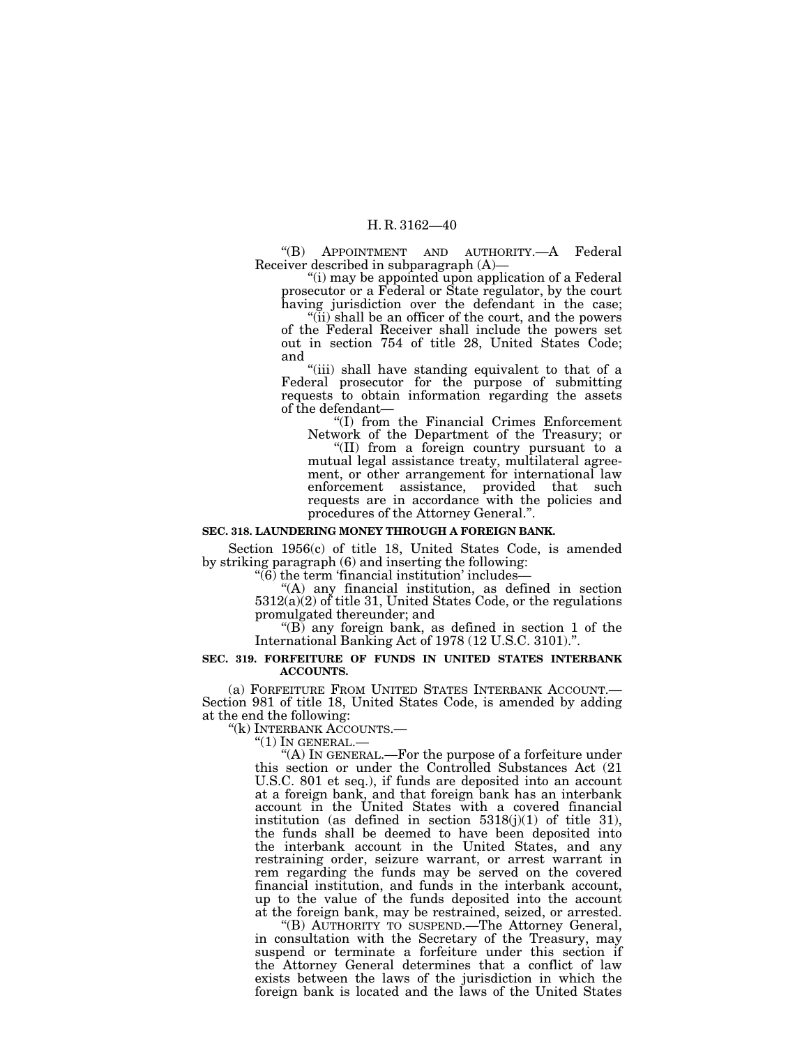"(B) APPOINTMENT AND AUTHORITY.—A Federal Receiver described in subparagraph  $(A)$ —

"(i) may be appointed upon application of a Federal" prosecutor or a Federal or State regulator, by the court

having jurisdiction over the defendant in the case; "(ii) shall be an officer of the court, and the powers of the Federal Receiver shall include the powers set out in section 754 of title 28, United States Code;

"(iii) shall have standing equivalent to that of a Federal prosecutor for the purpose of submitting requests to obtain information regarding the assets

of the defendant—<br>
"(I) from the Financial Crimes Enforcement<br>
Network of the Department of the Treasury; or

"(II) from a foreign country pursuant to a mutual legal assistance treaty, multilateral agreement, or other arrangement for international law enforcement assistance, provided that such requests are in accordance with the policies and procedures of the Attorney General.''.

## **SEC. 318. LAUNDERING MONEY THROUGH A FOREIGN BANK.**

Section 1956(c) of title 18, United States Code, is amended by striking paragraph (6) and inserting the following:<br>
"(6) the term 'financial institution' includes—<br>
"(A) any financial institution, as defined in section

 $5312(a)(2)$  of title 31, United States Code, or the regulations promulgated thereunder; and

" $(B)$  any foreign bank, as defined in section 1 of the International Banking Act of 1978 (12 U.S.C. 3101).''.

#### **SEC. 319. FORFEITURE OF FUNDS IN UNITED STATES INTERBANK ACCOUNTS.**

(a) FORFEITURE FROM UNITED STATES INTERBANK ACCOUNT.—<br>Section 981 of title 18, United States Code, is amended by adding<br>at the end the following:

"(k) INTERBANK ACCOUNTS.—<br>"(1) IN GENERAL.—<br>"(A) IN GENERAL.—For the purpose of a forfeiture under this section or under the Controlled Substances Act (21 U.S.C. 801 et seq.), if funds are deposited into an account at a foreign bank, and that foreign bank has an interbank account in the United States with a covered financial institution (as defined in section  $5318(j)(1)$  of title 31), the funds shall be deemed to have been deposited into the interbank account in the United States, and any restraining order, seizure warrant, or arrest warrant in rem regarding the funds may be served on the covered financial institution, and funds in the interbank account, up to the value of the funds deposited into the account at the foreign bank, may be restrained, seized, or arrested.

''(B) AUTHORITY TO SUSPEND.—The Attorney General, in consultation with the Secretary of the Treasury, may suspend or terminate a forfeiture under this section if the Attorney General determines that a conflict of law exists between the laws of the jurisdiction in which the foreign bank is located and the laws of the United States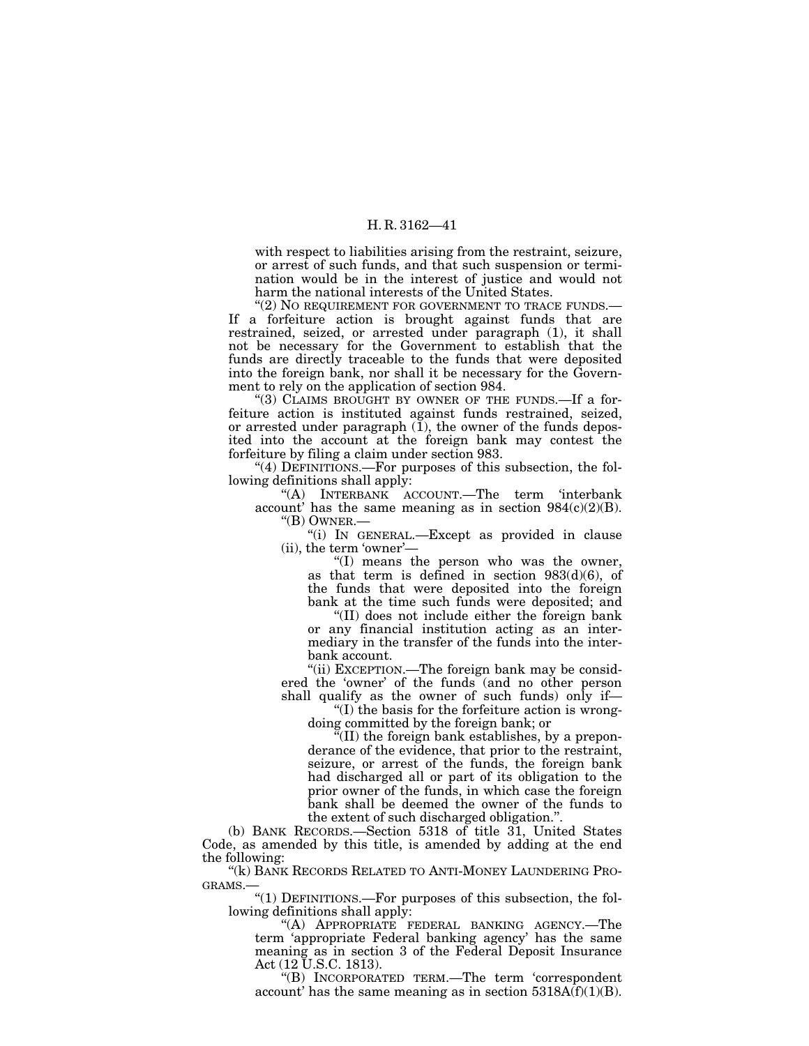with respect to liabilities arising from the restraint, seizure, or arrest of such funds, and that such suspension or termination would be in the interest of justice and would not harm the national interests of the United States.

"(2) NO REQUIREMENT FOR GOVERNMENT TO TRACE FUNDS. If a forfeiture action is brought against funds that are restrained, seized, or arrested under paragraph (1), it shall not be necessary for the Government to establish that the funds are directly traceable to the funds that were deposited into the foreign bank, nor shall it be necessary for the Government to rely on the application of section 984.

''(3) CLAIMS BROUGHT BY OWNER OF THE FUNDS.—If a forfeiture action is instituted against funds restrained, seized, or arrested under paragraph  $(I)$ , the owner of the funds deposited into the account at the foreign bank may contest the forfeiture by filing a claim under section 983.

 $(4)$  DEFINITIONS.—For purposes of this subsection, the following definitions shall apply:

"(A) INTERBANK ACCOUNT.—The term 'interbank account' has the same meaning as in section 984(c)(2)(B).  $\mathrm{``(B)}$  OWNER.—

''(i) IN GENERAL.—Except as provided in clause (ii), the term 'owner'—

''(I) means the person who was the owner, as that term is defined in section  $983(d)(6)$ , of the funds that were deposited into the foreign bank at the time such funds were deposited; and

''(II) does not include either the foreign bank or any financial institution acting as an intermediary in the transfer of the funds into the interbank account.

''(ii) EXCEPTION.—The foreign bank may be considered the 'owner' of the funds (and no other person shall qualify as the owner of such funds) only if—

''(I) the basis for the forfeiture action is wrongdoing committed by the foreign bank; or

 $\mathcal{F}(II)$  the foreign bank establishes, by a preponderance of the evidence, that prior to the restraint, seizure, or arrest of the funds, the foreign bank had discharged all or part of its obligation to the prior owner of the funds, in which case the foreign bank shall be deemed the owner of the funds to the extent of such discharged obligation.''.

(b) BANK RECORDS.—Section 5318 of title 31, United States Code, as amended by this title, is amended by adding at the end the following:

"(k) BANK RECORDS RELATED TO ANTI-MONEY LAUNDERING PRO-GRAMS.—

"(1) DEFINITIONS.—For purposes of this subsection, the following definitions shall apply:

''(A) APPROPRIATE FEDERAL BANKING AGENCY.—The term 'appropriate Federal banking agency' has the same meaning as in section 3 of the Federal Deposit Insurance Act  $(12 \text{ U.S.C. } 1813)$ .

''(B) INCORPORATED TERM.—The term 'correspondent account' has the same meaning as in section  $5318A(f)(1)(B)$ .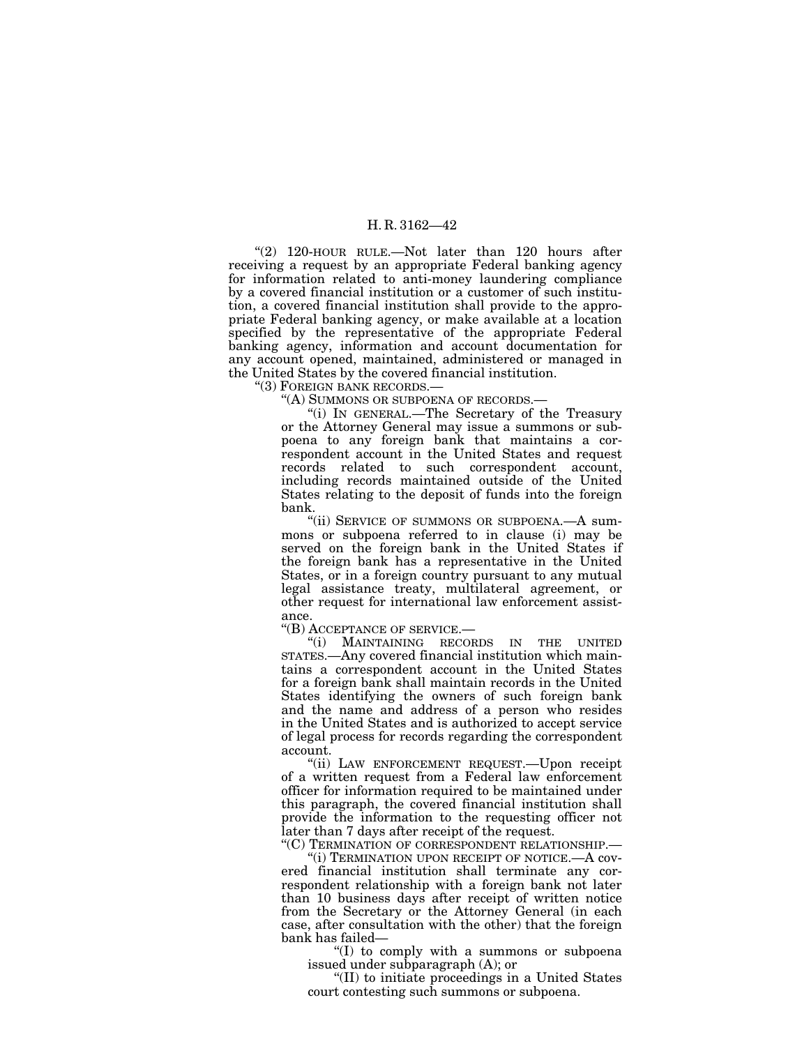"(2) 120-HOUR RULE.—Not later than 120 hours after receiving a request by an appropriate Federal banking agency for information related to anti-money laundering compliance by a covered financial institution or a customer of such institution, a covered financial institution shall provide to the appropriate Federal banking agency, or make available at a location specified by the representative of the appropriate Federal banking agency, information and account documentation for any account opened, maintained, administered or managed in the United States by the covered financial institution.

''(3) FOREIGN BANK RECORDS.—

''(A) SUMMONS OR SUBPOENA OF RECORDS.—

''(i) IN GENERAL.—The Secretary of the Treasury or the Attorney General may issue a summons or subpoena to any foreign bank that maintains a correspondent account in the United States and request records related to such correspondent account, including records maintained outside of the United States relating to the deposit of funds into the foreign bank.

"(ii) SERVICE OF SUMMONS OR SUBPOENA.—A summons or subpoena referred to in clause (i) may be served on the foreign bank in the United States if the foreign bank has a representative in the United States, or in a foreign country pursuant to any mutual legal assistance treaty, multilateral agreement, or other request for international law enforcement assistance.

''(B) ACCEPTANCE OF SERVICE.—

''(i) MAINTAINING RECORDS IN THE UNITED STATES.—Any covered financial institution which maintains a correspondent account in the United States for a foreign bank shall maintain records in the United States identifying the owners of such foreign bank and the name and address of a person who resides in the United States and is authorized to accept service of legal process for records regarding the correspondent account.

''(ii) LAW ENFORCEMENT REQUEST.—Upon receipt of a written request from a Federal law enforcement officer for information required to be maintained under this paragraph, the covered financial institution shall provide the information to the requesting officer not later than 7 days after receipt of the request.

''(C) TERMINATION OF CORRESPONDENT RELATIONSHIP.—

 $f(i)$  Termination upon receipt of notice.—A covered financial institution shall terminate any correspondent relationship with a foreign bank not later than 10 business days after receipt of written notice from the Secretary or the Attorney General (in each case, after consultation with the other) that the foreign bank has failed—

''(I) to comply with a summons or subpoena issued under subparagraph (A); or

''(II) to initiate proceedings in a United States court contesting such summons or subpoena.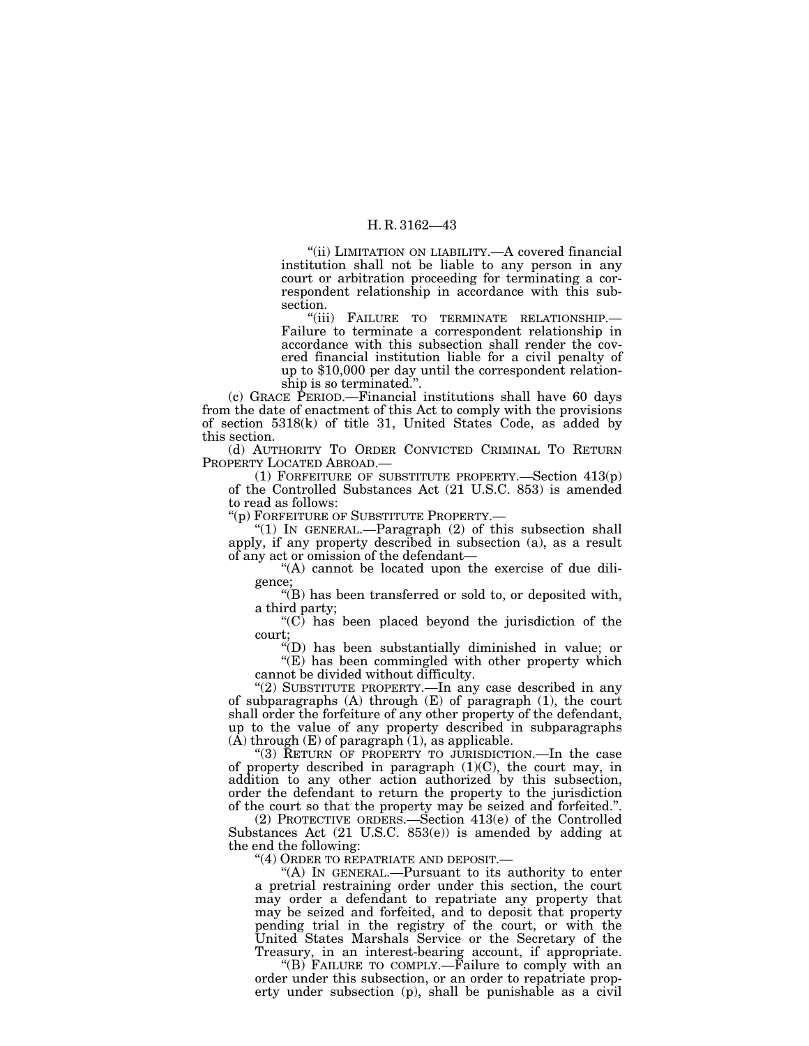''(ii) LIMITATION ON LIABILITY.—A covered financial institution shall not be liable to any person in any court or arbitration proceeding for terminating a correspondent relationship in accordance with this subsection.

''(iii) FAILURE TO TERMINATE RELATIONSHIP.— Failure to terminate a correspondent relationship in accordance with this subsection shall render the covered financial institution liable for a civil penalty of up to \$10,000 per day until the correspondent relationship is so terminated.''.

(c) GRACE PERIOD.—Financial institutions shall have 60 days from the date of enactment of this Act to comply with the provisions of section 5318(k) of title 31, United States Code, as added by this section.

(d) AUTHORITY TO ORDER CONVICTED CRIMINAL TO RETURN PROPERTY LOCATED ABROAD.—

(1) FORFEITURE OF SUBSTITUTE PROPERTY.—Section 413(p) of the Controlled Substances Act (21 U.S.C. 853) is amended to read as follows:

''(p) FORFEITURE OF SUBSTITUTE PROPERTY.—

"(1) IN GENERAL.—Paragraph (2) of this subsection shall apply, if any property described in subsection (a), as a result of any act or omission of the defendant—

''(A) cannot be located upon the exercise of due diligence;

''(B) has been transferred or sold to, or deposited with, a third party;

 $(C)$  has been placed beyond the jurisdiction of the court;

''(D) has been substantially diminished in value; or "(E) has been commingled with other property which cannot be divided without difficulty.

"(2) SUBSTITUTE PROPERTY.—In any case described in any of subparagraphs (A) through (E) of paragraph (1), the court shall order the forfeiture of any other property of the defendant, up to the value of any property described in subparagraphs  $(\hat{A})$  through  $(E)$  of paragraph  $(1)$ , as applicable.

''(3) RETURN OF PROPERTY TO JURISDICTION.—In the case of property described in paragraph (1)(C), the court may, in addition to any other action authorized by this subsection, order the defendant to return the property to the jurisdiction of the court so that the property may be seized and forfeited.''.

(2) PROTECTIVE ORDERS.—Section 413(e) of the Controlled Substances Act (21 U.S.C. 853(e)) is amended by adding at the end the following:

''(4) ORDER TO REPATRIATE AND DEPOSIT.—

''(A) IN GENERAL.—Pursuant to its authority to enter a pretrial restraining order under this section, the court may order a defendant to repatriate any property that may be seized and forfeited, and to deposit that property pending trial in the registry of the court, or with the United States Marshals Service or the Secretary of the Treasury, in an interest-bearing account, if appropriate.

"(B) FAILURE TO COMPLY.—Failure to comply with an order under this subsection, or an order to repatriate property under subsection (p), shall be punishable as a civil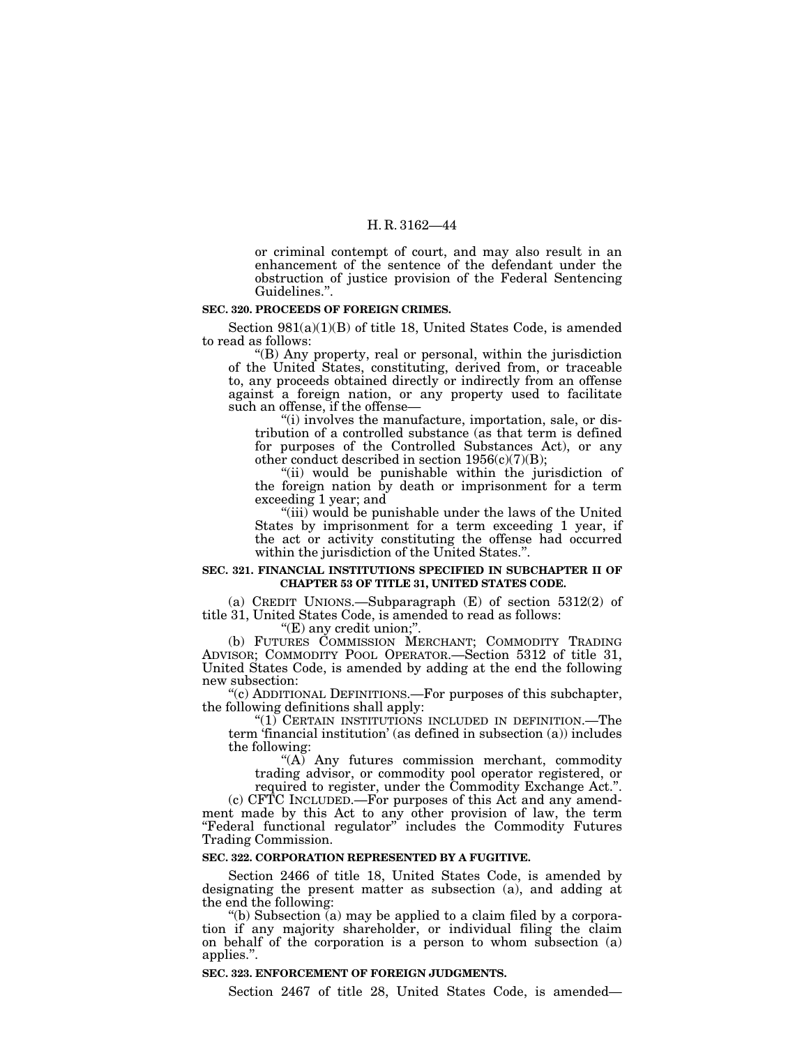or criminal contempt of court, and may also result in an enhancement of the sentence of the defendant under the obstruction of justice provision of the Federal Sentencing Guidelines.''.

#### **SEC. 320. PROCEEDS OF FOREIGN CRIMES.**

Section 981(a)(1)(B) of title 18, United States Code, is amended to read as follows:

''(B) Any property, real or personal, within the jurisdiction of the United States, constituting, derived from, or traceable to, any proceeds obtained directly or indirectly from an offense against a foreign nation, or any property used to facilitate such an offense, if the offense—

''(i) involves the manufacture, importation, sale, or distribution of a controlled substance (as that term is defined for purposes of the Controlled Substances Act), or any other conduct described in section  $1956(c)(7)(B)$ ;

"(ii) would be punishable within the jurisdiction of the foreign nation by death or imprisonment for a term exceeding 1 year; and

"(iii) would be punishable under the laws of the United States by imprisonment for a term exceeding 1 year, if the act or activity constituting the offense had occurred within the jurisdiction of the United States.''.

#### **SEC. 321. FINANCIAL INSTITUTIONS SPECIFIED IN SUBCHAPTER II OF CHAPTER 53 OF TITLE 31, UNITED STATES CODE.**

(a) CREDIT UNIONS.—Subparagraph (E) of section 5312(2) of title 31, United States Code, is amended to read as follows:

"(E) any credit union;".

(b) FUTURES COMMISSION MERCHANT; COMMODITY TRADING ADVISOR; COMMODITY POOL OPERATOR.—Section 5312 of title 31, United States Code, is amended by adding at the end the following new subsection:

''(c) ADDITIONAL DEFINITIONS.—For purposes of this subchapter, the following definitions shall apply:

" $(1)$  CERTAIN INSTITUTIONS INCLUDED IN DEFINITION.—The term 'financial institution' (as defined in subsection (a)) includes the following:

 $(A)$  Any futures commission merchant, commodity trading advisor, or commodity pool operator registered, or

required to register, under the Commodity Exchange Act.''. (c) CFTC INCLUDED.—For purposes of this Act and any amendment made by this Act to any other provision of law, the term "Federal functional regulator" includes the Commodity Futures Trading Commission.

## **SEC. 322. CORPORATION REPRESENTED BY A FUGITIVE.**

Section 2466 of title 18, United States Code, is amended by designating the present matter as subsection (a), and adding at the end the following:

''(b) Subsection (a) may be applied to a claim filed by a corporation if any majority shareholder, or individual filing the claim on behalf of the corporation is a person to whom subsection (a) applies.''.

## **SEC. 323. ENFORCEMENT OF FOREIGN JUDGMENTS.**

Section 2467 of title 28, United States Code, is amended—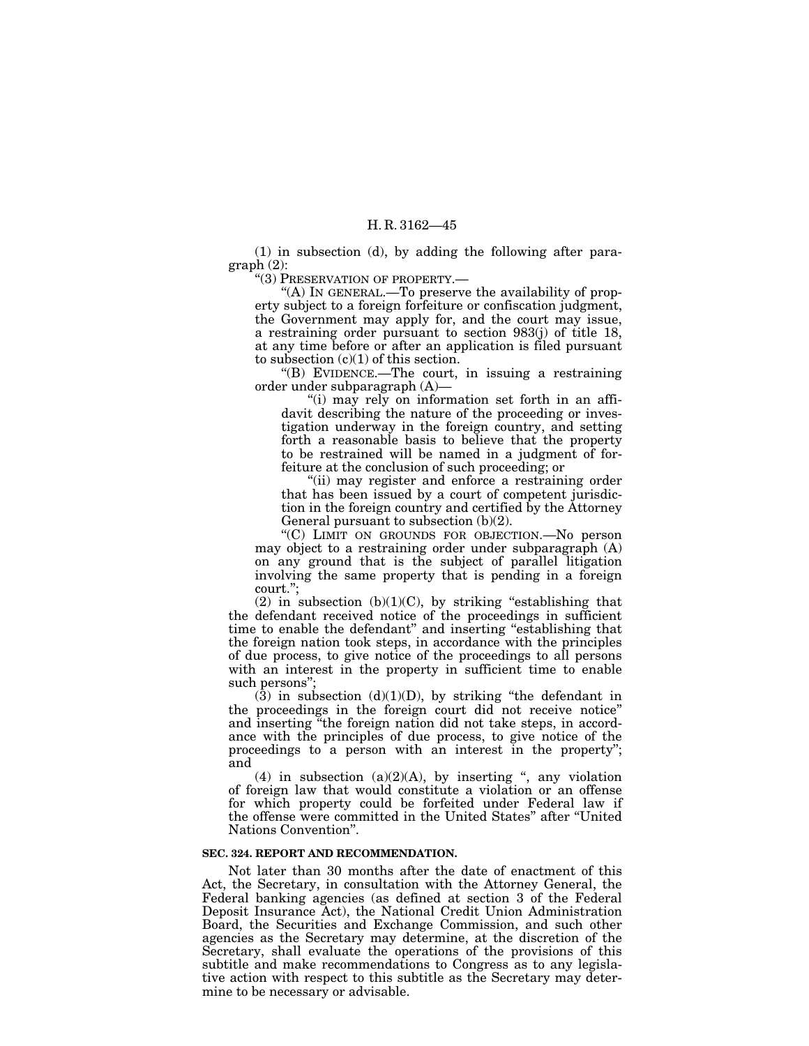(1) in subsection (d), by adding the following after paragraph (2):

''(3) PRESERVATION OF PROPERTY.—

"(A) IN GENERAL.—To preserve the availability of property subject to a foreign forfeiture or confiscation judgment, the Government may apply for, and the court may issue, a restraining order pursuant to section 983(j) of title 18, at any time before or after an application is filed pursuant to subsection  $(c)(1)$  of this section.

''(B) EVIDENCE.—The court, in issuing a restraining order under subparagraph (A)—

''(i) may rely on information set forth in an affidavit describing the nature of the proceeding or investigation underway in the foreign country, and setting forth a reasonable basis to believe that the property to be restrained will be named in a judgment of forfeiture at the conclusion of such proceeding; or

''(ii) may register and enforce a restraining order that has been issued by a court of competent jurisdiction in the foreign country and certified by the Attorney General pursuant to subsection  $(b)(2)$ .

''(C) LIMIT ON GROUNDS FOR OBJECTION.—No person may object to a restraining order under subparagraph (A) on any ground that is the subject of parallel litigation involving the same property that is pending in a foreign court.'';

(2) in subsection  $(b)(1)(C)$ , by striking "establishing that the defendant received notice of the proceedings in sufficient time to enable the defendant" and inserting "establishing that the foreign nation took steps, in accordance with the principles of due process, to give notice of the proceedings to all persons with an interest in the property in sufficient time to enable such persons'';

 $(3)$  in subsection  $(d)(1)(D)$ , by striking "the defendant in the proceedings in the foreign court did not receive notice'' and inserting ''the foreign nation did not take steps, in accordance with the principles of due process, to give notice of the proceedings to a person with an interest in the property''; and

(4) in subsection  $(a)(2)(A)$ , by inserting ", any violation of foreign law that would constitute a violation or an offense for which property could be forfeited under Federal law if the offense were committed in the United States'' after ''United Nations Convention''.

#### **SEC. 324. REPORT AND RECOMMENDATION.**

Not later than 30 months after the date of enactment of this Act, the Secretary, in consultation with the Attorney General, the Federal banking agencies (as defined at section 3 of the Federal Deposit Insurance Act), the National Credit Union Administration Board, the Securities and Exchange Commission, and such other agencies as the Secretary may determine, at the discretion of the Secretary, shall evaluate the operations of the provisions of this subtitle and make recommendations to Congress as to any legislative action with respect to this subtitle as the Secretary may determine to be necessary or advisable.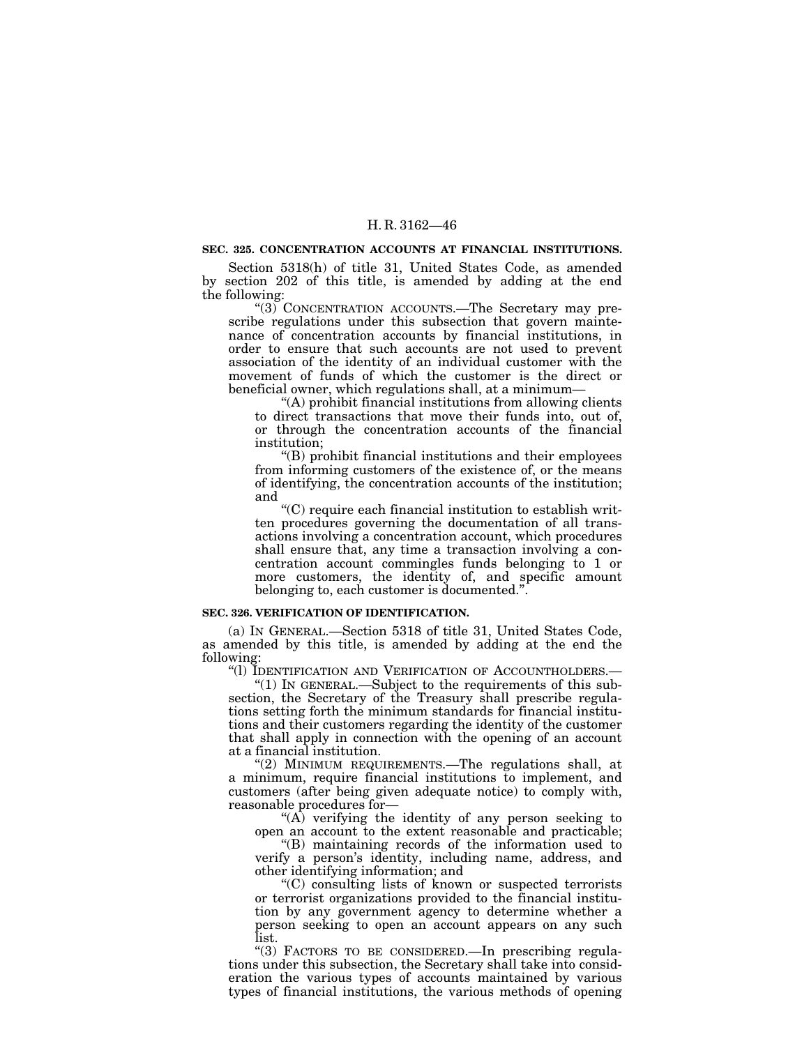## **SEC. 325. CONCENTRATION ACCOUNTS AT FINANCIAL INSTITUTIONS.**

Section 5318(h) of title 31, United States Code, as amended by section 202 of this title, is amended by adding at the end the following:

''(3) CONCENTRATION ACCOUNTS.—The Secretary may prescribe regulations under this subsection that govern maintenance of concentration accounts by financial institutions, in order to ensure that such accounts are not used to prevent association of the identity of an individual customer with the movement of funds of which the customer is the direct or beneficial owner, which regulations shall, at a minimum—

''(A) prohibit financial institutions from allowing clients to direct transactions that move their funds into, out of, or through the concentration accounts of the financial institution;

''(B) prohibit financial institutions and their employees from informing customers of the existence of, or the means of identifying, the concentration accounts of the institution; and

 $(C)$  require each financial institution to establish written procedures governing the documentation of all transactions involving a concentration account, which procedures shall ensure that, any time a transaction involving a concentration account commingles funds belonging to 1 or more customers, the identity of, and specific amount belonging to, each customer is documented.''.

#### **SEC. 326. VERIFICATION OF IDENTIFICATION.**

(a) IN GENERAL.—Section 5318 of title 31, United States Code, as amended by this title, is amended by adding at the end the following:

''(l) IDENTIFICATION AND VERIFICATION OF ACCOUNTHOLDERS.—

" $(1)$  In GENERAL.—Subject to the requirements of this subsection, the Secretary of the Treasury shall prescribe regulations setting forth the minimum standards for financial institutions and their customers regarding the identity of the customer that shall apply in connection with the opening of an account at a financial institution.

''(2) MINIMUM REQUIREMENTS.—The regulations shall, at a minimum, require financial institutions to implement, and customers (after being given adequate notice) to comply with, reasonable procedures for—

" $(A)$  verifying the identity of any person seeking to open an account to the extent reasonable and practicable;

''(B) maintaining records of the information used to verify a person's identity, including name, address, and other identifying information; and

''(C) consulting lists of known or suspected terrorists or terrorist organizations provided to the financial institution by any government agency to determine whether a person seeking to open an account appears on any such list.

''(3) FACTORS TO BE CONSIDERED.—In prescribing regulations under this subsection, the Secretary shall take into consideration the various types of accounts maintained by various types of financial institutions, the various methods of opening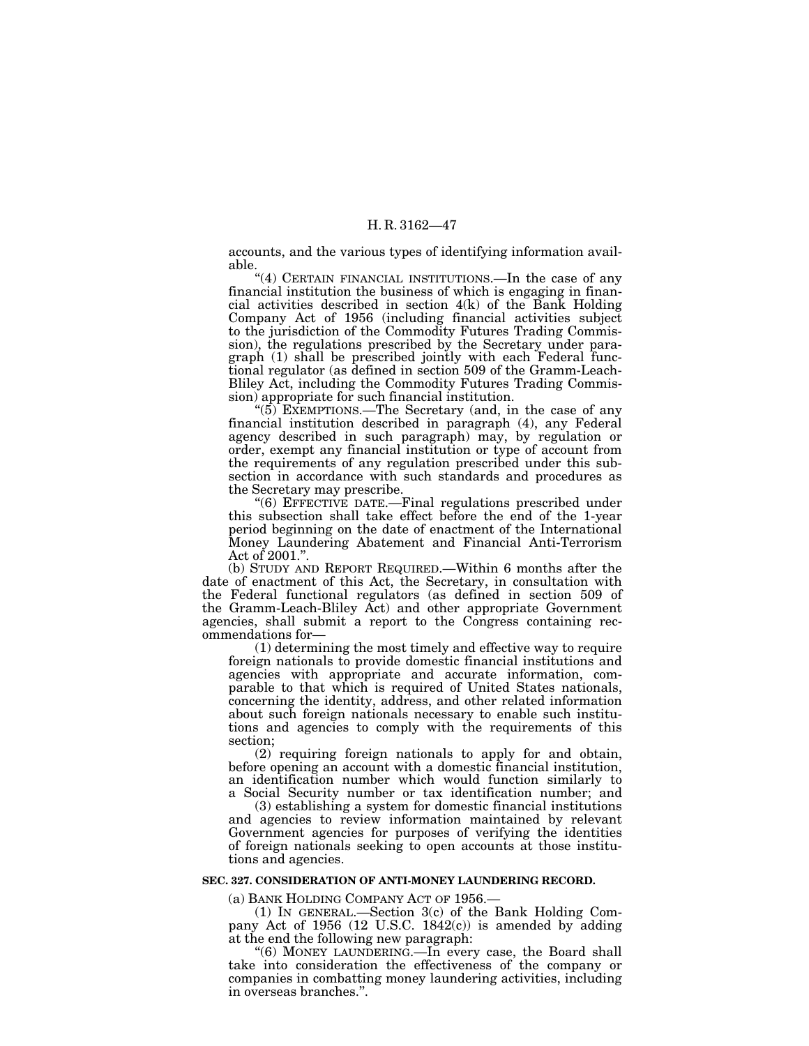accounts, and the various types of identifying information available.

"(4) CERTAIN FINANCIAL INSTITUTIONS.—In the case of any financial institution the business of which is engaging in financial activities described in section  $4(k)$  of the Bank Holding Company Act of 1956 (including financial activities subject to the jurisdiction of the Commodity Futures Trading Commission), the regulations prescribed by the Secretary under paragraph (1) shall be prescribed jointly with each Federal functional regulator (as defined in section 509 of the Gramm-Leach-Bliley Act, including the Commodity Futures Trading Commission) appropriate for such financial institution.

''(5) EXEMPTIONS.—The Secretary (and, in the case of any financial institution described in paragraph (4), any Federal agency described in such paragraph) may, by regulation or order, exempt any financial institution or type of account from the requirements of any regulation prescribed under this subsection in accordance with such standards and procedures as the Secretary may prescribe.

''(6) EFFECTIVE DATE.—Final regulations prescribed under this subsection shall take effect before the end of the 1-year period beginning on the date of enactment of the International Money Laundering Abatement and Financial Anti-Terrorism Act of 2001.''.

(b) STUDY AND REPORT REQUIRED.—Within 6 months after the date of enactment of this Act, the Secretary, in consultation with the Federal functional regulators (as defined in section 509 of the Gramm-Leach-Bliley Act) and other appropriate Government agencies, shall submit a report to the Congress containing recommendations for—

(1) determining the most timely and effective way to require foreign nationals to provide domestic financial institutions and agencies with appropriate and accurate information, comparable to that which is required of United States nationals, concerning the identity, address, and other related information about such foreign nationals necessary to enable such institutions and agencies to comply with the requirements of this section;

(2) requiring foreign nationals to apply for and obtain, before opening an account with a domestic financial institution, an identification number which would function similarly to a Social Security number or tax identification number; and

(3) establishing a system for domestic financial institutions and agencies to review information maintained by relevant Government agencies for purposes of verifying the identities of foreign nationals seeking to open accounts at those institutions and agencies.

#### **SEC. 327. CONSIDERATION OF ANTI-MONEY LAUNDERING RECORD.**

(a) BANK HOLDING COMPANY ACT OF 1956.—

(1) IN GENERAL.—Section 3(c) of the Bank Holding Company Act of 1956 (12 U.S.C. 1842(c)) is amended by adding at the end the following new paragraph:

" $(6)$  MONEY LAUNDERING.—In every case, the Board shall take into consideration the effectiveness of the company or companies in combatting money laundering activities, including in overseas branches.''.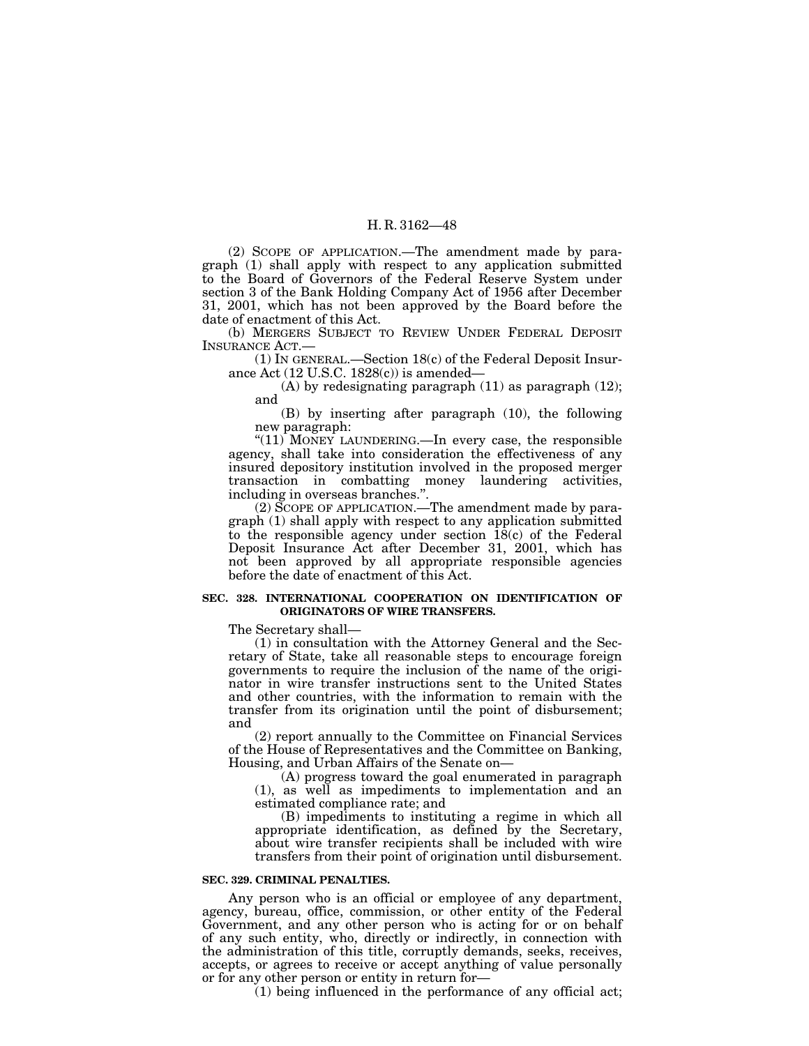(2) SCOPE OF APPLICATION.—The amendment made by paragraph (1) shall apply with respect to any application submitted to the Board of Governors of the Federal Reserve System under section 3 of the Bank Holding Company Act of 1956 after December 31, 2001, which has not been approved by the Board before the date of enactment of this Act.

(b) MERGERS SUBJECT TO REVIEW UNDER FEDERAL DEPOSIT INSURANCE ACT.—

(1) IN GENERAL.—Section 18(c) of the Federal Deposit Insurance Act (12 U.S.C. 1828(c)) is amended—

(A) by redesignating paragraph (11) as paragraph (12); and

(B) by inserting after paragraph (10), the following new paragraph:

" $(11)$  MONEY LAUNDERING.—In every case, the responsible agency, shall take into consideration the effectiveness of any insured depository institution involved in the proposed merger transaction in combatting money laundering activities, including in overseas branches.''.

(2) SCOPE OF APPLICATION.—The amendment made by paragraph (1) shall apply with respect to any application submitted to the responsible agency under section 18(c) of the Federal Deposit Insurance Act after December 31, 2001, which has not been approved by all appropriate responsible agencies before the date of enactment of this Act.

## **SEC. 328. INTERNATIONAL COOPERATION ON IDENTIFICATION OF ORIGINATORS OF WIRE TRANSFERS.**

The Secretary shall—

(1) in consultation with the Attorney General and the Secretary of State, take all reasonable steps to encourage foreign governments to require the inclusion of the name of the originator in wire transfer instructions sent to the United States and other countries, with the information to remain with the transfer from its origination until the point of disbursement; and

(2) report annually to the Committee on Financial Services of the House of Representatives and the Committee on Banking, Housing, and Urban Affairs of the Senate on—

(A) progress toward the goal enumerated in paragraph (1), as well as impediments to implementation and an estimated compliance rate; and

(B) impediments to instituting a regime in which all appropriate identification, as defined by the Secretary, about wire transfer recipients shall be included with wire transfers from their point of origination until disbursement.

## **SEC. 329. CRIMINAL PENALTIES.**

Any person who is an official or employee of any department, agency, bureau, office, commission, or other entity of the Federal Government, and any other person who is acting for or on behalf of any such entity, who, directly or indirectly, in connection with the administration of this title, corruptly demands, seeks, receives, accepts, or agrees to receive or accept anything of value personally or for any other person or entity in return for—

(1) being influenced in the performance of any official act;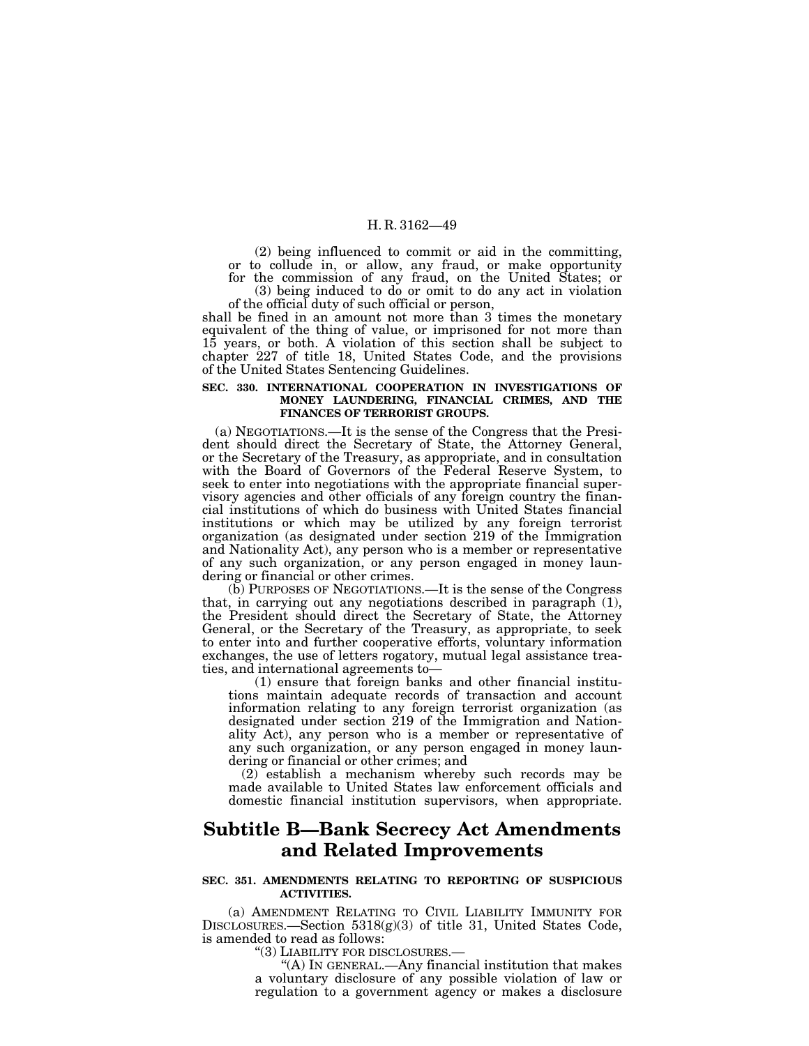(2) being influenced to commit or aid in the committing, or to collude in, or allow, any fraud, or make opportunity for the commission of any fraud, on the United States; or

(3) being induced to do or omit to do any act in violation of the official duty of such official or person,

shall be fined in an amount not more than 3 times the monetary equivalent of the thing of value, or imprisoned for not more than 15 years, or both. A violation of this section shall be subject to chapter 227 of title 18, United States Code, and the provisions of the United States Sentencing Guidelines.

#### **SEC. 330. INTERNATIONAL COOPERATION IN INVESTIGATIONS OF MONEY LAUNDERING, FINANCIAL CRIMES, AND THE FINANCES OF TERRORIST GROUPS.**

(a) NEGOTIATIONS.—It is the sense of the Congress that the President should direct the Secretary of State, the Attorney General, or the Secretary of the Treasury, as appropriate, and in consultation with the Board of Governors of the Federal Reserve System, to seek to enter into negotiations with the appropriate financial supervisory agencies and other officials of any foreign country the financial institutions of which do business with United States financial institutions or which may be utilized by any foreign terrorist organization (as designated under section 219 of the Immigration and Nationality Act), any person who is a member or representative of any such organization, or any person engaged in money laundering or financial or other crimes.

(b) PURPOSES OF NEGOTIATIONS.—It is the sense of the Congress that, in carrying out any negotiations described in paragraph (1), the President should direct the Secretary of State, the Attorney General, or the Secretary of the Treasury, as appropriate, to seek to enter into and further cooperative efforts, voluntary information exchanges, the use of letters rogatory, mutual legal assistance treaties, and international agreements to—

(1) ensure that foreign banks and other financial institutions maintain adequate records of transaction and account information relating to any foreign terrorist organization (as designated under section 219 of the Immigration and Nationality Act), any person who is a member or representative of any such organization, or any person engaged in money laundering or financial or other crimes; and

(2) establish a mechanism whereby such records may be made available to United States law enforcement officials and domestic financial institution supervisors, when appropriate.

# **Subtitle B—Bank Secrecy Act Amendments and Related Improvements**

## **SEC. 351. AMENDMENTS RELATING TO REPORTING OF SUSPICIOUS ACTIVITIES.**

(a) AMENDMENT RELATING TO CIVIL LIABILITY IMMUNITY FOR DISCLOSURES.—Section 5318(g)(3) of title 31, United States Code, is amended to read as follows:<br>"(3) LIABILITY FOR DISCLOSURES.—

 $H(A)$  In GENERAL.—Any financial institution that makes a voluntary disclosure of any possible violation of law or regulation to a government agency or makes a disclosure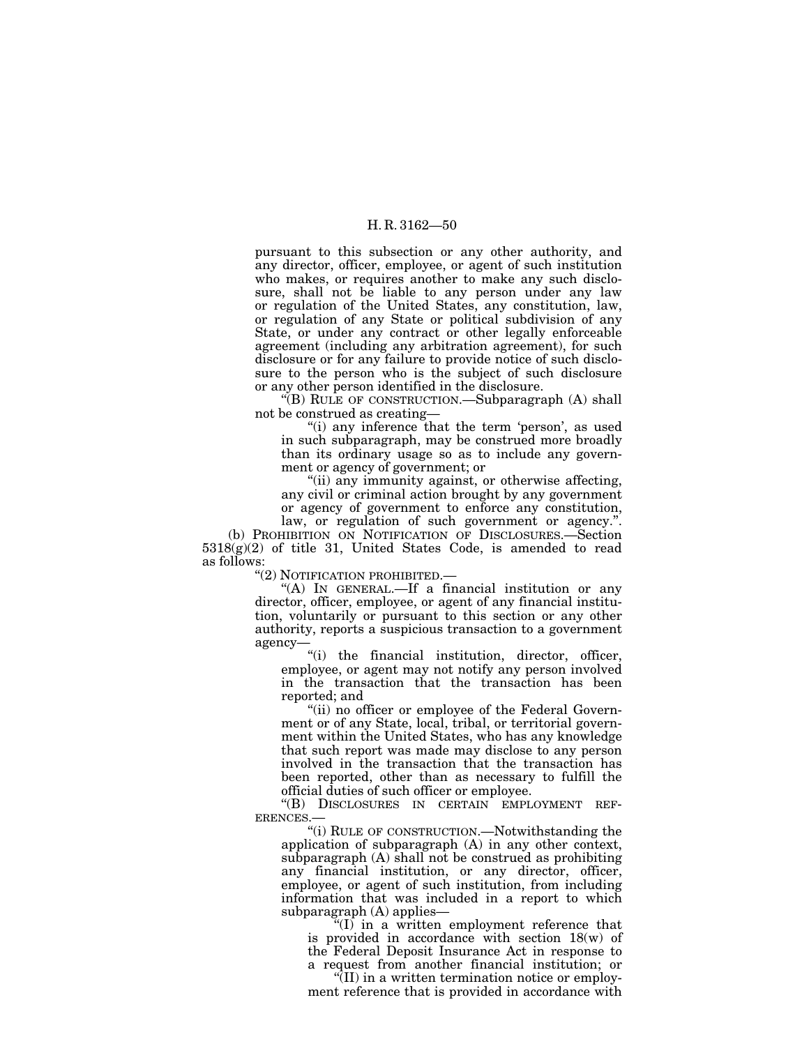pursuant to this subsection or any other authority, and any director, officer, employee, or agent of such institution who makes, or requires another to make any such disclosure, shall not be liable to any person under any law or regulation of the United States, any constitution, law, or regulation of any State or political subdivision of any State, or under any contract or other legally enforceable agreement (including any arbitration agreement), for such disclosure or for any failure to provide notice of such disclosure to the person who is the subject of such disclosure or any other person identified in the disclosure.

''(B) RULE OF CONSTRUCTION.—Subparagraph (A) shall not be construed as creating—

"(i) any inference that the term 'person', as used in such subparagraph, may be construed more broadly than its ordinary usage so as to include any government or agency of government; or

''(ii) any immunity against, or otherwise affecting, any civil or criminal action brought by any government or agency of government to enforce any constitution,

law, or regulation of such government or agency.''. (b) PROHIBITION ON NOTIFICATION OF DISCLOSURES.—Section 5318(g)(2) of title 31, United States Code, is amended to read as follows:

''(2) NOTIFICATION PROHIBITED.—

''(A) IN GENERAL.—If a financial institution or any director, officer, employee, or agent of any financial institution, voluntarily or pursuant to this section or any other authority, reports a suspicious transaction to a government agency—

''(i) the financial institution, director, officer, employee, or agent may not notify any person involved in the transaction that the transaction has been reported; and

"(ii) no officer or employee of the Federal Government or of any State, local, tribal, or territorial government within the United States, who has any knowledge that such report was made may disclose to any person involved in the transaction that the transaction has been reported, other than as necessary to fulfill the official duties of such officer or employee.

''(B) DISCLOSURES IN CERTAIN EMPLOYMENT REF-ERENCES.—

''(i) RULE OF CONSTRUCTION.—Notwithstanding the application of subparagraph (A) in any other context, subparagraph (A) shall not be construed as prohibiting any financial institution, or any director, officer, employee, or agent of such institution, from including information that was included in a report to which subparagraph (A) applies—

 $\sqrt[4]{(I)}$  in a written employment reference that is provided in accordance with section 18(w) of the Federal Deposit Insurance Act in response to a request from another financial institution; or

 $\sqrt{\text{III}}$  in a written termination notice or employment reference that is provided in accordance with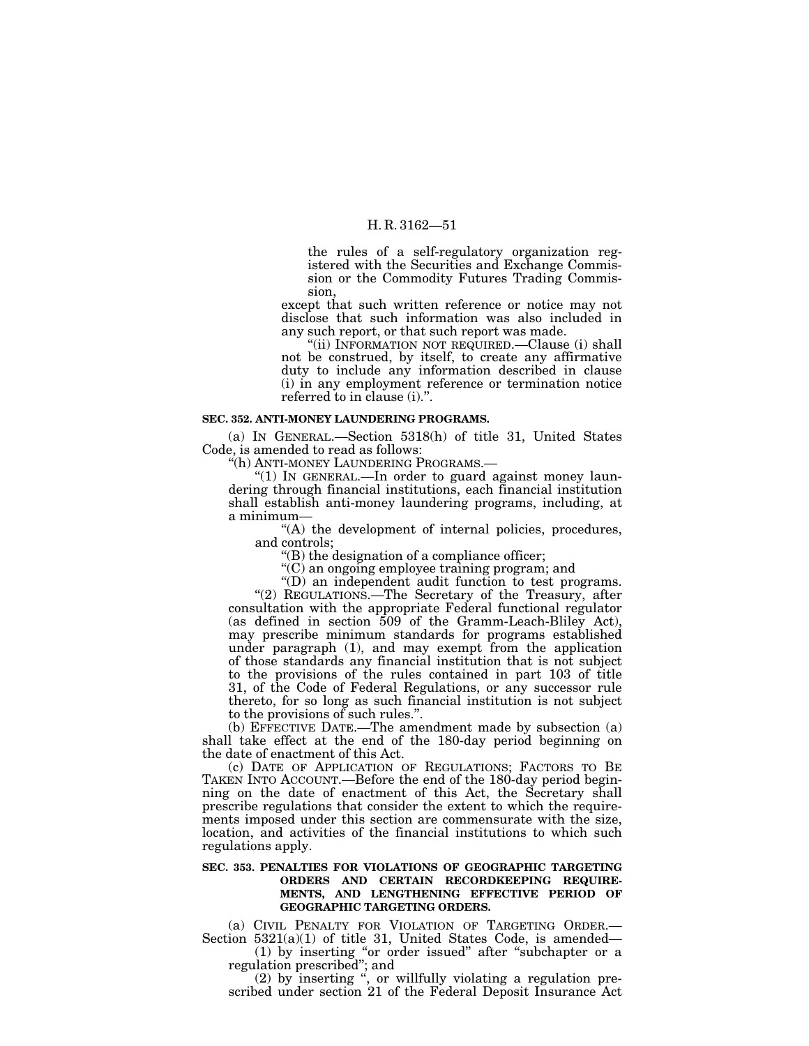the rules of a self-regulatory organization registered with the Securities and Exchange Commission or the Commodity Futures Trading Commission,

except that such written reference or notice may not disclose that such information was also included in any such report, or that such report was made.

''(ii) INFORMATION NOT REQUIRED.—Clause (i) shall not be construed, by itself, to create any affirmative duty to include any information described in clause (i) in any employment reference or termination notice referred to in clause (i).''.

#### **SEC. 352. ANTI-MONEY LAUNDERING PROGRAMS.**

(a) IN GENERAL.—Section 5318(h) of title 31, United States Code, is amended to read as follows:

''(h) ANTI-MONEY LAUNDERING PROGRAMS.—

" $(1)$  In GENERAL.—In order to guard against money laundering through financial institutions, each financial institution shall establish anti-money laundering programs, including, at a minimum—

''(A) the development of internal policies, procedures, and controls;

''(B) the designation of a compliance officer;

''(C) an ongoing employee training program; and

''(D) an independent audit function to test programs. "(2) REGULATIONS.—The Secretary of the Treasury, after consultation with the appropriate Federal functional regulator (as defined in section 509 of the Gramm-Leach-Bliley Act), may prescribe minimum standards for programs established under paragraph (1), and may exempt from the application of those standards any financial institution that is not subject to the provisions of the rules contained in part 103 of title 31, of the Code of Federal Regulations, or any successor rule thereto, for so long as such financial institution is not subject to the provisions of such rules.''.

(b) EFFECTIVE DATE.—The amendment made by subsection (a) shall take effect at the end of the 180-day period beginning on the date of enactment of this Act.

(c) DATE OF APPLICATION OF REGULATIONS; FACTORS TO BE TAKEN INTO ACCOUNT.—Before the end of the 180-day period beginning on the date of enactment of this Act, the Secretary shall prescribe regulations that consider the extent to which the requirements imposed under this section are commensurate with the size, location, and activities of the financial institutions to which such regulations apply.

#### **SEC. 353. PENALTIES FOR VIOLATIONS OF GEOGRAPHIC TARGETING ORDERS AND CERTAIN RECORDKEEPING REQUIRE-MENTS, AND LENGTHENING EFFECTIVE PERIOD OF GEOGRAPHIC TARGETING ORDERS.**

(a) CIVIL PENALTY FOR VIOLATION OF TARGETING ORDER.— Section 5321(a)(1) of title 31, United States Code, is amended— (1) by inserting "or order issued" after "subchapter or a

regulation prescribed''; and

(2) by inserting ", or willfully violating a regulation prescribed under section 21 of the Federal Deposit Insurance Act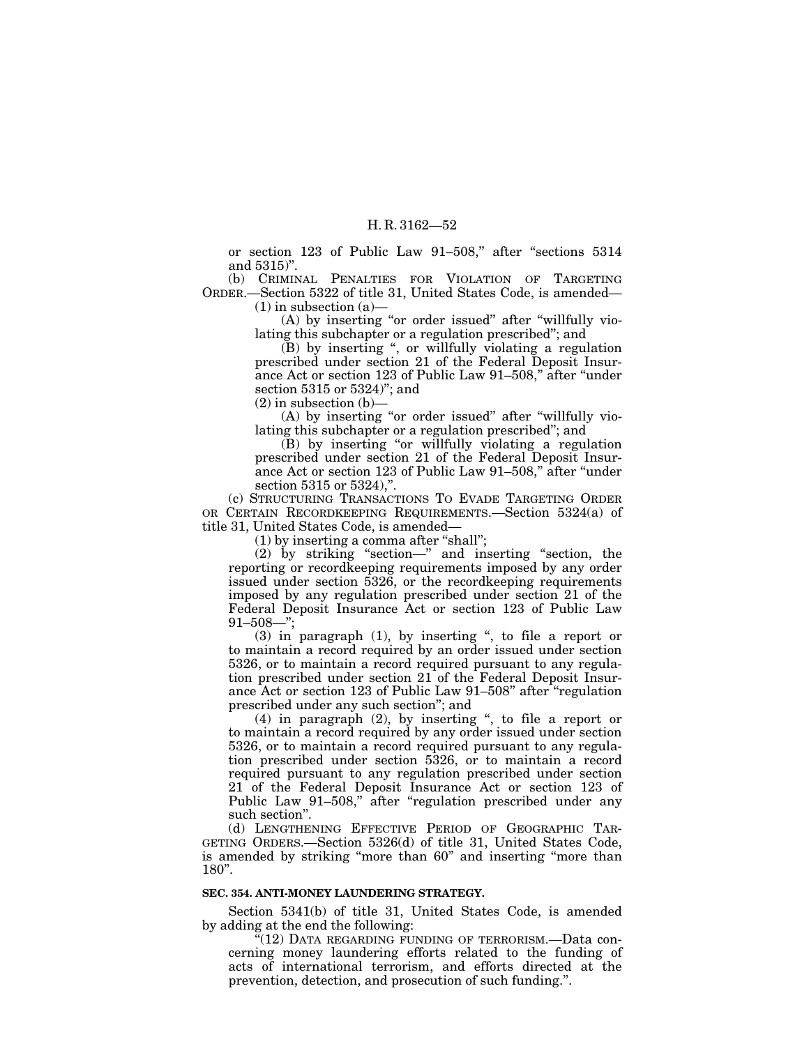or section 123 of Public Law 91–508," after "sections 5314 and 5315)''.

(b) CRIMINAL PENALTIES FOR VIOLATION OF TARGETING ORDER.—Section 5322 of title 31, United States Code, is amended—

 $(1)$  in subsection  $(a)$ —

(A) by inserting "or order issued" after "willfully violating this subchapter or a regulation prescribed''; and

(B) by inserting '', or willfully violating a regulation prescribed under section 21 of the Federal Deposit Insurance Act or section 123 of Public Law 91–508,'' after ''under section 5315 or 5324)''; and

 $(2)$  in subsection  $(b)$ –

(A) by inserting "or order issued" after "willfully violating this subchapter or a regulation prescribed''; and

(B) by inserting ''or willfully violating a regulation prescribed under section 21 of the Federal Deposit Insurance Act or section 123 of Public Law 91–508,'' after ''under section 5315 or 5324),".

(c) STRUCTURING TRANSACTIONS TO EVADE TARGETING ORDER OR CERTAIN RECORDKEEPING REQUIREMENTS.—Section 5324(a) of title 31, United States Code, is amended—

(1) by inserting a comma after ''shall'';

(2) by striking ''section—'' and inserting ''section, the reporting or recordkeeping requirements imposed by any order issued under section 5326, or the recordkeeping requirements imposed by any regulation prescribed under section 21 of the Federal Deposit Insurance Act or section 123 of Public Law 91–508—'';

 $(3)$  in paragraph  $(1)$ , by inserting ", to file a report or to maintain a record required by an order issued under section 5326, or to maintain a record required pursuant to any regulation prescribed under section 21 of the Federal Deposit Insurance Act or section 123 of Public Law 91–508'' after ''regulation prescribed under any such section''; and

(4) in paragraph (2), by inserting '', to file a report or to maintain a record required by any order issued under section 5326, or to maintain a record required pursuant to any regulation prescribed under section 5326, or to maintain a record required pursuant to any regulation prescribed under section 21 of the Federal Deposit Insurance Act or section 123 of Public Law 91–508,'' after ''regulation prescribed under any such section''.

(d) LENGTHENING EFFECTIVE PERIOD OF GEOGRAPHIC TAR-GETING ORDERS.—Section 5326(d) of title 31, United States Code, is amended by striking "more than 60" and inserting "more than 180''.

## **SEC. 354. ANTI-MONEY LAUNDERING STRATEGY.**

Section 5341(b) of title 31, United States Code, is amended by adding at the end the following:

 $F(12)$  DATA REGARDING FUNDING OF TERRORISM.—Data concerning money laundering efforts related to the funding of acts of international terrorism, and efforts directed at the prevention, detection, and prosecution of such funding.''.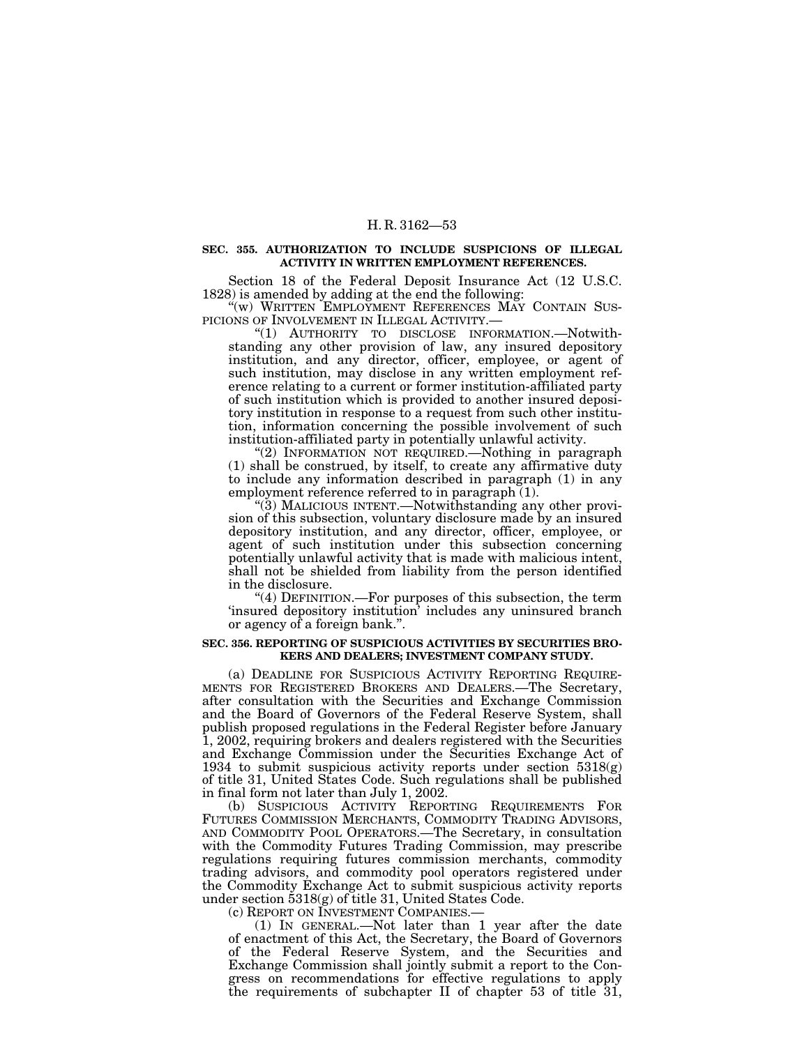## **SEC. 355. AUTHORIZATION TO INCLUDE SUSPICIONS OF ILLEGAL ACTIVITY IN WRITTEN EMPLOYMENT REFERENCES.**

Section 18 of the Federal Deposit Insurance Act (12 U.S.C. 1828) is amended by adding at the end the following:

"(w) WRITTEN EMPLOYMENT REFERENCES MAY CONTAIN SUSPICIONS OF INVOLVEMENT IN ILLEGAL ACTIVITY.—

"(1) AUTHORITY TO DISCLOSE INFORMATION.—Notwithstanding any other provision of law, any insured depository institution, and any director, officer, employee, or agent of such institution, may disclose in any written employment reference relating to a current or former institution-affiliated party of such institution which is provided to another insured depository institution in response to a request from such other institution, information concerning the possible involvement of such institution-affiliated party in potentially unlawful activity.

institution-affiliated party in potentially unlawful activity. ''(2) INFORMATION NOT REQUIRED.—Nothing in paragraph (1) shall be construed, by itself, to create any affirmative duty to include any information described in paragraph (1) in any employment reference referred to in paragraph  $(1)$ .

''(3) MALICIOUS INTENT.—Notwithstanding any other provision of this subsection, voluntary disclosure made by an insured depository institution, and any director, officer, employee, or agent of such institution under this subsection concerning potentially unlawful activity that is made with malicious intent, shall not be shielded from liability from the person identified in the disclosure.

 $\mathcal{F}(4)$  DEFINITION.—For purposes of this subsection, the term 'insured depository institution' includes any uninsured branch or agency of a foreign bank.''.

#### **SEC. 356. REPORTING OF SUSPICIOUS ACTIVITIES BY SECURITIES BRO-KERS AND DEALERS; INVESTMENT COMPANY STUDY.**

(a) DEADLINE FOR SUSPICIOUS ACTIVITY REPORTING REQUIRE-MENTS FOR REGISTERED BROKERS AND DEALERS.—The Secretary, after consultation with the Securities and Exchange Commission and the Board of Governors of the Federal Reserve System, shall publish proposed regulations in the Federal Register before January 1, 2002, requiring brokers and dealers registered with the Securities and Exchange Commission under the Securities Exchange Act of 1934 to submit suspicious activity reports under section 5318(g) of title 31, United States Code. Such regulations shall be published in final form not later than July 1, 2002.

(b) SUSPICIOUS ACTIVITY REPORTING REQUIREMENTS FOR FUTURES COMMISSION MERCHANTS, COMMODITY TRADING ADVISORS, AND COMMODITY POOL OPERATORS.—The Secretary, in consultation with the Commodity Futures Trading Commission, may prescribe regulations requiring futures commission merchants, commodity trading advisors, and commodity pool operators registered under the Commodity Exchange Act to submit suspicious activity reports under section 5318(g) of title 31, United States Code.<br>(c) REPORT ON INVESTMENT COMPANIES.—

 $(1)$  In GENERAL.—Not later than 1 year after the date of enactment of this Act, the Secretary, the Board of Governors of the Federal Reserve System, and the Securities and Exchange Commission shall jointly submit a report to the Congress on recommendations for effective regulations to apply the requirements of subchapter II of chapter 53 of title  $31$ ,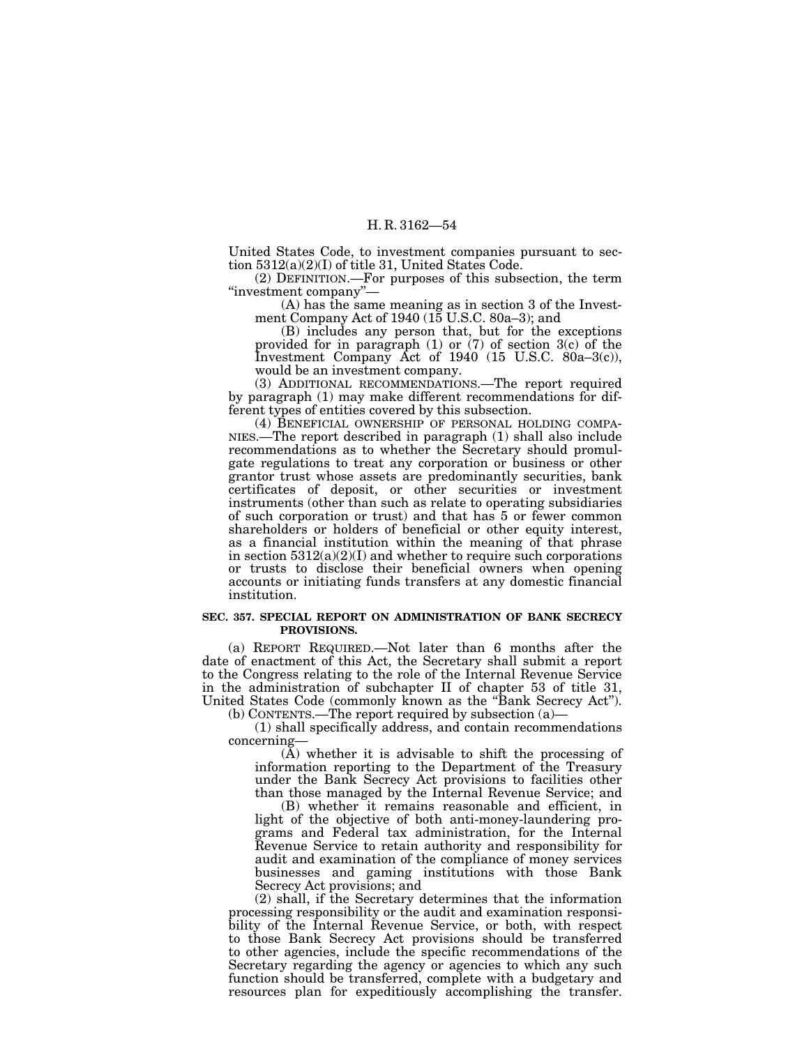United States Code, to investment companies pursuant to section 5312(a)(2)(I) of title 31, United States Code.

 $(2)$  DEFINITION.—For purposes of this subsection, the term ''investment company''—

(A) has the same meaning as in section 3 of the Investment Company Act of 1940 (15 U.S.C. 80a–3); and

(B) includes any person that, but for the exceptions provided for in paragraph  $(1)$  or  $(7)$  of section  $3(c)$  of the Investment Company Act of  $1940$  (15 U.S.C. 80a–3(c)), would be an investment company.

(3) ADDITIONAL RECOMMENDATIONS.—The report required by paragraph (1) may make different recommendations for different types of entities covered by this subsection.

(4) BENEFICIAL OWNERSHIP OF PERSONAL HOLDING COMPA-NIES.—The report described in paragraph (1) shall also include recommendations as to whether the Secretary should promulgate regulations to treat any corporation or business or other grantor trust whose assets are predominantly securities, bank certificates of deposit, or other securities or investment instruments (other than such as relate to operating subsidiaries of such corporation or trust) and that has 5 or fewer common shareholders or holders of beneficial or other equity interest, as a financial institution within the meaning of that phrase in section  $5312(a)(2)(I)$  and whether to require such corporations or trusts to disclose their beneficial owners when opening accounts or initiating funds transfers at any domestic financial institution.

#### **SEC. 357. SPECIAL REPORT ON ADMINISTRATION OF BANK SECRECY PROVISIONS.**

(a) REPORT REQUIRED.—Not later than 6 months after the date of enactment of this Act, the Secretary shall submit a report to the Congress relating to the role of the Internal Revenue Service in the administration of subchapter II of chapter 53 of title 31, United States Code (commonly known as the ''Bank Secrecy Act''). (b) CONTENTS.—The report required by subsection (a)—

(1) shall specifically address, and contain recommendations concerning—

 $(\overline{A})$  whether it is advisable to shift the processing of information reporting to the Department of the Treasury under the Bank Secrecy Act provisions to facilities other than those managed by the Internal Revenue Service; and

(B) whether it remains reasonable and efficient, in light of the objective of both anti-money-laundering programs and Federal tax administration, for the Internal Revenue Service to retain authority and responsibility for audit and examination of the compliance of money services businesses and gaming institutions with those Bank Secrecy Act provisions; and

(2) shall, if the Secretary determines that the information processing responsibility or the audit and examination responsibility of the Internal Revenue Service, or both, with respect to those Bank Secrecy Act provisions should be transferred to other agencies, include the specific recommendations of the Secretary regarding the agency or agencies to which any such function should be transferred, complete with a budgetary and resources plan for expeditiously accomplishing the transfer.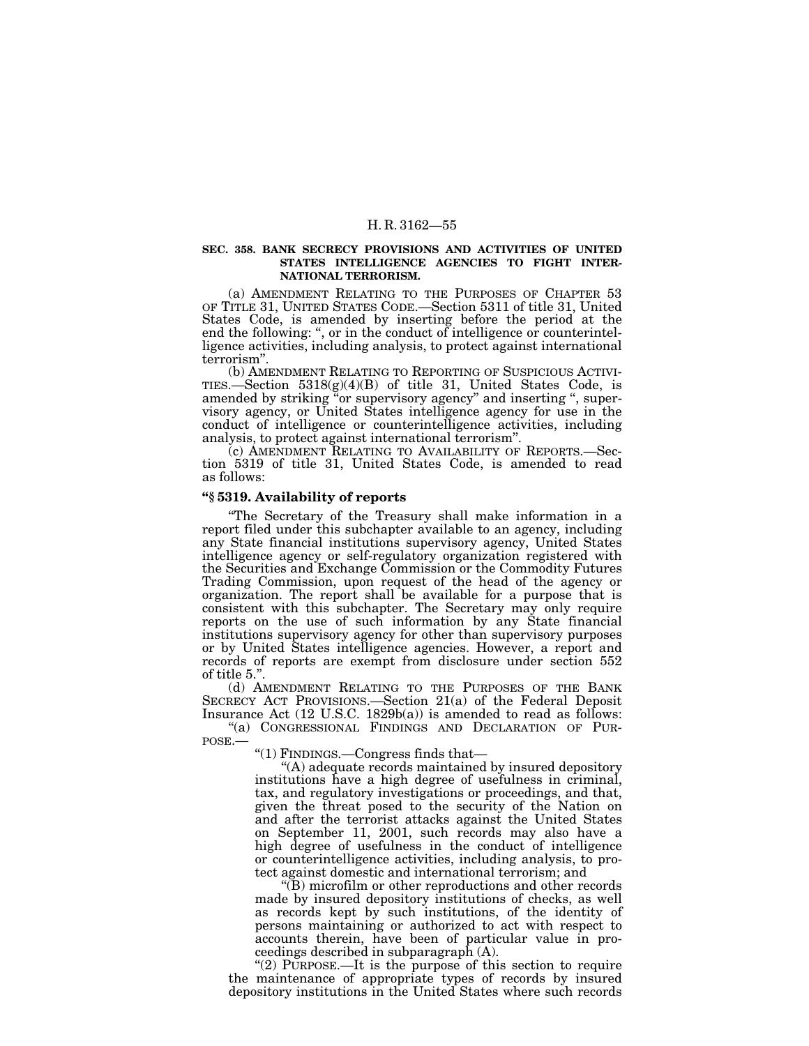#### **SEC. 358. BANK SECRECY PROVISIONS AND ACTIVITIES OF UNITED STATES INTELLIGENCE AGENCIES TO FIGHT INTER-NATIONAL TERRORISM.**

(a) AMENDMENT RELATING TO THE PURPOSES OF CHAPTER 53 OF TITLE 31, UNITED STATES CODE.—Section 5311 of title 31, United States Code, is amended by inserting before the period at the end the following: '', or in the conduct of intelligence or counterintelligence activities, including analysis, to protect against international

terrorism''. (b) AMENDMENT RELATING TO REPORTING OF SUSPICIOUS ACTIVI- TIES.—Section 5318(g)(4)(B) of title 31, United States Code, is amended by striking "or supervisory agency" and inserting ", supervisory agency, or United States intelligence agency for use in the conduct of intelligence or counterintelligence activities, including analysis, to protect against international terrorism''.

(c) AMENDMENT RELATING TO AVAILABILITY OF REPORTS.—Section 5319 of title 31, United States Code, is amended to read as follows:

## **''§ 5319. Availability of reports**

''The Secretary of the Treasury shall make information in a report filed under this subchapter available to an agency, including any State financial institutions supervisory agency, United States intelligence agency or self-regulatory organization registered with the Securities and Exchange Commission or the Commodity Futures Trading Commission, upon request of the head of the agency or organization. The report shall be available for a purpose that is consistent with this subchapter. The Secretary may only require reports on the use of such information by any State financial institutions supervisory agency for other than supervisory purposes or by United States intelligence agencies. However, a report and records of reports are exempt from disclosure under section 552 of title 5.''.

(d) AMENDMENT RELATING TO THE PURPOSES OF THE BANK SECRECY ACT PROVISIONS.—Section 21(a) of the Federal Deposit Insurance Act  $(12 \text{ U.S.C. } 1829b(a))$  is amended to read as follows:

''(a) CONGRESSIONAL FINDINGS AND DECLARATION OF PUR-POSE.—

''(1) FINDINGS.—Congress finds that—

''(A) adequate records maintained by insured depository institutions have a high degree of usefulness in criminal, tax, and regulatory investigations or proceedings, and that, given the threat posed to the security of the Nation on and after the terrorist attacks against the United States on September 11, 2001, such records may also have a high degree of usefulness in the conduct of intelligence or counterintelligence activities, including analysis, to protect against domestic and international terrorism; and

 $\widetilde{B}$ ) microfilm or other reproductions and other records made by insured depository institutions of checks, as well as records kept by such institutions, of the identity of persons maintaining or authorized to act with respect to accounts therein, have been of particular value in proceedings described in subparagraph (A).

"(2) PURPOSE.—It is the purpose of this section to require the maintenance of appropriate types of records by insured depository institutions in the United States where such records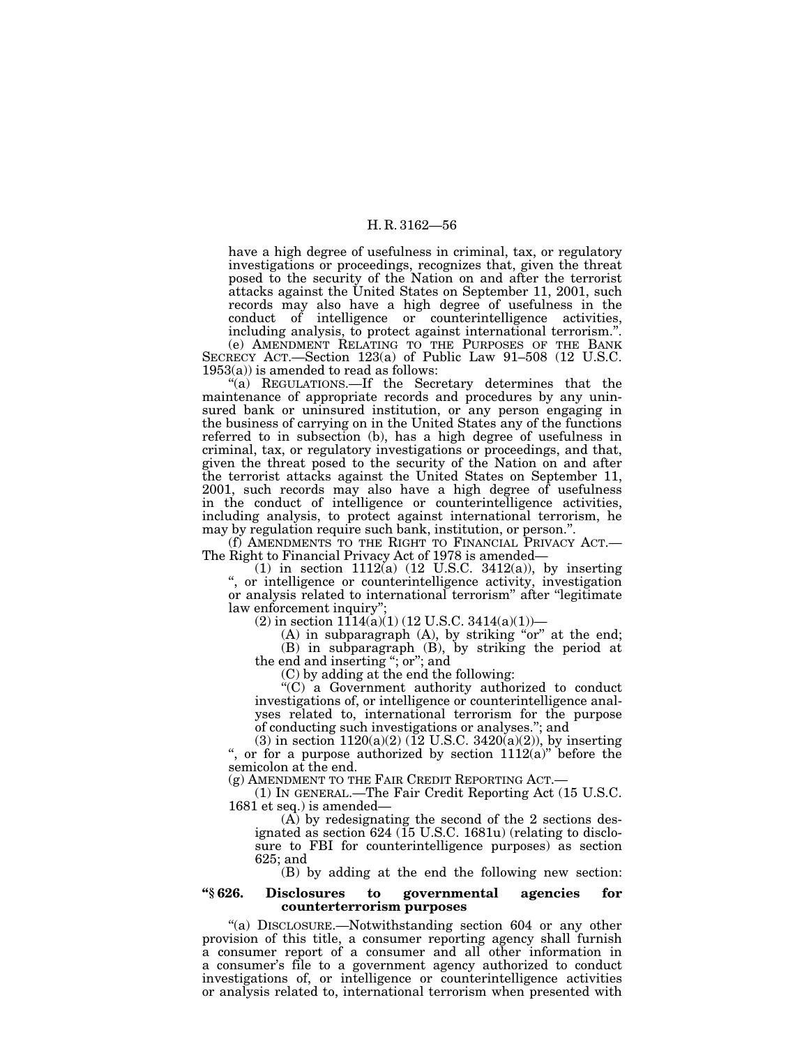have a high degree of usefulness in criminal, tax, or regulatory investigations or proceedings, recognizes that, given the threat posed to the security of the Nation on and after the terrorist attacks against the United States on September 11, 2001, such records may also have a high degree of usefulness in the conduct of intelligence or counterintelligence activities, including analysis, to protect against international terrorism.''. (e) AMENDMENT RELATING TO THE PURPOSES OF THE BANK SECRECY ACT.—Section  $123(a)$  of Public Law 91-508 (12 U.S.C. 1953(a)) is amended to read as follows:

"(a) REGULATIONS.—If the Secretary determines that the maintenance of appropriate records and procedures by any uninsured bank or uninsured institution, or any person engaging in the business of carrying on in the United States any of the functions referred to in subsection (b), has a high degree of usefulness in criminal, tax, or regulatory investigations or proceedings, and that, given the threat posed to the security of the Nation on and after the terrorist attacks against the United States on September 11, 2001, such records may also have a high degree of usefulness in the conduct of intelligence or counterintelligence activities, including analysis, to protect against international terrorism, he may by regulation require such bank, institution, or person.''.

(f) AMENDMENTS TO THE RIGHT TO FINANCIAL PRIVACY ACT.— The Right to Financial Privacy Act of 1978 is amended—

(1) in section  $1112(a)$  (12 U.S.C. 3412(a)), by inserting '', or intelligence or counterintelligence activity, investigation or analysis related to international terrorism'' after ''legitimate law enforcement inquiry"

(2) in section  $1114(a)(1)(12$  U.S.C.  $3414(a)(1)$ —

(A) in subparagraph (A), by striking "or" at the end;

(B) in subparagraph (B), by striking the period at the end and inserting ''; or''; and

(C) by adding at the end the following:

''(C) a Government authority authorized to conduct investigations of, or intelligence or counterintelligence analyses related to, international terrorism for the purpose of conducting such investigations or analyses.''; and

(3) in section  $1120(a)(2)$  (12 U.S.C.  $3420(a)(2)$ ), by inserting ", or for a purpose authorized by section  $1112(a)$ " before the semicolon at the end.

(g) AMENDMENT TO THE FAIR CREDIT REPORTING ACT.—

(1) IN GENERAL.—The Fair Credit Reporting Act (15 U.S.C. 1681 et seq.) is amended—

(A) by redesignating the second of the 2 sections designated as section 624 (15 U.S.C. 1681u) (relating to disclosure to FBI for counterintelligence purposes) as section 625; and

(B) by adding at the end the following new section:

## **''§ 626. Disclosures to governmental agencies for counterterrorism purposes**

''(a) DISCLOSURE.—Notwithstanding section 604 or any other provision of this title, a consumer reporting agency shall furnish a consumer report of a consumer and all other information in a consumer's file to a government agency authorized to conduct investigations of, or intelligence or counterintelligence activities or analysis related to, international terrorism when presented with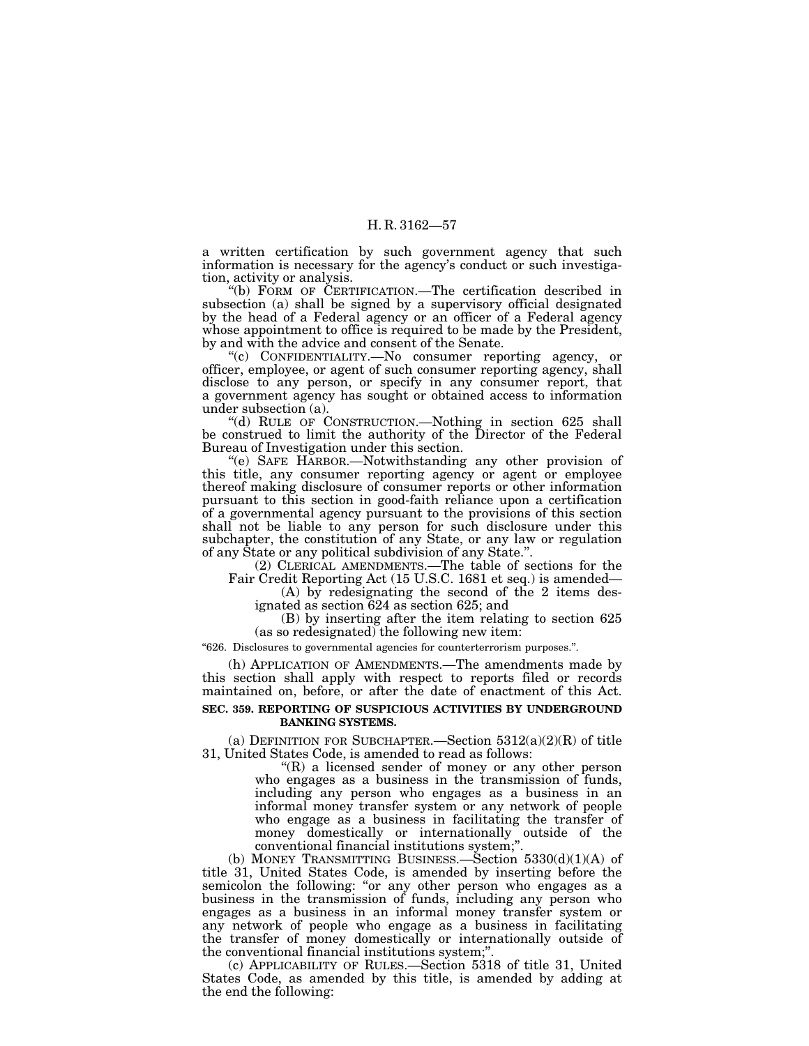a written certification by such government agency that such information is necessary for the agency's conduct or such investiga-

tion, activity or analysis. ''(b) FORM OF CERTIFICATION.—The certification described in subsection (a) shall be signed by a supervisory official designated by the head of a Federal agency or an officer of a Federal agency whose appointment to office is required to be made by the President, by and with the advice and consent of the Senate.

"(c) CONFIDENTIALITY.—No consumer reporting agency, or officer, employee, or agent of such consumer reporting agency, shall disclose to any person, or specify in any consumer report, that a government agency has sought or obtained access to information

"(d) RULE OF CONSTRUCTION.—Nothing in section 625 shall be construed to limit the authority of the Director of the Federal

"(e) SAFE HARBOR.—Notwithstanding any other provision of this title, any consumer reporting agency or agent or employee thereof making disclosure of consumer reports or other information pursuant to this section in good-faith reliance upon a certification of a governmental agency pursuant to the provisions of this section shall not be liable to any person for such disclosure under this subchapter, the constitution of any State, or any law or regulation of any State or any political subdivision of any State.".

(2) CLERICAL AMENDMENTS.—The table of sections for the Fair Credit Reporting Act (15 U.S.C. 1681 et seq.) is amended—

(A) by redesignating the second of the 2 items designated as section 624 as section 625; and

(B) by inserting after the item relating to section 625 (as so redesignated) the following new item:

"626. Disclosures to governmental agencies for counterterrorism purposes.".

(h) APPLICATION OF AMENDMENTS.—The amendments made by this section shall apply with respect to reports filed or records maintained on, before, or after the date of enactment of this Act.

#### **SEC. 359. REPORTING OF SUSPICIOUS ACTIVITIES BY UNDERGROUND BANKING SYSTEMS.**

(a) DEFINITION FOR SUBCHAPTER. Section  $5312(a)(2)(R)$  of title 31, United States Code, is amended to read as follows:

"(R) a licensed sender of money or any other person who engages as a business in the transmission of funds, including any person who engages as a business in an informal money transfer system or any network of people who engage as a business in facilitating the transfer of money domestically or internationally outside of the conventional financial institutions system;''.

(b) MONEY TRANSMITTING BUSINESS.—Section  $5330(d)(1)(A)$  of title 31, United States Code, is amended by inserting before the semicolon the following: "or any other person who engages as a business in the transmission of funds, including any person who engages as a business in an informal money transfer system or any network of people who engage as a business in facilitating the transfer of money domestically or internationally outside of the conventional financial institutions system;''.

(c) APPLICABILITY OF RULES.—Section 5318 of title 31, United States Code, as amended by this title, is amended by adding at the end the following: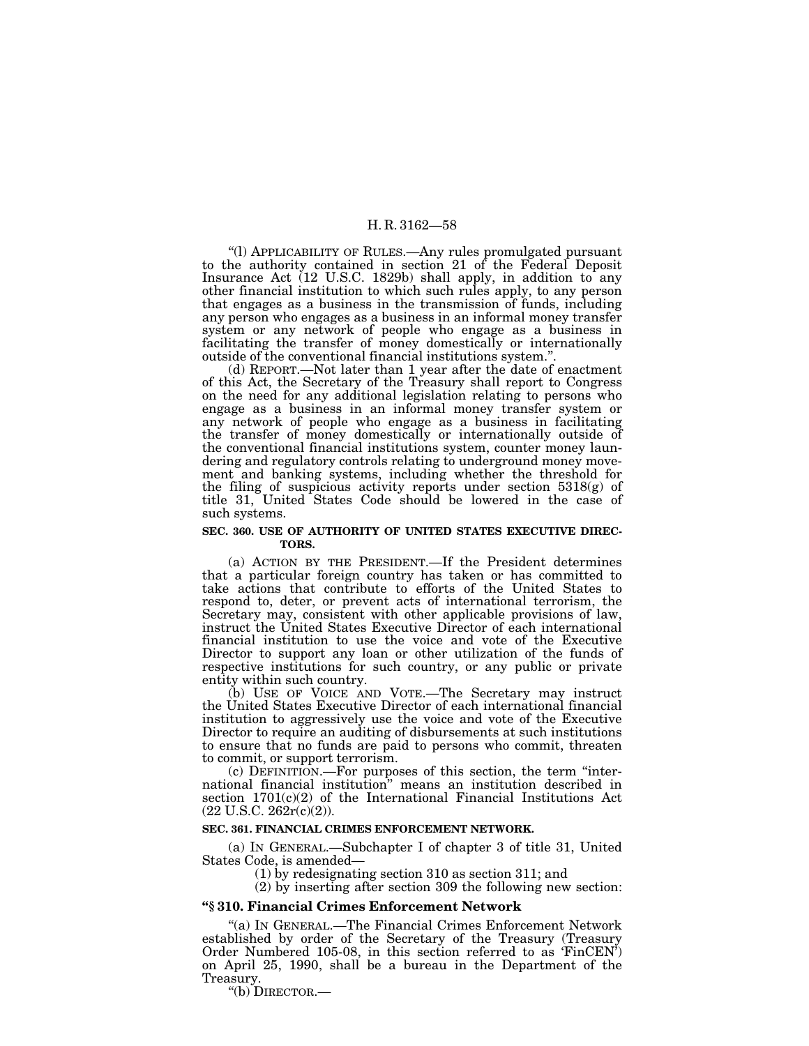''(l) APPLICABILITY OF RULES.—Any rules promulgated pursuant to the authority contained in section 21 of the Federal Deposit Insurance Act (12 U.S.C. 1829b) shall apply, in addition to any other financial institution to which such rules apply, to any person that engages as a business in the transmission of funds, including any person who engages as a business in an informal money transfer system or any network of people who engage as a business in facilitating the transfer of money domestically or internationally outside of the conventional financial institutions system.''. (d) REPORT.—Not later than 1 year after the date of enactment

of this Act, the Secretary of the Treasury shall report to Congress on the need for any additional legislation relating to persons who engage as a business in an informal money transfer system or any network of people who engage as a business in facilitating the transfer of money domestically or internationally outside of the conventional financial institutions system, counter money laundering and regulatory controls relating to underground money movement and banking systems, including whether the threshold for the filing of suspicious activity reports under section  $5318(g)$  of title 31, United States Code should be lowered in the case of such systems.

#### **SEC. 360. USE OF AUTHORITY OF UNITED STATES EXECUTIVE DIREC-TORS.**

(a) ACTION BY THE PRESIDENT.—If the President determines that a particular foreign country has taken or has committed to take actions that contribute to efforts of the United States to respond to, deter, or prevent acts of international terrorism, the Secretary may, consistent with other applicable provisions of law, instruct the United States Executive Director of each international financial institution to use the voice and vote of the Executive Director to support any loan or other utilization of the funds of respective institutions for such country, or any public or private entity within such country.

(b) USE OF VOICE AND VOTE.—The Secretary may instruct the United States Executive Director of each international financial institution to aggressively use the voice and vote of the Executive Director to require an auditing of disbursements at such institutions to ensure that no funds are paid to persons who commit, threaten to commit, or support terrorism.

(c) DEFINITION.—For purposes of this section, the term ''international financial institution'' means an institution described in section 1701(c)(2) of the International Financial Institutions Act  $(22 \text{ U.S.C. } 262r(c)(2)).$ 

#### **SEC. 361. FINANCIAL CRIMES ENFORCEMENT NETWORK.**

(a) IN GENERAL.—Subchapter I of chapter 3 of title 31, United States Code, is amended— (1) by redesignating section 310 as section 311; and

(2) by inserting after section 309 the following new section:

## **''§ 310. Financial Crimes Enforcement Network**

'(a) IN GENERAL.—The Financial Crimes Enforcement Network established by order of the Secretary of the Treasury (Treasury Order Numbered 105-08, in this section referred to as 'FinCEN') on April 25, 1990, shall be a bureau in the Department of the Treasury.

''(b) DIRECTOR.—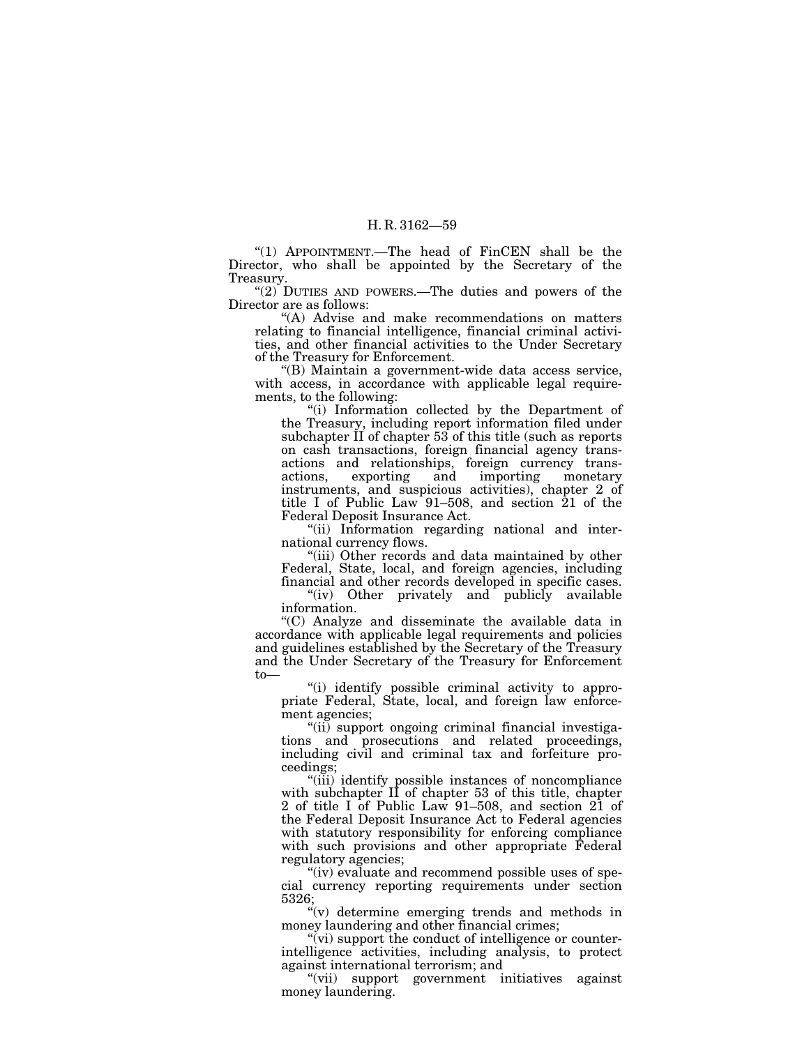''(1) APPOINTMENT.—The head of FinCEN shall be the Director, who shall be appointed by the Secretary of the Treasury.

" $(2)$  DUTIES AND POWERS.—The duties and powers of the Director are as follows:

''(A) Advise and make recommendations on matters relating to financial intelligence, financial criminal activities, and other financial activities to the Under Secretary of the Treasury for Enforcement.

''(B) Maintain a government-wide data access service, with access, in accordance with applicable legal requirements, to the following:

''(i) Information collected by the Department of the Treasury, including report information filed under subchapter  $\overline{II}$  of chapter 53 of this title (such as reports on cash transactions, foreign financial agency transactions and relationships, foreign currency trans-<br>actions, exporting and importing monetary actions, exporting and importing monetary instruments, and suspicious activities), chapter 2 of title I of Public Law 91–508, and section 21 of the Federal Deposit Insurance Act.

''(ii) Information regarding national and international currency flows.

"(iii) Other records and data maintained by other Federal, State, local, and foreign agencies, including financial and other records developed in specific cases.

"(iv) Other privately and publicly available information.

''(C) Analyze and disseminate the available data in accordance with applicable legal requirements and policies and guidelines established by the Secretary of the Treasury and the Under Secretary of the Treasury for Enforcement to—<br>
"(i) identify possible criminal activity to appro-

priate Federal, State, local, and foreign law enforcement agencies;<br>"(ii) support ongoing criminal financial investiga-

tions and prosecutions and related proceedings, including civil and criminal tax and forfeiture pro-

ceedings;<br>"(iii) identify possible instances of noncompliance with subchapter II of chapter 53 of this title, chapter 2 of title I of Public Law 91-508, and section 21 of the Federal Deposit Insurance Act to Federal agencies with statutory responsibility for enforcing compliance with such provisions and other appropriate Federal regulatory agencies;

"(iv) evaluate and recommend possible uses of special currency reporting requirements under section 5326;

''(v) determine emerging trends and methods in money laundering and other financial crimes;

 $\dddot{\mathbf{v}}$  (vi) support the conduct of intelligence or counterintelligence activities, including analysis, to protect against international terrorism; and

''(vii) support government initiatives against money laundering.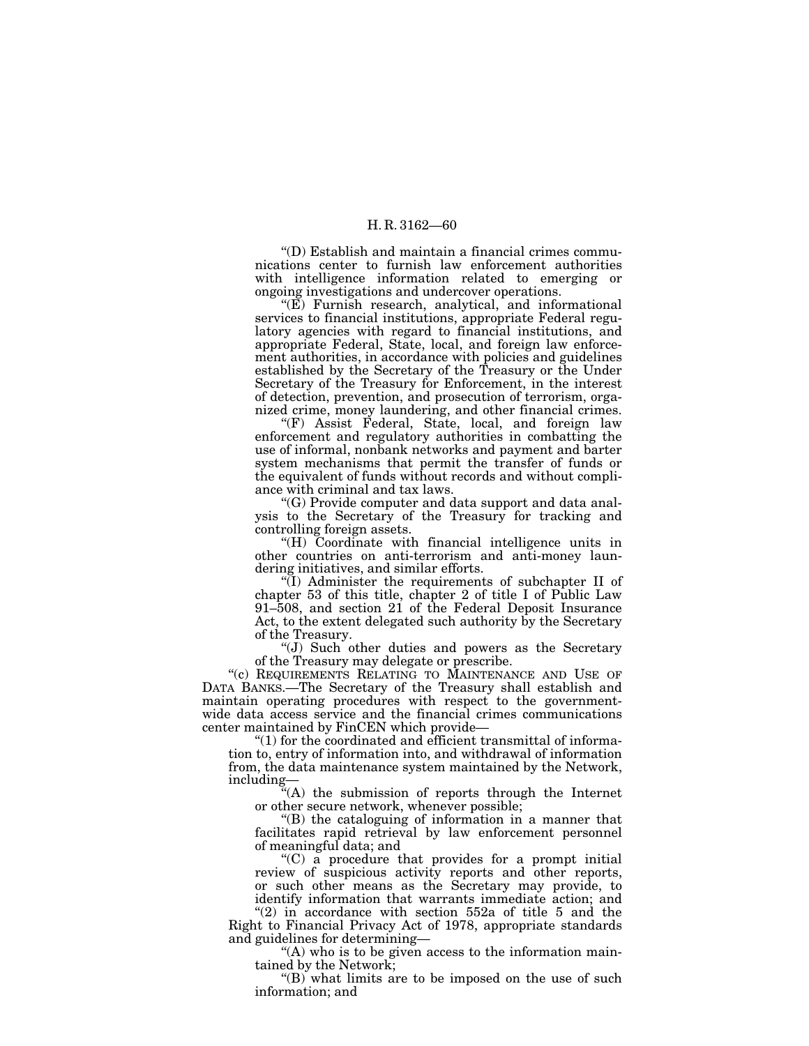''(D) Establish and maintain a financial crimes communications center to furnish law enforcement authorities with intelligence information related to emerging or ongoing investigations and undercover operations.

 $\cdot$ (E) Furnish research, analytical, and informational services to financial institutions, appropriate Federal regulatory agencies with regard to financial institutions, and appropriate Federal, State, local, and foreign law enforcement authorities, in accordance with policies and guidelines established by the Secretary of the Treasury or the Under Secretary of the Treasury for Enforcement, in the interest of detection, prevention, and prosecution of terrorism, organized crime, money laundering, and other financial crimes.

''(F) Assist Federal, State, local, and foreign law enforcement and regulatory authorities in combatting the use of informal, nonbank networks and payment and barter system mechanisms that permit the transfer of funds or the equivalent of funds without records and without compliance with criminal and tax laws.

''(G) Provide computer and data support and data analysis to the Secretary of the Treasury for tracking and controlling foreign assets.

''(H) Coordinate with financial intelligence units in other countries on anti-terrorism and anti-money laundering initiatives, and similar efforts.

''(I) Administer the requirements of subchapter II of chapter 53 of this title, chapter 2 of title I of Public Law 91–508, and section 21 of the Federal Deposit Insurance Act, to the extent delegated such authority by the Secretary

of the Treasury.<br>
"(J) Such other duties and powers as the Secretary<br>
of the Treasury may delegate or prescribe.

"(c) REQUIREMENTS RELATING TO MAINTENANCE AND USE OF DATA BANKS.—The Secretary of the Treasury shall establish and maintain operating procedures with respect to the governmentwide data access service and the financial crimes communications center maintained by FinCEN which provide—

 $''(1)$  for the coordinated and efficient transmittal of information to, entry of information into, and withdrawal of information from, the data maintenance system maintained by the Network, including—

''(A) the submission of reports through the Internet or other secure network, whenever possible;

''(B) the cataloguing of information in a manner that facilitates rapid retrieval by law enforcement personnel of meaningful data; and

 $(C)$  a procedure that provides for a prompt initial review of suspicious activity reports and other reports, or such other means as the Secretary may provide, to identify information that warrants immediate action; and

" $(2)$  in accordance with section 552a of title 5 and the Right to Financial Privacy Act of 1978, appropriate standards and guidelines for determining—

"(A) who is to be given access to the information maintained by the Network;

"(B) what limits are to be imposed on the use of such information; and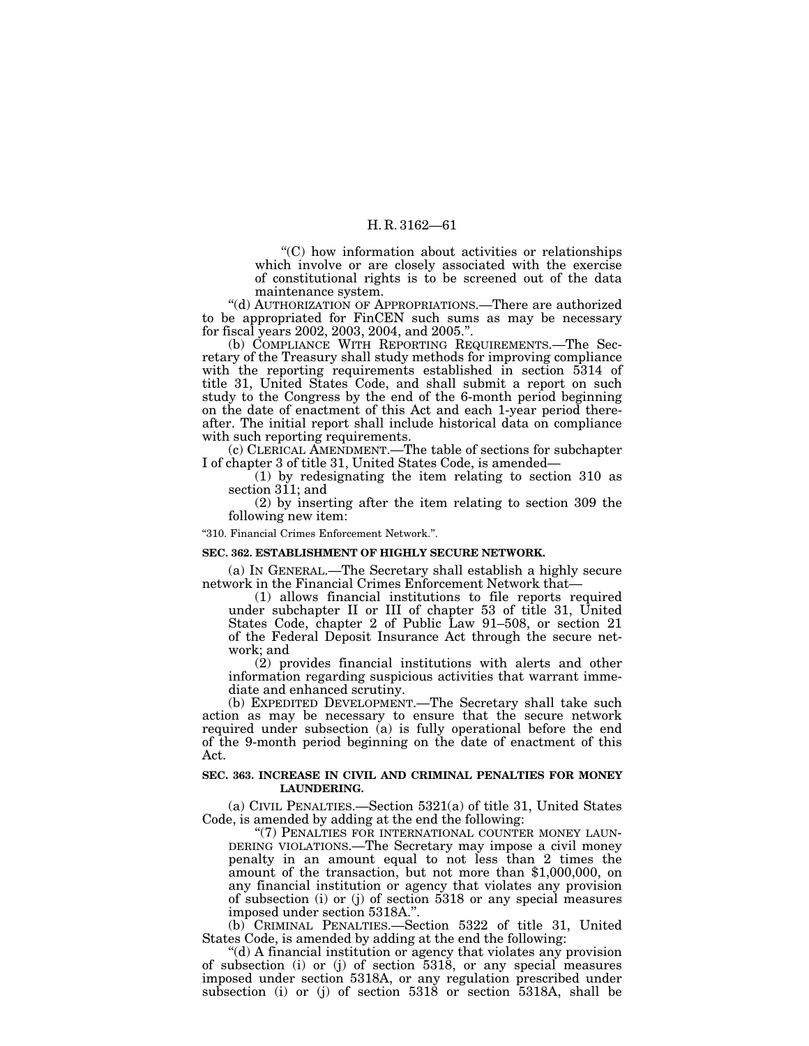''(C) how information about activities or relationships which involve or are closely associated with the exercise of constitutional rights is to be screened out of the data maintenance system.

''(d) AUTHORIZATION OF APPROPRIATIONS.—There are authorized to be appropriated for FinCEN such sums as may be necessary for fiscal years 2002, 2003, 2004, and 2005.''.

(b) COMPLIANCE WITH REPORTING REQUIREMENTS.—The Secretary of the Treasury shall study methods for improving compliance with the reporting requirements established in section 5314 of title 31, United States Code, and shall submit a report on such study to the Congress by the end of the 6-month period beginning on the date of enactment of this Act and each 1-year period thereafter. The initial report shall include historical data on compliance with such reporting requirements.

(c) CLERICAL AMENDMENT.—The table of sections for subchapter I of chapter 3 of title 31, United States Code, is amended—

(1) by redesignating the item relating to section 310 as section 311; and

(2) by inserting after the item relating to section 309 the following new item:

''310. Financial Crimes Enforcement Network.''.

#### **SEC. 362. ESTABLISHMENT OF HIGHLY SECURE NETWORK.**

(a) IN GENERAL.—The Secretary shall establish a highly secure network in the Financial Crimes Enforcement Network that—

(1) allows financial institutions to file reports required under subchapter II or III of chapter 53 of title 31, United States Code, chapter 2 of Public Law 91–508, or section 21 of the Federal Deposit Insurance Act through the secure network; and

(2) provides financial institutions with alerts and other information regarding suspicious activities that warrant immediate and enhanced scrutiny.

(b) EXPEDITED DEVELOPMENT.—The Secretary shall take such action as may be necessary to ensure that the secure network required under subsection (a) is fully operational before the end of the 9-month period beginning on the date of enactment of this Act.

#### **SEC. 363. INCREASE IN CIVIL AND CRIMINAL PENALTIES FOR MONEY LAUNDERING.**

(a) CIVIL PENALTIES.—Section 5321(a) of title 31, United States Code, is amended by adding at the end the following:

"(7) PENALTIES FOR INTERNATIONAL COUNTER MONEY LAUN-DERING VIOLATIONS.—The Secretary may impose a civil money penalty in an amount equal to not less than 2 times the amount of the transaction, but not more than \$1,000,000, on any financial institution or agency that violates any provision of subsection (i) or (j) of section 5318 or any special measures imposed under section 5318A.''.

(b) CRIMINAL PENALTIES.—Section 5322 of title 31, United States Code, is amended by adding at the end the following:

"(d) A financial institution or agency that violates any provision of subsection (i) or (j) of section 5318, or any special measures imposed under section 5318A, or any regulation prescribed under subsection (i) or (j) of section  $5318$  or section  $5318A$ , shall be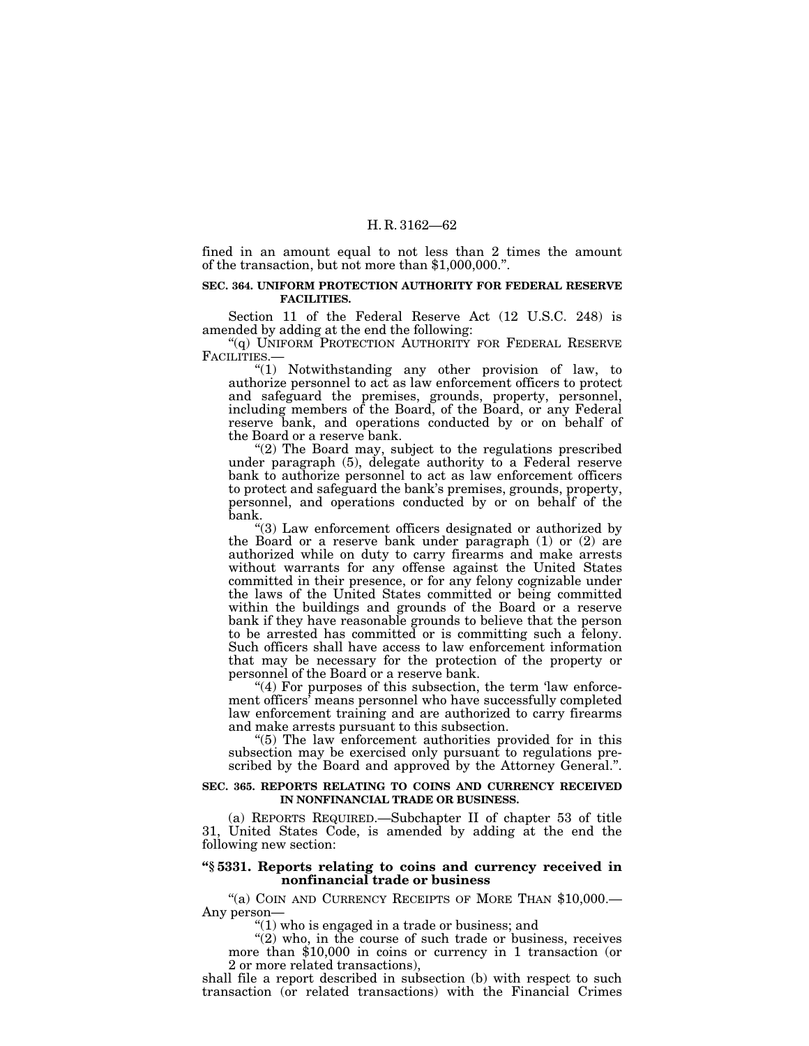fined in an amount equal to not less than 2 times the amount of the transaction, but not more than \$1,000,000.''.

#### **SEC. 364. UNIFORM PROTECTION AUTHORITY FOR FEDERAL RESERVE FACILITIES.**

Section 11 of the Federal Reserve Act (12 U.S.C. 248) is amended by adding at the end the following:

"(q) UNIFORM PROTECTION AUTHORITY FOR FEDERAL RESERVE FACILITIES.—

''(1) Notwithstanding any other provision of law, to authorize personnel to act as law enforcement officers to protect and safeguard the premises, grounds, property, personnel, including members of the Board, of the Board, or any Federal reserve bank, and operations conducted by or on behalf of the Board or a reserve bank.

"(2) The Board may, subject to the regulations prescribed under paragraph (5), delegate authority to a Federal reserve bank to authorize personnel to act as law enforcement officers to protect and safeguard the bank's premises, grounds, property, personnel, and operations conducted by or on behalf of the bank.

''(3) Law enforcement officers designated or authorized by the Board or a reserve bank under paragraph (1) or (2) are authorized while on duty to carry firearms and make arrests without warrants for any offense against the United States committed in their presence, or for any felony cognizable under the laws of the United States committed or being committed within the buildings and grounds of the Board or a reserve bank if they have reasonable grounds to believe that the person to be arrested has committed or is committing such a felony. Such officers shall have access to law enforcement information that may be necessary for the protection of the property or personnel of the Board or a reserve bank.

"(4) For purposes of this subsection, the term 'law enforcement officers' means personnel who have successfully completed law enforcement training and are authorized to carry firearms and make arrests pursuant to this subsection.

"(5) The law enforcement authorities provided for in this subsection may be exercised only pursuant to regulations prescribed by the Board and approved by the Attorney General.''.

#### **SEC. 365. REPORTS RELATING TO COINS AND CURRENCY RECEIVED IN NONFINANCIAL TRADE OR BUSINESS.**

(a) REPORTS REQUIRED.—Subchapter II of chapter 53 of title 31, United States Code, is amended by adding at the end the following new section:

## **''§ 5331. Reports relating to coins and currency received in nonfinancial trade or business**

"(a) COIN AND CURRENCY RECEIPTS OF MORE THAN \$10,000.— Any person—

" $(1)$  who is engaged in a trade or business; and

" $(2)$  who, in the course of such trade or business, receives more than \$10,000 in coins or currency in 1 transaction (or 2 or more related transactions),

shall file a report described in subsection (b) with respect to such transaction (or related transactions) with the Financial Crimes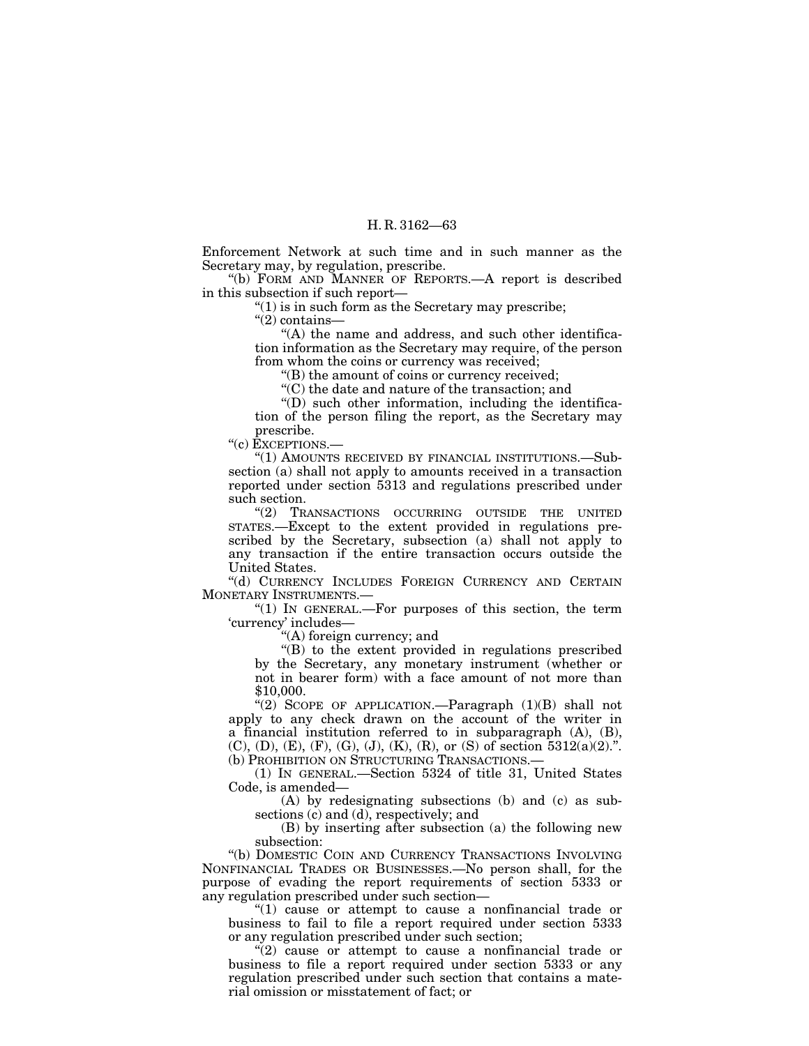Enforcement Network at such time and in such manner as the Secretary may, by regulation, prescribe.

''(b) FORM AND MANNER OF REPORTS.—A report is described in this subsection if such report—

" $(1)$  is in such form as the Secretary may prescribe;

''(2) contains—

"(A) the name and address, and such other identification information as the Secretary may require, of the person from whom the coins or currency was received;

''(B) the amount of coins or currency received;

 $C$ ) the date and nature of the transaction; and

''(D) such other information, including the identification of the person filing the report, as the Secretary may prescribe.

''(c) EXCEPTIONS.—

''(1) AMOUNTS RECEIVED BY FINANCIAL INSTITUTIONS.—Subsection (a) shall not apply to amounts received in a transaction reported under section 5313 and regulations prescribed under such section.

''(2) TRANSACTIONS OCCURRING OUTSIDE THE UNITED STATES.—Except to the extent provided in regulations prescribed by the Secretary, subsection (a) shall not apply to any transaction if the entire transaction occurs outside the United States.

''(d) CURRENCY INCLUDES FOREIGN CURRENCY AND CERTAIN MONETARY INSTRUMENTS.—

" $(1)$  In GENERAL.—For purposes of this section, the term 'currency' includes—

''(A) foreign currency; and

''(B) to the extent provided in regulations prescribed by the Secretary, any monetary instrument (whether or not in bearer form) with a face amount of not more than \$10,000.

"(2) SCOPE OF APPLICATION.—Paragraph  $(1)(B)$  shall not apply to any check drawn on the account of the writer in a financial institution referred to in subparagraph (A), (B),  $(C)$ ,  $(D)$ ,  $(E)$ ,  $(F)$ ,  $(G)$ ,  $(J)$ ,  $(K)$ ,  $(R)$ , or  $(S)$  of section 5312(a)(2).". (b) PROHIBITION ON STRUCTURING TRANSACTIONS.—

(1) IN GENERAL.—Section 5324 of title 31, United States Code, is amended—

(A) by redesignating subsections (b) and (c) as subsections (c) and (d), respectively; and

(B) by inserting after subsection (a) the following new subsection:

"(b) DOMESTIC COIN AND CURRENCY TRANSACTIONS INVOLVING NONFINANCIAL TRADES OR BUSINESSES.—No person shall, for the purpose of evading the report requirements of section 5333 or any regulation prescribed under such section—

''(1) cause or attempt to cause a nonfinancial trade or business to fail to file a report required under section 5333 or any regulation prescribed under such section;

"(2) cause or attempt to cause a nonfinancial trade or business to file a report required under section 5333 or any regulation prescribed under such section that contains a material omission or misstatement of fact; or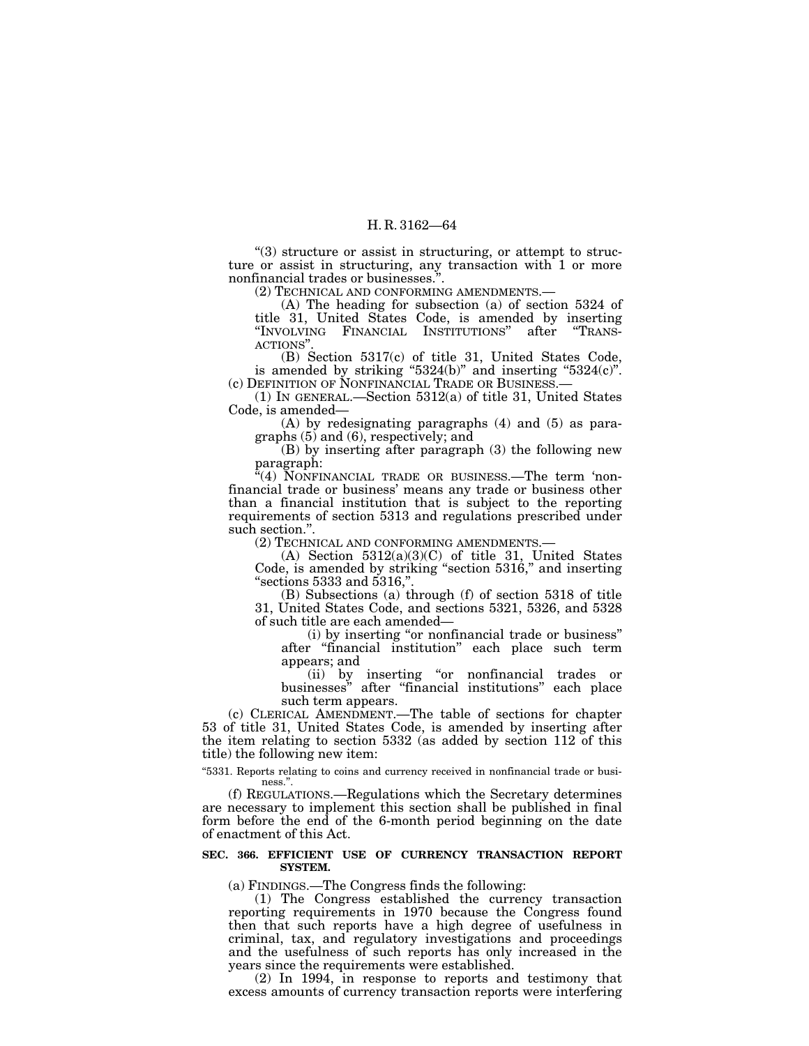"(3) structure or assist in structuring, or attempt to structure or assist in structuring, any transaction with 1 or more nonfinancial trades or businesses."

(2) TECHNICAL AND CONFORMING AMENDMENTS.—

(A) The heading for subsection (a) of section 5324 of title 31, United States Code, is amended by inserting FINANCIAL INSTITUTIONS" ACTIONS''.

(B) Section 5317(c) of title 31, United States Code, is amended by striking " $5324(b)$ " and inserting " $5324(c)$ ". (c) DEFINITION OF NONFINANCIAL TRADE OR BUSINESS.—

(1) IN GENERAL.—Section 5312(a) of title 31, United States Code, is amended—

(A) by redesignating paragraphs (4) and (5) as paragraphs (5) and (6), respectively; and

(B) by inserting after paragraph (3) the following new paragraph:

 $\sqrt{4}$ (4) NONFINANCIAL TRADE OR BUSINESS.—The term 'nonfinancial trade or business' means any trade or business other than a financial institution that is subject to the reporting requirements of section 5313 and regulations prescribed under such section.''.

(2) TECHNICAL AND CONFORMING AMENDMENTS.—

(A) Section 5312(a)(3)(C) of title 31, United States Code, is amended by striking "section 5316," and inserting ''sections 5333 and 5316,''.

(B) Subsections (a) through (f) of section 5318 of title 31, United States Code, and sections 5321, 5326, and 5328 of such title are each amended—

(i) by inserting ''or nonfinancial trade or business'' after ''financial institution'' each place such term appears; and

(ii) by inserting ''or nonfinancial trades or businesses'' after ''financial institutions'' each place such term appears.

(c) CLERICAL AMENDMENT.—The table of sections for chapter 53 of title 31, United States Code, is amended by inserting after the item relating to section 5332 (as added by section 112 of this title) the following new item:

#### ''5331. Reports relating to coins and currency received in nonfinancial trade or business<sup>"</sup>

(f) REGULATIONS.—Regulations which the Secretary determines are necessary to implement this section shall be published in final form before the end of the 6-month period beginning on the date of enactment of this Act.

#### **SEC. 366. EFFICIENT USE OF CURRENCY TRANSACTION REPORT SYSTEM.**

(a) FINDINGS.—The Congress finds the following:

(1) The Congress established the currency transaction reporting requirements in 1970 because the Congress found then that such reports have a high degree of usefulness in criminal, tax, and regulatory investigations and proceedings and the usefulness of such reports has only increased in the years since the requirements were established.

(2) In 1994, in response to reports and testimony that excess amounts of currency transaction reports were interfering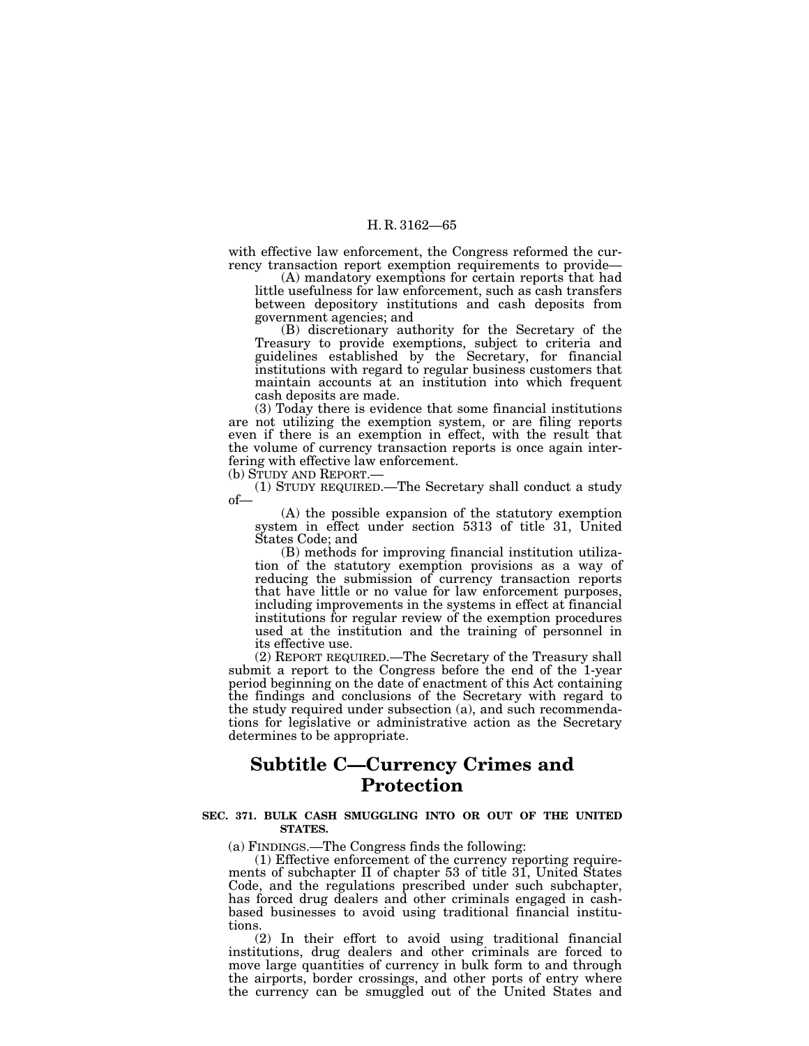with effective law enforcement, the Congress reformed the currency transaction report exemption requirements to provide— (A) mandatory exemptions for certain reports that had

little usefulness for law enforcement, such as cash transfers between depository institutions and cash deposits from government agencies; and

(B) discretionary authority for the Secretary of the Treasury to provide exemptions, subject to criteria and guidelines established by the Secretary, for financial institutions with regard to regular business customers that maintain accounts at an institution into which frequent cash deposits are made.

(3) Today there is evidence that some financial institutions are not utilizing the exemption system, or are filing reports even if there is an exemption in effect, with the result that the volume of currency transaction reports is once again interfering with effective law enforcement.<br>(b) STUDY AND REPORT.—

 $(1)$  STUDY REQUIRED.—The Secretary shall conduct a study of—

(A) the possible expansion of the statutory exemption system in effect under section 5313 of title 31, United States Code; and

(B) methods for improving financial institution utilization of the statutory exemption provisions as a way of reducing the submission of currency transaction reports that have little or no value for law enforcement purposes, including improvements in the systems in effect at financial institutions for regular review of the exemption procedures used at the institution and the training of personnel in its effective use.

(2) REPORT REQUIRED.—The Secretary of the Treasury shall submit a report to the Congress before the end of the 1-year period beginning on the date of enactment of this Act containing the findings and conclusions of the Secretary with regard to the study required under subsection (a), and such recommendations for legislative or administrative action as the Secretary determines to be appropriate.

# **Subtitle C—Currency Crimes and Protection**

## **SEC. 371. BULK CASH SMUGGLING INTO OR OUT OF THE UNITED STATES.**

(a) FINDINGS.—The Congress finds the following:

(1) Effective enforcement of the currency reporting requirements of subchapter II of chapter 53 of title 31, United States Code, and the regulations prescribed under such subchapter, has forced drug dealers and other criminals engaged in cashbased businesses to avoid using traditional financial institutions.

(2) In their effort to avoid using traditional financial institutions, drug dealers and other criminals are forced to move large quantities of currency in bulk form to and through the airports, border crossings, and other ports of entry where the currency can be smuggled out of the United States and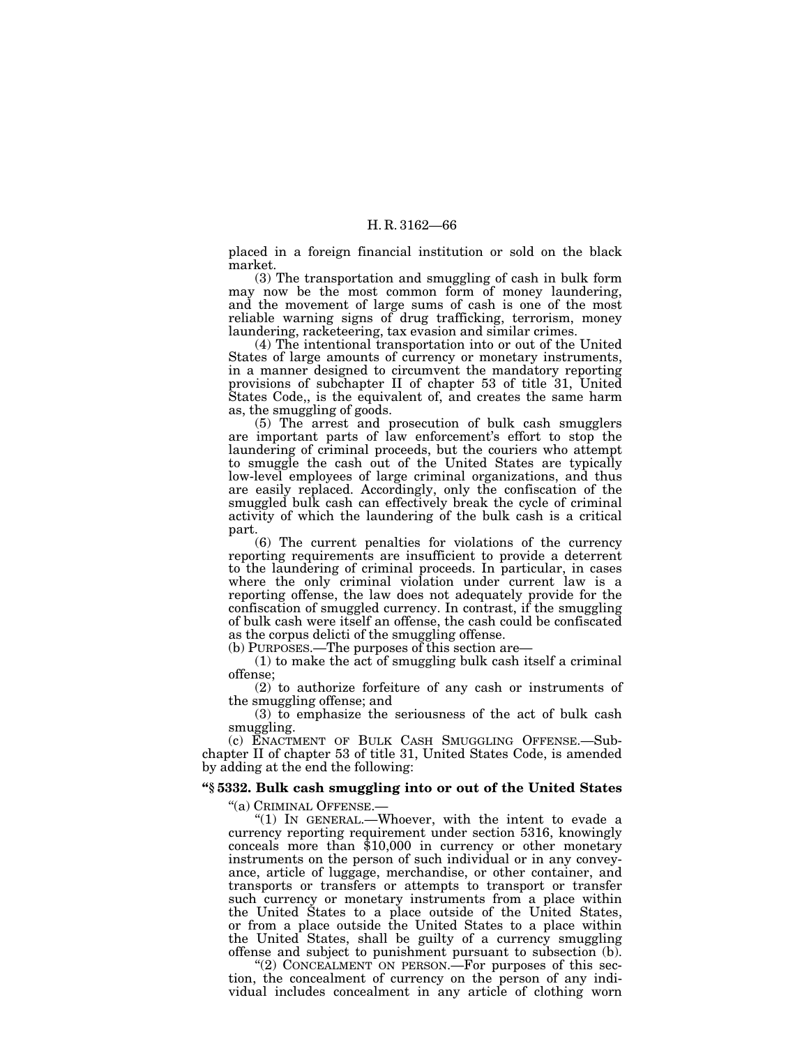placed in a foreign financial institution or sold on the black market.

(3) The transportation and smuggling of cash in bulk form may now be the most common form of money laundering, and the movement of large sums of cash is one of the most reliable warning signs of drug trafficking, terrorism, money laundering, racketeering, tax evasion and similar crimes.

(4) The intentional transportation into or out of the United States of large amounts of currency or monetary instruments, in a manner designed to circumvent the mandatory reporting provisions of subchapter II of chapter 53 of title 31, United States Code,, is the equivalent of, and creates the same harm as, the smuggling of goods.

(5) The arrest and prosecution of bulk cash smugglers are important parts of law enforcement's effort to stop the laundering of criminal proceeds, but the couriers who attempt to smuggle the cash out of the United States are typically low-level employees of large criminal organizations, and thus are easily replaced. Accordingly, only the confiscation of the smuggled bulk cash can effectively break the cycle of criminal activity of which the laundering of the bulk cash is a critical part.

(6) The current penalties for violations of the currency reporting requirements are insufficient to provide a deterrent to the laundering of criminal proceeds. In particular, in cases where the only criminal violation under current law is a reporting offense, the law does not adequately provide for the confiscation of smuggled currency. In contrast, if the smuggling of bulk cash were itself an offense, the cash could be confiscated as the corpus delicti of the smuggling offense.

(b) PURPOSES.—The purposes of this section are—

(1) to make the act of smuggling bulk cash itself a criminal offense;

(2) to authorize forfeiture of any cash or instruments of the smuggling offense; and

(3) to emphasize the seriousness of the act of bulk cash smuggling.

(c) ENACTMENT OF BULK CASH SMUGGLING OFFENSE.—Subchapter II of chapter 53 of title 31, United States Code, is amended by adding at the end the following:

## **''§ 5332. Bulk cash smuggling into or out of the United States**

''(a) CRIMINAL OFFENSE.—

" $(1)$  IN GENERAL.—Whoever, with the intent to evade a currency reporting requirement under section 5316, knowingly conceals more than \$10,000 in currency or other monetary instruments on the person of such individual or in any conveyance, article of luggage, merchandise, or other container, and transports or transfers or attempts to transport or transfer such currency or monetary instruments from a place within the United States to a place outside of the United States, or from a place outside the United States to a place within the United States, shall be guilty of a currency smuggling offense and subject to punishment pursuant to subsection (b).

" $(2)$  CONCEALMENT ON PERSON.—For purposes of this section, the concealment of currency on the person of any individual includes concealment in any article of clothing worn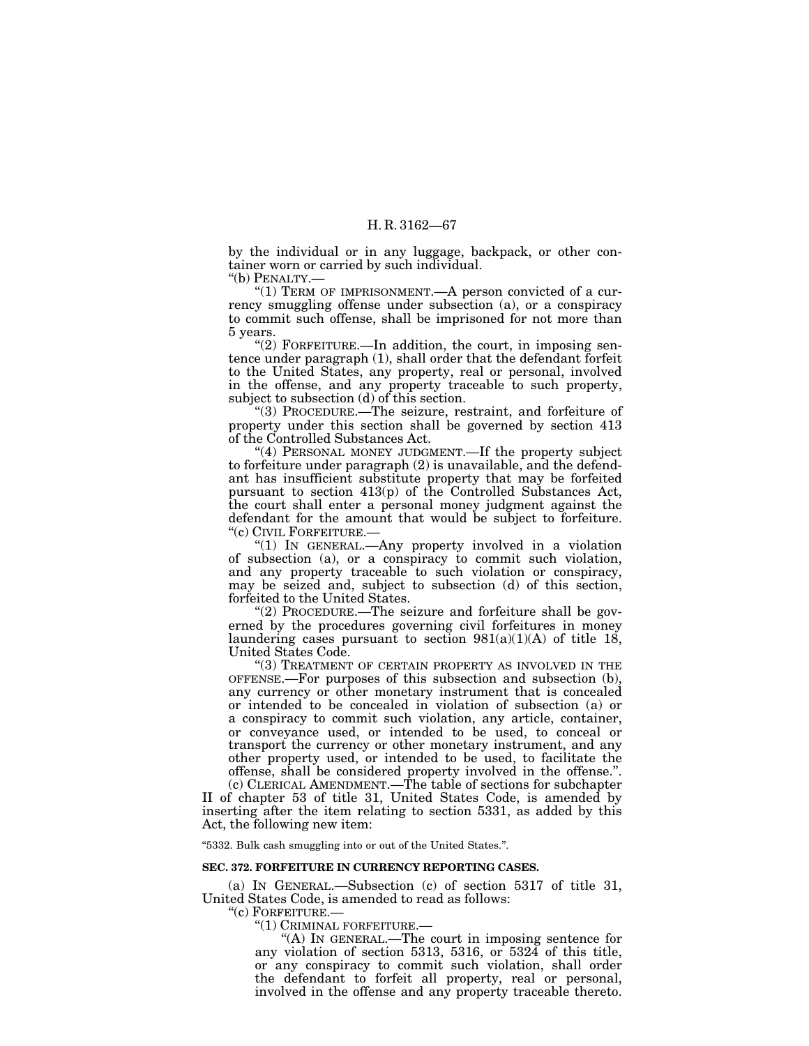by the individual or in any luggage, backpack, or other container worn or carried by such individual.

''(b) PENALTY.—

" $(1)$  TERM OF IMPRISONMENT.—A person convicted of a currency smuggling offense under subsection (a), or a conspiracy to commit such offense, shall be imprisoned for not more than 5 years.

" $(2)$  FORFEITURE.—In addition, the court, in imposing sentence under paragraph (1), shall order that the defendant forfeit to the United States, any property, real or personal, involved in the offense, and any property traceable to such property, subject to subsection (d) of this section.

''(3) PROCEDURE.—The seizure, restraint, and forfeiture of property under this section shall be governed by section 413 of the Controlled Substances Act.

"(4) PERSONAL MONEY JUDGMENT.—If the property subject to forfeiture under paragraph (2) is unavailable, and the defendant has insufficient substitute property that may be forfeited pursuant to section 413(p) of the Controlled Substances Act, the court shall enter a personal money judgment against the defendant for the amount that would be subject to forfeiture. ''(c) CIVIL FORFEITURE.—

''(1) IN GENERAL.—Any property involved in a violation of subsection (a), or a conspiracy to commit such violation, and any property traceable to such violation or conspiracy, may be seized and, subject to subsection (d) of this section, forfeited to the United States.

 $\degree$ (2) PROCEDURE.—The seizure and forfeiture shall be governed by the procedures governing civil forfeitures in money laundering cases pursuant to section  $981(a)(1)(A)$  of title 18, United States Code.

"(3) TREATMENT OF CERTAIN PROPERTY AS INVOLVED IN THE OFFENSE.—For purposes of this subsection and subsection (b), any currency or other monetary instrument that is concealed or intended to be concealed in violation of subsection (a) or a conspiracy to commit such violation, any article, container, or conveyance used, or intended to be used, to conceal or transport the currency or other monetary instrument, and any other property used, or intended to be used, to facilitate the offense, shall be considered property involved in the offense.".

 $\overline{\text{c}}$ ) CLERICAL AMENDMENT.—The table of sections for subchapter II of chapter 53 of title 31, United States Code, is amended by inserting after the item relating to section 5331, as added by this Act, the following new item:

''5332. Bulk cash smuggling into or out of the United States.''.

#### **SEC. 372. FORFEITURE IN CURRENCY REPORTING CASES.**

(a) IN GENERAL.—Subsection (c) of section 5317 of title 31, United States Code, is amended to read as follows:

"(c) FORFEITURE.-

''(1) CRIMINAL FORFEITURE.—

''(A) IN GENERAL.—The court in imposing sentence for any violation of section 5313, 5316, or 5324 of this title, or any conspiracy to commit such violation, shall order the defendant to forfeit all property, real or personal, involved in the offense and any property traceable thereto.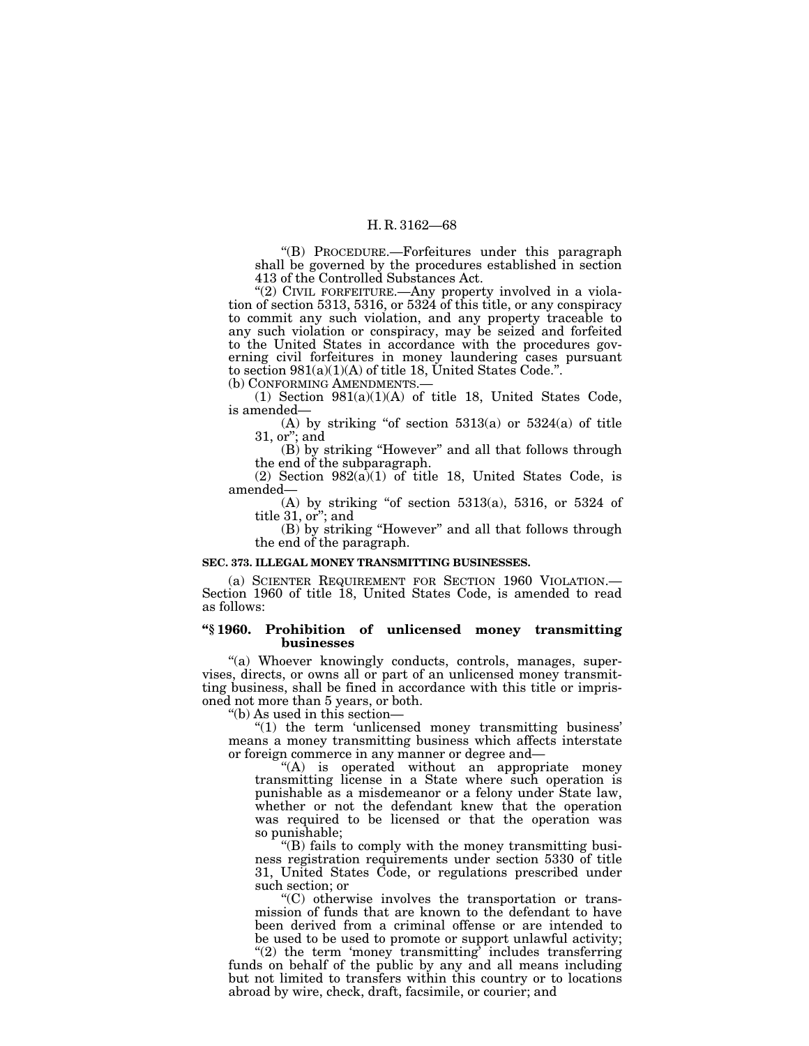''(B) PROCEDURE.—Forfeitures under this paragraph shall be governed by the procedures established in section 413 of the Controlled Substances Act.

"(2) CIVIL FORFEITURE. Any property involved in a violation of section 5313, 5316, or 5324 of this title, or any conspiracy to commit any such violation, and any property traceable to any such violation or conspiracy, may be seized and forfeited to the United States in accordance with the procedures governing civil forfeitures in money laundering cases pursuant to section 981(a)(1)(A) of title 18, United States Code.''.

(b) CONFORMING AMENDMENTS.—

 $(1)$  Section  $981(a)(1)(A)$  of title 18, United States Code, is amended—

(A) by striking "of section  $5313(a)$  or  $5324(a)$  of title 31, or''; and

(B) by striking ''However'' and all that follows through the end of the subparagraph.

 $(2)$  Section  $982(a)(1)$  of title 18, United States Code, is amended—

(A) by striking ''of section 5313(a), 5316, or 5324 of title 31, or''; and

(B) by striking ''However'' and all that follows through the end of the paragraph.

## **SEC. 373. ILLEGAL MONEY TRANSMITTING BUSINESSES.**

(a) SCIENTER REQUIREMENT FOR SECTION 1960 VIOLATION.— Section 1960 of title 18, United States Code, is amended to read as follows:

## **''§ 1960. Prohibition of unlicensed money transmitting businesses**

''(a) Whoever knowingly conducts, controls, manages, supervises, directs, or owns all or part of an unlicensed money transmitting business, shall be fined in accordance with this title or imprisoned not more than 5 years, or both.

''(b) As used in this section—

''(1) the term 'unlicensed money transmitting business' means a money transmitting business which affects interstate or foreign commerce in any manner or degree and—

"(A) is operated without an appropriate money transmitting license in a State where such operation is punishable as a misdemeanor or a felony under State law, whether or not the defendant knew that the operation was required to be licensed or that the operation was so punishable;

''(B) fails to comply with the money transmitting business registration requirements under section 5330 of title 31, United States Code, or regulations prescribed under such section; or

''(C) otherwise involves the transportation or transmission of funds that are known to the defendant to have been derived from a criminal offense or are intended to be used to be used to promote or support unlawful activity;

"(2) the term 'money transmitting' includes transferring funds on behalf of the public by any and all means including but not limited to transfers within this country or to locations abroad by wire, check, draft, facsimile, or courier; and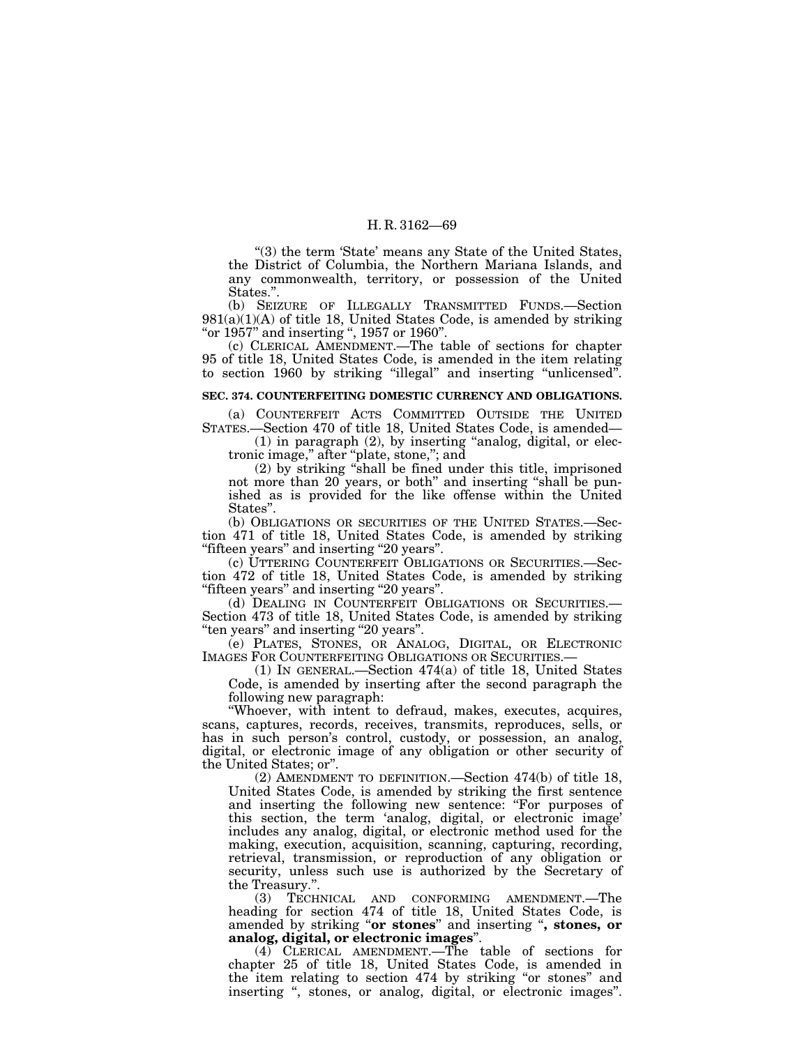"(3) the term 'State' means any State of the United States, the District of Columbia, the Northern Mariana Islands, and any commonwealth, territory, or possession of the United States.''.

(b) SEIZURE OF ILLEGALLY TRANSMITTED FUNDS.—Section 981(a)(1)(A) of title 18, United States Code, is amended by striking ''or 1957'' and inserting '', 1957 or 1960''.

(c) CLERICAL AMENDMENT.—The table of sections for chapter 95 of title 18, United States Code, is amended in the item relating to section 1960 by striking ''illegal'' and inserting ''unlicensed''.

#### **SEC. 374. COUNTERFEITING DOMESTIC CURRENCY AND OBLIGATIONS.**

(a) COUNTERFEIT ACTS COMMITTED OUTSIDE THE UNITED STATES.—Section 470 of title 18, United States Code, is amended—

 $(1)$  in paragraph  $(2)$ , by inserting "analog, digital, or electronic image,'' after ''plate, stone,''; and

(2) by striking ''shall be fined under this title, imprisoned not more than 20 years, or both'' and inserting ''shall be punished as is provided for the like offense within the United States''.

(b) OBLIGATIONS OR SECURITIES OF THE UNITED STATES.—Section 471 of title 18, United States Code, is amended by striking ''fifteen years'' and inserting ''20 years''.

(c) UTTERING COUNTERFEIT OBLIGATIONS OR SECURITIES.—Section 472 of title 18, United States Code, is amended by striking ''fifteen years'' and inserting ''20 years''.

(d) DEALING IN COUNTERFEIT OBLIGATIONS OR SECURITIES.— Section 473 of title 18, United States Code, is amended by striking ''ten years'' and inserting ''20 years''.

(e) PLATES, STONES, OR ANALOG, DIGITAL, OR ELECTRONIC IMAGES FOR COUNTERFEITING OBLIGATIONS OR SECURITIES.—

(1) IN GENERAL.—Section 474(a) of title 18, United States Code, is amended by inserting after the second paragraph the following new paragraph:

''Whoever, with intent to defraud, makes, executes, acquires, scans, captures, records, receives, transmits, reproduces, sells, or has in such person's control, custody, or possession, an analog, digital, or electronic image of any obligation or other security of the United States; or''.

(2) AMENDMENT TO DEFINITION.—Section 474(b) of title 18, United States Code, is amended by striking the first sentence and inserting the following new sentence: "For purposes of this section, the term 'analog, digital, or electronic image' includes any analog, digital, or electronic method used for the making, execution, acquisition, scanning, capturing, recording, retrieval, transmission, or reproduction of any obligation or security, unless such use is authorized by the Secretary of the Treasury.''.

(3) TECHNICAL AND CONFORMING AMENDMENT.—The heading for section 474 of title 18, United States Code, is amended by striking "**or stones**" and inserting ", **stones**, **or analog, digital, or electronic images**''.

(4) CLERICAL AMENDMENT.—The table of sections for chapter 25 of title 18, United States Code, is amended in the item relating to section 474 by striking "or stones" and inserting ", stones, or analog, digital, or electronic images".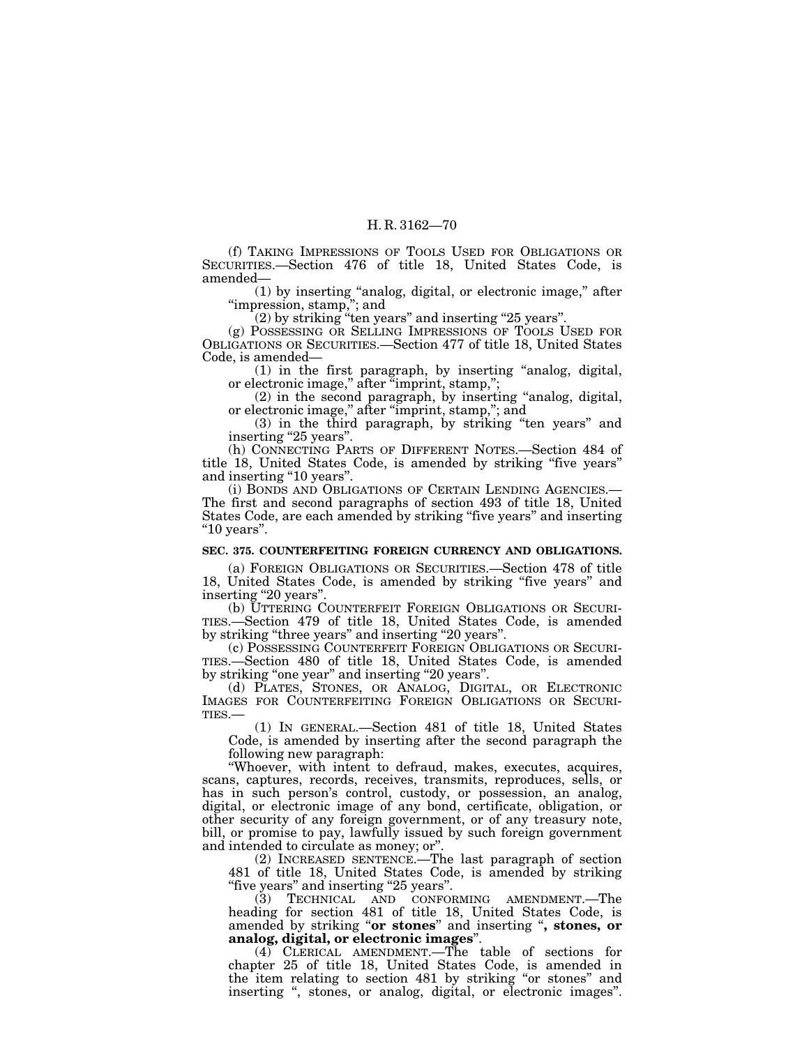(f) TAKING IMPRESSIONS OF TOOLS USED FOR OBLIGATIONS OR SECURITIES.—Section 476 of title 18, United States Code, is amended—

(1) by inserting ''analog, digital, or electronic image,'' after ''impression, stamp,''; and

(2) by striking ''ten years'' and inserting ''25 years''.

(g) POSSESSING OR SELLING IMPRESSIONS OF TOOLS USED FOR OBLIGATIONS OR SECURITIES.—Section 477 of title 18, United States Code, is amended—

(1) in the first paragraph, by inserting ''analog, digital, or electronic image,'' after ''imprint, stamp,'';

(2) in the second paragraph, by inserting ''analog, digital, or electronic image,'' after ''imprint, stamp,''; and

(3) in the third paragraph, by striking ''ten years'' and inserting "25 years".

(h) CONNECTING PARTS OF DIFFERENT NOTES.—Section 484 of title 18, United States Code, is amended by striking ''five years'' and inserting "10 years".

(i) BONDS AND OBLIGATIONS OF CERTAIN LENDING AGENCIES.— The first and second paragraphs of section 493 of title 18, United States Code, are each amended by striking ''five years'' and inserting "10 years".

## **SEC. 375. COUNTERFEITING FOREIGN CURRENCY AND OBLIGATIONS.**

(a) FOREIGN OBLIGATIONS OR SECURITIES.—Section 478 of title 18, United States Code, is amended by striking ''five years'' and inserting "20 years".

(b) UTTERING COUNTERFEIT FOREIGN OBLIGATIONS OR SECURI-TIES.—Section 479 of title 18, United States Code, is amended by striking ''three years'' and inserting ''20 years''.

(c) POSSESSING COUNTERFEIT FOREIGN OBLIGATIONS OR SECURI-TIES.—Section 480 of title 18, United States Code, is amended by striking "one year" and inserting "20 years".

(d) PLATES, STONES, OR ANALOG, DIGITAL, OR ELECTRONIC IMAGES FOR COUNTERFEITING FOREIGN OBLIGATIONS OR SECURI-TIES.—

(1) IN GENERAL.—Section 481 of title 18, United States Code, is amended by inserting after the second paragraph the following new paragraph:

''Whoever, with intent to defraud, makes, executes, acquires, scans, captures, records, receives, transmits, reproduces, sells, or has in such person's control, custody, or possession, an analog, digital, or electronic image of any bond, certificate, obligation, or other security of any foreign government, or of any treasury note, bill, or promise to pay, lawfully issued by such foreign government and intended to circulate as money; or''.

(2) INCREASED SENTENCE.—The last paragraph of section 481 of title 18, United States Code, is amended by striking "five years" and inserting "25 years".

(3) TECHNICAL AND CONFORMING AMENDMENT.—The heading for section 481 of title 18, United States Code, is amended by striking ''**or stones**'' and inserting ''**, stones, or analog, digital, or electronic images**''. (4) CLERICAL AMENDMENT.—The table of sections for

chapter 25 of title 18, United States Code, is amended in the item relating to section 481 by striking ''or stones'' and inserting ", stones, or analog, digital, or electronic images".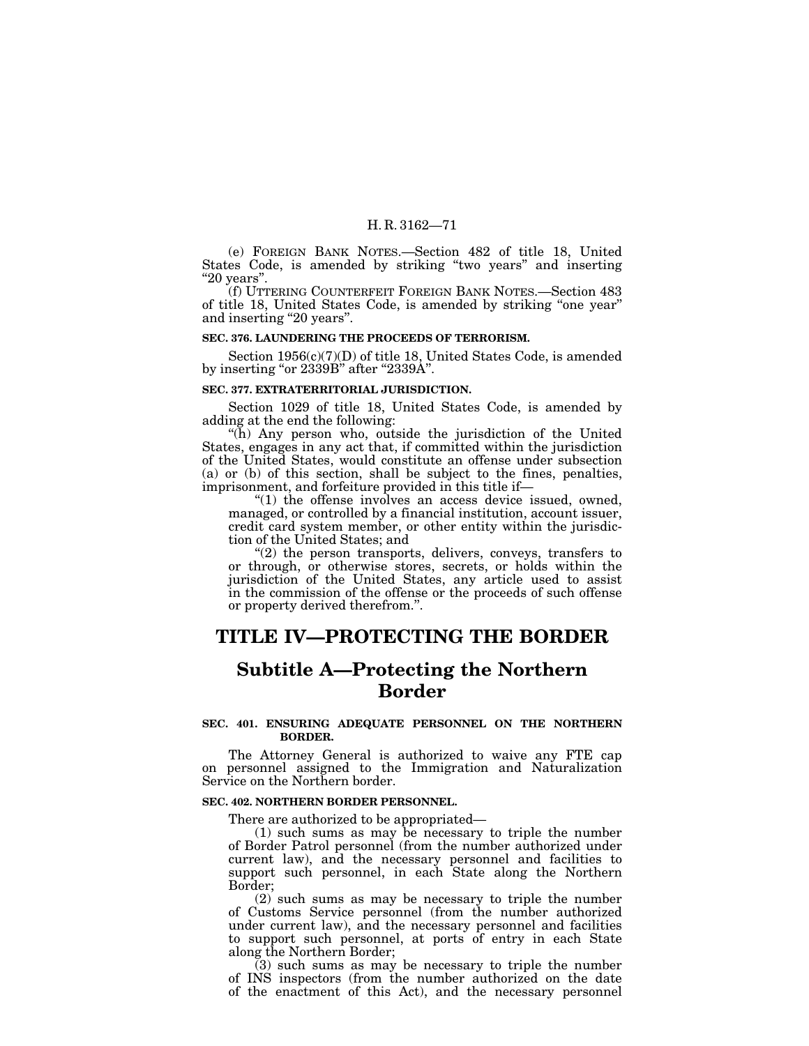(e) FOREIGN BANK NOTES.—Section 482 of title 18, United States Code, is amended by striking ''two years'' and inserting "20 years".

(f) UTTERING COUNTERFEIT FOREIGN BANK NOTES.—Section 483 of title 18, United States Code, is amended by striking ''one year'' and inserting "20 years".

#### **SEC. 376. LAUNDERING THE PROCEEDS OF TERRORISM.**

Section 1956(c)(7)(D) of title 18, United States Code, is amended by inserting "or  $2339B$ " after " $2339A$ ".

#### **SEC. 377. EXTRATERRITORIAL JURISDICTION.**

Section 1029 of title 18, United States Code, is amended by adding at the end the following:

''(h) Any person who, outside the jurisdiction of the United States, engages in any act that, if committed within the jurisdiction of the United States, would constitute an offense under subsection (a) or (b) of this section, shall be subject to the fines, penalties, imprisonment, and forfeiture provided in this title if—

''(1) the offense involves an access device issued, owned, managed, or controlled by a financial institution, account issuer, credit card system member, or other entity within the jurisdiction of the United States; and

"(2) the person transports, delivers, conveys, transfers to or through, or otherwise stores, secrets, or holds within the jurisdiction of the United States, any article used to assist in the commission of the offense or the proceeds of such offense or property derived therefrom.''.

## **TITLE IV—PROTECTING THE BORDER**

# **Subtitle A—Protecting the Northern Border**

#### **SEC. 401. ENSURING ADEQUATE PERSONNEL ON THE NORTHERN BORDER.**

The Attorney General is authorized to waive any FTE cap on personnel assigned to the Immigration and Naturalization Service on the Northern border.

#### **SEC. 402. NORTHERN BORDER PERSONNEL.**

There are authorized to be appropriated—

(1) such sums as may be necessary to triple the number of Border Patrol personnel (from the number authorized under current law), and the necessary personnel and facilities to support such personnel, in each State along the Northern Border;

(2) such sums as may be necessary to triple the number of Customs Service personnel (from the number authorized under current law), and the necessary personnel and facilities to support such personnel, at ports of entry in each State along the Northern Border;

(3) such sums as may be necessary to triple the number of INS inspectors (from the number authorized on the date of the enactment of this Act), and the necessary personnel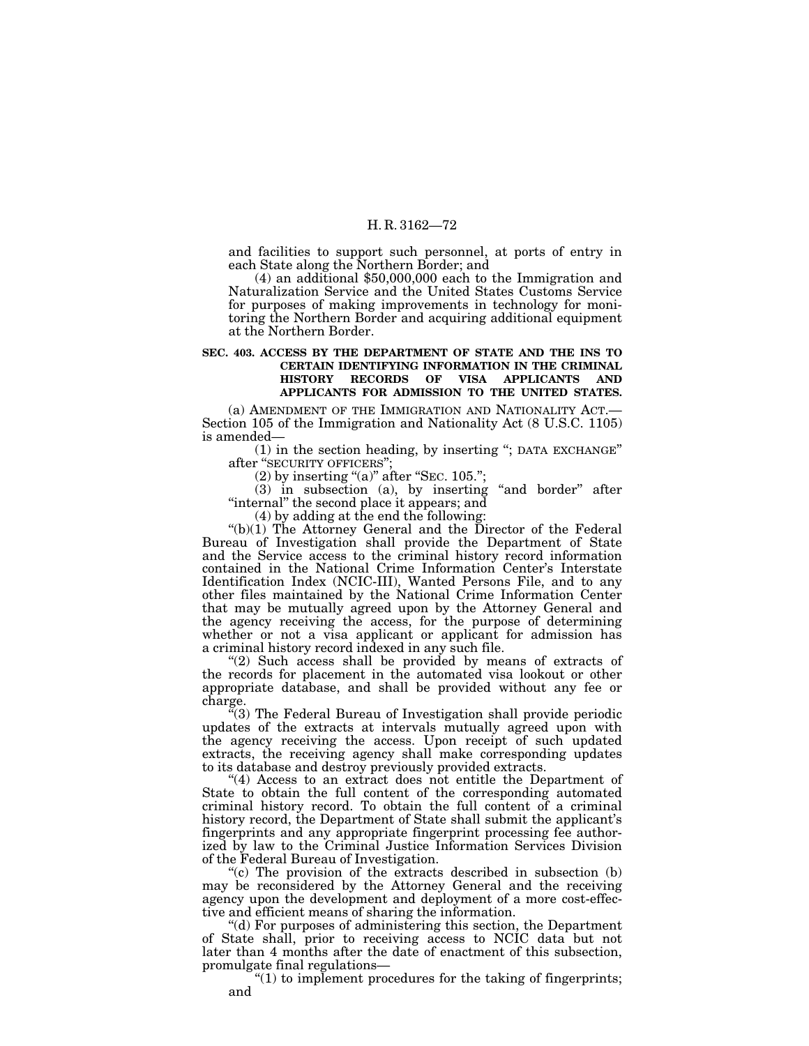and facilities to support such personnel, at ports of entry in each State along the Northern Border; and

(4) an additional \$50,000,000 each to the Immigration and Naturalization Service and the United States Customs Service for purposes of making improvements in technology for monitoring the Northern Border and acquiring additional equipment at the Northern Border.

#### **SEC. 403. ACCESS BY THE DEPARTMENT OF STATE AND THE INS TO CERTAIN IDENTIFYING INFORMATION IN THE CRIMINAL HISTORY RECORDS OF VISA APPLICANTS AND APPLICANTS FOR ADMISSION TO THE UNITED STATES.**

(a) AMENDMENT OF THE IMMIGRATION AND NATIONALITY ACT.— Section 105 of the Immigration and Nationality Act (8 U.S.C. 1105) is amended—

(1) in the section heading, by inserting ''; DATA EXCHANGE'' after ''SECURITY OFFICERS'';

 $(2)$  by inserting " $(a)$ " after "SEC. 105.";

(3) in subsection (a), by inserting ''and border'' after "internal" the second place it appears; and

(4) by adding at the end the following:

" $(b)(1)$  The Attorney General and the Director of the Federal Bureau of Investigation shall provide the Department of State and the Service access to the criminal history record information contained in the National Crime Information Center's Interstate Identification Index (NCIC-III), Wanted Persons File, and to any other files maintained by the National Crime Information Center that may be mutually agreed upon by the Attorney General and the agency receiving the access, for the purpose of determining whether or not a visa applicant or applicant for admission has a criminal history record indexed in any such file.

''(2) Such access shall be provided by means of extracts of the records for placement in the automated visa lookout or other appropriate database, and shall be provided without any fee or charge.

"(3) The Federal Bureau of Investigation shall provide periodic updates of the extracts at intervals mutually agreed upon with the agency receiving the access. Upon receipt of such updated extracts, the receiving agency shall make corresponding updates to its database and destroy previously provided extracts.

"(4) Access to an extract does not entitle the Department of State to obtain the full content of the corresponding automated criminal history record. To obtain the full content of a criminal history record, the Department of State shall submit the applicant's fingerprints and any appropriate fingerprint processing fee authorized by law to the Criminal Justice Information Services Division of the Federal Bureau of Investigation.

" $(c)$  The provision of the extracts described in subsection  $(b)$ may be reconsidered by the Attorney General and the receiving agency upon the development and deployment of a more cost-effec-

tive and efficient means of sharing the information. ''(d) For purposes of administering this section, the Department of State shall, prior to receiving access to NCIC data but not later than 4 months after the date of enactment of this subsection, promulgate final regulations—

 $f(1)$  to implement procedures for the taking of fingerprints; and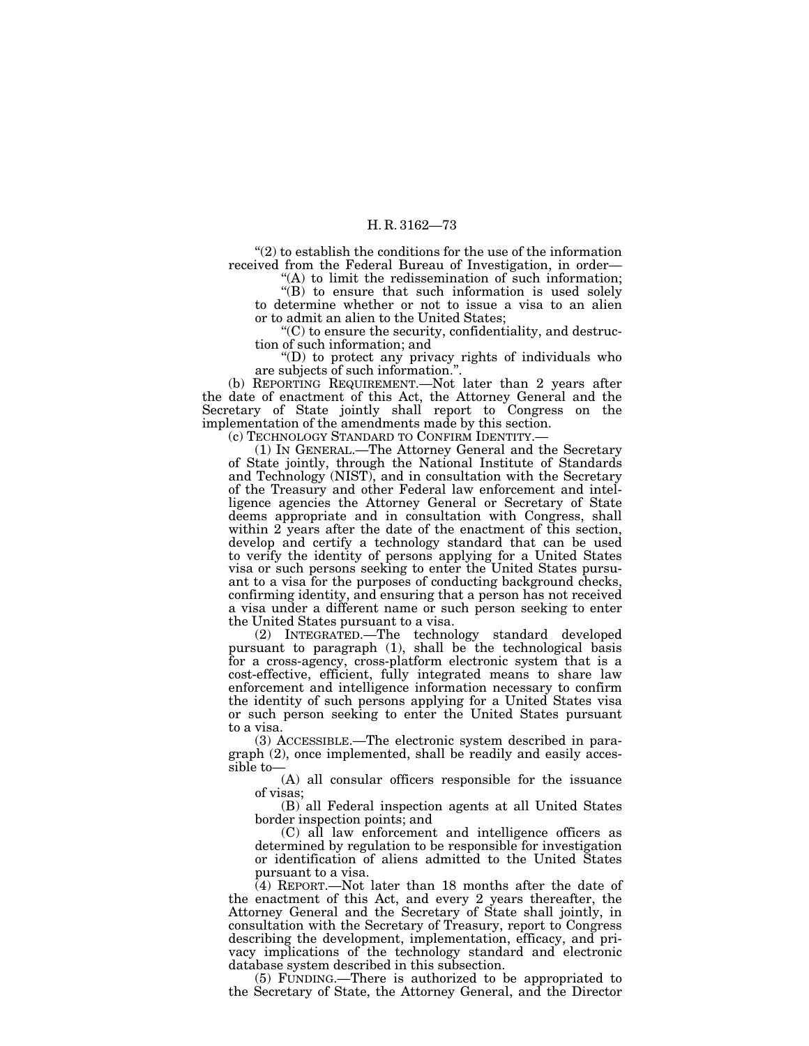$(2)$  to establish the conditions for the use of the information received from the Federal Bureau of Investigation, in order—

"(A) to limit the redissemination of such information; ''(B) to ensure that such information is used solely to determine whether or not to issue a visa to an alien or to admit an alien to the United States;

 $C$ ) to ensure the security, confidentiality, and destruction of such information; and

''(D) to protect any privacy rights of individuals who are subjects of such information.''.

(b) REPORTING REQUIREMENT.—Not later than 2 years after the date of enactment of this Act, the Attorney General and the Secretary of State jointly shall report to Congress on the implementation of the amendments made by this section.

(c) TECHNOLOGY STANDARD TO CONFIRM IDENTITY.—

(1) IN GENERAL.—The Attorney General and the Secretary of State jointly, through the National Institute of Standards and Technology (NIST), and in consultation with the Secretary of the Treasury and other Federal law enforcement and intelligence agencies the Attorney General or Secretary of State deems appropriate and in consultation with Congress, shall within 2 years after the date of the enactment of this section, develop and certify a technology standard that can be used to verify the identity of persons applying for a United States visa or such persons seeking to enter the United States pursuant to a visa for the purposes of conducting background checks, confirming identity, and ensuring that a person has not received a visa under a different name or such person seeking to enter the United States pursuant to a visa.

(2) INTEGRATED.—The technology standard developed pursuant to paragraph (1), shall be the technological basis for a cross-agency, cross-platform electronic system that is a cost-effective, efficient, fully integrated means to share law enforcement and intelligence information necessary to confirm the identity of such persons applying for a United States visa or such person seeking to enter the United States pursuant to a visa.

(3) ACCESSIBLE.—The electronic system described in paragraph (2), once implemented, shall be readily and easily accessible to—

(A) all consular officers responsible for the issuance of visas;

(B) all Federal inspection agents at all United States border inspection points; and

(C) all law enforcement and intelligence officers as determined by regulation to be responsible for investigation or identification of aliens admitted to the United States pursuant to a visa.

(4) REPORT.—Not later than 18 months after the date of the enactment of this Act, and every 2 years thereafter, the Attorney General and the Secretary of State shall jointly, in consultation with the Secretary of Treasury, report to Congress describing the development, implementation, efficacy, and privacy implications of the technology standard and electronic database system described in this subsection.

(5) FUNDING.—There is authorized to be appropriated to the Secretary of State, the Attorney General, and the Director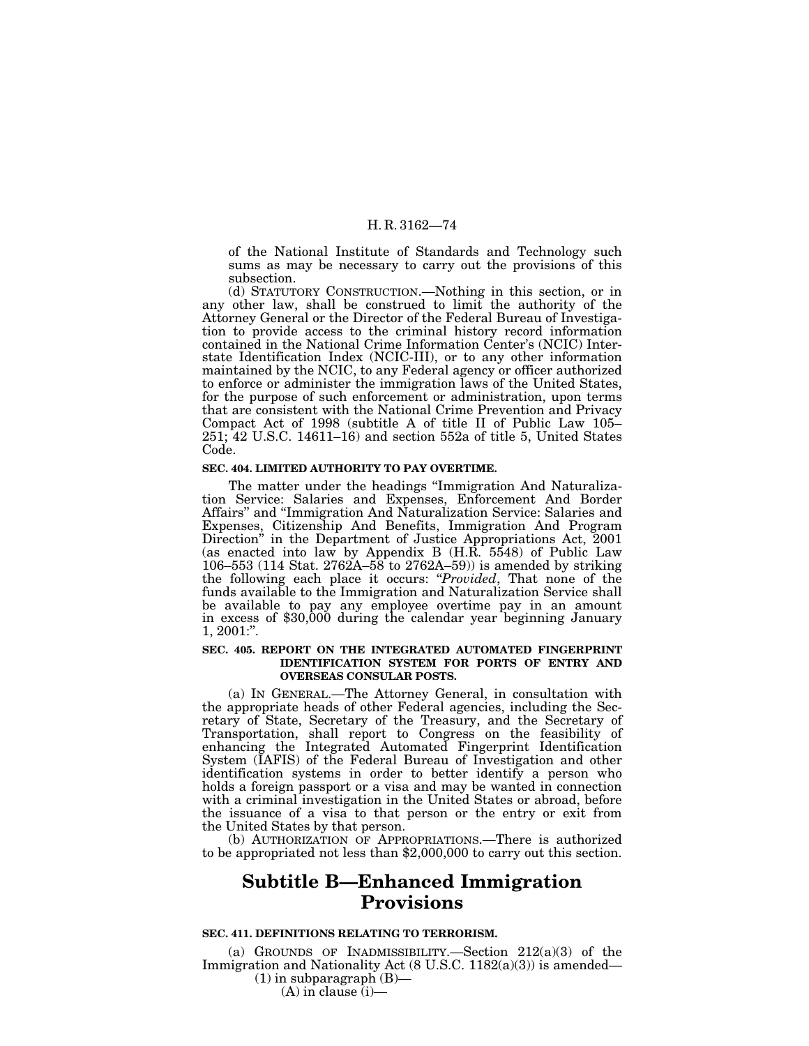of the National Institute of Standards and Technology such sums as may be necessary to carry out the provisions of this subsection.

(d) STATUTORY CONSTRUCTION.—Nothing in this section, or in any other law, shall be construed to limit the authority of the Attorney General or the Director of the Federal Bureau of Investigation to provide access to the criminal history record information contained in the National Crime Information Center's (NCIC) Interstate Identification Index (NCIC-III), or to any other information maintained by the NCIC, to any Federal agency or officer authorized to enforce or administer the immigration laws of the United States, for the purpose of such enforcement or administration, upon terms that are consistent with the National Crime Prevention and Privacy Compact Act of 1998 (subtitle A of title II of Public Law 105– 251; 42 U.S.C. 14611–16) and section 552a of title 5, United States Code.

#### **SEC. 404. LIMITED AUTHORITY TO PAY OVERTIME.**

The matter under the headings "Immigration And Naturalization Service: Salaries and Expenses, Enforcement And Border Affairs'' and ''Immigration And Naturalization Service: Salaries and Expenses, Citizenship And Benefits, Immigration And Program Direction'' in the Department of Justice Appropriations Act, 2001 (as enacted into law by Appendix B (H.R. 5548) of Public Law 106–553 (114 Stat. 2762A–58 to 2762A–59)) is amended by striking the following each place it occurs: ''*Provided*, That none of the funds available to the Immigration and Naturalization Service shall be available to pay any employee overtime pay in an amount in excess of \$30,000 during the calendar year beginning January 1, 2001:''.

#### **SEC. 405. REPORT ON THE INTEGRATED AUTOMATED FINGERPRINT IDENTIFICATION SYSTEM FOR PORTS OF ENTRY AND OVERSEAS CONSULAR POSTS.**

(a) IN GENERAL.—The Attorney General, in consultation with the appropriate heads of other Federal agencies, including the Secretary of State, Secretary of the Treasury, and the Secretary of Transportation, shall report to Congress on the feasibility of enhancing the Integrated Automated Fingerprint Identification System (IAFIS) of the Federal Bureau of Investigation and other identification systems in order to better identify a person who holds a foreign passport or a visa and may be wanted in connection with a criminal investigation in the United States or abroad, before the issuance of a visa to that person or the entry or exit from the United States by that person.

(b) AUTHORIZATION OF APPROPRIATIONS.—There is authorized to be appropriated not less than \$2,000,000 to carry out this section.

# **Subtitle B—Enhanced Immigration Provisions**

#### **SEC. 411. DEFINITIONS RELATING TO TERRORISM.**

(a) GROUNDS OF INADMISSIBILITY.—Section  $212(a)(3)$  of the Immigration and Nationality Act (8 U.S.C. 1182(a)(3)) is amended—<br>(1) in subparagraph (B)—<br>(A) in clause (i)—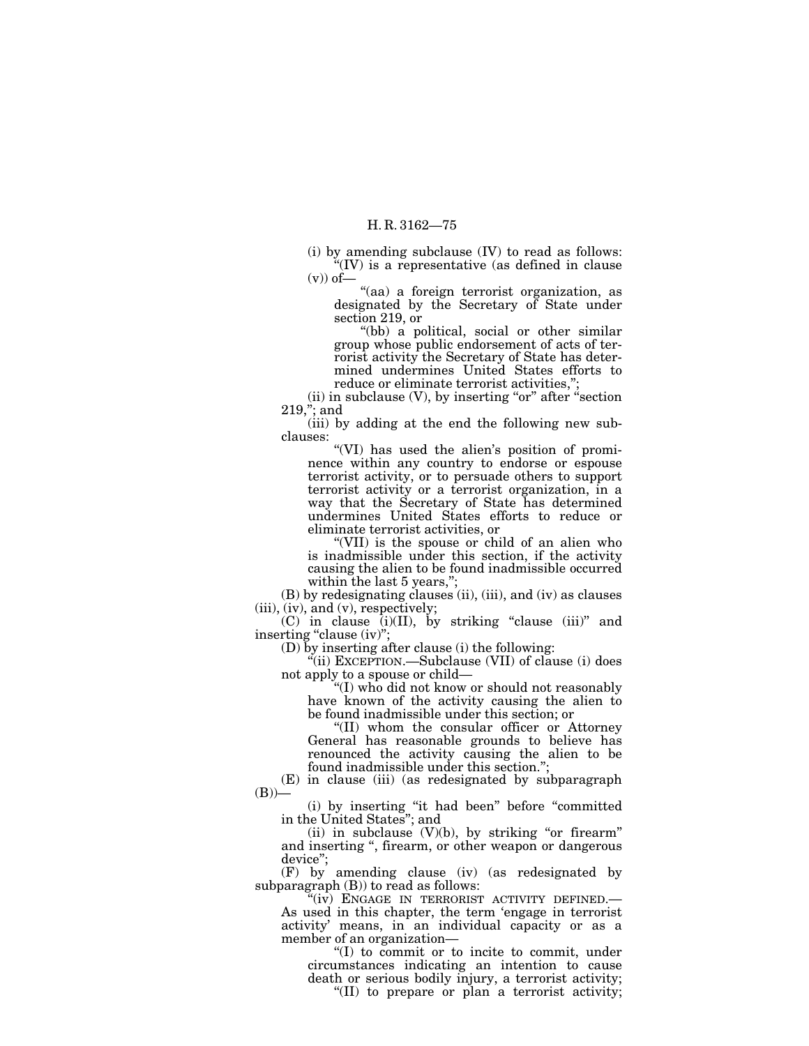(i) by amending subclause (IV) to read as follows: ''(IV) is a representative (as defined in clause  $(v)$ ) of —

''(aa) a foreign terrorist organization, as designated by the Secretary of State under section 219, or

''(bb) a political, social or other similar group whose public endorsement of acts of terrorist activity the Secretary of State has determined undermines United States efforts to reduce or eliminate terrorist activities,'';

 $(ii)$  in subclause  $(V)$ , by inserting "or" after "section 219,''; and

(iii) by adding at the end the following new subclauses:

''(VI) has used the alien's position of prominence within any country to endorse or espouse terrorist activity, or to persuade others to support terrorist activity or a terrorist organization, in a way that the Secretary of State has determined undermines United States efforts to reduce or eliminate terrorist activities, or

''(VII) is the spouse or child of an alien who is inadmissible under this section, if the activity causing the alien to be found inadmissible occurred within the last 5 years,";

(B) by redesignating clauses (ii), (iii), and (iv) as clauses (iii), (iv), and (v), respectively;

 $(C)$  in clause  $(i)(II)$ , by striking "clause  $(iii)$ " and inserting "clause (iv)";<br>(D) by inserting after clause (i) the following:

 $\ddot{C}$ (ii) EXCEPTION.—Subclause (VII) of clause (i) does not apply to a spouse or child—

''(I) who did not know or should not reasonably have known of the activity causing the alien to be found inadmissible under this section; or

''(II) whom the consular officer or Attorney General has reasonable grounds to believe has renounced the activity causing the alien to be found inadmissible under this section.'';

(E) in clause (iii) (as redesignated by subparagraph  $(B)$ )–

(i) by inserting ''it had been'' before ''committed in the United States''; and

(ii) in subclause  $(V)(b)$ , by striking "or firearm" and inserting '', firearm, or other weapon or dangerous device'';

(F) by amending clause (iv) (as redesignated by subparagraph (B)) to read as follows:

"(iv) ENGAGE IN TERRORIST ACTIVITY DEFINED.— As used in this chapter, the term 'engage in terrorist activity' means, in an individual capacity or as a member of an organization—

"(I) to commit or to incite to commit, under circumstances indicating an intention to cause death or serious bodily injury, a terrorist activity; ''(II) to prepare or plan a terrorist activity;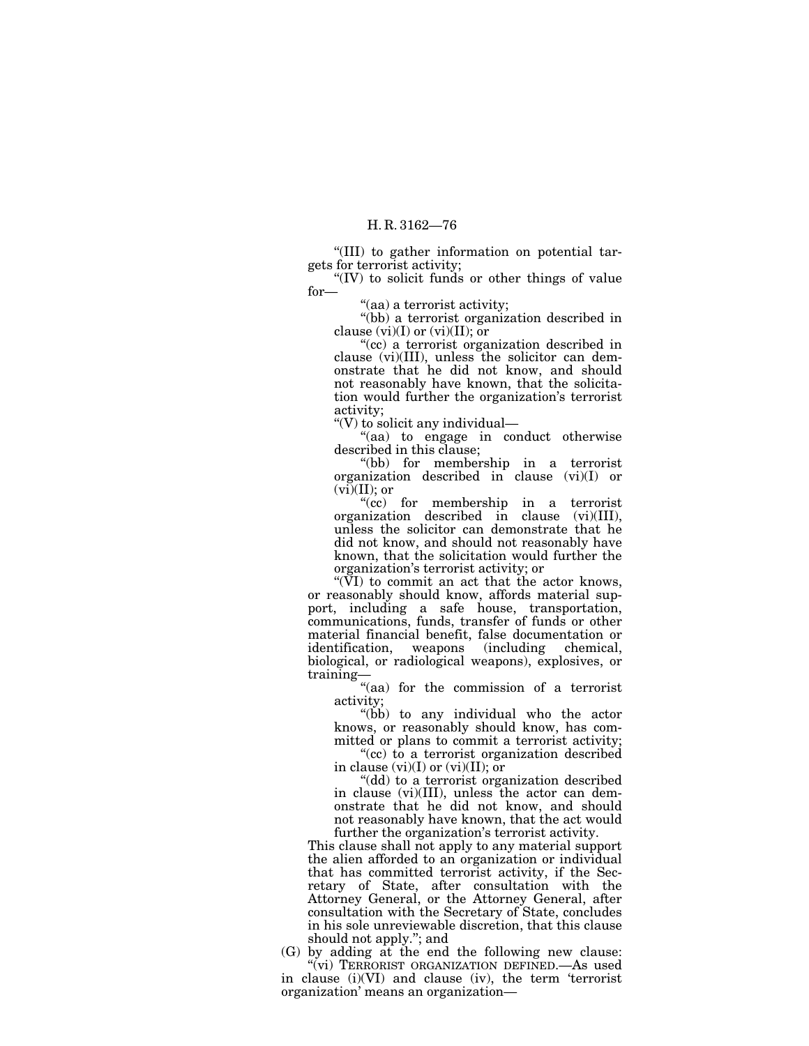''(III) to gather information on potential targets for terrorist activity;

" $(IV)$  to solicit funds or other things of value for—

"(aa) a terrorist activity;

''(bb) a terrorist organization described in clause  $(vi)(I)$  or  $(vi)(II)$ ; or

''(cc) a terrorist organization described in clause (vi)(III), unless the solicitor can demonstrate that he did not know, and should not reasonably have known, that the solicitation would further the organization's terrorist activity;

''(V) to solicit any individual—

"(aa) to engage in conduct otherwise described in this clause;

''(bb) for membership in a terrorist organization described in clause  $(vi)(I)$  or  $(vi)(II);$  or

"(cc) for membership in a terrorist organization described in clause (vi)(III), unless the solicitor can demonstrate that he did not know, and should not reasonably have known, that the solicitation would further the organization's terrorist activity; or

''(VI) to commit an act that the actor knows, or reasonably should know, affords material support, including a safe house, transportation, communications, funds, transfer of funds or other material financial benefit, false documentation or<br>identification, weapons (including chemical, weapons (including chemical, biological, or radiological weapons), explosives, or training—

''(aa) for the commission of a terrorist activity; ''(bb) to any individual who the actor

knows, or reasonably should know, has com-

mitted or plans to commit a terrorist activity;<br>"(cc) to a terrorist organization described<br>in clause (vi)(I) or (vi)(II); or

"(dd) to a terrorist organization described in clause (vi)(III), unless the actor can demonstrate that he did not know, and should not reasonably have known, that the act would further the organization's terrorist activity.

This clause shall not apply to any material support the alien afforded to an organization or individual that has committed terrorist activity, if the Secretary of State, after consultation with the Attorney General, or the Attorney General, after consultation with the Secretary of State, concludes in his sole unreviewable discretion, that this clause should not apply.''; and

(G) by adding at the end the following new clause:

"(vi) TERRORIST ORGANIZATION DEFINED.—As used in clause (i)(VI) and clause (iv), the term 'terrorist organization' means an organization—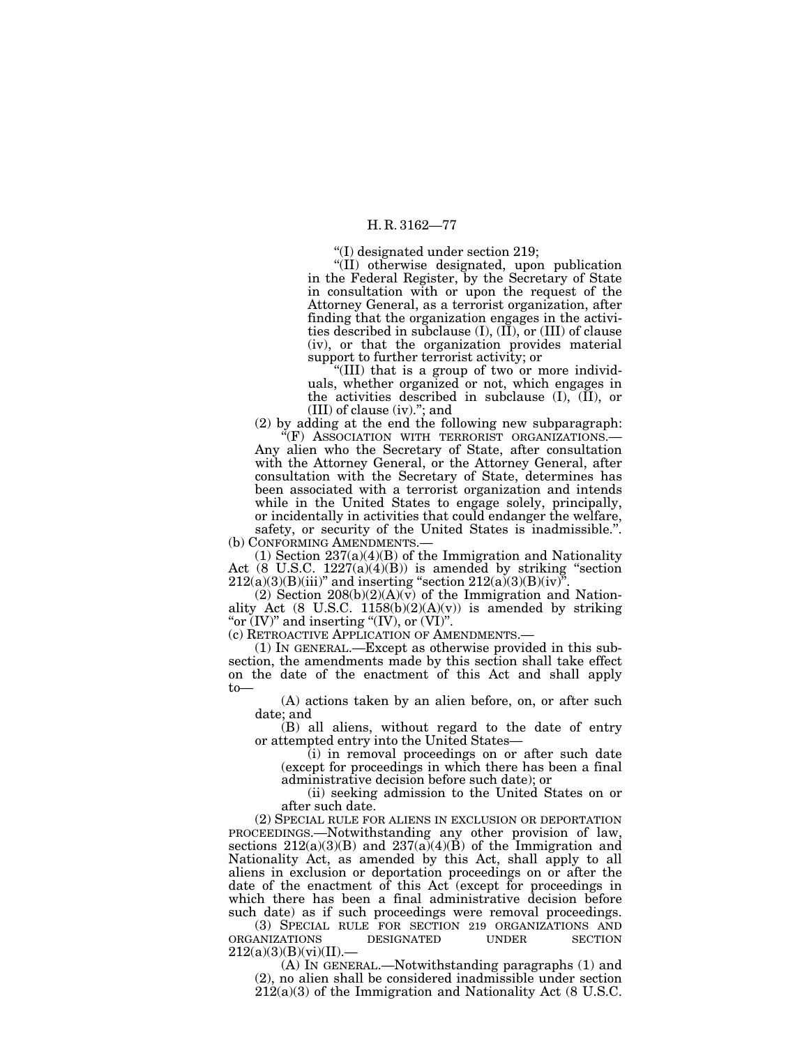''(I) designated under section 219;

''(II) otherwise designated, upon publication in the Federal Register, by the Secretary of State in consultation with or upon the request of the Attorney General, as a terrorist organization, after finding that the organization engages in the activities described in subclause (I), (II), or (III) of clause (iv), or that the organization provides material support to further terrorist activity; or

"(III) that is a group of two or more individuals, whether organized or not, which engages in the activities described in subclause (I), (II), or (III) of clause (iv).''; and

(2) by adding at the end the following new subparagraph: "(F) ASSOCIATION WITH TERRORIST ORGANIZATIONS.

Any alien who the Secretary of State, after consultation with the Attorney General, or the Attorney General, after consultation with the Secretary of State, determines has been associated with a terrorist organization and intends while in the United States to engage solely, principally, or incidentally in activities that could endanger the welfare,

safety, or security of the United States is inadmissible.''. (b) CONFORMING AMENDMENTS.

(1) Section  $237(a)(4)(B)$  of the Immigration and Nationality Act  $(8 \text{ U.S.C. } 1227(a)(4)(B))$  is amended by striking "section  $212(a)(3)(B)(iii)$ " and inserting "section  $212(a)(3)(B)(iv)$ ".

(2) Section  $208(b)(2)(A)(v)$  of the Immigration and Nationality Act  $(8 \text{ U.S.C. } 1158(b)(2)(A)(v))$  is amended by striking ''or (IV)'' and inserting ''(IV), or (VI)''.

(c) RETROACTIVE APPLICATION OF AMENDMENTS.—

(1) IN GENERAL.—Except as otherwise provided in this subsection, the amendments made by this section shall take effect on the date of the enactment of this Act and shall apply to—

(A) actions taken by an alien before, on, or after such date; and

(B) all aliens, without regard to the date of entry or attempted entry into the United States—

(i) in removal proceedings on or after such date (except for proceedings in which there has been a final administrative decision before such date); or

(ii) seeking admission to the United States on or after such date.

(2) SPECIAL RULE FOR ALIENS IN EXCLUSION OR DEPORTATION PROCEEDINGS.—Notwithstanding any other provision of law, sections  $212(a)(3)(B)$  and  $237(a)(4)(B)$  of the Immigration and Nationality Act, as amended by this Act, shall apply to all aliens in exclusion or deportation proceedings on or after the date of the enactment of this Act (except for proceedings in which there has been a final administrative decision before such date) as if such proceedings were removal proceedings.

(3) SPECIAL RULE FOR SECTION 219 ORGANIZATIONS AND ORGANIZATIONS  $212(a)(3)(B)(vi)(II)$ .

(A) IN GENERAL.—Notwithstanding paragraphs (1) and (2), no alien shall be considered inadmissible under section 212(a)(3) of the Immigration and Nationality Act (8 U.S.C.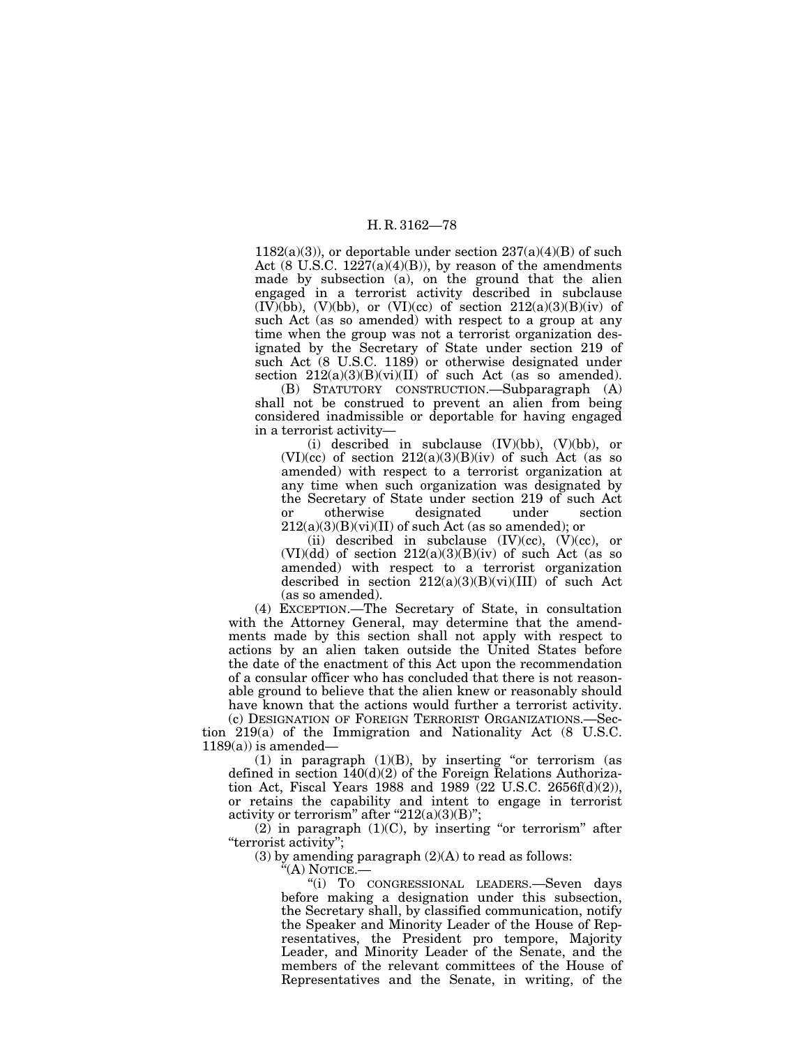1182(a)(3)), or deportable under section  $237(a)(4)(B)$  of such Act  $(8 \text{ U.S.C. } 1227(a)(4)(B))$ , by reason of the amendments made by subsection (a), on the ground that the alien engaged in a terrorist activity described in subclause  $(IV)(\bar{b}b)$ ,  $(V)(\bar{b}b)$ , or  $(VI)(\bar{c}c)$  of section  $212(a)(3)(B)(\bar{c}c)$  of such Act (as so amended) with respect to a group at any time when the group was not a terrorist organization designated by the Secretary of State under section 219 of such Act (8 U.S.C. 1189) or otherwise designated under section  $212(a)(3)(B)(vi)(II)$  of such Act (as so amended).

(B) STATUTORY CONSTRUCTION.—Subparagraph (A) shall not be construed to prevent an alien from being considered inadmissible or deportable for having engaged in a terrorist activity—

(i) described in subclause (IV)(bb), (V)(bb), or (VI)(cc) of section  $212(a)(3)(B)(iv)$  of such Act (as so amended) with respect to a terrorist organization at any time when such organization was designated by the Secretary of State under section 219 of such Act or otherwise designated under section  $212(a)(3)(B)(vi)(II)$  of such Act (as so amended); or

(ii) described in subclause  $(IV)(cc)$ ,  $(V)(cc)$ , or  $(VI)(dd)$  of section  $212(a)(3)(B)(iv)$  of such Act (as so amended) with respect to a terrorist organization described in section  $212(a)(3)(B)(vi)(III)$  of such Act (as so amended).

(4) EXCEPTION.—The Secretary of State, in consultation with the Attorney General, may determine that the amendments made by this section shall not apply with respect to actions by an alien taken outside the United States before the date of the enactment of this Act upon the recommendation of a consular officer who has concluded that there is not reasonable ground to believe that the alien knew or reasonably should have known that the actions would further a terrorist activity.

(c) DESIGNATION OF FOREIGN TERRORIST ORGANIZATIONS.—Section 219(a) of the Immigration and Nationality Act (8 U.S.C.  $1189(a)$ ) is amended—

 $(1)$  in paragraph  $(1)(B)$ , by inserting "or terrorism (as defined in section 140(d)(2) of the Foreign Relations Authorization Act, Fiscal Years 1988 and 1989 (22 U.S.C. 2656f(d)(2)), or retains the capability and intent to engage in terrorist activity or terrorism" after " $212(a)(3)(B)$ ";

(2) in paragraph  $(1)(C)$ , by inserting "or terrorism" after ''terrorist activity'';

 $(3)$  by amending paragraph  $(2)(A)$  to read as follows:

 $\cdot^{\alpha}$ (A) NOTICE.—

''(i) TO CONGRESSIONAL LEADERS.—Seven days before making a designation under this subsection, the Secretary shall, by classified communication, notify the Speaker and Minority Leader of the House of Representatives, the President pro tempore, Majority Leader, and Minority Leader of the Senate, and the members of the relevant committees of the House of Representatives and the Senate, in writing, of the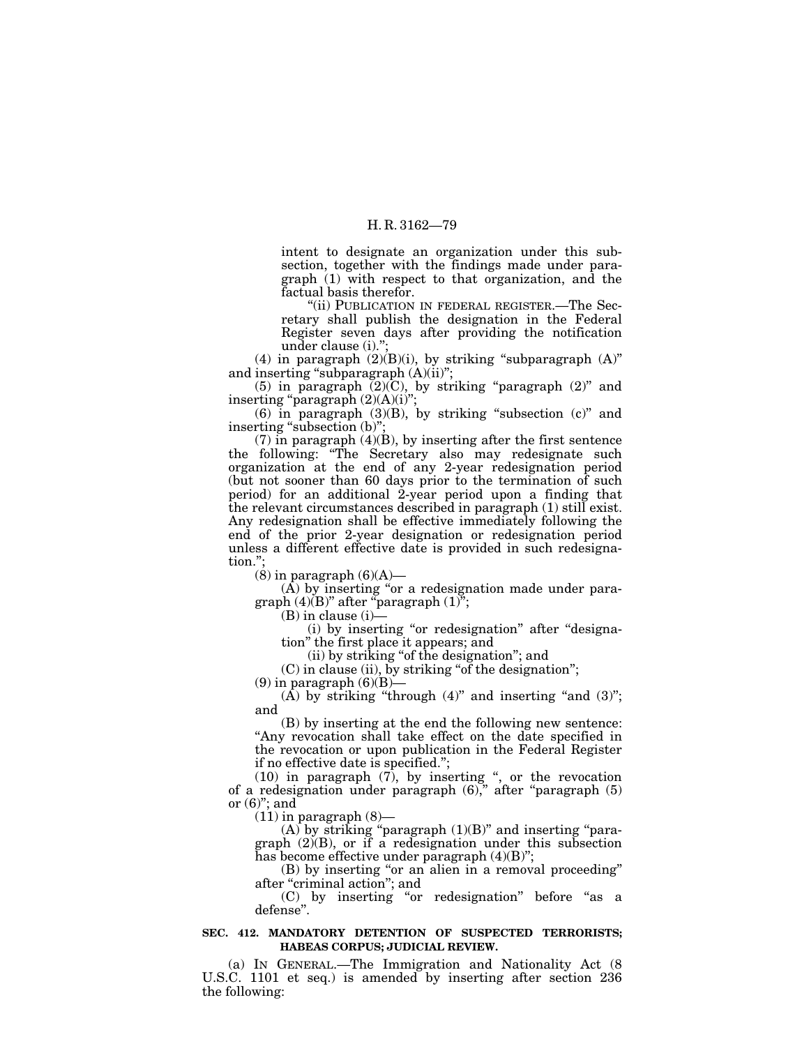intent to designate an organization under this subsection, together with the findings made under paragraph (1) with respect to that organization, and the factual basis therefor.

''(ii) PUBLICATION IN FEDERAL REGISTER.—The Secretary shall publish the designation in the Federal Register seven days after providing the notification under clause (i).'';

(4) in paragraph  $(2)(B)(i)$ , by striking "subparagraph  $(A)$ " and inserting "subparagraph  $(A)(ii)$ ";

(5) in paragraph  $(2)(C)$ , by striking "paragraph  $(2)$ " and inserting "paragraph  $(2)(A)(i)$ ";

 $(6)$  in paragraph  $(3)(B)$ , by striking "subsection  $(c)$ " and inserting "subsection (b)";

(7) in paragraph (4)(B), by inserting after the first sentence the following: ''The Secretary also may redesignate such organization at the end of any 2-year redesignation period (but not sooner than 60 days prior to the termination of such period) for an additional 2-year period upon a finding that the relevant circumstances described in paragraph (1) still exist. Any redesignation shall be effective immediately following the end of the prior 2-year designation or redesignation period unless a different effective date is provided in such redesignation.'';

 $(8)$  in paragraph  $(6)(A)$ —

(A) by inserting ''or a redesignation made under paragraph  $(4)(B)$ " after "paragraph  $(1)$ ";

(B) in clause (i)—

(i) by inserting "or redesignation" after "designation'' the first place it appears; and

(ii) by striking "of the designation"; and

(C) in clause (ii), by striking ''of the designation'';  $(9)$  in paragraph  $(6)(B)$ —

(A) by striking "through  $(4)$ " and inserting "and  $(3)$ "; and

(B) by inserting at the end the following new sentence: ''Any revocation shall take effect on the date specified in the revocation or upon publication in the Federal Register if no effective date is specified.'';

(10) in paragraph (7), by inserting '', or the revocation of a redesignation under paragraph (6),'' after ''paragraph (5) or  $(6)$ "; and

 $(11)$  in paragraph  $(8)$ —

 $(A)$  by striking "paragraph  $(1)(B)$ " and inserting "paragraph (2)(B), or if a redesignation under this subsection has become effective under paragraph (4)(B)'';

(B) by inserting ''or an alien in a removal proceeding'' after "criminal action"; and

(C) by inserting ''or redesignation'' before ''as a defense''.

## **SEC. 412. MANDATORY DETENTION OF SUSPECTED TERRORISTS; HABEAS CORPUS; JUDICIAL REVIEW.**

(a) IN GENERAL.—The Immigration and Nationality Act (8 U.S.C. 1101 et seq.) is amended by inserting after section 236 the following: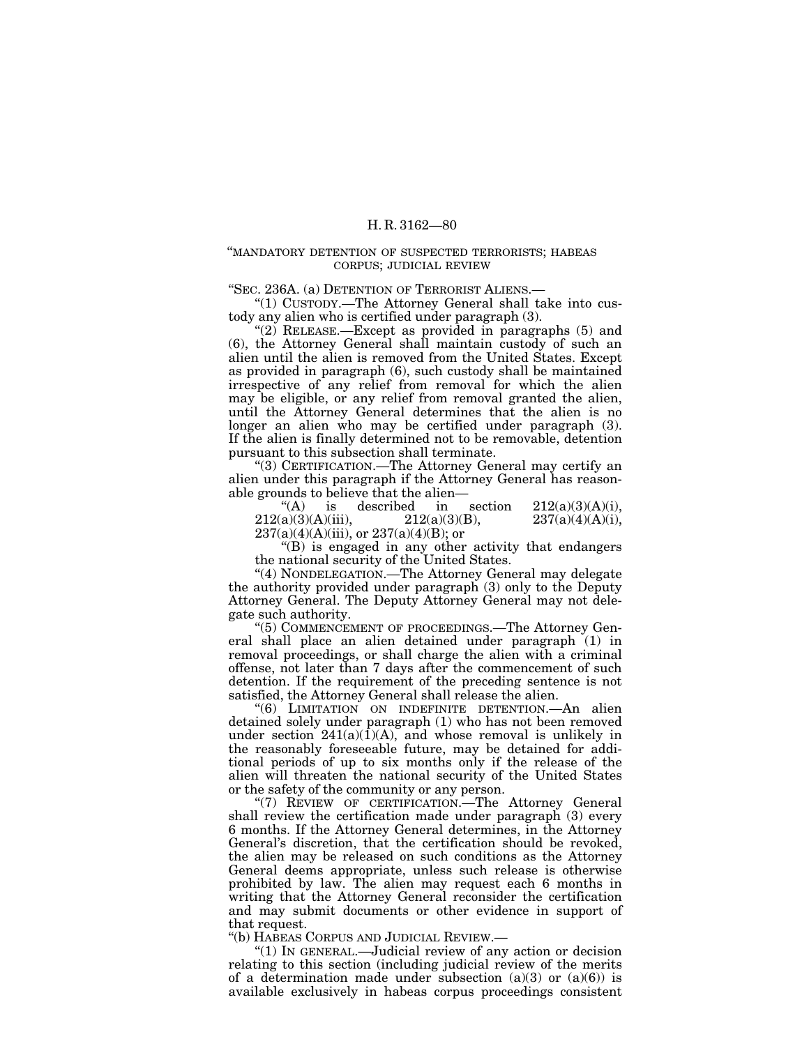#### ''MANDATORY DETENTION OF SUSPECTED TERRORISTS; HABEAS CORPUS; JUDICIAL REVIEW

''SEC. 236A. (a) DETENTION OF TERRORIST ALIENS.—

''(1) CUSTODY.—The Attorney General shall take into custody any alien who is certified under paragraph (3).

"(2) RELEASE.—Except as provided in paragraphs  $(5)$  and (6), the Attorney General shall maintain custody of such an alien until the alien is removed from the United States. Except as provided in paragraph (6), such custody shall be maintained irrespective of any relief from removal for which the alien may be eligible, or any relief from removal granted the alien, until the Attorney General determines that the alien is no longer an alien who may be certified under paragraph (3). If the alien is finally determined not to be removable, detention pursuant to this subsection shall terminate.

''(3) CERTIFICATION.—The Attorney General may certify an alien under this paragraph if the Attorney General has reasonable grounds to believe that the alien—<br>"(A) is described in section

"(A) is described in section  $212(a)(3)(A)(i)$ ,<br> $212(a)(3)(A)(ii)$ ,  $212(a)(3)(B)$ ,  $237(a)(4)(A)(i)$ ,  $237(a)(4)(A)(i)$ ,  $237(a)(4)(A)(iii)$ , or  $237(a)(4)(B)$ ; or

 $f(B)$  is engaged in any other activity that endangers the national security of the United States.

''(4) NONDELEGATION.—The Attorney General may delegate the authority provided under paragraph (3) only to the Deputy Attorney General. The Deputy Attorney General may not delegate such authority.

''(5) COMMENCEMENT OF PROCEEDINGS.—The Attorney General shall place an alien detained under paragraph (1) in removal proceedings, or shall charge the alien with a criminal offense, not later than 7 days after the commencement of such detention. If the requirement of the preceding sentence is not satisfied, the Attorney General shall release the alien.

"(6) LIMITATION ON INDEFINITE DETENTION.—An alien detained solely under paragraph (1) who has not been removed under section  $241(a)(1)(A)$ , and whose removal is unlikely in the reasonably foreseeable future, may be detained for additional periods of up to six months only if the release of the alien will threaten the national security of the United States or the safety of the community or any person.

''(7) REVIEW OF CERTIFICATION.—The Attorney General shall review the certification made under paragraph (3) every 6 months. If the Attorney General determines, in the Attorney General's discretion, that the certification should be revoked, the alien may be released on such conditions as the Attorney General deems appropriate, unless such release is otherwise prohibited by law. The alien may request each 6 months in writing that the Attorney General reconsider the certification and may submit documents or other evidence in support of that request.

''(b) HABEAS CORPUS AND JUDICIAL REVIEW.—

''(1) IN GENERAL.—Judicial review of any action or decision relating to this section (including judicial review of the merits of a determination made under subsection  $(a)(3)$  or  $(a)(6)$  is available exclusively in habeas corpus proceedings consistent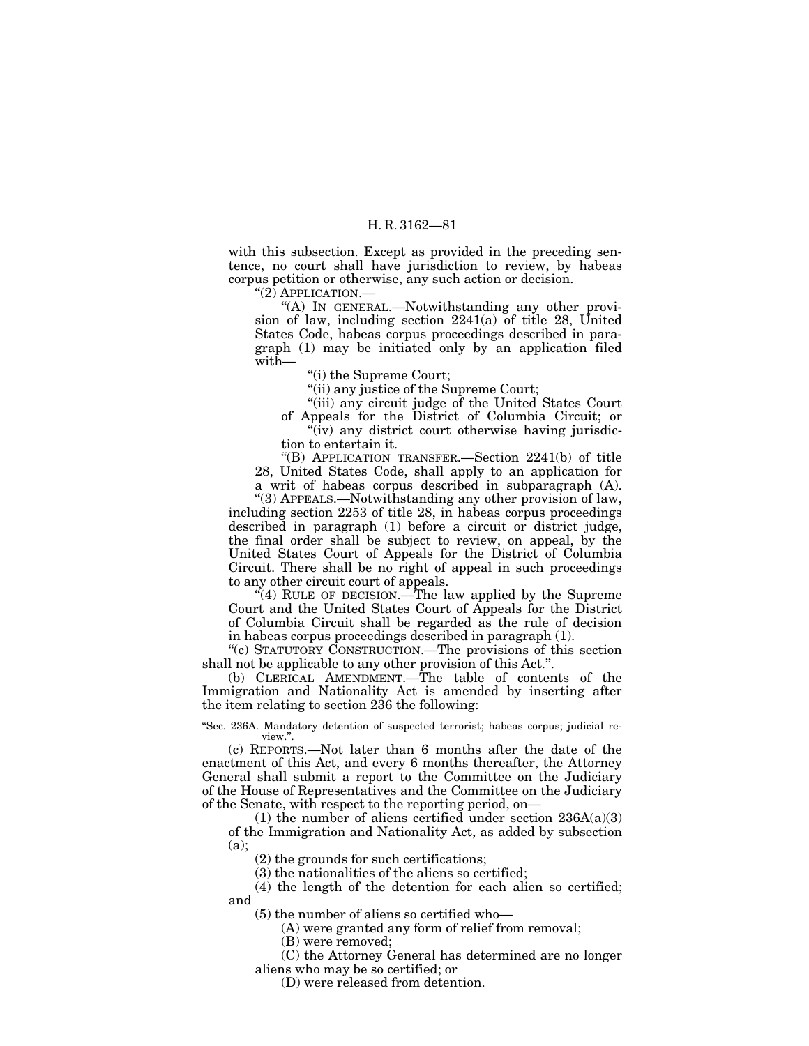with this subsection. Except as provided in the preceding sentence, no court shall have jurisdiction to review, by habeas corpus petition or otherwise, any such action or decision.

''(2) APPLICATION.—

''(A) IN GENERAL.—Notwithstanding any other provision of law, including section 2241(a) of title 28, United States Code, habeas corpus proceedings described in paragraph (1) may be initiated only by an application filed with—

"(i) the Supreme Court;

"(ii) any justice of the Supreme Court;

"(iii) any circuit judge of the United States Court of Appeals for the District of Columbia Circuit; or

"(iv) any district court otherwise having jurisdiction to entertain it.

''(B) APPLICATION TRANSFER.—Section 2241(b) of title 28, United States Code, shall apply to an application for a writ of habeas corpus described in subparagraph (A).

''(3) APPEALS.—Notwithstanding any other provision of law, including section 2253 of title 28, in habeas corpus proceedings described in paragraph (1) before a circuit or district judge, the final order shall be subject to review, on appeal, by the United States Court of Appeals for the District of Columbia Circuit. There shall be no right of appeal in such proceedings to any other circuit court of appeals.

 $\sqrt{4}$ ) RULE OF DECISION.—The law applied by the Supreme Court and the United States Court of Appeals for the District of Columbia Circuit shall be regarded as the rule of decision in habeas corpus proceedings described in paragraph (1).

''(c) STATUTORY CONSTRUCTION.—The provisions of this section shall not be applicable to any other provision of this Act.''.

(b) CLERICAL AMENDMENT.—The table of contents of the Immigration and Nationality Act is amended by inserting after the item relating to section 236 the following:

''Sec. 236A. Mandatory detention of suspected terrorist; habeas corpus; judicial review.''.

(c) REPORTS.—Not later than 6 months after the date of the enactment of this Act, and every 6 months thereafter, the Attorney General shall submit a report to the Committee on the Judiciary of the House of Representatives and the Committee on the Judiciary of the Senate, with respect to the reporting period, on—

(1) the number of aliens certified under section  $236A(a)(3)$ of the Immigration and Nationality Act, as added by subsection  $(a)$ ;

(2) the grounds for such certifications;

(3) the nationalities of the aliens so certified;

(4) the length of the detention for each alien so certified; and

(5) the number of aliens so certified who—

(A) were granted any form of relief from removal;

(B) were removed;

(C) the Attorney General has determined are no longer aliens who may be so certified; or

(D) were released from detention.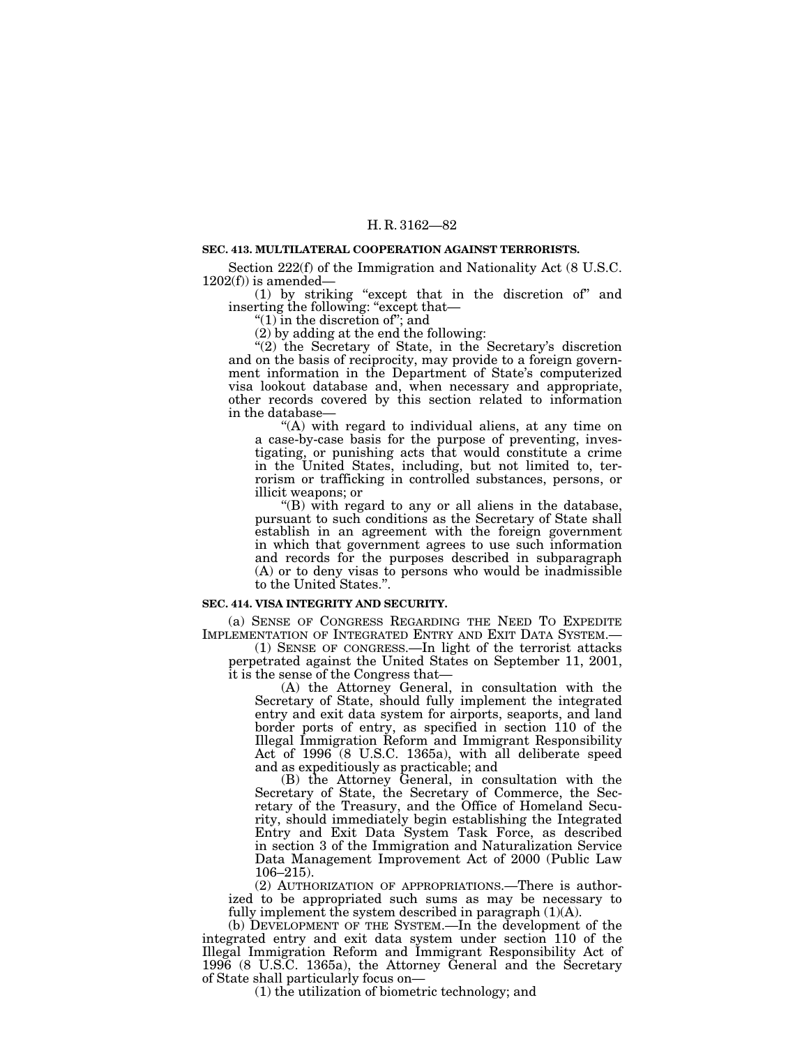### **SEC. 413. MULTILATERAL COOPERATION AGAINST TERRORISTS.**

Section 222(f) of the Immigration and Nationality Act (8 U.S.C. 1202(f)) is amended—

(1) by striking "except that in the discretion of" and inserting the following: "except that inserting the following: "except that—<br>"(1) in the discretion of"; and

(2) by adding at the end the following:

"(2) the Secretary of State, in the Secretary's discretion and on the basis of reciprocity, may provide to a foreign government information in the Department of State's computerized visa lookout database and, when necessary and appropriate, other records covered by this section related to information

"(A) with regard to individual aliens, at any time on a case-by-case basis for the purpose of preventing, investigating, or punishing acts that would constitute a crime in the United States, including, but not limited to, terrorism or trafficking in controlled substances, persons, or illicit weapons; or  $H(S)$  with regard to any or all aliens in the database,

pursuant to such conditions as the Secretary of State shall establish in an agreement with the foreign government in which that government agrees to use such information and records for the purposes described in subparagraph (A) or to deny visas to persons who would be inadmissible to the United States.''.

## **SEC. 414. VISA INTEGRITY AND SECURITY.**

(a) SENSE OF CONGRESS REGARDING THE NEED TO EXPEDITE IMPLEMENTATION OF INTEGRATED ENTRY AND EXIT DATA SYSTEM.—

(1) SENSE OF CONGRESS.—In light of the terrorist attacks perpetrated against the United States on September 11, 2001, it is the sense of the Congress that—

(A) the Attorney General, in consultation with the Secretary of State, should fully implement the integrated entry and exit data system for airports, seaports, and land border ports of entry, as specified in section 110 of the Illegal Immigration Reform and Immigrant Responsibility Act of 1996 (8 U.S.C. 1365a), with all deliberate speed and as expeditiously as practicable; and

(B) the Attorney General, in consultation with the Secretary of State, the Secretary of Commerce, the Secretary of the Treasury, and the Office of Homeland Security, should immediately begin establishing the Integrated Entry and Exit Data System Task Force, as described in section 3 of the Immigration and Naturalization Service Data Management Improvement Act of 2000 (Public Law 106–215).

(2) AUTHORIZATION OF APPROPRIATIONS.—There is authorized to be appropriated such sums as may be necessary to fully implement the system described in paragraph  $(1)(A)$ .

(b) DEVELOPMENT OF THE SYSTEM.—In the development of the integrated entry and exit data system under section 110 of the Illegal Immigration Reform and Immigrant Responsibility Act of 1996 (8 U.S.C. 1365a), the Attorney General and the Secretary of State shall particularly focus on—

 $(1)$  the utilization of biometric technology; and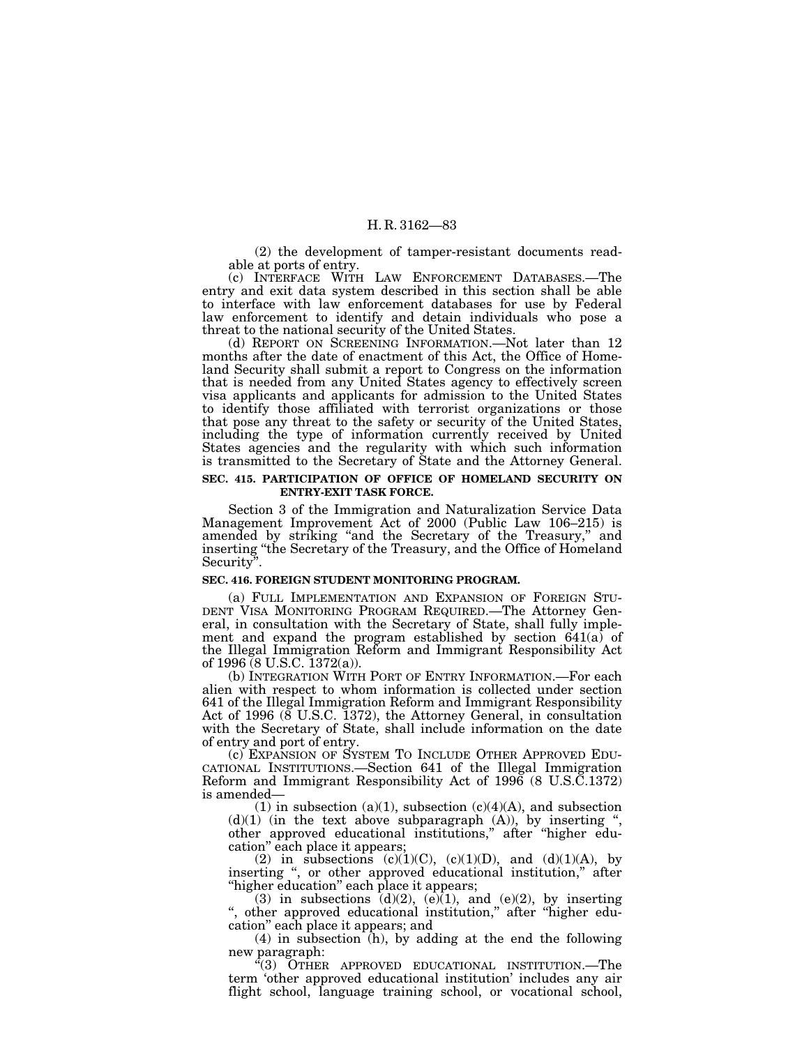(2) the development of tamper-resistant documents readable at ports of entry.

(c) INTERFACE WITH LAW ENFORCEMENT DATABASES.—The entry and exit data system described in this section shall be able to interface with law enforcement databases for use by Federal law enforcement to identify and detain individuals who pose a threat to the national security of the United States.

(d) REPORT ON SCREENING INFORMATION.—Not later than 12 months after the date of enactment of this Act, the Office of Homeland Security shall submit a report to Congress on the information that is needed from any United States agency to effectively screen visa applicants and applicants for admission to the United States to identify those affiliated with terrorist organizations or those that pose any threat to the safety or security of the United States, including the type of information currently received by United States agencies and the regularity with which such information is transmitted to the Secretary of State and the Attorney General.

## **SEC. 415. PARTICIPATION OF OFFICE OF HOMELAND SECURITY ON ENTRY-EXIT TASK FORCE.**

Section 3 of the Immigration and Naturalization Service Data Management Improvement Act of 2000 (Public Law 106–215) is amended by striking ''and the Secretary of the Treasury,'' and inserting ''the Secretary of the Treasury, and the Office of Homeland Security''.

### **SEC. 416. FOREIGN STUDENT MONITORING PROGRAM.**

(a) FULL IMPLEMENTATION AND EXPANSION OF FOREIGN STU- DENT VISA MONITORING PROGRAM REQUIRED.—The Attorney General, in consultation with the Secretary of State, shall fully implement and expand the program established by section  $641(a)$  of the Illegal Immigration Reform and Immigrant Responsibility Act of  $1996(8 \text{ U.S.C. } 1372(a))$ .

(b) INTEGRATION WITH PORT OF ENTRY INFORMATION.—For each alien with respect to whom information is collected under section 641 of the Illegal Immigration Reform and Immigrant Responsibility Act of 1996 (8 U.S.C. 1372), the Attorney General, in consultation with the Secretary of State, shall include information on the date of entry and port of entry.

(c) EXPANSION OF SYSTEM TO INCLUDE OTHER APPROVED EDU- CATIONAL INSTITUTIONS.—Section 641 of the Illegal Immigration Reform and Immigrant Responsibility Act of 1996 (8 U.S.C.1372) is amended—<br>(1) in subsection (a)(1), subsection (c)(4)(A), and subsection

 $(d)(1)$  (in the text above subparagraph  $(A)$ ), by inserting ", other approved educational institutions," after "higher education'' each place it appears;

(2) in subsections (c)(1)(C), (c)(1)(D), and (d)(1)(A), by inserting ", or other approved educational institution," after ''higher education'' each place it appears;

(3) in subsections  $(d)(2)$ ,  $(e)(1)$ , and  $(e)(2)$ , by inserting ", other approved educational institution," after "higher education'' each place it appears; and

(4) in subsection (h), by adding at the end the following new paragraph:

''(3) OTHER APPROVED EDUCATIONAL INSTITUTION.—The term 'other approved educational institution' includes any air flight school, language training school, or vocational school,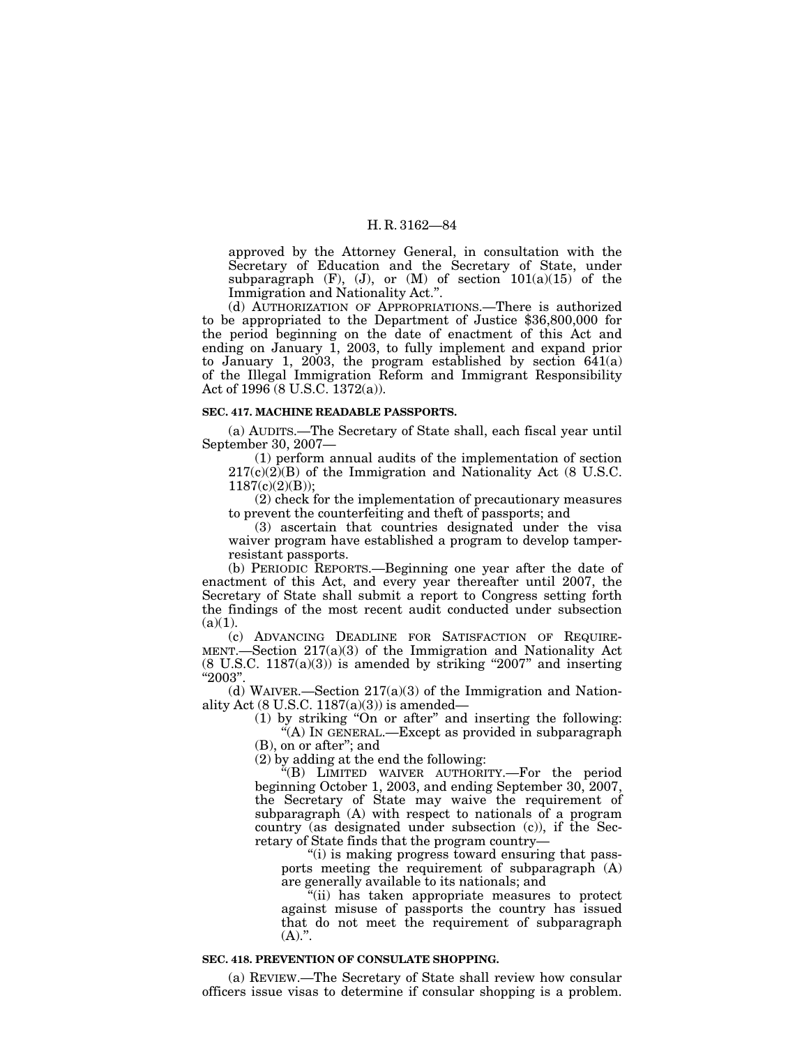approved by the Attorney General, in consultation with the Secretary of Education and the Secretary of State, under subparagraph  $(F)$ ,  $(J)$ , or  $(M)$  of section  $101(a)(15)$  of the Immigration and Nationality Act.''.

(d) AUTHORIZATION OF APPROPRIATIONS.—There is authorized to be appropriated to the Department of Justice \$36,800,000 for the period beginning on the date of enactment of this Act and ending on January 1, 2003, to fully implement and expand prior to January 1, 2003, the program established by section  $641(a)$ of the Illegal Immigration Reform and Immigrant Responsibility Act of 1996 (8 U.S.C. 1372(a)).

#### **SEC. 417. MACHINE READABLE PASSPORTS.**

(a) AUDITS.—The Secretary of State shall, each fiscal year until September 30, 2007—

(1) perform annual audits of the implementation of section  $217(c)(2)$ (B) of the Immigration and Nationality Act (8 U.S.C. 1187(c)(2)(B));

(2) check for the implementation of precautionary measures to prevent the counterfeiting and theft of passports; and

(3) ascertain that countries designated under the visa waiver program have established a program to develop tamperresistant passports.

(b) PERIODIC REPORTS.—Beginning one year after the date of enactment of this Act, and every year thereafter until 2007, the Secretary of State shall submit a report to Congress setting forth the findings of the most recent audit conducted under subsection  $(a)(1)$ .

(c) ADVANCING DEADLINE FOR SATISFACTION OF REQUIRE-MENT.—Section 217(a)(3) of the Immigration and Nationality Act  $(8 \text{ U.S.C. } 1187(a)(3))$  is amended by striking "2007" and inserting ''2003''.

(d) WAIVER.—Section  $217(a)(3)$  of the Immigration and Nationality Act  $(8$  U.S.C. 1187 $(a)(3)$ ) is amended—

(1) by striking "On or after" and inserting the following:

 $K(A)$  In GENERAL.—Except as provided in subparagraph (B), on or after''; and

(2) by adding at the end the following:

''(B) LIMITED WAIVER AUTHORITY.—For the period beginning October 1, 2003, and ending September 30, 2007, the Secretary of State may waive the requirement of subparagraph  $(A)$  with respect to nationals of a program country (as designated under subsection (c)), if the Secretary of State finds that the program country—

"(i) is making progress toward ensuring that passports meeting the requirement of subparagraph (A) are generally available to its nationals; and

''(ii) has taken appropriate measures to protect against misuse of passports the country has issued that do not meet the requirement of subparagraph  $(A).".$ 

#### **SEC. 418. PREVENTION OF CONSULATE SHOPPING.**

(a) REVIEW.—The Secretary of State shall review how consular officers issue visas to determine if consular shopping is a problem.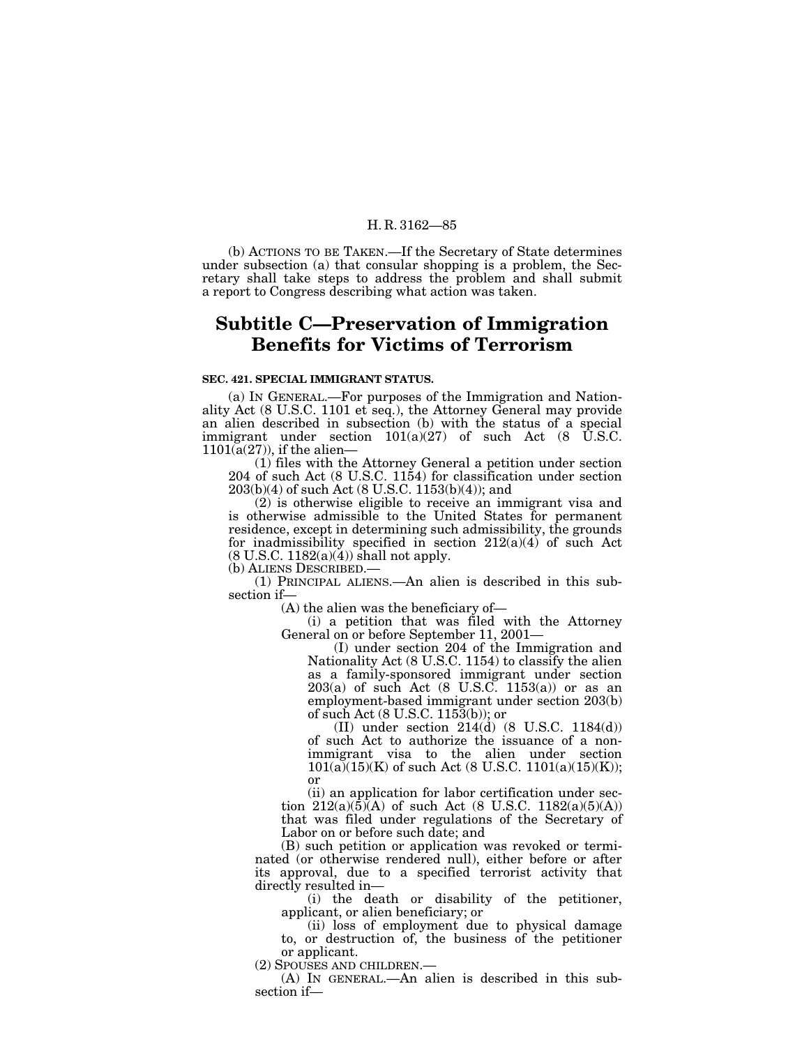(b) ACTIONS TO BE TAKEN.—If the Secretary of State determines under subsection (a) that consular shopping is a problem, the Secretary shall take steps to address the problem and shall submit a report to Congress describing what action was taken.

# **Subtitle C—Preservation of Immigration Benefits for Victims of Terrorism**

#### **SEC. 421. SPECIAL IMMIGRANT STATUS.**

(a) IN GENERAL.—For purposes of the Immigration and Nationality Act (8 U.S.C. 1101 et seq.), the Attorney General may provide an alien described in subsection (b) with the status of a special immigrant under section  $101(a)(27)$  of such Act (8 U.S.C. 1101(a(27)), if the alien—

(1) files with the Attorney General a petition under section 204 of such Act (8 U.S.C. 1154) for classification under section 203(b)(4) of such Act (8 U.S.C. 1153(b)(4)); and

(2) is otherwise eligible to receive an immigrant visa and is otherwise admissible to the United States for permanent residence, except in determining such admissibility, the grounds for inadmissibility specified in section 212(a)(4) of such Act  $(8 \text{ U.S.C. } 1182(a)(4))$  shall not apply.

(b) ALIENS DESCRIBED.—

(1) PRINCIPAL ALIENS.—An alien is described in this subsection if—

(A) the alien was the beneficiary of—

(i) a petition that was filed with the Attorney General on or before September 11, 2001—

(I) under section 204 of the Immigration and Nationality Act (8 U.S.C. 1154) to classify the alien as a family-sponsored immigrant under section  $203(a)$  of such Act  $(8 \text{ U.S.C. } 1153(a))$  or as an employment-based immigrant under section 203(b) of such Act (8 U.S.C. 1153(b)); or

(II) under section 214(d) (8 U.S.C. 1184(d)) of such Act to authorize the issuance of a nonimmigrant visa to the alien under section  $101(a)(15)(K)$  of such Act (8 U.S.C.  $1101(a)(15)(K)$ ); or

(ii) an application for labor certification under section  $212(a)(\overline{5})(A)$  of such Act (8 U.S.C. 1182(a)(5)(A)) that was filed under regulations of the Secretary of Labor on or before such date; and

(B) such petition or application was revoked or terminated (or otherwise rendered null), either before or after its approval, due to a specified terrorist activity that directly resulted in—

(i) the death or disability of the petitioner, applicant, or alien beneficiary; or

(ii) loss of employment due to physical damage to, or destruction of, the business of the petitioner or applicant.

(2) SPOUSES AND CHILDREN.—

(A) IN GENERAL.—An alien is described in this subsection if—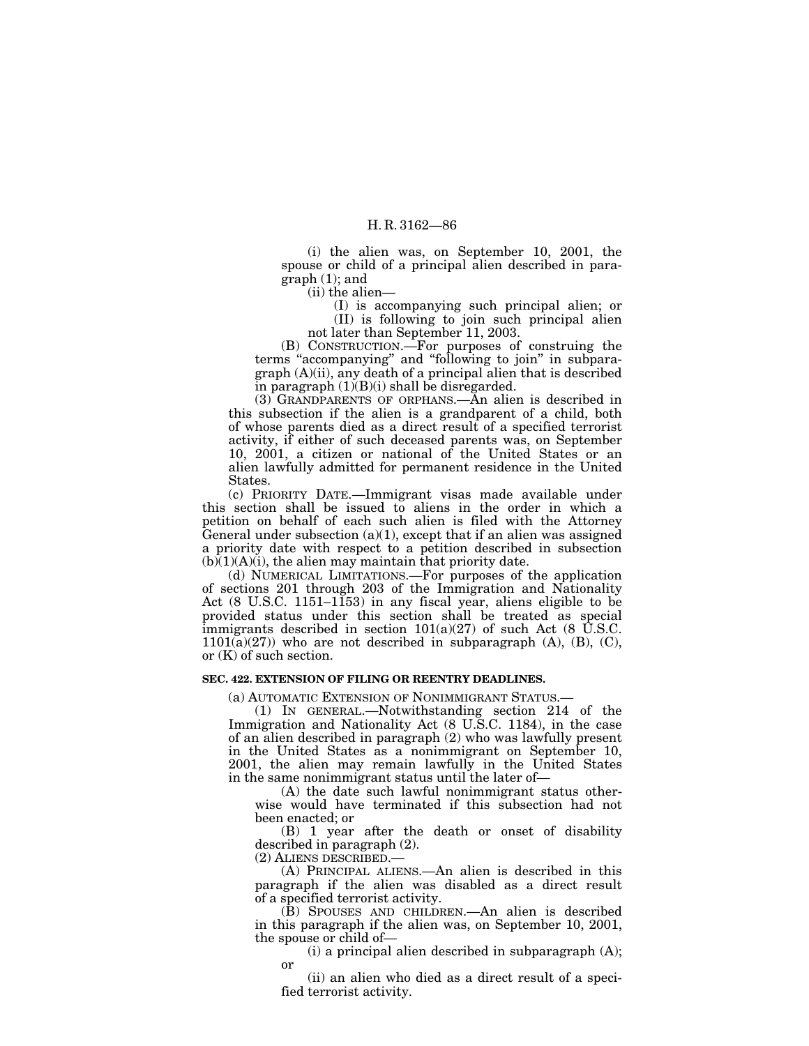(i) the alien was, on September 10, 2001, the spouse or child of a principal alien described in paragraph (1); and

(ii) the alien—

(I) is accompanying such principal alien; or (II) is following to join such principal alien not later than September 11, 2003.

(B) CONSTRUCTION.—For purposes of construing the terms ''accompanying'' and ''following to join'' in subparagraph (A)(ii), any death of a principal alien that is described in paragraph  $(1)(B)(i)$  shall be disregarded.

(3) GRANDPARENTS OF ORPHANS.—An alien is described in this subsection if the alien is a grandparent of a child, both of whose parents died as a direct result of a specified terrorist activity, if either of such deceased parents was, on September 10, 2001, a citizen or national of the United States or an alien lawfully admitted for permanent residence in the United States.

(c) PRIORITY DATE.—Immigrant visas made available under this section shall be issued to aliens in the order in which a petition on behalf of each such alien is filed with the Attorney General under subsection  $(a)(1)$ , except that if an alien was assigned a priority date with respect to a petition described in subsection  $(b)$  $(1)(A)$  $(i)$ , the alien may maintain that priority date.

(d) NUMERICAL LIMITATIONS.—For purposes of the application of sections 201 through 203 of the Immigration and Nationality Act (8 U.S.C. 1151–1153) in any fiscal year, aliens eligible to be provided status under this section shall be treated as special immigrants described in section  $101(a)(27)$  of such Act (8 U.S.C.  $1101(a)(27)$ ) who are not described in subparagraph (A), (B), (C), or (K) of such section.

#### **SEC. 422. EXTENSION OF FILING OR REENTRY DEADLINES.**

(a) AUTOMATIC EXTENSION OF NONIMMIGRANT STATUS.—

(1) IN GENERAL.—Notwithstanding section 214 of the Immigration and Nationality Act (8 U.S.C. 1184), in the case of an alien described in paragraph (2) who was lawfully present in the United States as a nonimmigrant on September 10, 2001, the alien may remain lawfully in the United States in the same nonimmigrant status until the later of—

(A) the date such lawful nonimmigrant status otherwise would have terminated if this subsection had not been enacted; or

(B) 1 year after the death or onset of disability described in paragraph (2).

(2) ALIENS DESCRIBED.—

(A) PRINCIPAL ALIENS.—An alien is described in this paragraph if the alien was disabled as a direct result of a specified terrorist activity.

(B) SPOUSES AND CHILDREN.—An alien is described in this paragraph if the alien was, on September 10, 2001, the spouse or child of—

 $(i)$  a principal alien described in subparagraph  $(A)$ ; or

(ii) an alien who died as a direct result of a specified terrorist activity.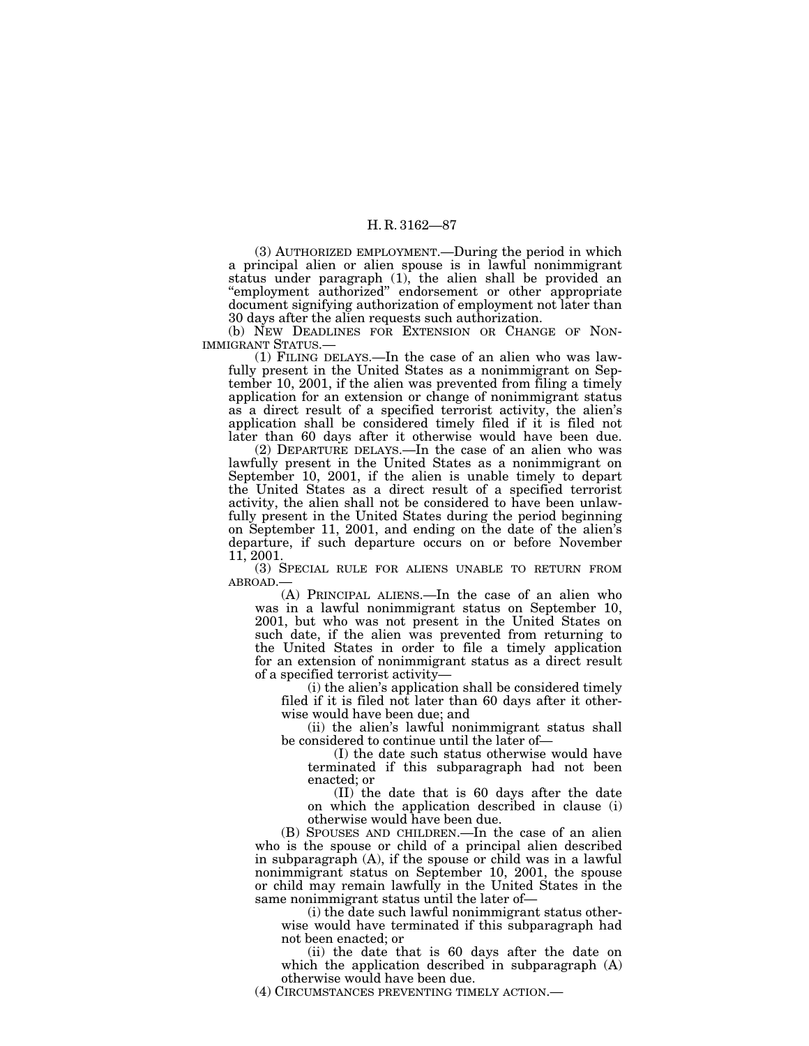(3) AUTHORIZED EMPLOYMENT.—During the period in which a principal alien or alien spouse is in lawful nonimmigrant status under paragraph (1), the alien shall be provided an ''employment authorized'' endorsement or other appropriate document signifying authorization of employment not later than 30 days after the alien requests such authorization.

(b) NEW DEADLINES FOR EXTENSION OR CHANGE OF NON-IMMIGRANT STATUS.—

(1) FILING DELAYS.—In the case of an alien who was lawfully present in the United States as a nonimmigrant on September 10, 2001, if the alien was prevented from filing a timely application for an extension or change of nonimmigrant status as a direct result of a specified terrorist activity, the alien's application shall be considered timely filed if it is filed not later than 60 days after it otherwise would have been due.

(2) DEPARTURE DELAYS.—In the case of an alien who was lawfully present in the United States as a nonimmigrant on September 10, 2001, if the alien is unable timely to depart the United States as a direct result of a specified terrorist activity, the alien shall not be considered to have been unlawfully present in the United States during the period beginning on September 11, 2001, and ending on the date of the alien's departure, if such departure occurs on or before November 11, 2001.

(3) SPECIAL RULE FOR ALIENS UNABLE TO RETURN FROM ABROAD.—

(A) PRINCIPAL ALIENS.—In the case of an alien who was in a lawful nonimmigrant status on September 10, 2001, but who was not present in the United States on such date, if the alien was prevented from returning to the United States in order to file a timely application for an extension of nonimmigrant status as a direct result of a specified terrorist activity—

(i) the alien's application shall be considered timely filed if it is filed not later than 60 days after it otherwise would have been due; and

(ii) the alien's lawful nonimmigrant status shall be considered to continue until the later of—

(I) the date such status otherwise would have terminated if this subparagraph had not been enacted; or

(II) the date that is 60 days after the date on which the application described in clause (i) otherwise would have been due.

(B) SPOUSES AND CHILDREN.—In the case of an alien who is the spouse or child of a principal alien described in subparagraph (A), if the spouse or child was in a lawful nonimmigrant status on September 10, 2001, the spouse or child may remain lawfully in the United States in the same nonimmigrant status until the later of—

(i) the date such lawful nonimmigrant status otherwise would have terminated if this subparagraph had not been enacted; or

(ii) the date that is 60 days after the date on which the application described in subparagraph  $(A)$ otherwise would have been due.

(4) CIRCUMSTANCES PREVENTING TIMELY ACTION.—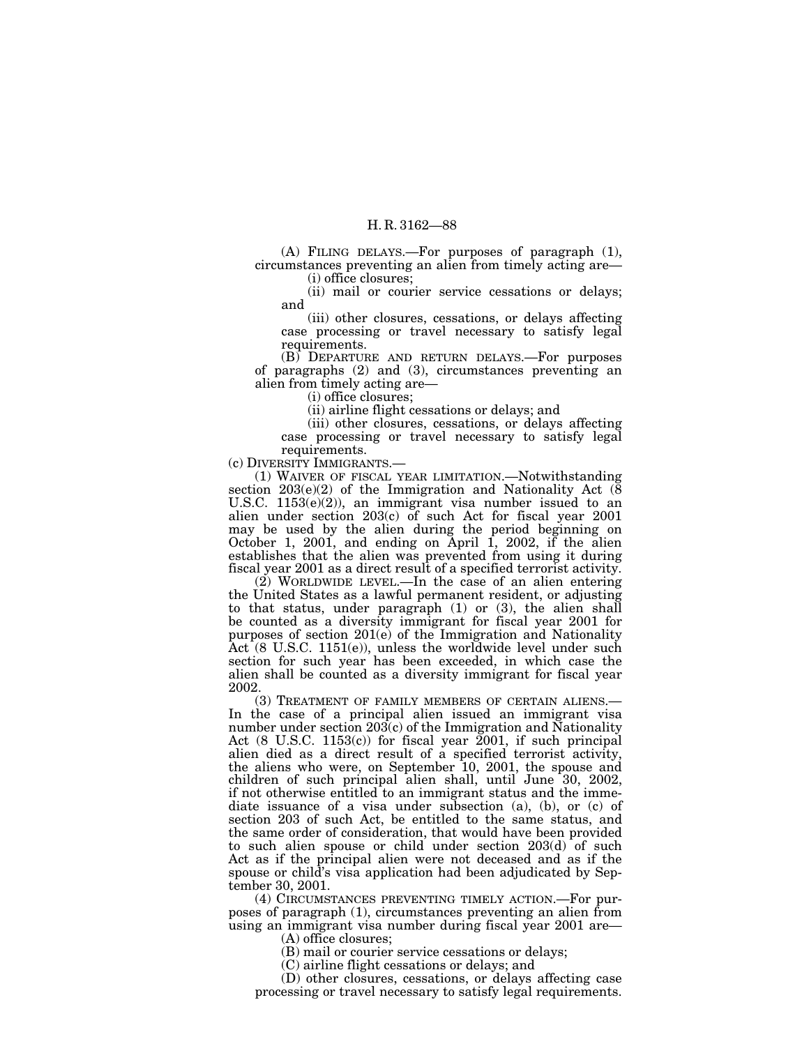(A) FILING DELAYS.—For purposes of paragraph (1), circumstances preventing an alien from timely acting are— (i) office closures;

(ii) mail or courier service cessations or delays; and

(iii) other closures, cessations, or delays affecting case processing or travel necessary to satisfy legal requirements.

(B) DEPARTURE AND RETURN DELAYS.—For purposes of paragraphs (2) and (3), circumstances preventing an alien from timely acting are— (i) office closures;

(ii) airline flight cessations or delays; and

(iii) other closures, cessations, or delays affecting case processing or travel necessary to satisfy legal requirements.

(c) DIVERSITY IMMIGRANTS.—

(1) WAIVER OF FISCAL YEAR LIMITATION.—Notwithstanding section  $203(e)(2)$  of the Immigration and Nationality Act (8) U.S.C. 1153(e)(2)), an immigrant visa number issued to an alien under section 203(c) of such Act for fiscal year 2001 may be used by the alien during the period beginning on October 1, 2001, and ending on April 1, 2002, if the alien establishes that the alien was prevented from using it during fiscal year 2001 as a direct result of a specified terrorist activity.

(2) WORLDWIDE LEVEL.—In the case of an alien entering the United States as a lawful permanent resident, or adjusting to that status, under paragraph (1) or (3), the alien shall be counted as a diversity immigrant for fiscal year 2001 for purposes of section 201(e) of the Immigration and Nationality Act (8 U.S.C. 1151(e)), unless the worldwide level under such section for such year has been exceeded, in which case the alien shall be counted as a diversity immigrant for fiscal year 2002.

(3) TREATMENT OF FAMILY MEMBERS OF CERTAIN ALIENS.— In the case of a principal alien issued an immigrant visa number under section  $203(c)$  of the Immigration and Nationality Act (8 U.S.C. 1153(c)) for fiscal year 2001, if such principal alien died as a direct result of a specified terrorist activity, the aliens who were, on September 10, 2001, the spouse and children of such principal alien shall, until June 30, 2002, if not otherwise entitled to an immigrant status and the immediate issuance of a visa under subsection (a), (b), or (c) of section 203 of such Act, be entitled to the same status, and the same order of consideration, that would have been provided to such alien spouse or child under section 203(d) of such Act as if the principal alien were not deceased and as if the spouse or child's visa application had been adjudicated by September 30, 2001.

(4) CIRCUMSTANCES PREVENTING TIMELY ACTION.—For purposes of paragraph (1), circumstances preventing an alien from using an immigrant visa number during fiscal year 2001 are— (A) office closures;

(B) mail or courier service cessations or delays;

(C) airline flight cessations or delays; and

(D) other closures, cessations, or delays affecting case processing or travel necessary to satisfy legal requirements.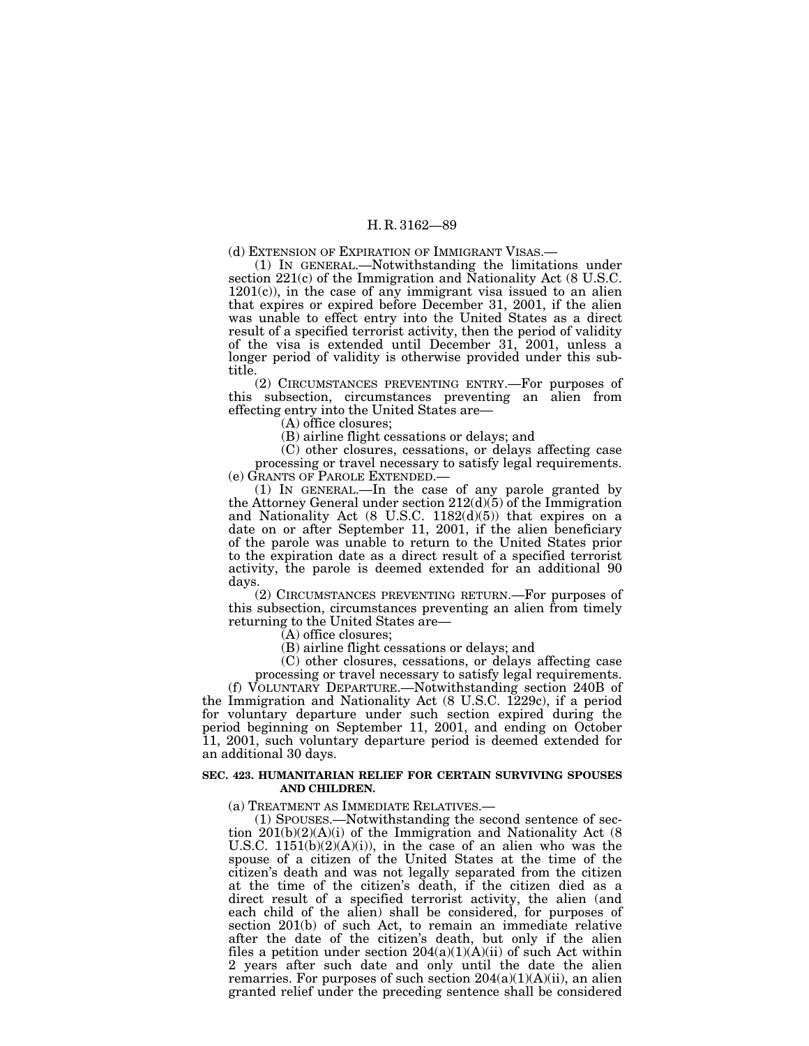(d) EXTENSION OF EXPIRATION OF IMMIGRANT VISAS.—

(1) IN GENERAL.—Notwithstanding the limitations under section 221(c) of the Immigration and Nationality Act (8 U.S.C.  $1201(c)$ , in the case of any immigrant visa issued to an alien that expires or expired before December 31, 2001, if the alien was unable to effect entry into the United States as a direct result of a specified terrorist activity, then the period of validity of the visa is extended until December 31, 2001, unless a longer period of validity is otherwise provided under this subtitle.

(2) CIRCUMSTANCES PREVENTING ENTRY.—For purposes of this subsection, circumstances preventing an alien from effecting entry into the United States are—

(A) office closures;

(B) airline flight cessations or delays; and

(C) other closures, cessations, or delays affecting case processing or travel necessary to satisfy legal requirements. (e) GRANTS OF PAROLE EXTENDED.—

(1) IN GENERAL.—In the case of any parole granted by the Attorney General under section 212(d)(5) of the Immigration and Nationality Act (8 U.S.C. 1182(d)(5)) that expires on a date on or after September 11, 2001, if the alien beneficiary of the parole was unable to return to the United States prior to the expiration date as a direct result of a specified terrorist activity, the parole is deemed extended for an additional 90 days.

(2) CIRCUMSTANCES PREVENTING RETURN.—For purposes of this subsection, circumstances preventing an alien from timely returning to the United States are—

(A) office closures;

(B) airline flight cessations or delays; and

(C) other closures, cessations, or delays affecting case processing or travel necessary to satisfy legal requirements.

(f) VOLUNTARY DEPARTURE.—Notwithstanding section 240B of the Immigration and Nationality Act (8 U.S.C. 1229c), if a period for voluntary departure under such section expired during the period beginning on September 11, 2001, and ending on October 11, 2001, such voluntary departure period is deemed extended for an additional 30 days.

### **SEC. 423. HUMANITARIAN RELIEF FOR CERTAIN SURVIVING SPOUSES AND CHILDREN.**

(a) TREATMENT AS IMMEDIATE RELATIVES.—

(1) SPOUSES.—Notwithstanding the second sentence of section  $201(b)(2)(A)(i)$  of the Immigration and Nationality Act (8) U.S.C. 1151(b)(2)(A)(i)), in the case of an alien who was the spouse of a citizen of the United States at the time of the citizen's death and was not legally separated from the citizen at the time of the citizen's death, if the citizen died as a direct result of a specified terrorist activity, the alien (and each child of the alien) shall be considered, for purposes of section 201(b) of such Act, to remain an immediate relative after the date of the citizen's death, but only if the alien files a petition under section  $204(a)(1)(A)(ii)$  of such Act within 2 years after such date and only until the date the alien remarries. For purposes of such section  $204(a)(1)(A)(ii)$ , an alien granted relief under the preceding sentence shall be considered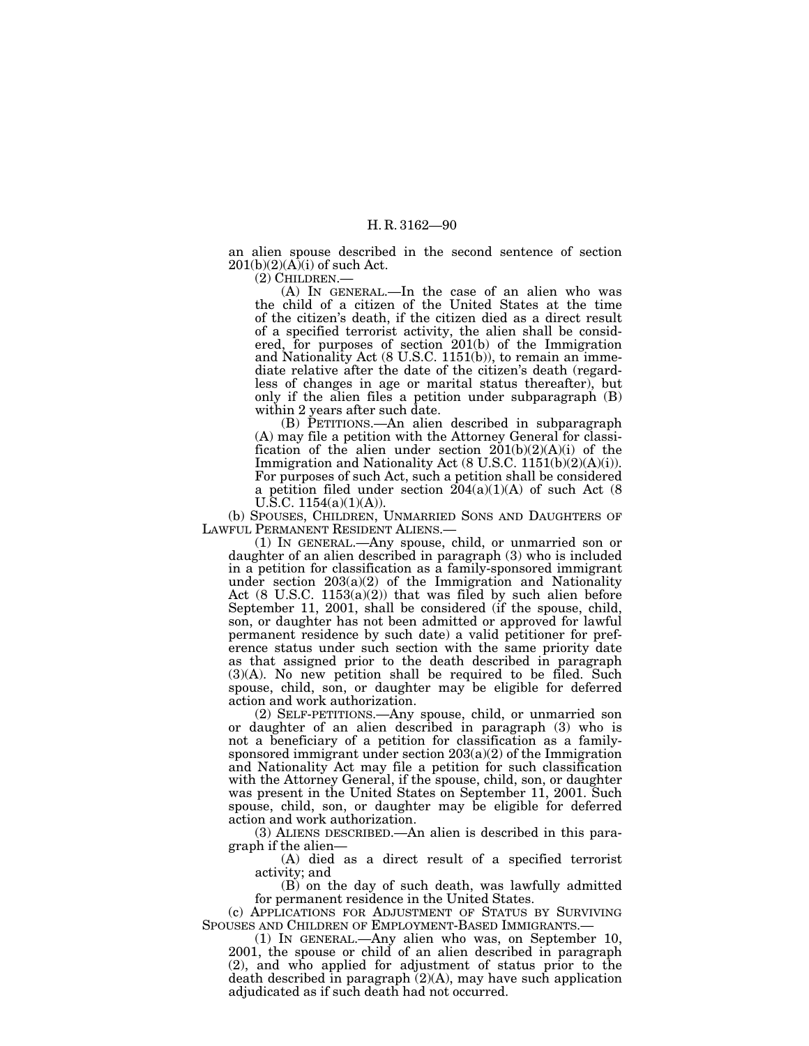an alien spouse described in the second sentence of section  $201(b)(2)(\overline{A})(i)$  of such Act.

 $(2)$  Children.

(A) IN GENERAL.—In the case of an alien who was the child of a citizen of the United States at the time of the citizen's death, if the citizen died as a direct result of a specified terrorist activity, the alien shall be considered, for purposes of section 201(b) of the Immigration and Nationality Act (8 U.S.C. 1151(b)), to remain an immediate relative after the date of the citizen's death (regardless of changes in age or marital status thereafter), but only if the alien files a petition under subparagraph (B) within 2 years after such date.

(B) PETITIONS.—An alien described in subparagraph (A) may file a petition with the Attorney General for classification of the alien under section  $201(b)(2)(A)(i)$  of the Immigration and Nationality Act (8 U.S.C. 1151(b)(2)(A)(i)). For purposes of such Act, such a petition shall be considered a petition filed under section  $204(a)(1)(A)$  of such Act (8 U.S.C.  $1154(a)(1)(A)$ .

(b) SPOUSES, CHILDREN, UNMARRIED SONS AND DAUGHTERS OF LAWFUL PERMANENT RESIDENT ALIENS.—

(1) IN GENERAL.—Any spouse, child, or unmarried son or daughter of an alien described in paragraph (3) who is included in a petition for classification as a family-sponsored immigrant under section  $203(a)(2)$  of the Immigration and Nationality Act  $(8 \text{ U.S.C. } 1153(a)(2))$  that was filed by such alien before September 11, 2001, shall be considered (if the spouse, child, son, or daughter has not been admitted or approved for lawful permanent residence by such date) a valid petitioner for preference status under such section with the same priority date as that assigned prior to the death described in paragraph (3)(A). No new petition shall be required to be filed. Such spouse, child, son, or daughter may be eligible for deferred action and work authorization.

(2) SELF-PETITIONS.—Any spouse, child, or unmarried son or daughter of an alien described in paragraph (3) who is not a beneficiary of a petition for classification as a familysponsored immigrant under section 203(a)(2) of the Immigration and Nationality Act may file a petition for such classification with the Attorney General, if the spouse, child, son, or daughter was present in the United States on September 11, 2001. Such spouse, child, son, or daughter may be eligible for deferred action and work authorization.

(3) ALIENS DESCRIBED.—An alien is described in this paragraph if the alien—

(A) died as a direct result of a specified terrorist activity; and

(B) on the day of such death, was lawfully admitted for permanent residence in the United States.

(c) APPLICATIONS FOR ADJUSTMENT OF STATUS BY SURVIVING SPOUSES AND CHILDREN OF EMPLOYMENT-BASED IMMIGRANTS.—

(1) IN GENERAL.—Any alien who was, on September 10, 2001, the spouse or child of an alien described in paragraph (2), and who applied for adjustment of status prior to the death described in paragraph (2)(A), may have such application adjudicated as if such death had not occurred.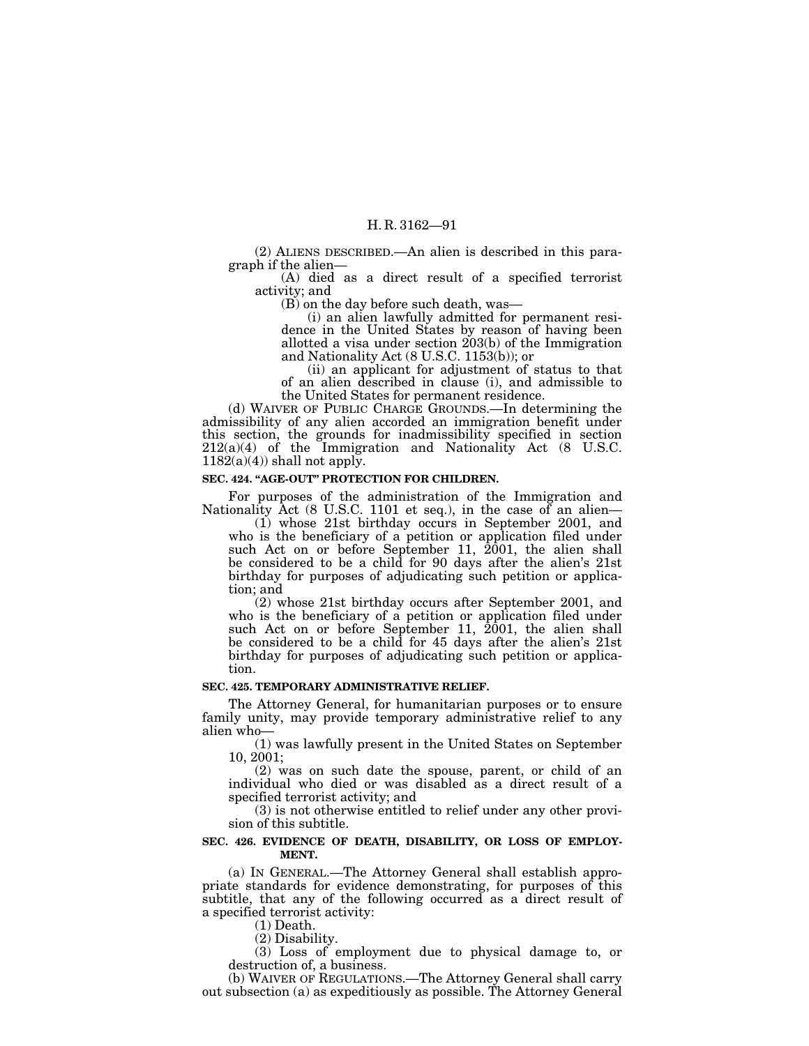(2) ALIENS DESCRIBED.—An alien is described in this para-

 $(A)$  died as a direct result of a specified terrorist activity; and<br>(B) on the day before such death, was—

(i) an alien lawfully admitted for permanent residence in the United States by reason of having been allotted a visa under section 203(b) of the Immigration and Nationality Act (8 U.S.C. 1153(b)); or

(ii) an applicant for adjustment of status to that of an alien described in clause (i), and admissible to the United States for permanent residence.

(d) WAIVER OF PUBLIC CHARGE GROUNDS.—In determining the admissibility of any alien accorded an immigration benefit under this section, the grounds for inadmissibility specified in section  $212(a)(4)$  of the Immigration and Nationality Act  $(8 \text{ U.S.C.})$  $1182(a)(4)$ ) shall not apply.

# **SEC. 424. ''AGE-OUT'' PROTECTION FOR CHILDREN.**

For purposes of the administration of the Immigration and Nationality Act (8 U.S.C. 1101 et seq.), in the case of an alien—

(1) whose 21st birthday occurs in September 2001, and who is the beneficiary of a petition or application filed under such Act on or before September 11, 2001, the alien shall be considered to be a child for 90 days after the alien's 21st birthday for purposes of adjudicating such petition or application; and

(2) whose 21st birthday occurs after September 2001, and who is the beneficiary of a petition or application filed under such Act on or before September 11, 2001, the alien shall be considered to be a child for 45 days after the alien's 21st birthday for purposes of adjudicating such petition or application.

#### **SEC. 425. TEMPORARY ADMINISTRATIVE RELIEF.**

The Attorney General, for humanitarian purposes or to ensure family unity, may provide temporary administrative relief to any alien who—

(1) was lawfully present in the United States on September 10, 2001;

(2) was on such date the spouse, parent, or child of an individual who died or was disabled as a direct result of a specified terrorist activity; and

(3) is not otherwise entitled to relief under any other provision of this subtitle.

#### **SEC. 426. EVIDENCE OF DEATH, DISABILITY, OR LOSS OF EMPLOY-MENT.**

(a) IN GENERAL.—The Attorney General shall establish appropriate standards for evidence demonstrating, for purposes of this subtitle, that any of the following occurred as a direct result of a specified terrorist activity:

(1) Death.

(2) Disability.

(3) Loss of employment due to physical damage to, or destruction of, a business.

(b) WAIVER OF REGULATIONS.—The Attorney General shall carry out subsection (a) as expeditiously as possible. The Attorney General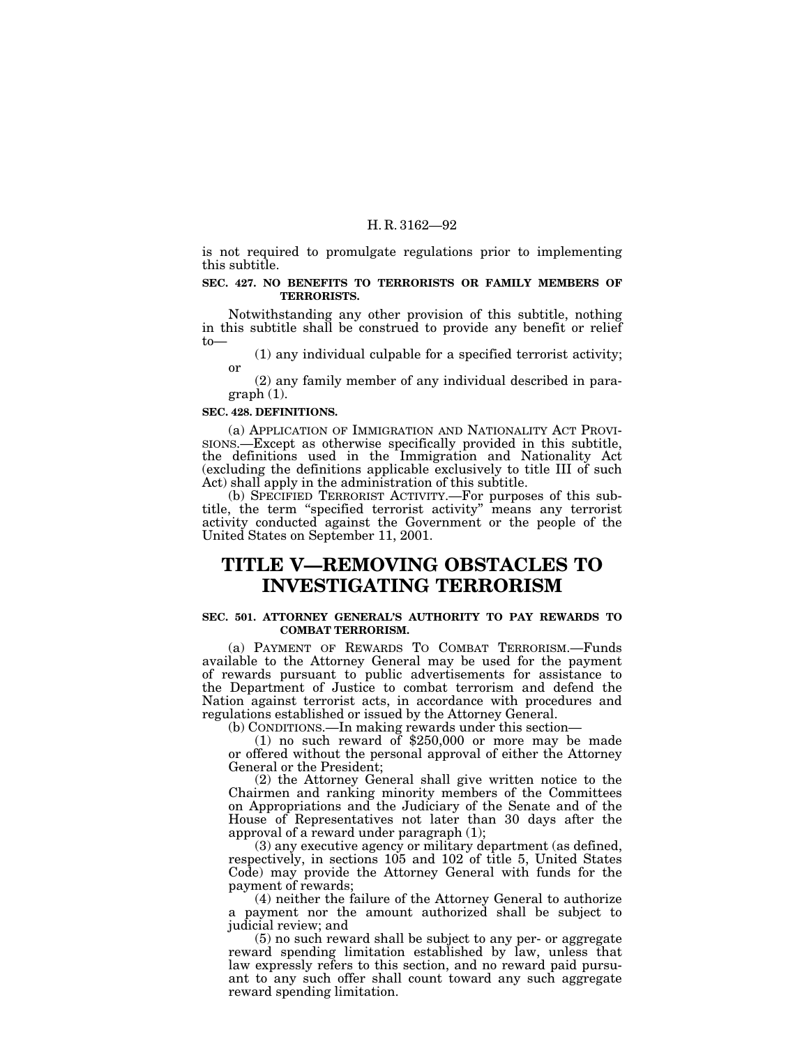is not required to promulgate regulations prior to implementing this subtitle.

## **SEC. 427. NO BENEFITS TO TERRORISTS OR FAMILY MEMBERS OF TERRORISTS.**

Notwithstanding any other provision of this subtitle, nothing in this subtitle shall be construed to provide any benefit or relief to—

(1) any individual culpable for a specified terrorist activity; or

(2) any family member of any individual described in paragraph (1).

#### **SEC. 428. DEFINITIONS.**

(a) APPLICATION OF IMMIGRATION AND NATIONALITY ACT PROVI-SIONS.—Except as otherwise specifically provided in this subtitle, the definitions used in the Immigration and Nationality Act (excluding the definitions applicable exclusively to title III of such Act) shall apply in the administration of this subtitle.

(b) SPECIFIED TERRORIST ACTIVITY.—For purposes of this subtitle, the term ''specified terrorist activity'' means any terrorist activity conducted against the Government or the people of the United States on September 11, 2001.

# **TITLE V—REMOVING OBSTACLES TO INVESTIGATING TERRORISM**

#### **SEC. 501. ATTORNEY GENERAL'S AUTHORITY TO PAY REWARDS TO COMBAT TERRORISM.**

(a) PAYMENT OF REWARDS TO COMBAT TERRORISM.—Funds available to the Attorney General may be used for the payment of rewards pursuant to public advertisements for assistance to the Department of Justice to combat terrorism and defend the Nation against terrorist acts, in accordance with procedures and regulations established or issued by the Attorney General.

(b) CONDITIONS.—In making rewards under this section—

(1) no such reward of \$250,000 or more may be made or offered without the personal approval of either the Attorney General or the President;

(2) the Attorney General shall give written notice to the Chairmen and ranking minority members of the Committees on Appropriations and the Judiciary of the Senate and of the House of Representatives not later than 30 days after the approval of a reward under paragraph (1);

(3) any executive agency or military department (as defined, respectively, in sections 105 and 102 of title 5, United States Code) may provide the Attorney General with funds for the payment of rewards;

(4) neither the failure of the Attorney General to authorize a payment nor the amount authorized shall be subject to judicial review; and

(5) no such reward shall be subject to any per- or aggregate reward spending limitation established by law, unless that law expressly refers to this section, and no reward paid pursuant to any such offer shall count toward any such aggregate reward spending limitation.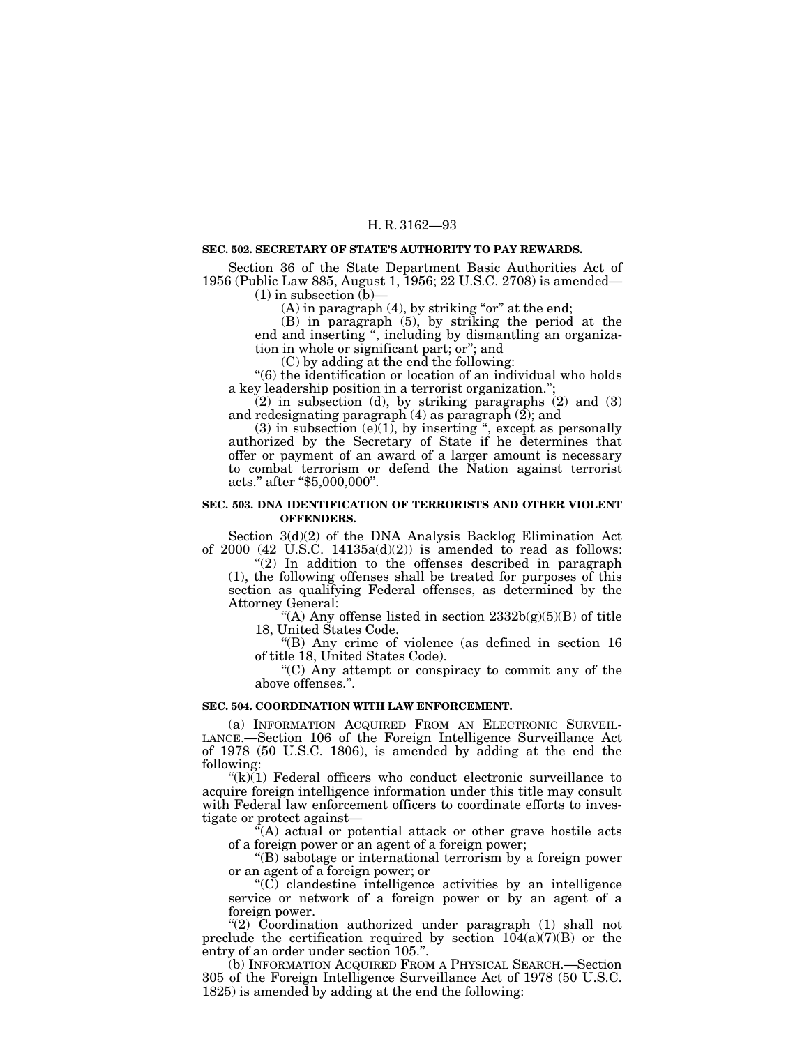#### **SEC. 502. SECRETARY OF STATE'S AUTHORITY TO PAY REWARDS.**

Section 36 of the State Department Basic Authorities Act of 1956 (Public Law 885, August 1, 1956; 22 U.S.C. 2708) is amended—  $(1)$  in subsection  $(b)$ —

 $(A)$  in paragraph  $(4)$ , by striking "or" at the end;

(B) in paragraph (5), by striking the period at the end and inserting ", including by dismantling an organization in whole or significant part; or''; and

(C) by adding at the end the following:

''(6) the identification or location of an individual who holds a key leadership position in a terrorist organization.'';

(2) in subsection (d), by striking paragraphs (2) and (3) and redesignating paragraph  $(4)$  as paragraph  $(2)$ ; and

 $(3)$  in subsection  $(e)(1)$ , by inserting ", except as personally authorized by the Secretary of State if he determines that offer or payment of an award of a larger amount is necessary to combat terrorism or defend the Nation against terrorist acts.'' after ''\$5,000,000''.

#### **SEC. 503. DNA IDENTIFICATION OF TERRORISTS AND OTHER VIOLENT OFFENDERS.**

Section 3(d)(2) of the DNA Analysis Backlog Elimination Act of 2000 (42 U.S.C. 14135a(d)(2)) is amended to read as follows:

''(2) In addition to the offenses described in paragraph (1), the following offenses shall be treated for purposes of this section as qualifying Federal offenses, as determined by the Attorney General:

"(A) Any offense listed in section  $2332b(g)(5)(B)$  of title 18, United States Code.

''(B) Any crime of violence (as defined in section 16 of title 18, United States Code).

''(C) Any attempt or conspiracy to commit any of the above offenses.''.

#### **SEC. 504. COORDINATION WITH LAW ENFORCEMENT.**

(a) INFORMATION ACQUIRED FROM AN ELECTRONIC SURVEIL-LANCE.—Section 106 of the Foreign Intelligence Surveillance Act of 1978 (50 U.S.C. 1806), is amended by adding at the end the following:

 $\mathcal{L}(k)(1)$  Federal officers who conduct electronic surveillance to acquire foreign intelligence information under this title may consult with Federal law enforcement officers to coordinate efforts to investigate or protect against—

 $f(A)$  actual or potential attack or other grave hostile acts of a foreign power or an agent of a foreign power;

''(B) sabotage or international terrorism by a foreign power or an agent of a foreign power; or

 $\mathcal{C}(\tilde{C})$  clandestine intelligence activities by an intelligence service or network of a foreign power or by an agent of a foreign power.

''(2) Coordination authorized under paragraph (1) shall not preclude the certification required by section  $104(a)(7)(B)$  or the entry of an order under section 105.''.

(b) INFORMATION ACQUIRED FROM A PHYSICAL SEARCH.—Section 305 of the Foreign Intelligence Surveillance Act of 1978 (50 U.S.C. 1825) is amended by adding at the end the following: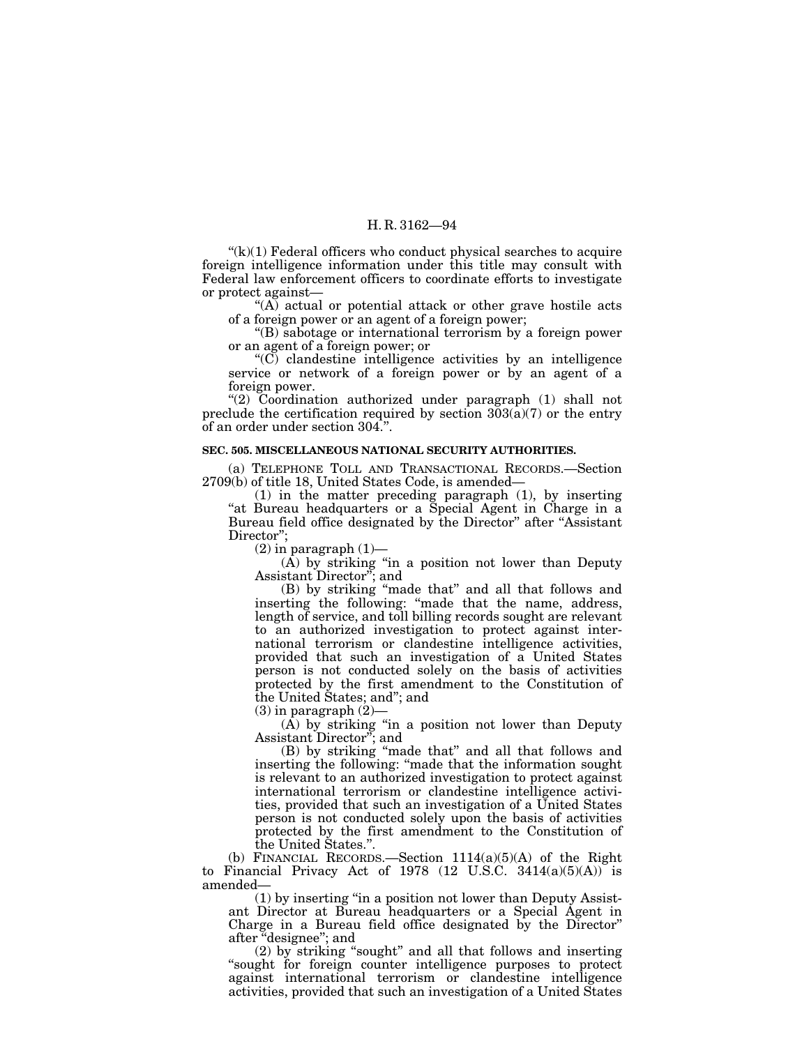" $(k)(1)$  Federal officers who conduct physical searches to acquire foreign intelligence information under this title may consult with Federal law enforcement officers to coordinate efforts to investigate or protect against—

"(A) actual or potential attack or other grave hostile acts of a foreign power or an agent of a foreign power;

''(B) sabotage or international terrorism by a foreign power or an agent of a foreign power; or

 $\mathcal{C}(\tilde{C})$  clandestine intelligence activities by an intelligence service or network of a foreign power or by an agent of a foreign power.

"(2) Coordination authorized under paragraph (1) shall not preclude the certification required by section  $303(a)(7)$  or the entry of an order under section 304.''.

#### **SEC. 505. MISCELLANEOUS NATIONAL SECURITY AUTHORITIES.**

(a) TELEPHONE TOLL AND TRANSACTIONAL RECORDS.—Section 2709(b) of title 18, United States Code, is amended—

(1) in the matter preceding paragraph (1), by inserting ''at Bureau headquarters or a Special Agent in Charge in a Bureau field office designated by the Director'' after ''Assistant Director'';

 $(2)$  in paragraph  $(1)$ —

(A) by striking ''in a position not lower than Deputy Assistant Director''; and

(B) by striking ''made that'' and all that follows and inserting the following: "made that the name, address, length of service, and toll billing records sought are relevant to an authorized investigation to protect against international terrorism or clandestine intelligence activities, provided that such an investigation of a United States person is not conducted solely on the basis of activities protected by the first amendment to the Constitution of the United States; and''; and

 $(3)$  in paragraph  $(2)$ –

(A) by striking ''in a position not lower than Deputy Assistant Director''; and

(B) by striking ''made that'' and all that follows and inserting the following: "made that the information sought is relevant to an authorized investigation to protect against international terrorism or clandestine intelligence activities, provided that such an investigation of a United States person is not conducted solely upon the basis of activities protected by the first amendment to the Constitution of the United States.''.

(b) FINANCIAL RECORDS.—Section 1114(a)(5)(A) of the Right to Financial Privacy Act of 1978 (12 U.S.C. 3414(a)(5)(A)) is amended—

(1) by inserting ''in a position not lower than Deputy Assistant Director at Bureau headquarters or a Special Agent in Charge in a Bureau field office designated by the Director'' after "designee"; and

(2) by striking ''sought'' and all that follows and inserting ''sought for foreign counter intelligence purposes to protect against international terrorism or clandestine intelligence activities, provided that such an investigation of a United States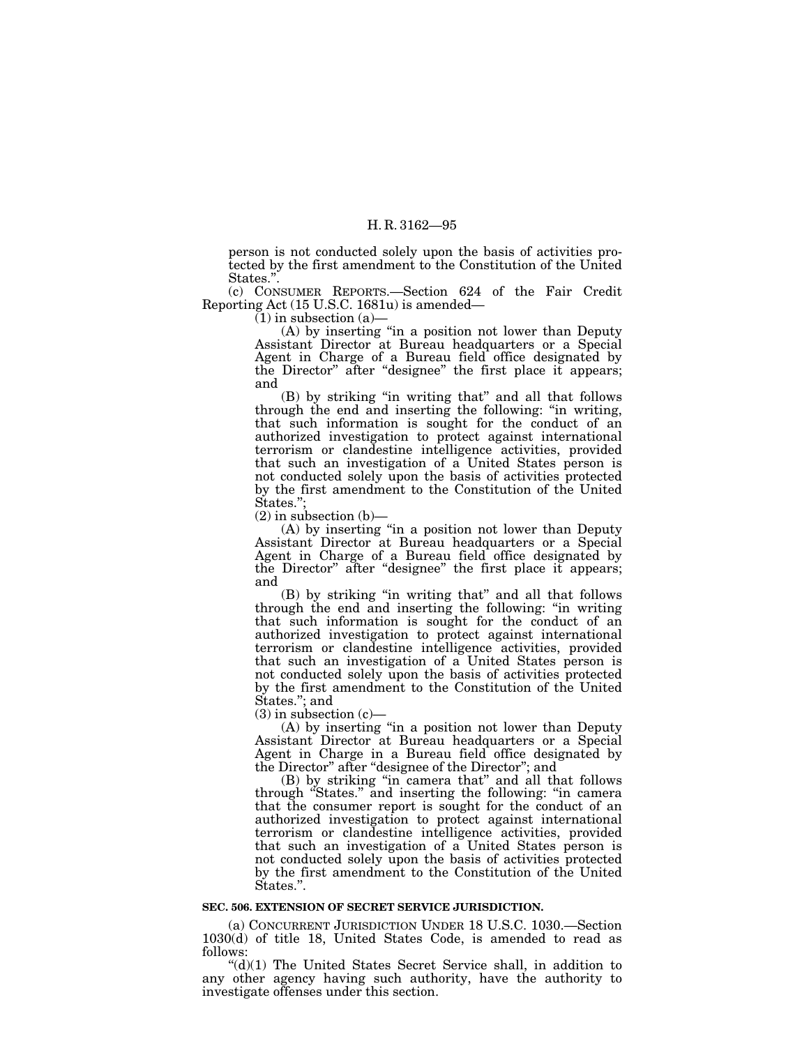person is not conducted solely upon the basis of activities protected by the first amendment to the Constitution of the United States.''.

(c) CONSUMER REPORTS.—Section 624 of the Fair Credit Reporting Act (15 U.S.C. 1681u) is amended—

 $(1)$  in subsection  $(a)$ 

(A) by inserting ''in a position not lower than Deputy Assistant Director at Bureau headquarters or a Special Agent in Charge of a Bureau field office designated by the Director" after "designee" the first place it appears; and

(B) by striking ''in writing that'' and all that follows through the end and inserting the following: ''in writing, that such information is sought for the conduct of an authorized investigation to protect against international terrorism or clandestine intelligence activities, provided that such an investigation of a United States person is not conducted solely upon the basis of activities protected by the first amendment to the Constitution of the United States.'';

(2) in subsection (b)—

(A) by inserting ''in a position not lower than Deputy Assistant Director at Bureau headquarters or a Special Agent in Charge of a Bureau field office designated by the Director'' after ''designee'' the first place it appears; and

(B) by striking ''in writing that'' and all that follows through the end and inserting the following: ''in writing that such information is sought for the conduct of an authorized investigation to protect against international terrorism or clandestine intelligence activities, provided that such an investigation of a United States person is not conducted solely upon the basis of activities protected by the first amendment to the Constitution of the United States.''; and

(3) in subsection (c)—<br>(A) by inserting "in a position not lower than Deputy Assistant Director at Bureau headquarters or a Special Agent in Charge in a Bureau field office designated by the Director'' after ''designee of the Director''; and

(B) by striking ''in camera that'' and all that follows through ''States.'' and inserting the following: ''in camera that the consumer report is sought for the conduct of an authorized investigation to protect against international terrorism or clandestine intelligence activities, provided that such an investigation of a United States person is not conducted solely upon the basis of activities protected by the first amendment to the Constitution of the United States.''.

### **SEC. 506. EXTENSION OF SECRET SERVICE JURISDICTION.**

(a) CONCURRENT JURISDICTION UNDER 18 U.S.C. 1030.—Section 1030(d) of title 18, United States Code, is amended to read as

 $f'(d)(1)$  The United States Secret Service shall, in addition to any other agency having such authority, have the authority to investigate offenses under this section.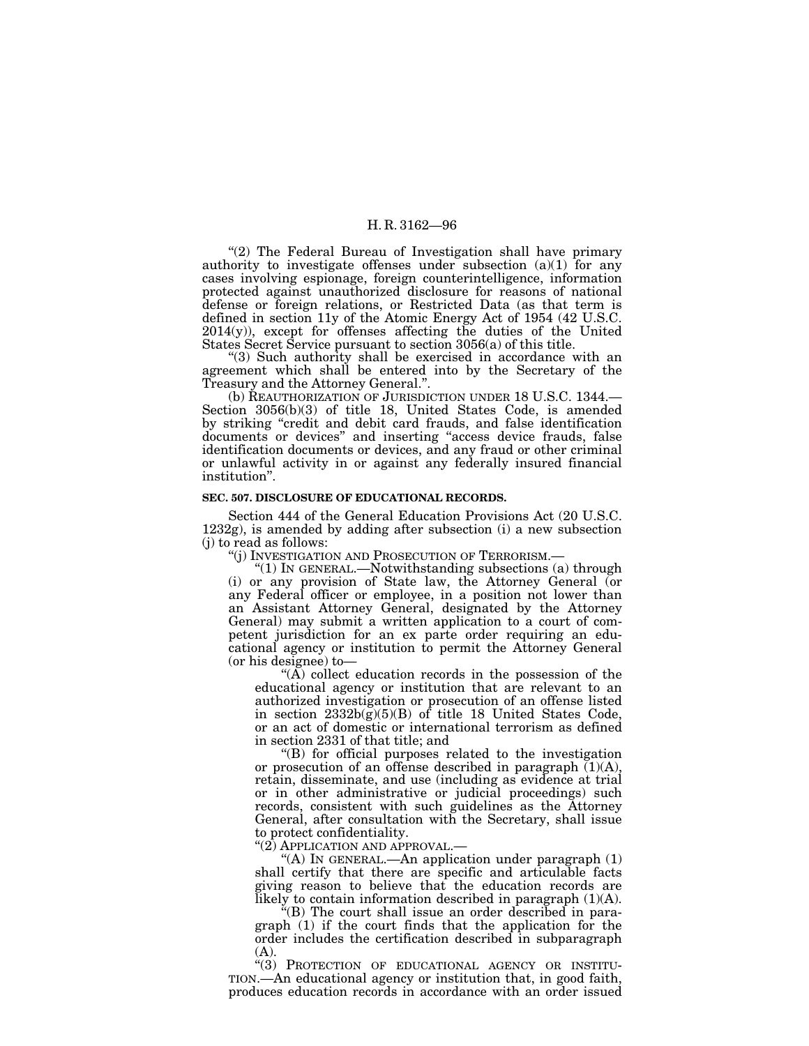"(2) The Federal Bureau of Investigation shall have primary authority to investigate offenses under subsection  $(a)(1)$  for any cases involving espionage, foreign counterintelligence, information protected against unauthorized disclosure for reasons of national defense or foreign relations, or Restricted Data (as that term is defined in section 11y of the Atomic Energy Act of 1954 (42 U.S.C. 2014(y)), except for offenses affecting the duties of the United States Secret Service pursuant to section 3056(a) of this title.

''(3) Such authority shall be exercised in accordance with an agreement which shall be entered into by the Secretary of the Treasury and the Attorney General.''.

(b) REAUTHORIZATION OF JURISDICTION UNDER 18 U.S.C. 1344.— Section 3056(b)(3) of title 18, United States Code, is amended by striking ''credit and debit card frauds, and false identification documents or devices'' and inserting ''access device frauds, false identification documents or devices, and any fraud or other criminal or unlawful activity in or against any federally insured financial institution''.

#### **SEC. 507. DISCLOSURE OF EDUCATIONAL RECORDS.**

Section 444 of the General Education Provisions Act (20 U.S.C. 1232g), is amended by adding after subsection (i) a new subsection (j) to read as follows:

''(j) INVESTIGATION AND PROSECUTION OF TERRORISM.—

"(1) In GENERAL.—Notwithstanding subsections (a) through (i) or any provision of State law, the Attorney General (or any Federal officer or employee, in a position not lower than an Assistant Attorney General, designated by the Attorney General) may submit a written application to a court of competent jurisdiction for an ex parte order requiring an educational agency or institution to permit the Attorney General (or his designee) to—

" $(\tilde{A})$  collect education records in the possession of the educational agency or institution that are relevant to an authorized investigation or prosecution of an offense listed in section  $2332b(g)(5)(B)$  of title 18 United States Code, or an act of domestic or international terrorism as defined in section 2331 of that title; and

''(B) for official purposes related to the investigation or prosecution of an offense described in paragraph  $(1)(A)$ , retain, disseminate, and use (including as evidence at trial or in other administrative or judicial proceedings) such records, consistent with such guidelines as the Attorney General, after consultation with the Secretary, shall issue to protect confidentiality.

''(2) APPLICATION AND APPROVAL.—

"(A) IN GENERAL.—An application under paragraph  $(1)$ shall certify that there are specific and articulable facts giving reason to believe that the education records are likely to contain information described in paragraph (1)(A).

''(B) The court shall issue an order described in paragraph (1) if the court finds that the application for the order includes the certification described in subparagraph (A).

''(3) PROTECTION OF EDUCATIONAL AGENCY OR INSTITU-TION.—An educational agency or institution that, in good faith, produces education records in accordance with an order issued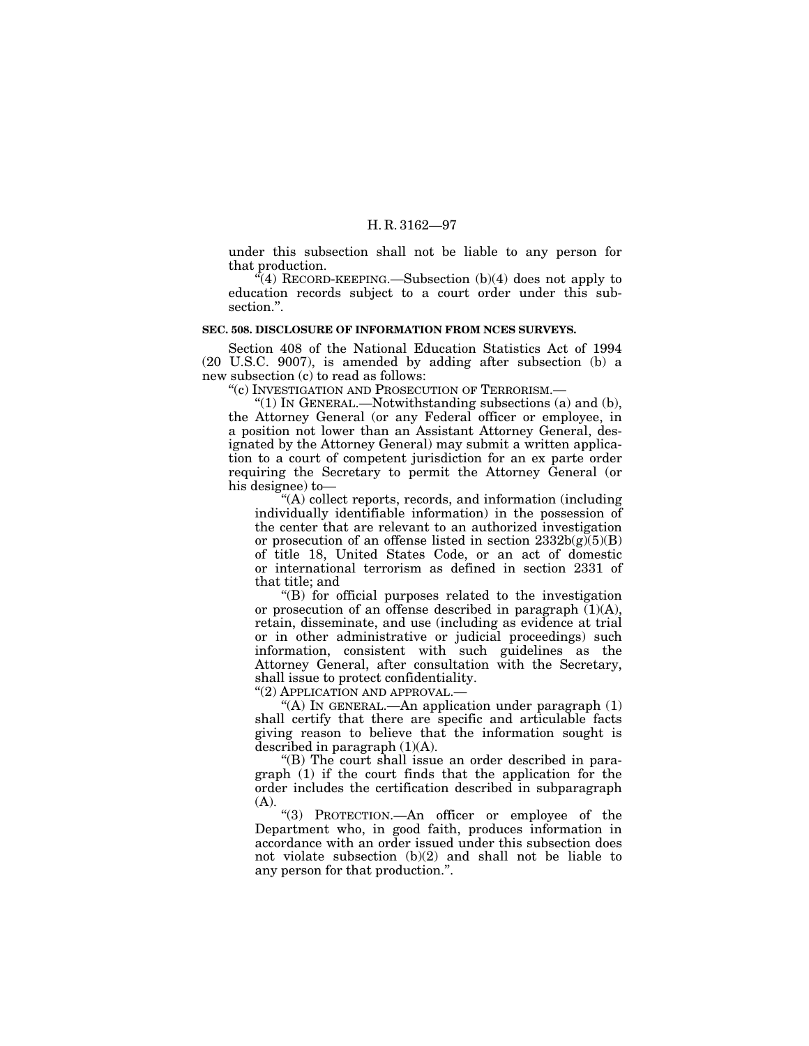under this subsection shall not be liable to any person for that production.

 $\sqrt{4}$  RECORD-KEEPING.—Subsection (b)(4) does not apply to education records subject to a court order under this subsection.''.

#### **SEC. 508. DISCLOSURE OF INFORMATION FROM NCES SURVEYS.**

Section 408 of the National Education Statistics Act of 1994 (20 U.S.C. 9007), is amended by adding after subsection (b) a new subsection (c) to read as follows:

''(c) INVESTIGATION AND PROSECUTION OF TERRORISM.—

"(1) In GENERAL.—Notwithstanding subsections (a) and (b), the Attorney General (or any Federal officer or employee, in a position not lower than an Assistant Attorney General, designated by the Attorney General) may submit a written application to a court of competent jurisdiction for an ex parte order requiring the Secretary to permit the Attorney General (or his designee) to—

''(A) collect reports, records, and information (including individually identifiable information) in the possession of the center that are relevant to an authorized investigation or prosecution of an offense listed in section  $2332b(g)(5)(B)$ of title 18, United States Code, or an act of domestic or international terrorism as defined in section 2331 of that title; and

''(B) for official purposes related to the investigation or prosecution of an offense described in paragraph  $(1)(A)$ , retain, disseminate, and use (including as evidence at trial or in other administrative or judicial proceedings) such information, consistent with such guidelines as the Attorney General, after consultation with the Secretary, shall issue to protect confidentiality.

''(2) APPLICATION AND APPROVAL.—

"(A) IN GENERAL.—An application under paragraph  $(1)$ shall certify that there are specific and articulable facts giving reason to believe that the information sought is described in paragraph  $(1)(A)$ .

''(B) The court shall issue an order described in paragraph (1) if the court finds that the application for the order includes the certification described in subparagraph (A).

''(3) PROTECTION.—An officer or employee of the Department who, in good faith, produces information in accordance with an order issued under this subsection does not violate subsection (b)(2) and shall not be liable to any person for that production.''.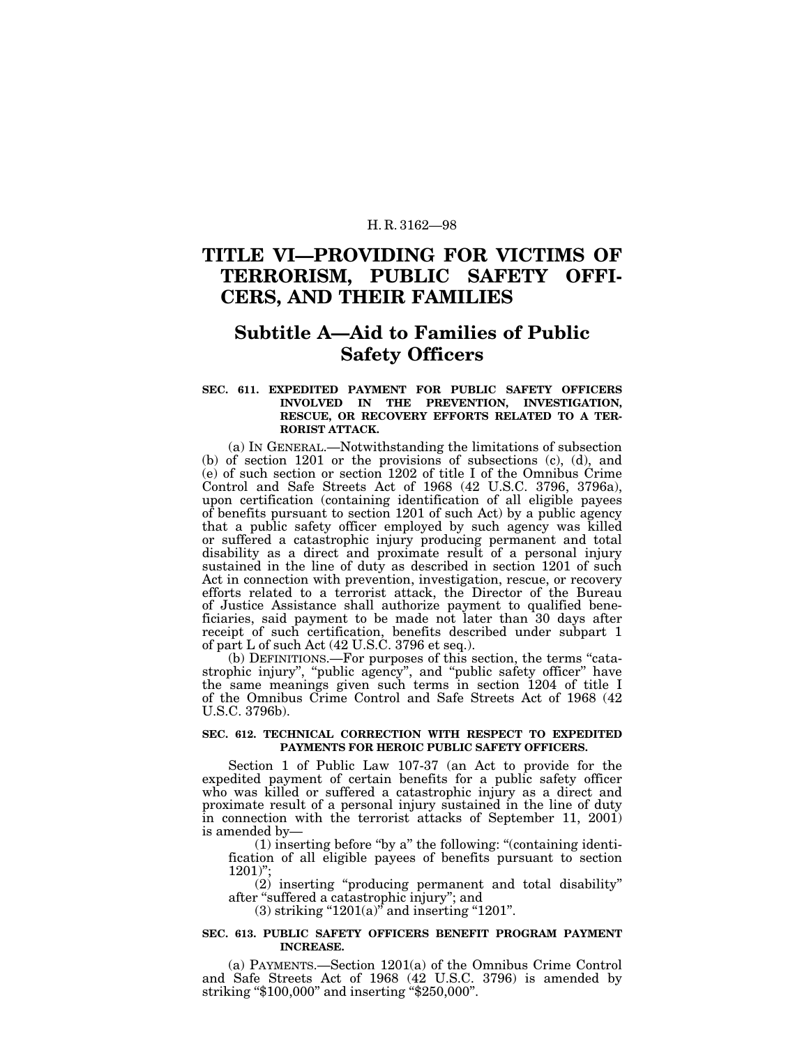# **TITLE VI—PROVIDING FOR VICTIMS OF TERRORISM, PUBLIC SAFETY OFFI-CERS, AND THEIR FAMILIES**

# **Subtitle A—Aid to Families of Public Safety Officers**

### **SEC. 611. EXPEDITED PAYMENT FOR PUBLIC SAFETY OFFICERS INVOLVED IN THE PREVENTION, INVESTIGATION, RESCUE, OR RECOVERY EFFORTS RELATED TO A TER-RORIST ATTACK.**

(a) IN GENERAL.—Notwithstanding the limitations of subsection (b) of section 1201 or the provisions of subsections (c), (d), and (e) of such section or section 1202 of title I of the Omnibus Crime Control and Safe Streets Act of 1968 (42 U.S.C. 3796, 3796a), upon certification (containing identification of all eligible payees of benefits pursuant to section 1201 of such Act) by a public agency that a public safety officer employed by such agency was killed or suffered a catastrophic injury producing permanent and total disability as a direct and proximate result of a personal injury sustained in the line of duty as described in section 1201 of such Act in connection with prevention, investigation, rescue, or recovery efforts related to a terrorist attack, the Director of the Bureau of Justice Assistance shall authorize payment to qualified beneficiaries, said payment to be made not later than 30 days after receipt of such certification, benefits described under subpart 1 of part L of such Act (42 U.S.C. 3796 et seq.).

(b) DEFINITIONS.—For purposes of this section, the terms ''catastrophic injury'', ''public agency'', and ''public safety officer'' have the same meanings given such terms in section 1204 of title I of the Omnibus Crime Control and Safe Streets Act of 1968 (42 U.S.C. 3796b).

## **SEC. 612. TECHNICAL CORRECTION WITH RESPECT TO EXPEDITED PAYMENTS FOR HEROIC PUBLIC SAFETY OFFICERS.**

Section 1 of Public Law 107-37 (an Act to provide for the expedited payment of certain benefits for a public safety officer who was killed or suffered a catastrophic injury as a direct and proximate result of a personal injury sustained in the line of duty in connection with the terrorist attacks of September 11, 2001) is amended by—

 $(1)$  inserting before "by a" the following: "(containing identification of all eligible payees of benefits pursuant to section  $1201$ "

 $(2)$  inserting "producing permanent and total disability" after ''suffered a catastrophic injury''; and

 $(3)$  striking "1201 $(a)$ " and inserting "1201".

#### **SEC. 613. PUBLIC SAFETY OFFICERS BENEFIT PROGRAM PAYMENT INCREASE.**

(a) PAYMENTS.—Section 1201(a) of the Omnibus Crime Control and Safe Streets Act of 1968 (42 U.S.C. 3796) is amended by striking ''\$100,000'' and inserting ''\$250,000''.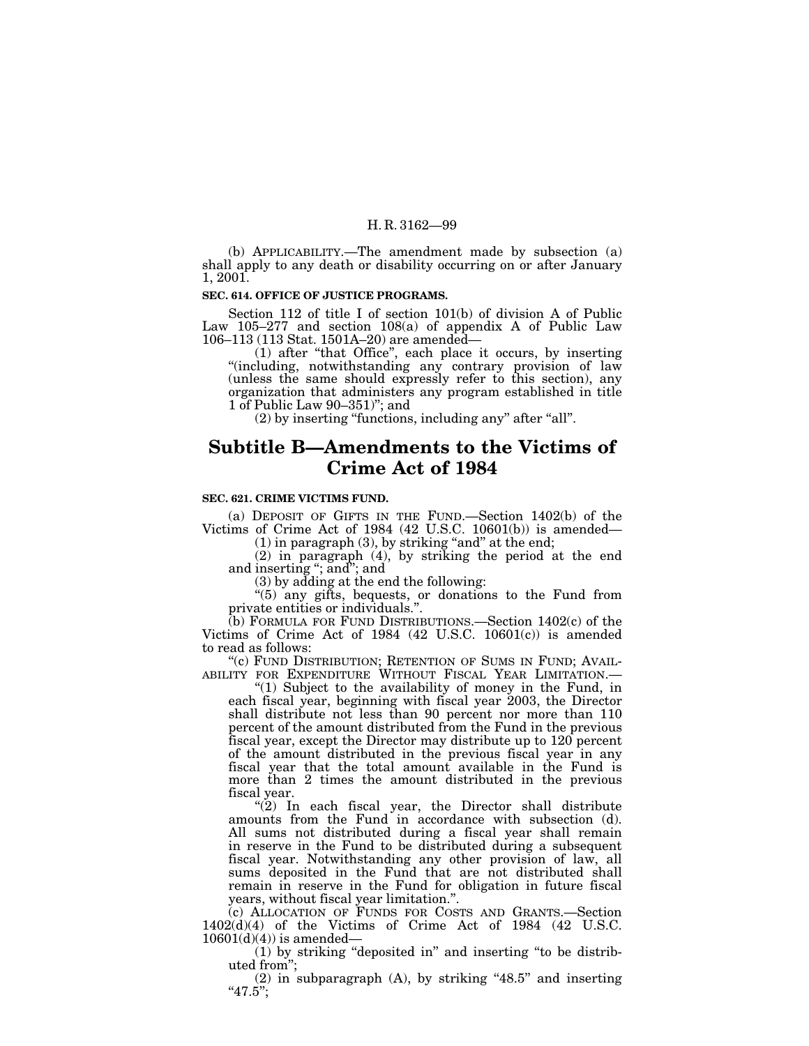(b) APPLICABILITY.—The amendment made by subsection (a) shall apply to any death or disability occurring on or after January 1, 2001.

#### **SEC. 614. OFFICE OF JUSTICE PROGRAMS.**

Section 112 of title I of section 101(b) of division A of Public Law 105–277 and section 108(a) of appendix A of Public Law

 $(1)$  after "that Office", each place it occurs, by inserting "(including, notwithstanding any contrary provision of law (unless the same should expressly refer to this section), any organization that administers any program established in title 1 of Public Law 90–351)''; and

 $(2)$  by inserting "functions, including any" after "all".

# **Subtitle B—Amendments to the Victims of Crime Act of 1984**

#### **SEC. 621. CRIME VICTIMS FUND.**

(a) DEPOSIT OF GIFTS IN THE FUND.—Section 1402(b) of the Victims of Crime Act of 1984 (42 U.S.C. 10601(b)) is amended—<br>(1) in paragraph (3), by striking "and" at the end;

(2) in paragraph (4), by striking the period at the end

and inserting ''; and''; and

(3) by adding at the end the following:

 $\phi'(5)$  any gifts, bequests, or donations to the Fund from private entities or individuals."

private entities or individuals.''. (b) FORMULA FOR FUND DISTRIBUTIONS.—Section 1402(c) of the Victims of Crime Act of 1984 (42 U.S.C. 10601(c)) is amended

to read as follows:<br>''(c) FUND DISTRIBUTION; RETENTION OF SUMS IN FUND; AVAIL-ABILITY FOR EXPENDITURE WITHOUT FISCAL YEAR LIMITATION.—

"(1) Subject to the availability of money in the Fund, in each fiscal year, beginning with fiscal year 2003, the Director shall distribute not less than 90 percent nor more than 110 percent of the amount distributed from the Fund in the previous fiscal year, except the Director may distribute up to 120 percent of the amount distributed in the previous fiscal year in any fiscal year that the total amount available in the Fund is more than 2 times the amount distributed in the previous fiscal year.

 $(2)$  In each fiscal year, the Director shall distribute amounts from the Fund in accordance with subsection (d). All sums not distributed during a fiscal year shall remain in reserve in the Fund to be distributed during a subsequent fiscal year. Notwithstanding any other provision of law, all sums deposited in the Fund that are not distributed shall remain in reserve in the Fund for obligation in future fiscal years, without fiscal year limitation.''.

(c) ALLOCATION OF FUNDS FOR COSTS AND GRANTS.—Section  $1402(\text{d})(4)$  of the Victims of Crime Act of 1984 (42 U.S.C.  $10601(\text{d})(4)$ ) is amended—

 $(1)$  by striking "deposited in" and inserting "to be distributed from'';

(2) in subparagraph (A), by striking "48.5" and inserting "47.5":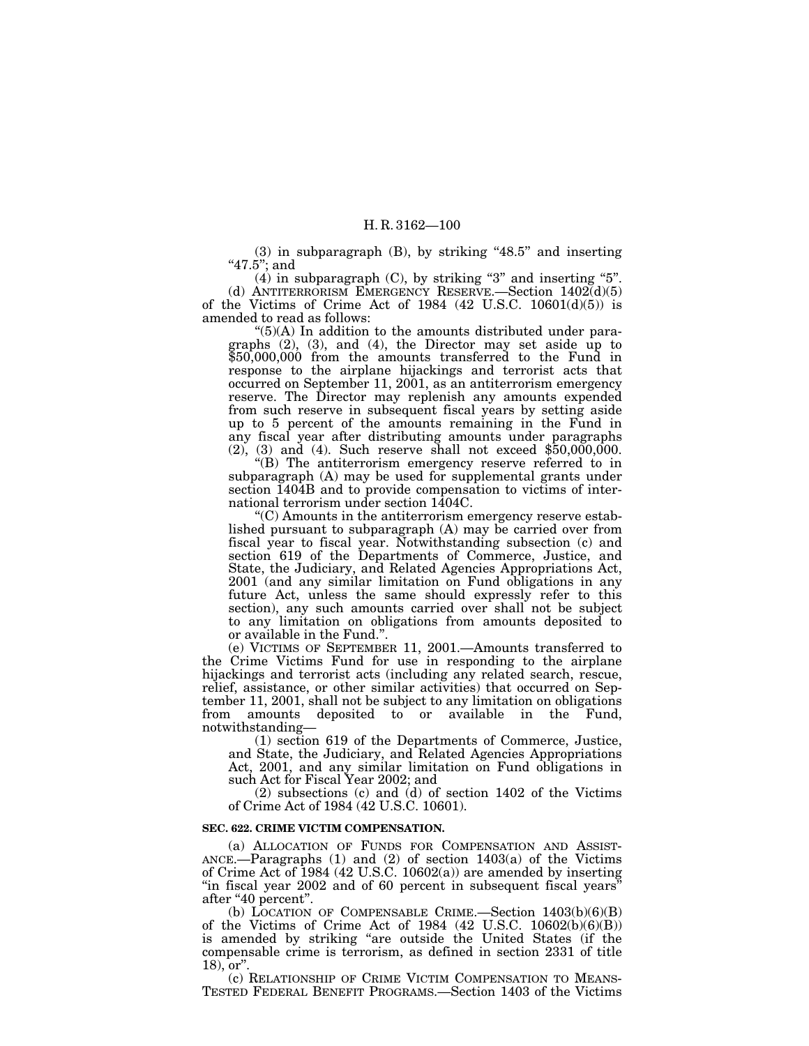$(3)$  in subparagraph  $(B)$ , by striking "48.5" and inserting "47.5"; and

 $(4)$  in subparagraph (C), by striking "3" and inserting "5". (d) ANTITERRORISM EMERGENCY RESERVE.—Section  $1402\text{d}(5)$ of the Victims of Crime Act of 1984 (42 U.S.C.  $10601(d)(5)$ ) is amended to read as follows:

 $\mathcal{L}(5)(A)$  In addition to the amounts distributed under paragraphs (2), (3), and (4), the Director may set aside up to \$50,000,000 from the amounts transferred to the Fund in response to the airplane hijackings and terrorist acts that occurred on September 11, 2001, as an antiterrorism emergency reserve. The Director may replenish any amounts expended from such reserve in subsequent fiscal years by setting aside up to 5 percent of the amounts remaining in the Fund in any fiscal year after distributing amounts under paragraphs  $(2)$ ,  $(3)$  and  $(4)$ . Such reserve shall not exceed \$50,000,000.

''(B) The antiterrorism emergency reserve referred to in subparagraph (A) may be used for supplemental grants under section 1404B and to provide compensation to victims of international terrorism under section 1404C.

 $C$ ) Amounts in the antiterrorism emergency reserve established pursuant to subparagraph (A) may be carried over from fiscal year to fiscal year. Notwithstanding subsection (c) and section 619 of the Departments of Commerce, Justice, and State, the Judiciary, and Related Agencies Appropriations Act, 2001 (and any similar limitation on Fund obligations in any future Act, unless the same should expressly refer to this section), any such amounts carried over shall not be subject to any limitation on obligations from amounts deposited to or available in the Fund.".<br>(e) VICTIMS OF SEPTEMBER 11, 2001.—Amounts transferred to

the Crime Victims Fund for use in responding to the airplane hijackings and terrorist acts (including any related search, rescue, relief, assistance, or other similar activities) that occurred on September 11, 2001, shall not be subject to any limitation on obligations from amounts deposited to or available in the Fund, notwithstanding—

(1) section 619 of the Departments of Commerce, Justice, and State, the Judiciary, and Related Agencies Appropriations Act, 2001, and any similar limitation on Fund obligations in such Act for Fiscal Year 2002; and

(2) subsections (c) and (d) of section 1402 of the Victims of Crime Act of 1984 (42 U.S.C. 10601).

## **SEC. 622. CRIME VICTIM COMPENSATION.**

(a) ALLOCATION OF FUNDS FOR COMPENSATION AND ASSIST-ANCE.—Paragraphs (1) and (2) of section 1403(a) of the Victims of Crime Act of 1984 (42 U.S.C. 10602(a)) are amended by inserting "in fiscal year 2002 and of 60 percent in subsequent fiscal years" after "40 percent".

(b) LOCATION OF COMPENSABLE CRIME.—Section 1403(b)(6)(B) of the Victims of Crime Act of 1984 (42 U.S.C. 10602(b)(6)(B)) is amended by striking "are outside the United States (if the compensable crime is terrorism, as defined in section 2331 of title

18), or".<br>
(c) RELATIONSHIP OF CRIME VICTIM COMPENSATION TO MEANS-<br>
TESTED FEDERAL BENEFIT PROGRAMS.—Section 1403 of the Victims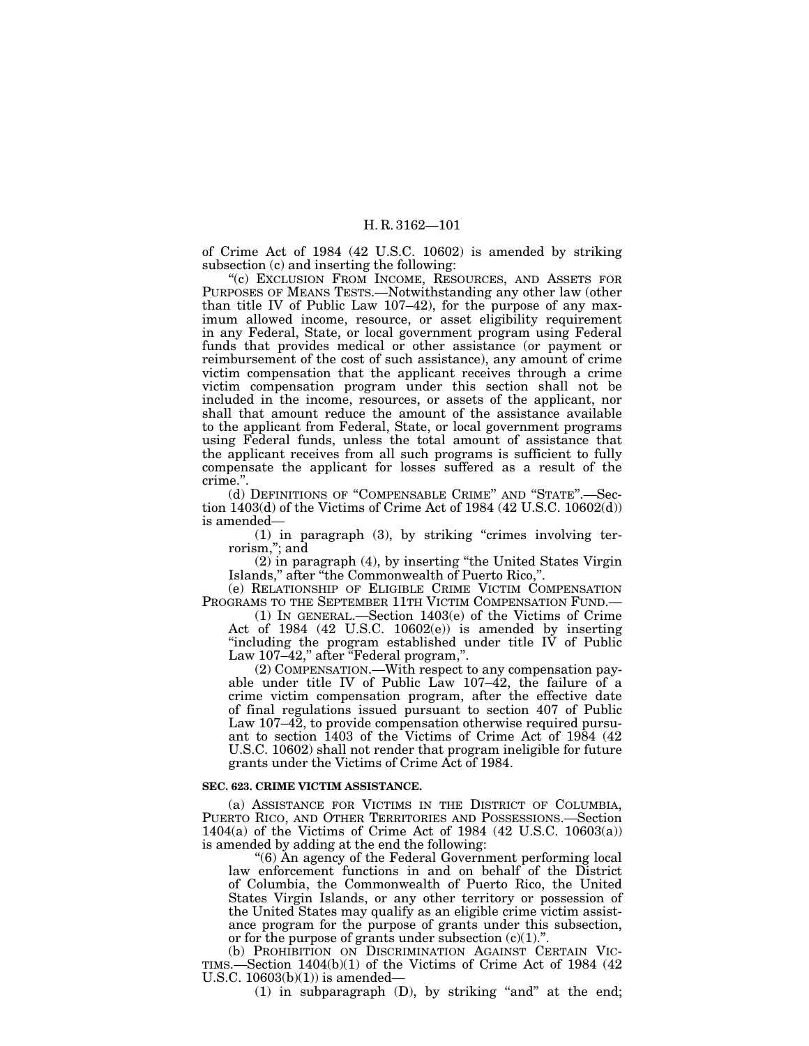of Crime Act of 1984 (42 U.S.C. 10602) is amended by striking subsection (c) and inserting the following:

''(c) EXCLUSION FROM INCOME, RESOURCES, AND ASSETS FOR PURPOSES OF MEANS TESTS.—Notwithstanding any other law (other than title IV of Public Law 107–42), for the purpose of any maximum allowed income, resource, or asset eligibility requirement in any Federal, State, or local government program using Federal funds that provides medical or other assistance (or payment or reimbursement of the cost of such assistance), any amount of crime victim compensation that the applicant receives through a crime victim compensation program under this section shall not be included in the income, resources, or assets of the applicant, nor shall that amount reduce the amount of the assistance available to the applicant from Federal, State, or local government programs using Federal funds, unless the total amount of assistance that the applicant receives from all such programs is sufficient to fully compensate the applicant for losses suffered as a result of the crime."

(d) DEFINITIONS OF ''COMPENSABLE CRIME'' AND ''STATE''.—Section 1403(d) of the Victims of Crime Act of 1984 (42 U.S.C. 10602(d)) is amended—

 $(1)$  in paragraph  $(3)$ , by striking "crimes involving terrorism,''; and

(2) in paragraph (4), by inserting ''the United States Virgin Islands,'' after ''the Commonwealth of Puerto Rico,''.

(e) RELATIONSHIP OF ELIGIBLE CRIME VICTIM COMPENSATION PROGRAMS TO THE SEPTEMBER 11TH VICTIM COMPENSATION FUND.

(1) IN GENERAL.—Section 1403(e) of the Victims of Crime Act of 1984 (42 U.S.C. 10602(e)) is amended by inserting ''including the program established under title IV of Public Law 107–42," after "Federal program,".

(2) COMPENSATION.—With respect to any compensation payable under title IV of Public Law 107–42, the failure of a crime victim compensation program, after the effective date of final regulations issued pursuant to section 407 of Public Law 107–42, to provide compensation otherwise required pursuant to section 1403 of the Victims of Crime Act of 1984 (42 U.S.C. 10602) shall not render that program ineligible for future grants under the Victims of Crime Act of 1984.

#### **SEC. 623. CRIME VICTIM ASSISTANCE.**

(a) ASSISTANCE FOR VICTIMS IN THE DISTRICT OF COLUMBIA, PUERTO RICO, AND OTHER TERRITORIES AND POSSESSIONS.—Section 1404(a) of the Victims of Crime Act of 1984 (42 U.S.C. 10603(a)) is amended by adding at the end the following:

''(6) An agency of the Federal Government performing local law enforcement functions in and on behalf of the District of Columbia, the Commonwealth of Puerto Rico, the United States Virgin Islands, or any other territory or possession of the United States may qualify as an eligible crime victim assistance program for the purpose of grants under this subsection, or for the purpose of grants under subsection  $(c)(1)$ ."

(b) PROHIBITION ON DISCRIMINATION AGAINST CERTAIN VIC-TIMS.—Section 1404(b)(1) of the Victims of Crime Act of 1984 (42 U.S.C.  $10603(b)(1)$  is amended–

 $(1)$  in subparagraph  $(D)$ , by striking "and" at the end;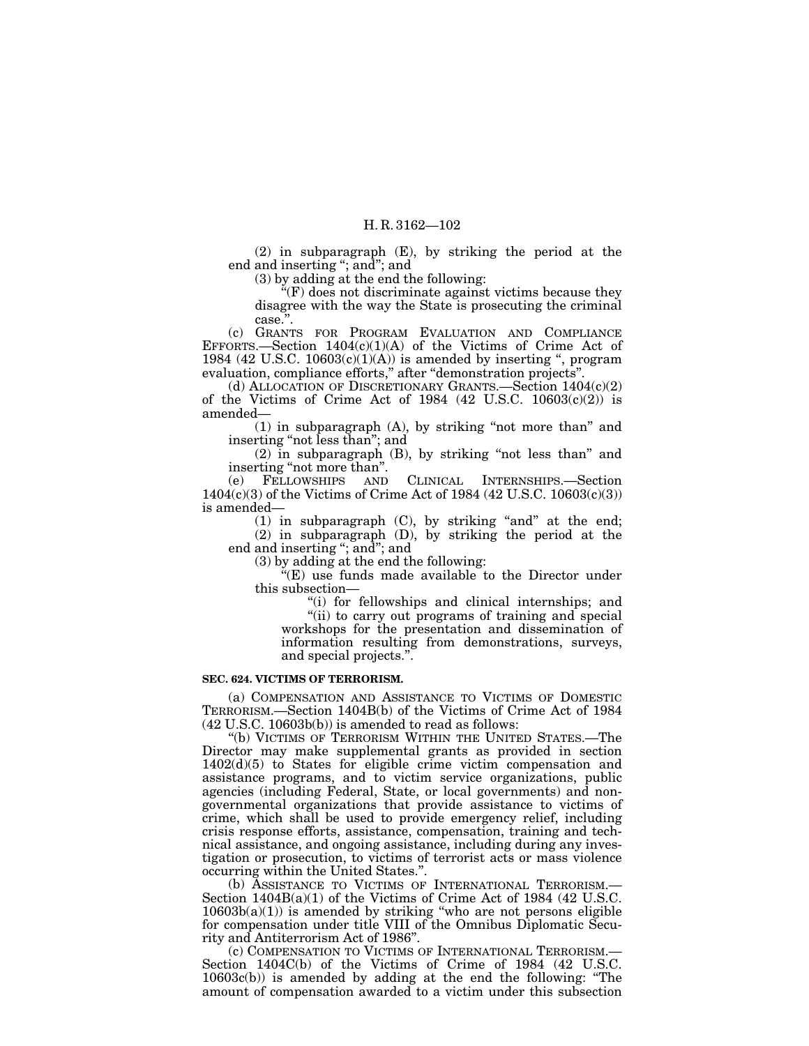(2) in subparagraph (E), by striking the period at the end and inserting "; and"; and

(3) by adding at the end the following:

''(F) does not discriminate against victims because they disagree with the way the State is prosecuting the criminal case.''.

(c) GRANTS FOR PROGRAM EVALUATION AND COMPLIANCE EFFORTS.—Section 1404(c)(1)(A) of the Victims of Crime Act of 1984 (42 U.S.C. 10603 $(c)(1)(A)$ ) is amended by inserting ", program evaluation, compliance efforts," after "demonstration projects".

(d) ALLOCATION OF DISCRETIONARY GRANTS.—Section 1404(c)(2) of the Victims of Crime Act of  $1984$  (42 U.S.C.  $10603(c)(2)$ ) is amended—

 $(1)$  in subparagraph  $(A)$ , by striking "not more than" and inserting "not less than"; and

(2) in subparagraph (B), by striking ''not less than'' and inserting "not more than".<br>(e) FELLOWSHIPS AND

(e) FELLOWSHIPS AND CLINICAL INTERNSHIPS.—Section 1404(c)(3) of the Victims of Crime Act of 1984 (42 U.S.C. 10603(c)(3)) is amended—

 $(1)$  in subparagraph  $(C)$ , by striking "and" at the end; (2) in subparagraph (D), by striking the period at the end and inserting ''; and''; and

(3) by adding at the end the following:

''(E) use funds made available to the Director under this subsection—

''(i) for fellowships and clinical internships; and "(ii) to carry out programs of training and special workshops for the presentation and dissemination of information resulting from demonstrations, surveys, and special projects.''.

#### **SEC. 624. VICTIMS OF TERRORISM.**

(a) COMPENSATION AND ASSISTANCE TO VICTIMS OF DOMESTIC TERRORISM.—Section 1404B(b) of the Victims of Crime Act of 1984  $(42 \text{ U.S.C. } 10603b(b))$  is amended to read as follows:

''(b) VICTIMS OF TERRORISM WITHIN THE UNITED STATES.—The Director may make supplemental grants as provided in section 1402(d)(5) to States for eligible crime victim compensation and assistance programs, and to victim service organizations, public agencies (including Federal, State, or local governments) and nongovernmental organizations that provide assistance to victims of crime, which shall be used to provide emergency relief, including crisis response efforts, assistance, compensation, training and technical assistance, and ongoing assistance, including during any investigation or prosecution, to victims of terrorist acts or mass violence occurring within the United States.''.

(b) ASSISTANCE TO VICTIMS OF INTERNATIONAL TERRORISM. Section 1404B(a)(1) of the Victims of Crime Act of 1984 (42 U.S.C.  $10603b(a)(1)$  is amended by striking "who are not persons eligible for compensation under title VIII of the Omnibus Diplomatic Security and Antiterrorism Act of 1986''.

(c) COMPENSATION TO VICTIMS OF INTERNATIONAL TERRORISM.— Section 1404C(b) of the Victims of Crime of 1984 (42 U.S.C. 10603c(b)) is amended by adding at the end the following: ''The amount of compensation awarded to a victim under this subsection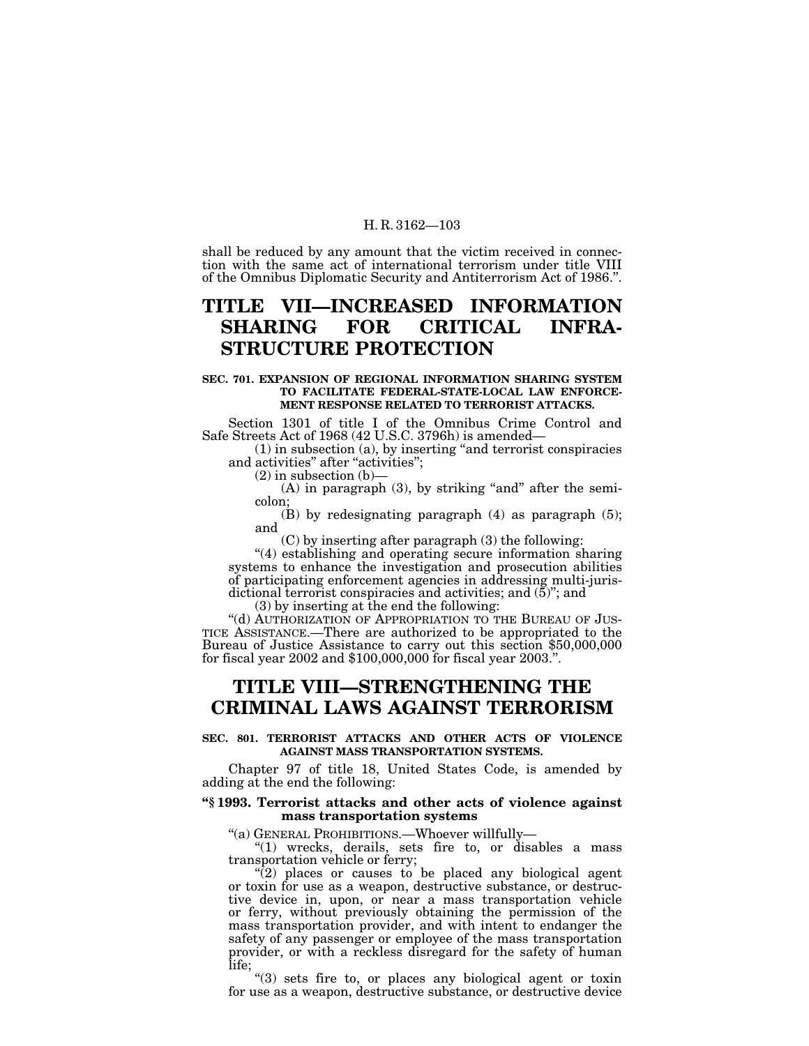shall be reduced by any amount that the victim received in connection with the same act of international terrorism under title VIII of the Omnibus Diplomatic Security and Antiterrorism Act of 1986.''.

# **TITLE VII—INCREASED INFORMATION SHARING FOR CRITICAL INFRA-STRUCTURE PROTECTION**

#### **SEC. 701. EXPANSION OF REGIONAL INFORMATION SHARING SYSTEM TO FACILITATE FEDERAL-STATE-LOCAL LAW ENFORCE-MENT RESPONSE RELATED TO TERRORIST ATTACKS.**

Section 1301 of title I of the Omnibus Crime Control and Safe Streets Act of 1968 (42 U.S.C. 3796h) is amended—

 $(1)$  in subsection  $(a)$ , by inserting "and terrorist conspiracies and activities" after "activities";<br>(2) in subsection (b)—

(A) in paragraph (3), by striking "and" after the semicolon;

 $(B)$  by redesignating paragraph  $(4)$  as paragraph  $(5)$ ; and

(C) by inserting after paragraph (3) the following: ''(4) establishing and operating secure information sharing systems to enhance the investigation and prosecution abilities of participating enforcement agencies in addressing multi-jurisdictional terrorist conspiracies and activities; and  $(5)$ "; and  $(3)$  by inserting at the end the following:

"(d) AUTHORIZATION OF APPROPRIATION TO THE BUREAU OF JUS-<br>TICE ASSISTANCE.—There are authorized to be appropriated to the Bureau of Justice Assistance to carry out this section \$50,000,000 for fiscal year 2002 and \$100,000,000 for fiscal year 2003.''.

# **TITLE VIII—STRENGTHENING THE CRIMINAL LAWS AGAINST TERRORISM**

#### **SEC. 801. TERRORIST ATTACKS AND OTHER ACTS OF VIOLENCE AGAINST MASS TRANSPORTATION SYSTEMS.**

Chapter 97 of title 18, United States Code, is amended by adding at the end the following:

### **''§ 1993. Terrorist attacks and other acts of violence against mass transportation systems**

''(a) GENERAL PROHIBITIONS.—Whoever willfully— ''(1) wrecks, derails, sets fire to, or disables a mass transportation vehicle or ferry;<br>"(2) places or causes to be placed any biological agent

or toxin for use as a weapon, destructive substance, or destructive device in, upon, or near a mass transportation vehicle or ferry, without previously obtaining the permission of the mass transportation provider, and with intent to endanger the safety of any passenger or employee of the mass transportation provider, or with a reckless disregard for the safety of human life;

"(3) sets fire to, or places any biological agent or toxin for use as a weapon, destructive substance, or destructive device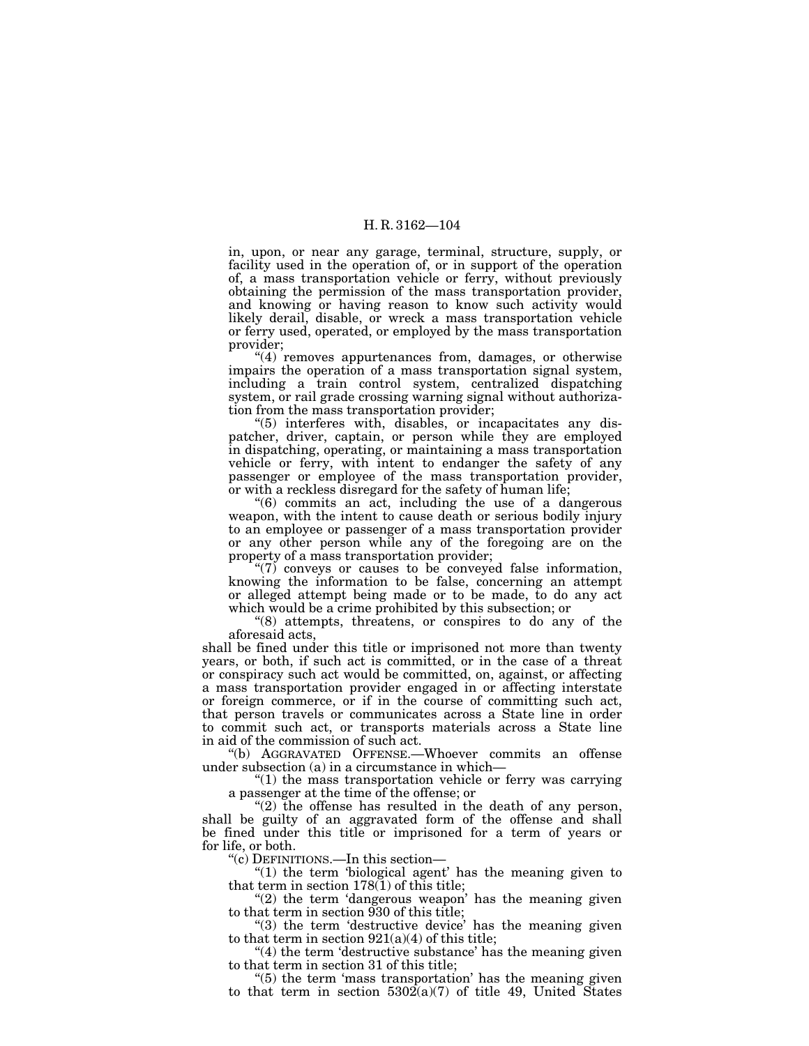in, upon, or near any garage, terminal, structure, supply, or facility used in the operation of, or in support of the operation of, a mass transportation vehicle or ferry, without previously obtaining the permission of the mass transportation provider, and knowing or having reason to know such activity would likely derail, disable, or wreck a mass transportation vehicle or ferry used, operated, or employed by the mass transportation provider;

 $''(4)$  removes appurtenances from, damages, or otherwise impairs the operation of a mass transportation signal system, including a train control system, centralized dispatching system, or rail grade crossing warning signal without authorization from the mass transportation provider;

 $(5)$  interferes with, disables, or incapacitates any dispatcher, driver, captain, or person while they are employed in dispatching, operating, or maintaining a mass transportation vehicle or ferry, with intent to endanger the safety of any passenger or employee of the mass transportation provider, or with a reckless disregard for the safety of human life;

''(6) commits an act, including the use of a dangerous weapon, with the intent to cause death or serious bodily injury to an employee or passenger of a mass transportation provider or any other person while any of the foregoing are on the property of a mass transportation provider;

"(7) conveys or causes to be conveyed false information, knowing the information to be false, concerning an attempt or alleged attempt being made or to be made, to do any act

 $\mathcal{H}(8)$  attempts, threatens, or conspires to do any of the aforesaid acts,

shall be fined under this title or imprisoned not more than twenty years, or both, if such act is committed, or in the case of a threat or conspiracy such act would be committed, on, against, or affecting a mass transportation provider engaged in or affecting interstate or foreign commerce, or if in the course of committing such act, that person travels or communicates across a State line in order to commit such act, or transports materials across a State line

"(b) AGGRAVATED OFFENSE.—Whoever commits an offense under subsection (a) in a circumstance in which—

 $(1)$  the mass transportation vehicle or ferry was carrying a passenger at the time of the offense; or

" $(2)$  the offense has resulted in the death of any person, shall be guilty of an aggravated form of the offense and shall be fined under this title or imprisoned for a term of years or for life, or both.

''(c) DEFINITIONS.—In this section—

" $(1)$  the term 'biological agent' has the meaning given to that term in section 178(1) of this title;

"(2) the term 'dangerous weapon' has the meaning given to that term in section 930 of this title;

" $(3)$  the term 'destructive device' has the meaning given to that term in section  $921(a)(4)$  of this title;

 $(4)$  the term 'destructive substance' has the meaning given to that term in section 31 of this title;

" $(5)$  the term 'mass transportation' has the meaning given to that term in section  $5302(a)(7)$  of title 49, United States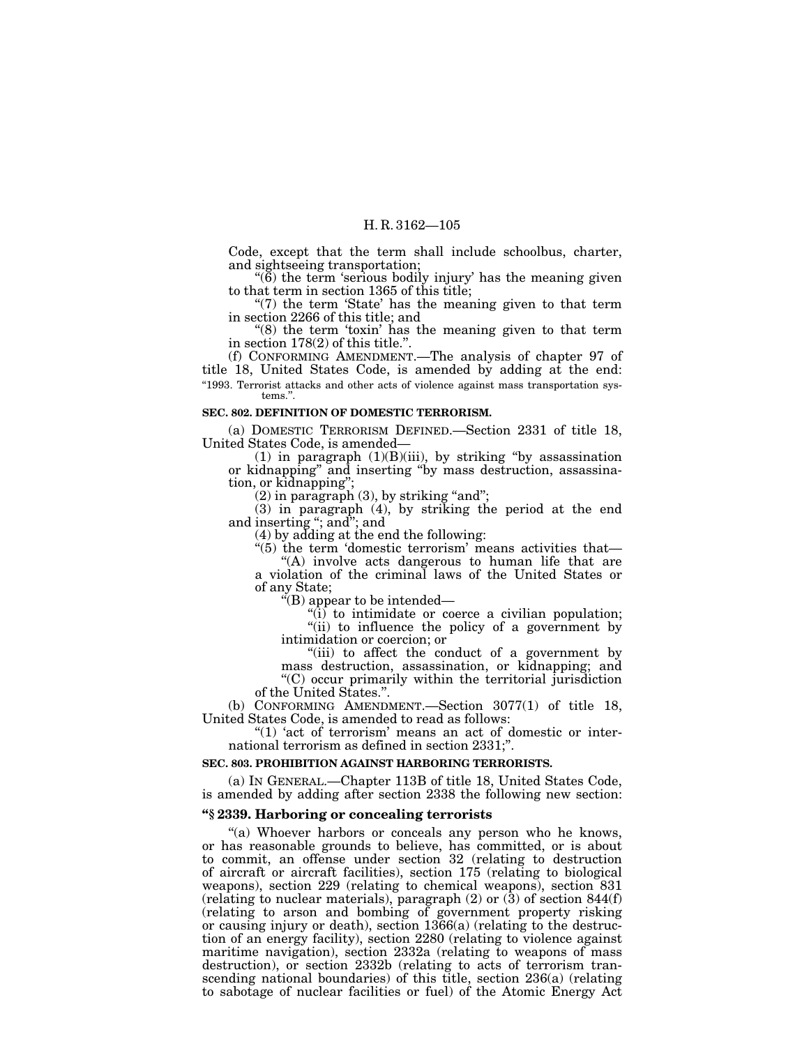Code, except that the term shall include schoolbus, charter,

" $(\vec{6})$  the term 'serious bodily injury' has the meaning given to that term in section 1365 of this title;

"(7) the term 'State' has the meaning given to that term in section  $2266$  of this title; and

"(8) the term 'toxin' has the meaning given to that term in section  $178(2)$  of this title.".

(f) CONFORMING AMENDMENT.—The analysis of chapter 97 of title 18, United States Code, is amended by adding at the end: ''1993. Terrorist attacks and other acts of violence against mass transportation systems.''.

#### **SEC. 802. DEFINITION OF DOMESTIC TERRORISM.**

(a) DOMESTIC TERRORISM DEFINED.—Section 2331 of title 18,

(1) in paragraph  $(1)(B)(iii)$ , by striking "by assassination or kidnapping'' and inserting ''by mass destruction, assassination, or kidnapping'';

 $(2)$  in paragraph  $(3)$ , by striking "and";

(3) in paragraph (4), by striking the period at the end and inserting ''; and''; and

(4) by adding at the end the following:

''(5) the term 'domestic terrorism' means activities that— ''(A) involve acts dangerous to human life that are

a violation of the criminal laws of the United States or of any State;<br>"(B) appear to be intended—<br>"(i) to intimidate or coerce a civilian population;

 $\sqrt[4]{(ii)}$  to influence the policy of a government by intimidation or coercion; or

"(iii) to affect the conduct of a government by mass destruction, assassination, or kidnapping; and

''(C) occur primarily within the territorial jurisdiction of the United States.''.

(b) CONFORMING AMENDMENT.—Section 3077(1) of title 18, United States Code, is amended to read as follows:

" $(1)$  'act of terrorism' means an act of domestic or international terrorism as defined in section 2331;''.

#### **SEC. 803. PROHIBITION AGAINST HARBORING TERRORISTS.**

(a) IN GENERAL.—Chapter 113B of title 18, United States Code, is amended by adding after section 2338 the following new section:

## **''§ 2339. Harboring or concealing terrorists**

''(a) Whoever harbors or conceals any person who he knows, or has reasonable grounds to believe, has committed, or is about to commit, an offense under section 32 (relating to destruction of aircraft or aircraft facilities), section 175 (relating to biological weapons), section 229 (relating to chemical weapons), section 831 (relating to nuclear materials), paragraph (2) or (3) of section 844(f) (relating to arson and bombing of government property risking or causing injury or death), section 1366(a) (relating to the destruction of an energy facility), section 2280 (relating to violence against maritime navigation), section 2332a (relating to weapons of mass destruction), or section 2332b (relating to acts of terrorism transcending national boundaries) of this title, section 236(a) (relating to sabotage of nuclear facilities or fuel) of the Atomic Energy Act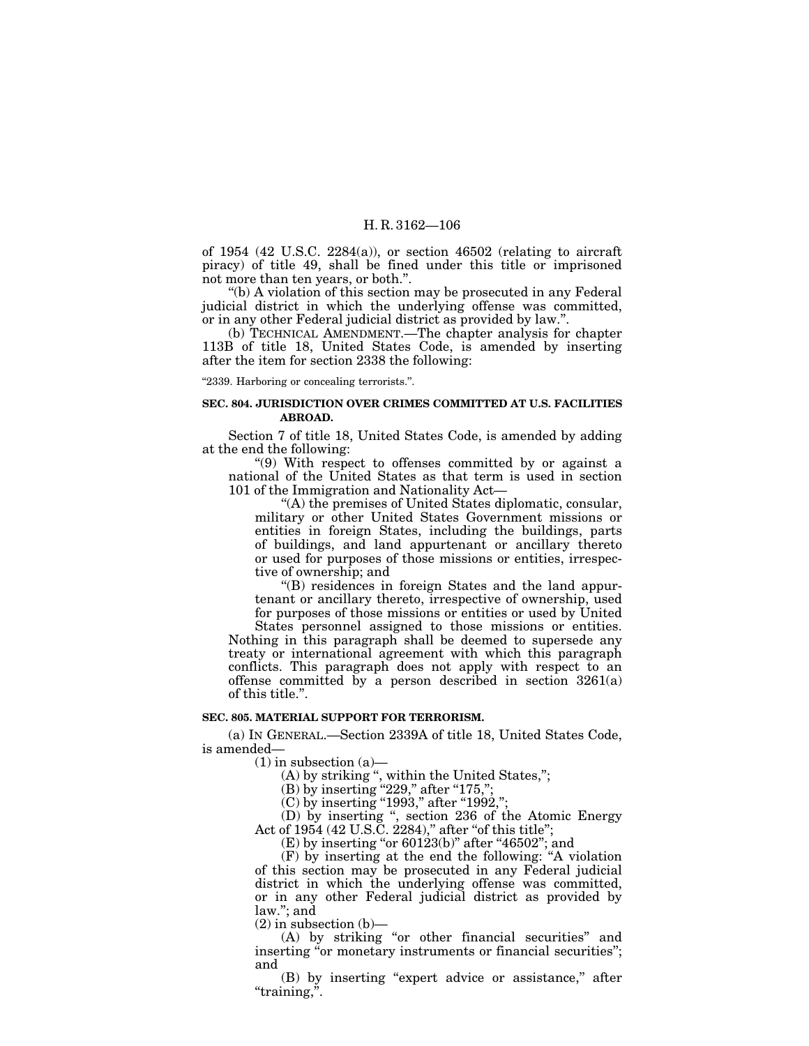of 1954 (42 U.S.C. 2284(a)), or section 46502 (relating to aircraft piracy) of title 49, shall be fined under this title or imprisoned not more than ten years, or both.''.

''(b) A violation of this section may be prosecuted in any Federal judicial district in which the underlying offense was committed, or in any other Federal judicial district as provided by law.".

(b) TECHNICAL AMENDMENT.—The chapter analysis for chapter 113B of title 18, United States Code, is amended by inserting after the item for section 2338 the following:

''2339. Harboring or concealing terrorists.''.

#### **SEC. 804. JURISDICTION OVER CRIMES COMMITTED AT U.S. FACILITIES ABROAD.**

Section 7 of title 18, United States Code, is amended by adding at the end the following:

''(9) With respect to offenses committed by or against a national of the United States as that term is used in section 101 of the Immigration and Nationality Act—

''(A) the premises of United States diplomatic, consular, military or other United States Government missions or entities in foreign States, including the buildings, parts of buildings, and land appurtenant or ancillary thereto or used for purposes of those missions or entities, irrespective of ownership; and

''(B) residences in foreign States and the land appurtenant or ancillary thereto, irrespective of ownership, used for purposes of those missions or entities or used by United States personnel assigned to those missions or entities. Nothing in this paragraph shall be deemed to supersede any treaty or international agreement with which this paragraph

# conflicts. This paragraph does not apply with respect to an offense committed by a person described in section  $3261(a)$ of this title.''.

## **SEC. 805. MATERIAL SUPPORT FOR TERRORISM.**

(a) IN GENERAL.—Section 2339A of title 18, United States Code, is amended—

 $(1)$  in subsection  $(a)$ —

(A) by striking '', within the United States,'';

 $(B)$  by inserting "229," after "175,";

(C) by inserting "1993," after "1992,";

(D) by inserting '', section 236 of the Atomic Energy Act of 1954 (42 U.S.C. 2284)," after "of this title";

(E) by inserting "or 60123(b)" after "46502"; and

(F) by inserting at the end the following: ''A violation of this section may be prosecuted in any Federal judicial district in which the underlying offense was committed, or in any other Federal judicial district as provided by law.''; and

(2) in subsection (b)—

(A) by striking ''or other financial securities'' and inserting "or monetary instruments or financial securities"; and

(B) by inserting ''expert advice or assistance,'' after ''training,''.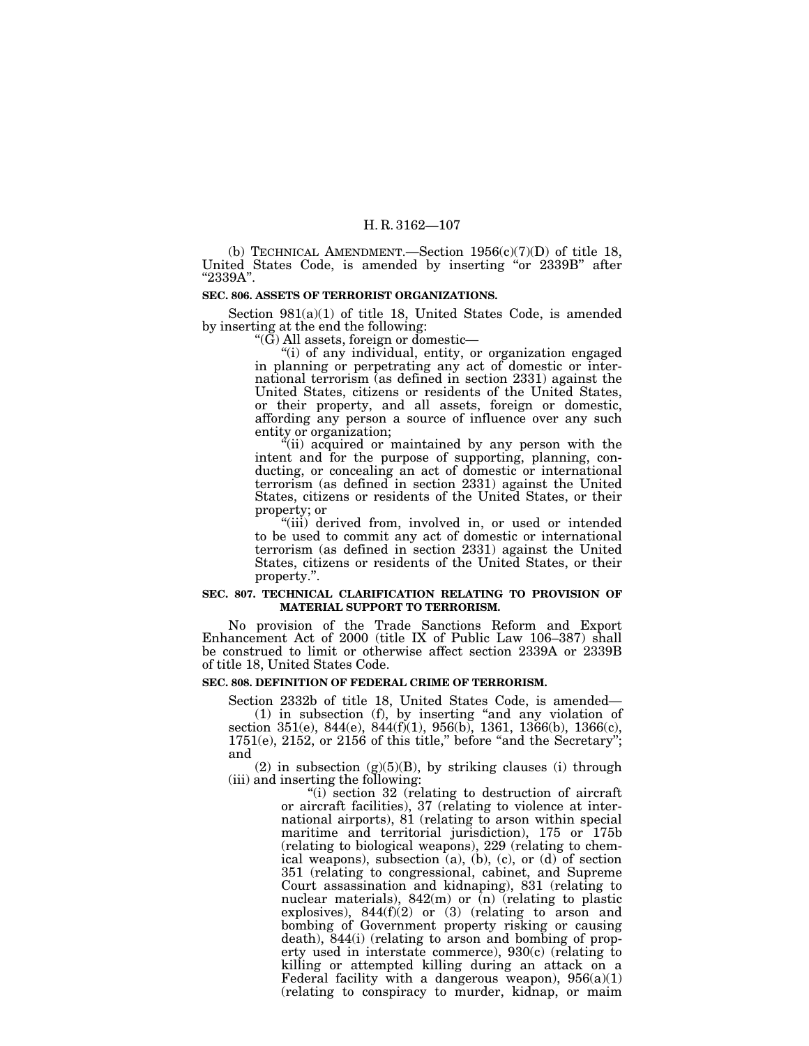(b) TECHNICAL AMENDMENT.—Section  $1956(c)(7)(D)$  of title 18, United States Code, is amended by inserting "or 2339B" after "2339A".

#### **SEC. 806. ASSETS OF TERRORIST ORGANIZATIONS.**

Section  $981(a)(1)$  of title 18, United States Code, is amended by inserting at the end the following:

"( $\tilde{G}$ ) All assets, foreign or domestic—<br>"(i) of any individual, entity, or organization engaged in planning or perpetrating any act of domestic or international terrorism (as defined in section 2331) against the United States, citizens or residents of the United States, or their property, and all assets, foreign or domestic, affording any person a source of influence over any such entity or organization;<br>"(ii) acquired or maintained by any person with the

intent and for the purpose of supporting, planning, conducting, or concealing an act of domestic or international terrorism (as defined in section 2331) against the United States, citizens or residents of the United States, or their property; or

"(iii) derived from, involved in, or used or intended to be used to commit any act of domestic or international terrorism (as defined in section 2331) against the United States, citizens or residents of the United States, or their property.''.

#### **SEC. 807. TECHNICAL CLARIFICATION RELATING TO PROVISION OF MATERIAL SUPPORT TO TERRORISM.**

No provision of the Trade Sanctions Reform and Export Enhancement Act of 2000 (title IX of Public Law 106–387) shall be construed to limit or otherwise affect section 2339A or 2339B of title 18, United States Code.

#### **SEC. 808. DEFINITION OF FEDERAL CRIME OF TERRORISM.**

Section 2332b of title 18, United States Code, is amended— (1) in subsection (f), by inserting ''and any violation of section 351(e), 844(e), 844(f)(1), 956(b), 1361, 1366(b), 1366(c),  $1751(e)$ ,  $2152$ , or  $2156$  of this title," before "and the Secretary"; and

 $(2)$  in subsection  $(g)(5)(B)$ , by striking clauses (i) through (iii) and inserting the following:

"(i) section 32 (relating to destruction of aircraft or aircraft facilities), 37 (relating to violence at international airports), 81 (relating to arson within special maritime and territorial jurisdiction), 175 or 175b (relating to biological weapons), 229 (relating to chemical weapons), subsection  $(a)$ ,  $(b)$ ,  $(c)$ , or  $(d)$  of section 351 (relating to congressional, cabinet, and Supreme Court assassination and kidnaping), 831 (relating to nuclear materials), 842(m) or (n) (relating to plastic explosives), 844(f)(2) or (3) (relating to arson and bombing of Government property risking or causing death), 844(i) (relating to arson and bombing of property used in interstate commerce), 930(c) (relating to killing or attempted killing during an attack on a Federal facility with a dangerous weapon), 956(a)(1) (relating to conspiracy to murder, kidnap, or maim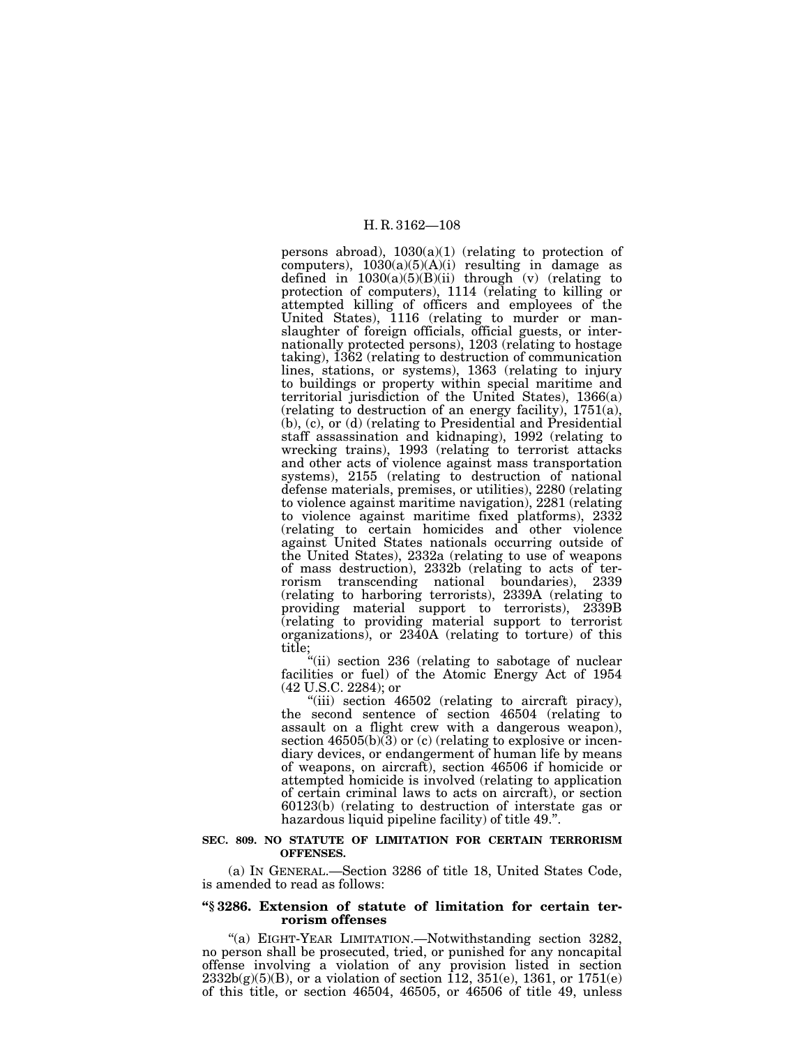persons abroad),  $1030(a)(1)$  (relating to protection of computers),  $1030(a)(5)(A)(i)$  resulting in damage as defined in  $1030(a)(5)(B)(ii)$  through (v) (relating to protection of computers), 1114 (relating to killing or attempted killing of officers and employees of the United States), 1116 (relating to murder or manslaughter of foreign officials, official guests, or internationally protected persons), 1203 (relating to hostage taking), 1362 (relating to destruction of communication lines, stations, or systems), 1363 (relating to injury to buildings or property within special maritime and territorial jurisdiction of the United States), 1366(a) (relating to destruction of an energy facility), 1751(a), (b), (c), or (d) (relating to Presidential and Presidential staff assassination and kidnaping), 1992 (relating to wrecking trains), 1993 (relating to terrorist attacks and other acts of violence against mass transportation systems), 2155 (relating to destruction of national defense materials, premises, or utilities), 2280 (relating to violence against maritime navigation), 2281 (relating to violence against maritime fixed platforms), 2332 (relating to certain homicides and other violence against United States nationals occurring outside of the United States), 2332a (relating to use of weapons of mass destruction), 2332b (relating to acts of terrorism transcending national boundaries), 2339 (relating to harboring terrorists), 2339A (relating to providing material support to terrorists), 2339B (relating to providing material support to terrorist organizations), or 2340A (relating to torture) of this title;<br>"(ii) section 236 (relating to sabotage of nuclear)

facilities or fuel) of the Atomic Energy Act of 1954

 $(42 \text{ U.S.C. } 2284)$ ; or "(iii) section 46502 (relating to aircraft piracy), the second sentence of section 46504 (relating to assault on a flight crew with a dangerous weapon), section  $46505(b)(3)$  or (c) (relating to explosive or incendiary devices, or endangerment of human life by means of weapons, on aircraft), section 46506 if homicide or attempted homicide is involved (relating to application of certain criminal laws to acts on aircraft), or section 60123(b) (relating to destruction of interstate gas or hazardous liquid pipeline facility) of title 49.''.

#### **SEC. 809. NO STATUTE OF LIMITATION FOR CERTAIN TERRORISM OFFENSES.**

(a) IN GENERAL.—Section 3286 of title 18, United States Code, is amended to read as follows:

## **''§ 3286. Extension of statute of limitation for certain terrorism offenses**

''(a) EIGHT-YEAR LIMITATION.—Notwithstanding section 3282, no person shall be prosecuted, tried, or punished for any noncapital offense involving a violation of any provision listed in section  $2332b(g)(5)(B)$ , or a violation of section 112, 351(e), 1361, or 1751(e) of this title, or section 46504, 46505, or 46506 of title 49, unless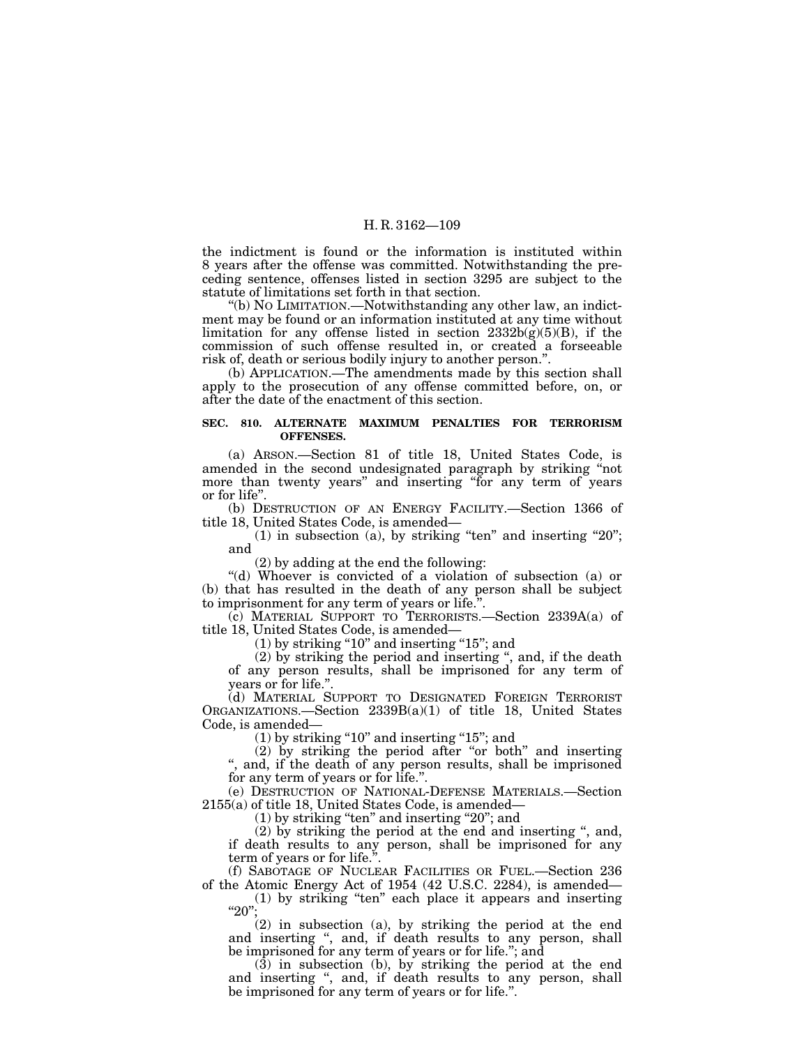the indictment is found or the information is instituted within 8 years after the offense was committed. Notwithstanding the preceding sentence, offenses listed in section 3295 are subject to the statute of limitations set forth in that section.

''(b) NO LIMITATION.—Notwithstanding any other law, an indictment may be found or an information instituted at any time without limitation for any offense listed in section  $2332b(g)(5)(B)$ , if the commission of such offense resulted in, or created a forseeable risk of, death or serious bodily injury to another person.''.

(b) APPLICATION.—The amendments made by this section shall apply to the prosecution of any offense committed before, on, or after the date of the enactment of this section.

## **SEC. 810. ALTERNATE MAXIMUM PENALTIES FOR TERRORISM OFFENSES.**

(a) ARSON.—Section 81 of title 18, United States Code, is amended in the second undesignated paragraph by striking ''not more than twenty years" and inserting "for any term of years" or for life''.

(b) DESTRUCTION OF AN ENERGY FACILITY.—Section 1366 of title 18, United States Code, is amended—

(1) in subsection (a), by striking "ten" and inserting "20"; and

(2) by adding at the end the following:

''(d) Whoever is convicted of a violation of subsection (a) or (b) that has resulted in the death of any person shall be subject to imprisonment for any term of years or life.''.

(c) MATERIAL SUPPORT TO TERRORISTS.—Section 2339A(a) of title 18, United States Code, is amended—

 $(1)$  by striking "10" and inserting "15"; and

(2) by striking the period and inserting '', and, if the death of any person results, shall be imprisoned for any term of years or for life.''.

(d) MATERIAL SUPPORT TO DESIGNATED FOREIGN TERRORIST ORGANIZATIONS.—Section 2339B(a)(1) of title 18, United States Code, is amended—

 $(1)$  by striking "10" and inserting "15"; and

(2) by striking the period after ''or both'' and inserting '', and, if the death of any person results, shall be imprisoned for any term of years or for life.''.

(e) DESTRUCTION OF NATIONAL-DEFENSE MATERIALS.—Section 2155(a) of title 18, United States Code, is amended—

 $(1)$  by striking "ten" and inserting "20"; and

(2) by striking the period at the end and inserting '', and, if death results to any person, shall be imprisoned for any term of years or for life.''.

(f) SABOTAGE OF NUCLEAR FACILITIES OR FUEL.—Section 236 of the Atomic Energy Act of 1954 (42 U.S.C. 2284), is amended—

(1) by striking ''ten'' each place it appears and inserting " $20"$ 

(2) in subsection (a), by striking the period at the end and inserting ", and, if death results to any person, shall be imprisoned for any term of years or for life.''; and

 $(3)$  in subsection (b), by striking the period at the end and inserting ", and, if death results to any person, shall be imprisoned for any term of years or for life.''.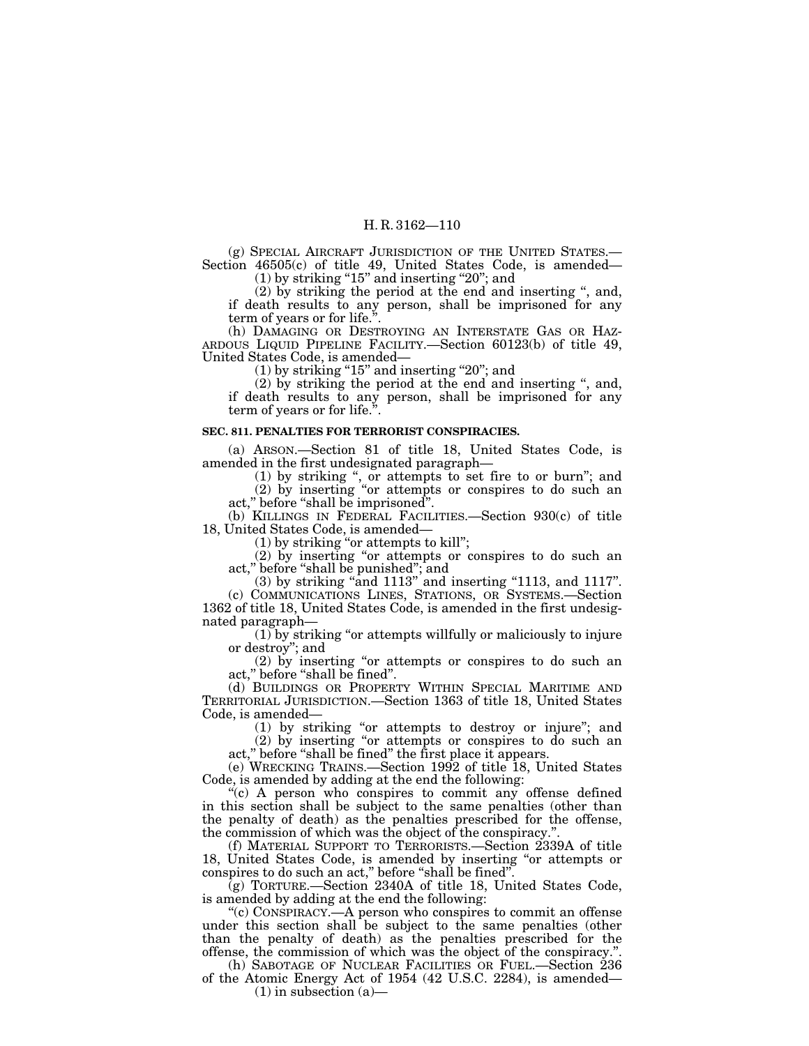(g) SPECIAL AIRCRAFT JURISDICTION OF THE UNITED STATES.— Section 46505(c) of title 49, United States Code, is amended—  $(1)$  by striking "15" and inserting "20"; and

(2) by striking the period at the end and inserting '', and, if death results to any person, shall be imprisoned for any term of years or for life."

(h) DAMAGING OR DESTROYING AN INTERSTATE GAS OR HAZ-ARDOUS LIQUID PIPELINE FACILITY.—Section 60123(b) of title 49, United States Code, is amended—

 $(1)$  by striking "15" and inserting "20"; and

(2) by striking the period at the end and inserting '', and, if death results to any person, shall be imprisoned for any term of years or for life.''.

#### **SEC. 811. PENALTIES FOR TERRORIST CONSPIRACIES.**

(a) ARSON.—Section 81 of title 18, United States Code, is amended in the first undesignated paragraph—

(1) by striking '', or attempts to set fire to or burn''; and (2) by inserting ''or attempts or conspires to do such an

act," before "shall be imprisoned". (b) KILLINGS IN FEDERAL FACILITIES.—Section 930(c) of title

18, United States Code, is amended—

 $(1)$  by striking "or attempts to kill";

(2) by inserting ''or attempts or conspires to do such an act,'' before ''shall be punished''; and

 $(3)$  by striking "and  $1113$ " and inserting "1113, and  $1117$ ".

(c) COMMUNICATIONS LINES, STATIONS, OR SYSTEMS.—Section 1362 of title 18, United States Code, is amended in the first undesignated paragraph—

 $(1)$  by striking "or attempts willfully or maliciously to injure or destroy''; and

(2) by inserting ''or attempts or conspires to do such an act," before "shall be fined".

(d) BUILDINGS OR PROPERTY WITHIN SPECIAL MARITIME AND TERRITORIAL JURISDICTION.—Section 1363 of title 18, United States Code, is amended—

(1) by striking ''or attempts to destroy or injure''; and (2) by inserting ''or attempts or conspires to do such an act," before "shall be fined" the first place it appears.

(e) WRECKING TRAINS.—Section 1992 of title 18, United States Code, is amended by adding at the end the following:

''(c) A person who conspires to commit any offense defined in this section shall be subject to the same penalties (other than the penalty of death) as the penalties prescribed for the offense, the commission of which was the object of the conspiracy.''.

(f) MATERIAL SUPPORT TO TERRORISTS.—Section 2339A of title 18, United States Code, is amended by inserting ''or attempts or conspires to do such an act,'' before ''shall be fined''.

(g) TORTURE.—Section 2340A of title 18, United States Code, is amended by adding at the end the following:

"(c) CONSPIRACY.—A person who conspires to commit an offense under this section shall be subject to the same penalties (other than the penalty of death) as the penalties prescribed for the offense, the commission of which was the object of the conspiracy.''. (h) SABOTAGE OF NUCLEAR FACILITIES OR FUEL.—Section 236

of the Atomic Energy Act of 1954 (42 U.S.C. 2284), is amended—<br>(1) in subsection (a)—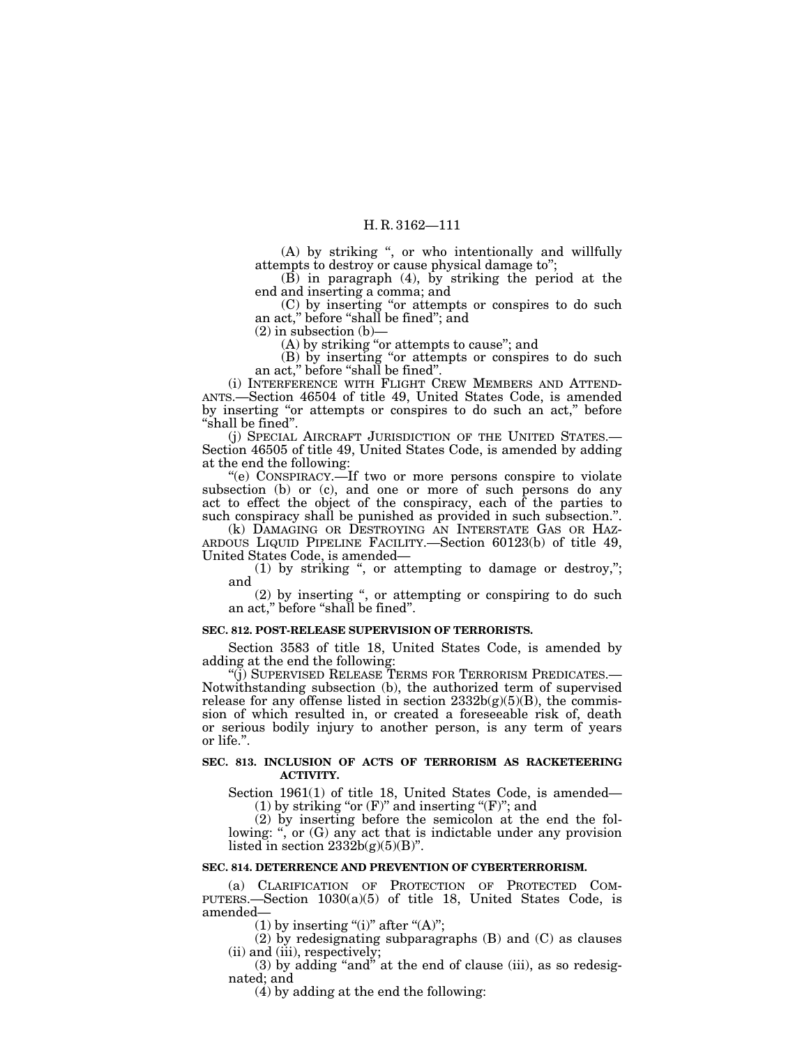(A) by striking '', or who intentionally and willfully attempts to destroy or cause physical damage to'';

 $(\overline{B})$  in paragraph (4), by striking the period at the end and inserting a comma; and

(C) by inserting ''or attempts or conspires to do such an act," before "shall be fined"; and

 $(2)$  in subsection  $(b)$ —

(A) by striking "or attempts to cause"; and

(B) by inserting ''or attempts or conspires to do such an act,'' before ''shall be fined''.

(i) INTERFERENCE WITH FLIGHT CREW MEMBERS AND ATTEND-ANTS.—Section 46504 of title 49, United States Code, is amended by inserting "or attempts or conspires to do such an act," before "shall be fined".

(j) SPECIAL AIRCRAFT JURISDICTION OF THE UNITED STATES.— Section 46505 of title 49, United States Code, is amended by adding at the end the following:

''(e) CONSPIRACY.—If two or more persons conspire to violate subsection (b) or (c), and one or more of such persons do any act to effect the object of the conspiracy, each of the parties to such conspiracy shall be punished as provided in such subsection.".

(k) DAMAGING OR DESTROYING AN INTERSTATE GAS OR HAZ-ARDOUS LIQUID PIPELINE FACILITY.—Section 60123(b) of title 49, United States Code, is amended—

(1) by striking '', or attempting to damage or destroy,''; and

(2) by inserting '', or attempting or conspiring to do such an act," before "shall be fined".

#### **SEC. 812. POST-RELEASE SUPERVISION OF TERRORISTS.**

Section 3583 of title 18, United States Code, is amended by adding at the end the following:

''(j) SUPERVISED RELEASE TERMS FOR TERRORISM PREDICATES.— Notwithstanding subsection (b), the authorized term of supervised release for any offense listed in section  $2332b(g)(5)(B)$ , the commission of which resulted in, or created a foreseeable risk of, death or serious bodily injury to another person, is any term of years or life.''.

#### **SEC. 813. INCLUSION OF ACTS OF TERRORISM AS RACKETEERING ACTIVITY.**

Section 1961(1) of title 18, United States Code, is amended— (1) by striking "or  $(F)$ " and inserting " $(F)$ "; and

(2) by inserting before the semicolon at the end the following: ", or  $(G)$  any act that is indictable under any provision listed in section  $2332b(g)(5)(B)$ ".

#### **SEC. 814. DETERRENCE AND PREVENTION OF CYBERTERRORISM.**

(a) CLARIFICATION OF PROTECTION OF PROTECTED COM-PUTERS.—Section 1030(a)(5) of title 18, United States Code, is amended—

(1) by inserting "(i)" after " $(A)$ ";

(2) by redesignating subparagraphs (B) and (C) as clauses (ii) and (iii), respectively;

(3) by adding ''and'' at the end of clause (iii), as so redesignated; and

(4) by adding at the end the following: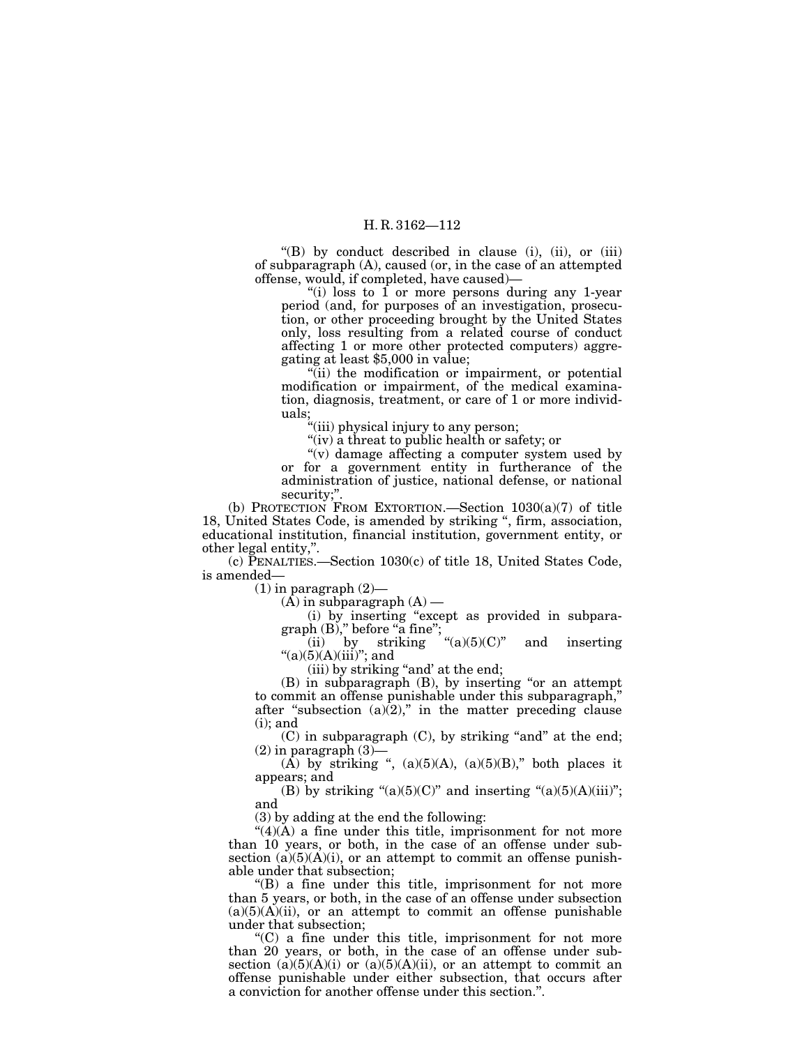''(B) by conduct described in clause (i), (ii), or (iii) of subparagraph (A), caused (or, in the case of an attempted offense, would, if completed, have caused)—

" $(i)$  loss to  $1$  or more persons during any 1-year period (and, for purposes of an investigation, prosecution, or other proceeding brought by the United States only, loss resulting from a related course of conduct affecting 1 or more other protected computers) aggregating at least \$5,000 in value;

''(ii) the modification or impairment, or potential modification or impairment, of the medical examination, diagnosis, treatment, or care of 1 or more individuals;

''(iii) physical injury to any person;

''(iv) a threat to public health or safety; or

"(v) damage affecting a computer system used by or for a government entity in furtherance of the administration of justice, national defense, or national security;"

(b) PROTECTION FROM EXTORTION.—Section  $1030(a)(7)$  of title 18, United States Code, is amended by striking '', firm, association, educational institution, financial institution, government entity, or other legal entity,''.

 $(c)$  PENALTIES.—Section 1030 $(c)$  of title 18, United States Code, is amended—

 $(1)$  in paragraph  $(2)$ —

 $(\overline{A})$  in subparagraph  $(A)$  —

(i) by inserting ''except as provided in subparagraph (B)," before "a fine";

(ii) by striking  $\lq( a)(5)(C) \rq$  and inserting " $(a)(5)(A)(iii)$ "; and

 $(iii)$  by striking "and' at the end;

 $(B)$  in subparagraph  $(B)$ , by inserting "or an attempt to commit an offense punishable under this subparagraph,'' after "subsection  $(a)(2)$ ," in the matter preceding clause  $(i)$ ; and

 $(C)$  in subparagraph  $(C)$ , by striking "and" at the end;  $(2)$  in paragraph  $(3)$ –

(A) by striking ", (a)(5)(A), (a)(5)(B)," both places it appears; and

(B) by striking " $(a)(5)(C)$ " and inserting " $(a)(5)(A)(iii)$ "; and

(3) by adding at the end the following:

" $(4)(\mathring{A})$  a fine under this title, imprisonment for not more than 10 years, or both, in the case of an offense under subsection  $(a)(5)(A)(i)$ , or an attempt to commit an offense punishable under that subsection;

''(B) a fine under this title, imprisonment for not more than 5 years, or both, in the case of an offense under subsection  $(a)(5)(A)(ii)$ , or an attempt to commit an offense punishable under that subsection;

''(C) a fine under this title, imprisonment for not more than 20 years, or both, in the case of an offense under subsection  $(a)(5)(A)(i)$  or  $(a)(5)(A)(ii)$ , or an attempt to commit an offense punishable under either subsection, that occurs after a conviction for another offense under this section.''.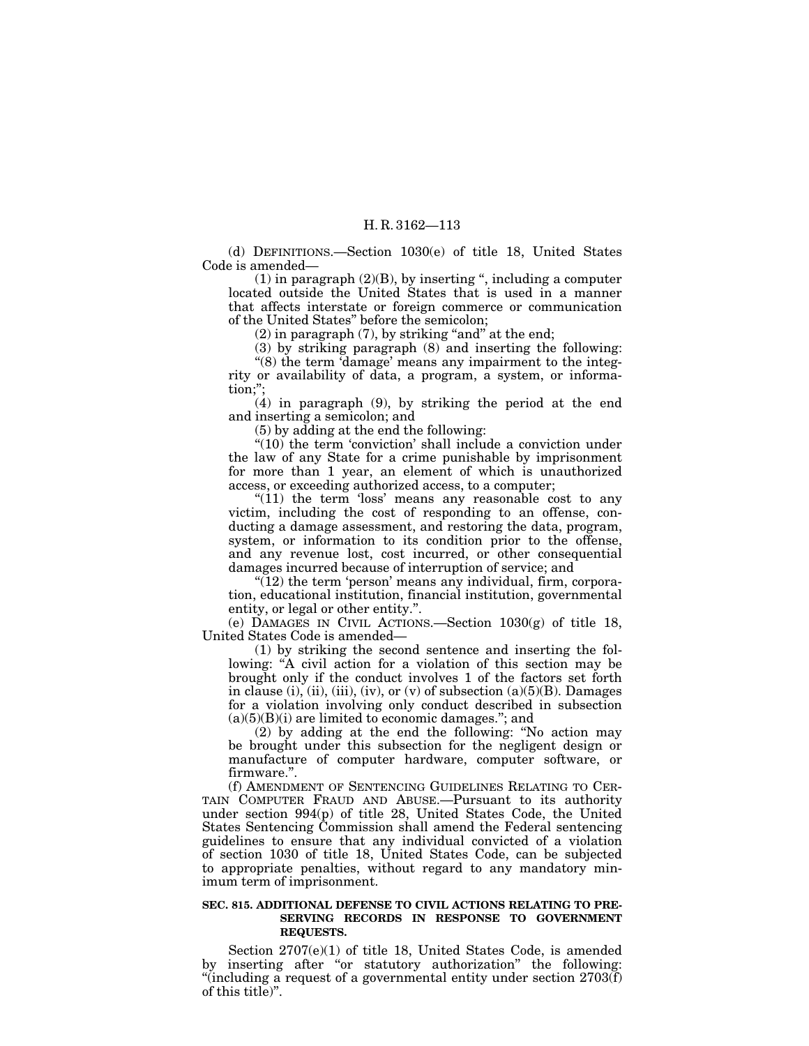(d) DEFINITIONS.—Section 1030(e) of title 18, United States Code is amended—

 $(1)$  in paragraph  $(2)(B)$ , by inserting ", including a computer located outside the United States that is used in a manner that affects interstate or foreign commerce or communication of the United States'' before the semicolon;

 $(2)$  in paragraph  $(7)$ , by striking "and" at the end;

(3) by striking paragraph (8) and inserting the following:

''(8) the term 'damage' means any impairment to the integrity or availability of data, a program, a system, or information;'';

(4) in paragraph (9), by striking the period at the end and inserting a semicolon; and

(5) by adding at the end the following:

"(10) the term 'conviction' shall include a conviction under the law of any State for a crime punishable by imprisonment for more than 1 year, an element of which is unauthorized access, or exceeding authorized access, to a computer;

" $(11)$  the term 'loss' means any reasonable cost to any victim, including the cost of responding to an offense, conducting a damage assessment, and restoring the data, program, system, or information to its condition prior to the offense, and any revenue lost, cost incurred, or other consequential damages incurred because of interruption of service; and

 $\sqrt{\left(12\right)}$  the term 'person' means any individual, firm, corporation, educational institution, financial institution, governmental entity, or legal or other entity.''.

(e) DAMAGES IN CIVIL ACTIONS.—Section 1030(g) of title 18, United States Code is amended—

(1) by striking the second sentence and inserting the following: "A civil action for a violation of this section may be brought only if the conduct involves 1 of the factors set forth in clause (i), (ii), (iii), (iv), or (v) of subsection  $(a)(5)(B)$ . Damages for a violation involving only conduct described in subsection (a)(5)(B)(i) are limited to economic damages.''; and

(2) by adding at the end the following: ''No action may be brought under this subsection for the negligent design or manufacture of computer hardware, computer software, or firmware.''.

(f) AMENDMENT OF SENTENCING GUIDELINES RELATING TO CER-TAIN COMPUTER FRAUD AND ABUSE.—Pursuant to its authority under section 994(p) of title 28, United States Code, the United States Sentencing Commission shall amend the Federal sentencing guidelines to ensure that any individual convicted of a violation of section 1030 of title 18, United States Code, can be subjected to appropriate penalties, without regard to any mandatory minimum term of imprisonment.

#### **SEC. 815. ADDITIONAL DEFENSE TO CIVIL ACTIONS RELATING TO PRE-SERVING RECORDS IN RESPONSE TO GOVERNMENT REQUESTS.**

Section 2707(e)(1) of title 18, United States Code, is amended by inserting after "or statutory authorization" the following: ''(including a request of a governmental entity under section 2703(f) of this title)''.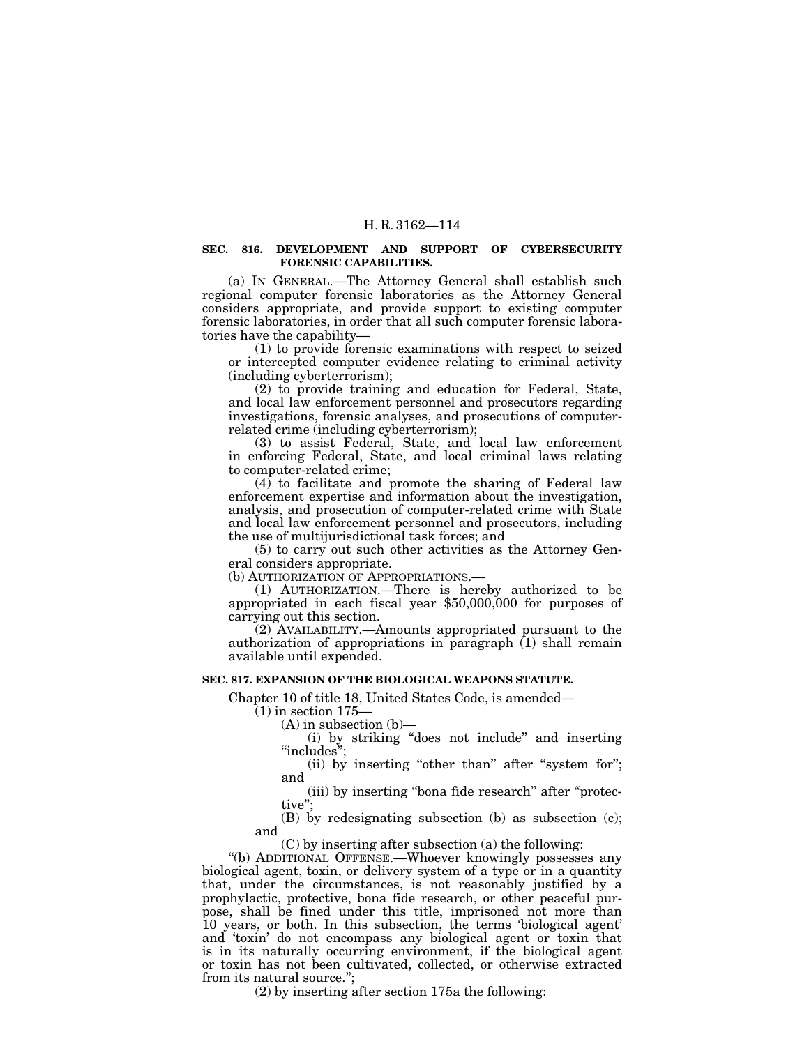#### **SEC. 816. DEVELOPMENT AND SUPPORT OF CYBERSECURITY FORENSIC CAPABILITIES.**

(a) IN GENERAL.—The Attorney General shall establish such regional computer forensic laboratories as the Attorney General considers appropriate, and provide support to existing computer forensic laboratories, in order that all such computer forensic laboratories have the capability—

(1) to provide forensic examinations with respect to seized or intercepted computer evidence relating to criminal activity (including cyberterrorism);

(2) to provide training and education for Federal, State, and local law enforcement personnel and prosecutors regarding investigations, forensic analyses, and prosecutions of computerrelated crime (including cyberterrorism);

(3) to assist Federal, State, and local law enforcement in enforcing Federal, State, and local criminal laws relating to computer-related crime;

(4) to facilitate and promote the sharing of Federal law enforcement expertise and information about the investigation, analysis, and prosecution of computer-related crime with State and local law enforcement personnel and prosecutors, including the use of multijurisdictional task forces; and

(5) to carry out such other activities as the Attorney General considers appropriate.

(b) AUTHORIZATION OF APPROPRIATIONS.—

(1) AUTHORIZATION.—There is hereby authorized to be appropriated in each fiscal year \$50,000,000 for purposes of carrying out this section.

(2) AVAILABILITY.—Amounts appropriated pursuant to the authorization of appropriations in paragraph (1) shall remain available until expended.

#### **SEC. 817. EXPANSION OF THE BIOLOGICAL WEAPONS STATUTE.**

Chapter 10 of title 18, United States Code, is amended—

 $(1)$  in section 175–

(A) in subsection (b)—

(i) by striking ''does not include'' and inserting "includes"

(ii) by inserting "other than" after "system for"; and

(iii) by inserting ''bona fide research'' after ''protective'';

(B) by redesignating subsection (b) as subsection (c); and

(C) by inserting after subsection (a) the following:

''(b) ADDITIONAL OFFENSE.—Whoever knowingly possesses any biological agent, toxin, or delivery system of a type or in a quantity that, under the circumstances, is not reasonably justified by a prophylactic, protective, bona fide research, or other peaceful purpose, shall be fined under this title, imprisoned not more than 10 years, or both. In this subsection, the terms 'biological agent' and 'toxin' do not encompass any biological agent or toxin that is in its naturally occurring environment, if the biological agent or toxin has not been cultivated, collected, or otherwise extracted from its natural source.'';

(2) by inserting after section 175a the following: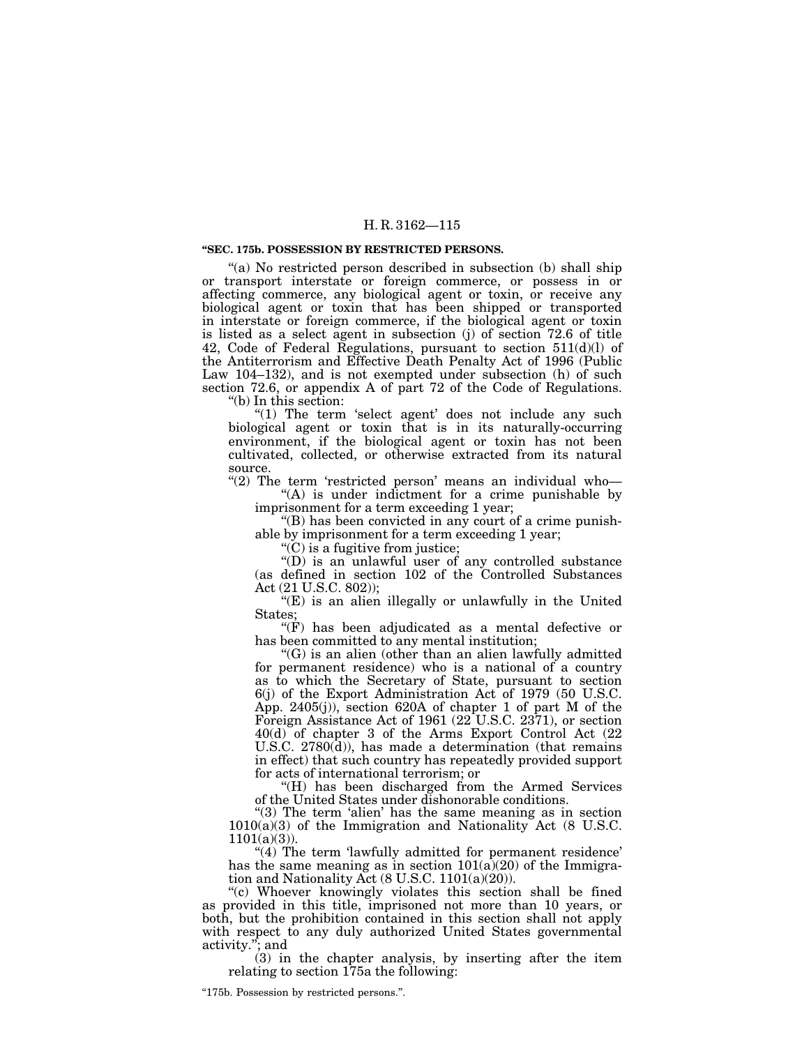#### **''SEC. 175b. POSSESSION BY RESTRICTED PERSONS.**

"(a) No restricted person described in subsection (b) shall ship or transport interstate or foreign commerce, or possess in or affecting commerce, any biological agent or toxin, or receive any biological agent or toxin that has been shipped or transported in interstate or foreign commerce, if the biological agent or toxin is listed as a select agent in subsection (j) of section 72.6 of title 42, Code of Federal Regulations, pursuant to section 511(d)(l) of the Antiterrorism and Effective Death Penalty Act of 1996 (Public Law 104–132), and is not exempted under subsection (h) of such section 72.6, or appendix A of part 72 of the Code of Regulations.

''(b) In this section:

" $(1)$  The term 'select agent' does not include any such biological agent or toxin that is in its naturally-occurring environment, if the biological agent or toxin has not been cultivated, collected, or otherwise extracted from its natural source.

" $(2)$  The term 'restricted person' means an individual who-

 $(A)$  is under indictment for a crime punishable by imprisonment for a term exceeding 1 year;

"(B) has been convicted in any court of a crime punishable by imprisonment for a term exceeding 1 year;

 $C$ ) is a fugitive from justice;

"(D) is an unlawful user of any controlled substance (as defined in section 102 of the Controlled Substances Act (21 U.S.C. 802));

 $E$ ) is an alien illegally or unlawfully in the United States;

 $\sqrt{\text{F}}$ ) has been adjudicated as a mental defective or has been committed to any mental institution;

''(G) is an alien (other than an alien lawfully admitted for permanent residence) who is a national of a country as to which the Secretary of State, pursuant to section 6(j) of the Export Administration Act of 1979 (50 U.S.C. App. 2405(j)), section 620A of chapter 1 of part M of the Foreign Assistance Act of 1961 (22 U.S.C. 2371), or section 40(d) of chapter 3 of the Arms Export Control Act (22 U.S.C. 2780(d)), has made a determination (that remains in effect) that such country has repeatedly provided support for acts of international terrorism; or

''(H) has been discharged from the Armed Services of the United States under dishonorable conditions.

"(3) The term 'alien' has the same meaning as in section 1010(a)(3) of the Immigration and Nationality Act (8 U.S.C.

1101(a)(3)). "(4) The term 'lawfully admitted for permanent residence' has the same meaning as in section 101(a)(20) of the Immigration and Nationality Act (8 U.S.C. 1101(a)(20)).

''(c) Whoever knowingly violates this section shall be fined as provided in this title, imprisoned not more than 10 years, or both, but the prohibition contained in this section shall not apply with respect to any duly authorized United States governmental activity.''; and

(3) in the chapter analysis, by inserting after the item relating to section 175a the following: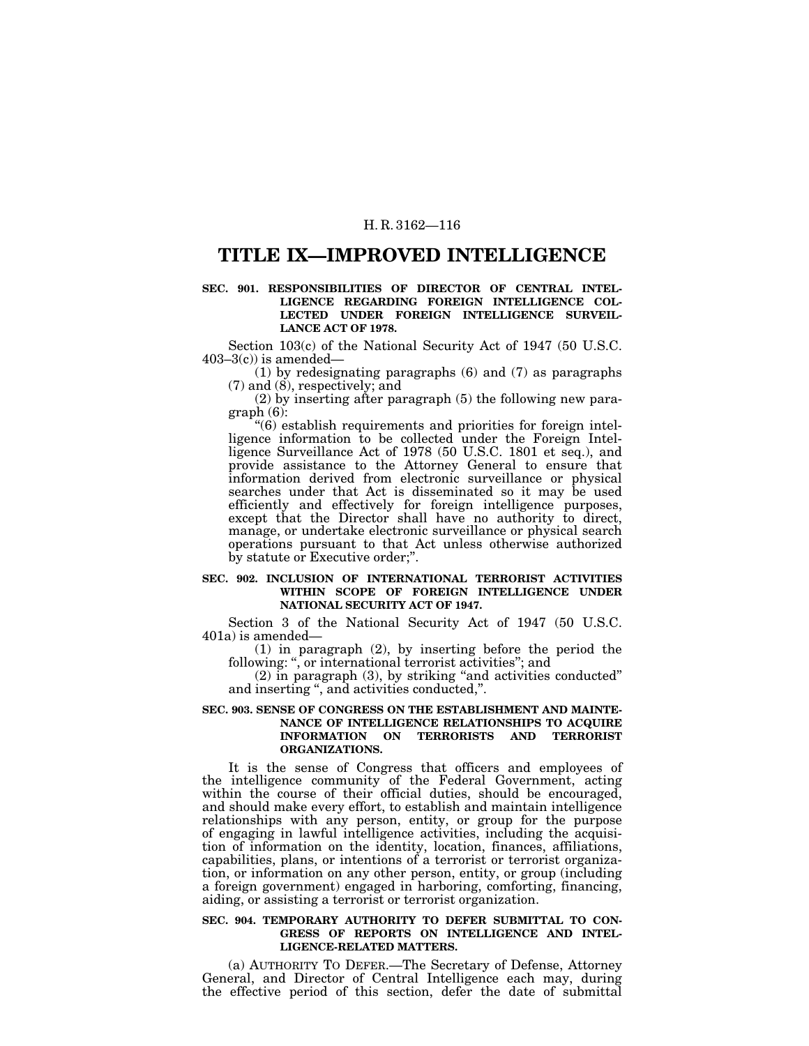# **TITLE IX—IMPROVED INTELLIGENCE**

#### **SEC. 901. RESPONSIBILITIES OF DIRECTOR OF CENTRAL INTEL-LIGENCE REGARDING FOREIGN INTELLIGENCE COL-LECTED UNDER FOREIGN INTELLIGENCE SURVEIL-LANCE ACT OF 1978.**

Section 103(c) of the National Security Act of 1947 (50 U.S.C.  $403-3(c)$ ) is amended—

(1) by redesignating paragraphs (6) and (7) as paragraphs (7) and (8), respectively; and

 $(2)$  by inserting after paragraph  $(5)$  the following new paragraph (6):

''(6) establish requirements and priorities for foreign intelligence information to be collected under the Foreign Intelligence Surveillance Act of 1978 (50 U.S.C. 1801 et seq.), and provide assistance to the Attorney General to ensure that information derived from electronic surveillance or physical searches under that Act is disseminated so it may be used efficiently and effectively for foreign intelligence purposes, except that the Director shall have no authority to direct, manage, or undertake electronic surveillance or physical search operations pursuant to that Act unless otherwise authorized by statute or Executive order;''.

#### **SEC. 902. INCLUSION OF INTERNATIONAL TERRORIST ACTIVITIES WITHIN SCOPE OF FOREIGN INTELLIGENCE UNDER NATIONAL SECURITY ACT OF 1947.**

Section 3 of the National Security Act of 1947 (50 U.S.C. 401a) is amended—

(1) in paragraph (2), by inserting before the period the following: ", or international terrorist activities"; and

(2) in paragraph (3), by striking ''and activities conducted'' and inserting '', and activities conducted,''.

#### **SEC. 903. SENSE OF CONGRESS ON THE ESTABLISHMENT AND MAINTE-NANCE OF INTELLIGENCE RELATIONSHIPS TO ACQUIRE INFORMATION ON TERRORISTS AND TERRORIST ORGANIZATIONS.**

It is the sense of Congress that officers and employees of the intelligence community of the Federal Government, acting within the course of their official duties, should be encouraged, and should make every effort, to establish and maintain intelligence relationships with any person, entity, or group for the purpose of engaging in lawful intelligence activities, including the acquisition of information on the identity, location, finances, affiliations, capabilities, plans, or intentions of a terrorist or terrorist organization, or information on any other person, entity, or group (including a foreign government) engaged in harboring, comforting, financing, aiding, or assisting a terrorist or terrorist organization.

#### **SEC. 904. TEMPORARY AUTHORITY TO DEFER SUBMITTAL TO CON-GRESS OF REPORTS ON INTELLIGENCE AND INTEL-LIGENCE-RELATED MATTERS.**

(a) AUTHORITY TO DEFER.—The Secretary of Defense, Attorney General, and Director of Central Intelligence each may, during the effective period of this section, defer the date of submittal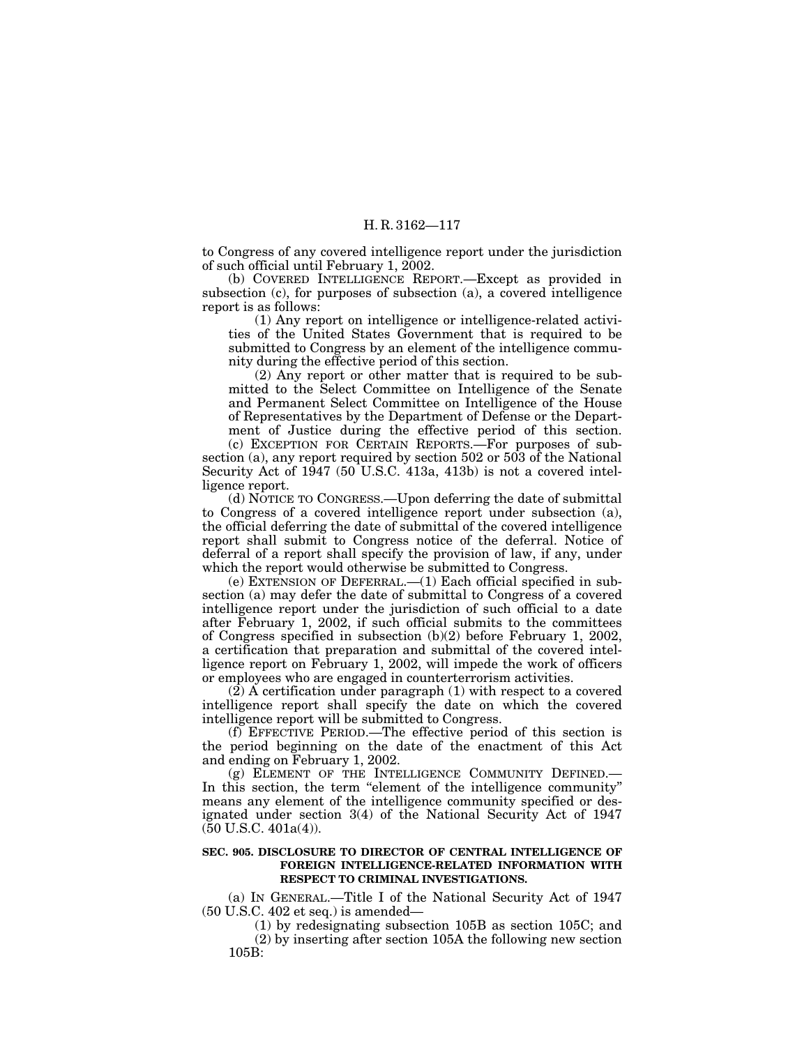to Congress of any covered intelligence report under the jurisdiction of such official until February 1, 2002.

(b) COVERED INTELLIGENCE REPORT.—Except as provided in subsection (c), for purposes of subsection (a), a covered intelligence report is as follows:

(1) Any report on intelligence or intelligence-related activities of the United States Government that is required to be submitted to Congress by an element of the intelligence community during the effective period of this section.

(2) Any report or other matter that is required to be submitted to the Select Committee on Intelligence of the Senate and Permanent Select Committee on Intelligence of the House of Representatives by the Department of Defense or the Department of Justice during the effective period of this section.

(c) EXCEPTION FOR CERTAIN REPORTS.—For purposes of subsection (a), any report required by section 502 or 503 of the National Security Act of 1947 (50 U.S.C. 413a, 413b) is not a covered intelligence report.

(d) NOTICE TO CONGRESS.—Upon deferring the date of submittal to Congress of a covered intelligence report under subsection (a), the official deferring the date of submittal of the covered intelligence report shall submit to Congress notice of the deferral. Notice of deferral of a report shall specify the provision of law, if any, under which the report would otherwise be submitted to Congress.

(e) EXTENSION OF DEFERRAL.—(1) Each official specified in subsection (a) may defer the date of submittal to Congress of a covered intelligence report under the jurisdiction of such official to a date after February 1, 2002, if such official submits to the committees of Congress specified in subsection (b)(2) before February 1, 2002, a certification that preparation and submittal of the covered intelligence report on February 1, 2002, will impede the work of officers or employees who are engaged in counterterrorism activities.

(2) A certification under paragraph (1) with respect to a covered intelligence report shall specify the date on which the covered intelligence report will be submitted to Congress.

(f) EFFECTIVE PERIOD.—The effective period of this section is the period beginning on the date of the enactment of this Act and ending on February 1, 2002.

(g) ELEMENT OF THE INTELLIGENCE COMMUNITY DEFINED.— In this section, the term "element of the intelligence community" means any element of the intelligence community specified or designated under section 3(4) of the National Security Act of 1947 (50 U.S.C. 401a(4)).

## **SEC. 905. DISCLOSURE TO DIRECTOR OF CENTRAL INTELLIGENCE OF FOREIGN INTELLIGENCE-RELATED INFORMATION WITH RESPECT TO CRIMINAL INVESTIGATIONS.**

(a) IN GENERAL.—Title I of the National Security Act of 1947 (50 U.S.C. 402 et seq.) is amended—

(1) by redesignating subsection 105B as section 105C; and

(2) by inserting after section 105A the following new section 105B: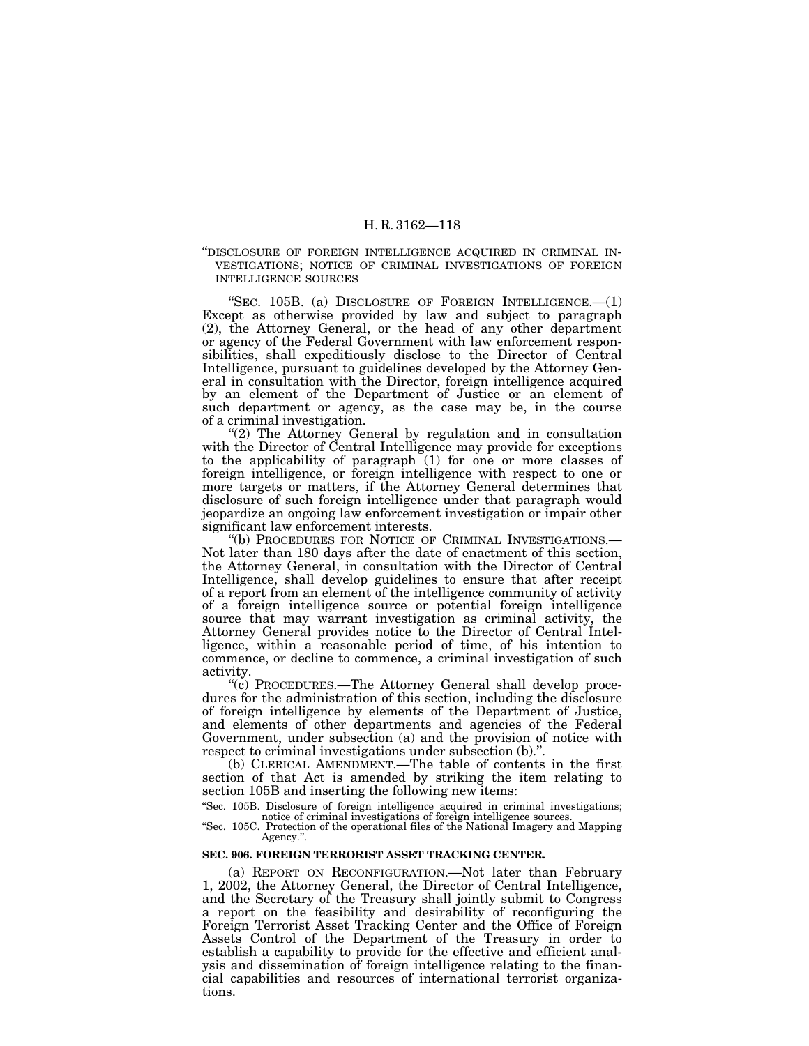#### ''DISCLOSURE OF FOREIGN INTELLIGENCE ACQUIRED IN CRIMINAL IN-VESTIGATIONS; NOTICE OF CRIMINAL INVESTIGATIONS OF FOREIGN INTELLIGENCE SOURCES

"SEC.  $105B$ . (a) DISCLOSURE OF FOREIGN INTELLIGENCE.— $(1)$ Except as otherwise provided by law and subject to paragraph (2), the Attorney General, or the head of any other department or agency of the Federal Government with law enforcement responsibilities, shall expeditiously disclose to the Director of Central Intelligence, pursuant to guidelines developed by the Attorney General in consultation with the Director, foreign intelligence acquired by an element of the Department of Justice or an element of such department or agency, as the case may be, in the course of a criminal investigation.

"(2) The Attorney General by regulation and in consultation with the Director of Central Intelligence may provide for exceptions to the applicability of paragraph (1) for one or more classes of foreign intelligence, or foreign intelligence with respect to one or more targets or matters, if the Attorney General determines that disclosure of such foreign intelligence under that paragraph would jeopardize an ongoing law enforcement investigation or impair other significant law enforcement interests.

''(b) PROCEDURES FOR NOTICE OF CRIMINAL INVESTIGATIONS.— Not later than 180 days after the date of enactment of this section, the Attorney General, in consultation with the Director of Central Intelligence, shall develop guidelines to ensure that after receipt of a report from an element of the intelligence community of activity of a foreign intelligence source or potential foreign intelligence source that may warrant investigation as criminal activity, the Attorney General provides notice to the Director of Central Intelligence, within a reasonable period of time, of his intention to commence, or decline to commence, a criminal investigation of such activity.

''(c) PROCEDURES.—The Attorney General shall develop procedures for the administration of this section, including the disclosure of foreign intelligence by elements of the Department of Justice, and elements of other departments and agencies of the Federal Government, under subsection (a) and the provision of notice with respect to criminal investigations under subsection (b)."

(b) CLERICAL AMENDMENT.—The table of contents in the first section of that Act is amended by striking the item relating to section 105B and inserting the following new items:

''Sec. 105B. Disclosure of foreign intelligence acquired in criminal investigations; notice of criminal investigations of foreign intelligence sources.<br>
"Sec. 105C. Protection of the operational files of the National Imagery and Mapping

Agency.''.

#### **SEC. 906. FOREIGN TERRORIST ASSET TRACKING CENTER.**

(a) REPORT ON RECONFIGURATION.—Not later than February 1, 2002, the Attorney General, the Director of Central Intelligence, and the Secretary of the Treasury shall jointly submit to Congress a report on the feasibility and desirability of reconfiguring the Foreign Terrorist Asset Tracking Center and the Office of Foreign Assets Control of the Department of the Treasury in order to establish a capability to provide for the effective and efficient analysis and dissemination of foreign intelligence relating to the financial capabilities and resources of international terrorist organizations.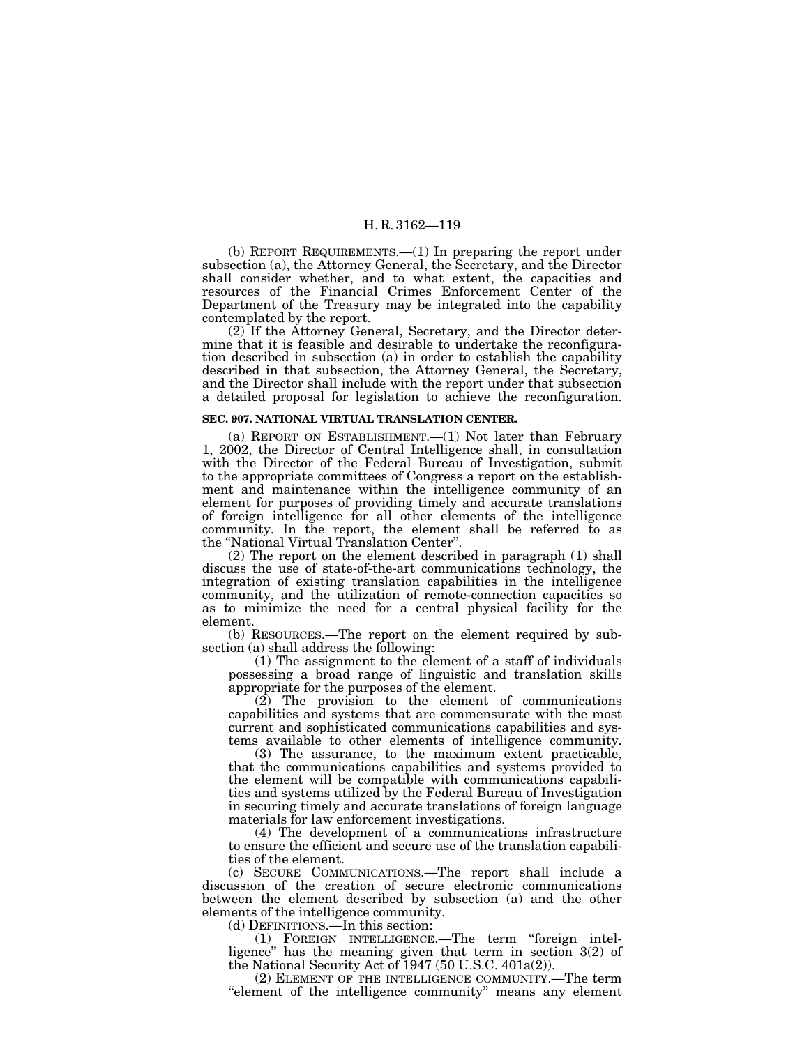(b) REPORT REQUIREMENTS.—(1) In preparing the report under subsection (a), the Attorney General, the Secretary, and the Director shall consider whether, and to what extent, the capacities and resources of the Financial Crimes Enforcement Center of the Department of the Treasury may be integrated into the capability contemplated by the report.

(2) If the Attorney General, Secretary, and the Director determine that it is feasible and desirable to undertake the reconfiguration described in subsection (a) in order to establish the capability described in that subsection, the Attorney General, the Secretary, and the Director shall include with the report under that subsection a detailed proposal for legislation to achieve the reconfiguration.

#### **SEC. 907. NATIONAL VIRTUAL TRANSLATION CENTER.**

(a) REPORT ON ESTABLISHMENT.—(1) Not later than February 1, 2002, the Director of Central Intelligence shall, in consultation with the Director of the Federal Bureau of Investigation, submit to the appropriate committees of Congress a report on the establishment and maintenance within the intelligence community of an element for purposes of providing timely and accurate translations of foreign intelligence for all other elements of the intelligence community. In the report, the element shall be referred to as the ''National Virtual Translation Center''.

(2) The report on the element described in paragraph (1) shall discuss the use of state-of-the-art communications technology, the integration of existing translation capabilities in the intelligence community, and the utilization of remote-connection capacities so as to minimize the need for a central physical facility for the element.

(b) RESOURCES.—The report on the element required by subsection (a) shall address the following:

(1) The assignment to the element of a staff of individuals possessing a broad range of linguistic and translation skills appropriate for the purposes of the element.

(2) The provision to the element of communications capabilities and systems that are commensurate with the most current and sophisticated communications capabilities and systems available to other elements of intelligence community.

(3) The assurance, to the maximum extent practicable, that the communications capabilities and systems provided to the element will be compatible with communications capabilities and systems utilized by the Federal Bureau of Investigation in securing timely and accurate translations of foreign language materials for law enforcement investigations.

(4) The development of a communications infrastructure to ensure the efficient and secure use of the translation capabilities of the element.

(c) SECURE COMMUNICATIONS.—The report shall include a discussion of the creation of secure electronic communications between the element described by subsection (a) and the other elements of the intelligence community.

(d) DEFINITIONS.—In this section:

(1) FOREIGN INTELLIGENCE.—The term ''foreign intelligence" has the meaning given that term in section 3(2) of the National Security Act of 1947 (50 U.S.C. 401a(2)).<br>(2) ELEMENT OF THE INTELLIGENCE COMMUNITY.—The term

"element of the intelligence community" means any element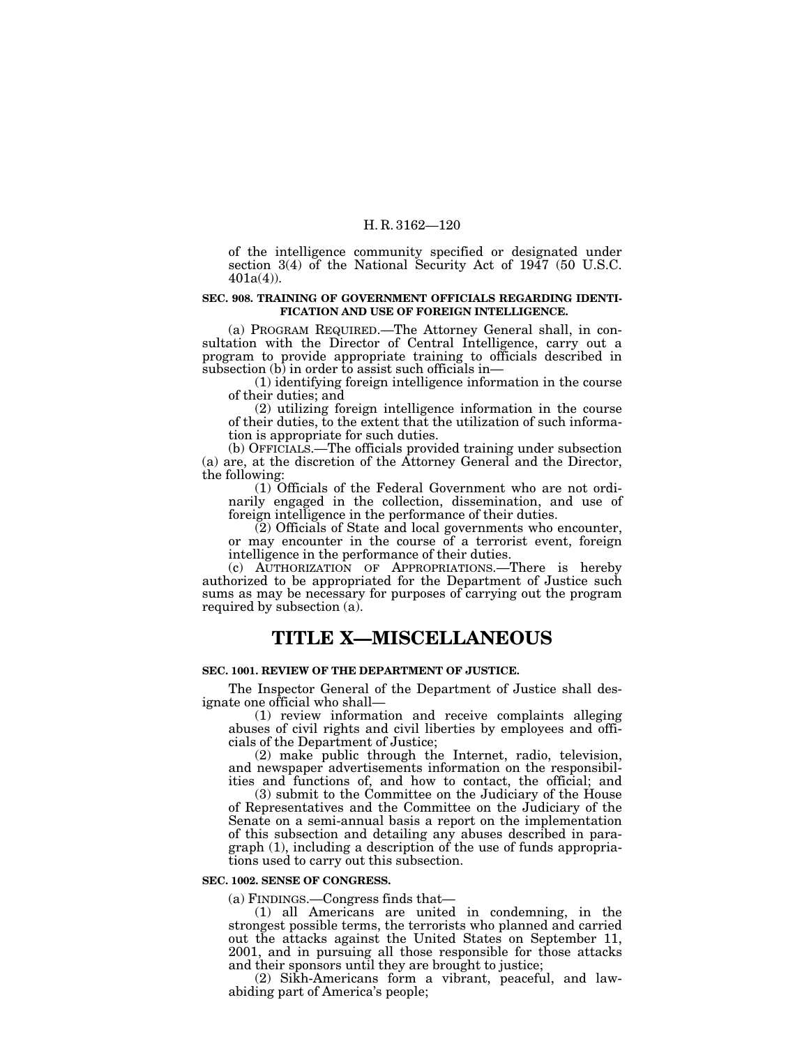of the intelligence community specified or designated under section 3(4) of the National Security Act of 1947 (50 U.S.C. 401a(4)).

## **SEC. 908. TRAINING OF GOVERNMENT OFFICIALS REGARDING IDENTI-FICATION AND USE OF FOREIGN INTELLIGENCE.**

(a) PROGRAM REQUIRED.—The Attorney General shall, in consultation with the Director of Central Intelligence, carry out a program to provide appropriate training to officials described in subsection (b) in order to assist such officials in—

(1) identifying foreign intelligence information in the course of their duties; and

(2) utilizing foreign intelligence information in the course of their duties, to the extent that the utilization of such information is appropriate for such duties.

(b) OFFICIALS.—The officials provided training under subsection (a) are, at the discretion of the Attorney General and the Director, the following:

(1) Officials of the Federal Government who are not ordinarily engaged in the collection, dissemination, and use of foreign intelligence in the performance of their duties.

(2) Officials of State and local governments who encounter, or may encounter in the course of a terrorist event, foreign intelligence in the performance of their duties.

(c) AUTHORIZATION OF APPROPRIATIONS.—There is hereby authorized to be appropriated for the Department of Justice such sums as may be necessary for purposes of carrying out the program required by subsection (a).

## **TITLE X—MISCELLANEOUS**

## **SEC. 1001. REVIEW OF THE DEPARTMENT OF JUSTICE.**

The Inspector General of the Department of Justice shall designate one official who shall—

(1) review information and receive complaints alleging abuses of civil rights and civil liberties by employees and officials of the Department of Justice;

(2) make public through the Internet, radio, television, and newspaper advertisements information on the responsibilities and functions of, and how to contact, the official; and

(3) submit to the Committee on the Judiciary of the House of Representatives and the Committee on the Judiciary of the Senate on a semi-annual basis a report on the implementation of this subsection and detailing any abuses described in paragraph (1), including a description of the use of funds appropriations used to carry out this subsection.

#### **SEC. 1002. SENSE OF CONGRESS.**

(a) FINDINGS.—Congress finds that—

(1) all Americans are united in condemning, in the strongest possible terms, the terrorists who planned and carried out the attacks against the United States on September 11, 2001, and in pursuing all those responsible for those attacks and their sponsors until they are brought to justice;

(2) Sikh-Americans form a vibrant, peaceful, and lawabiding part of America's people;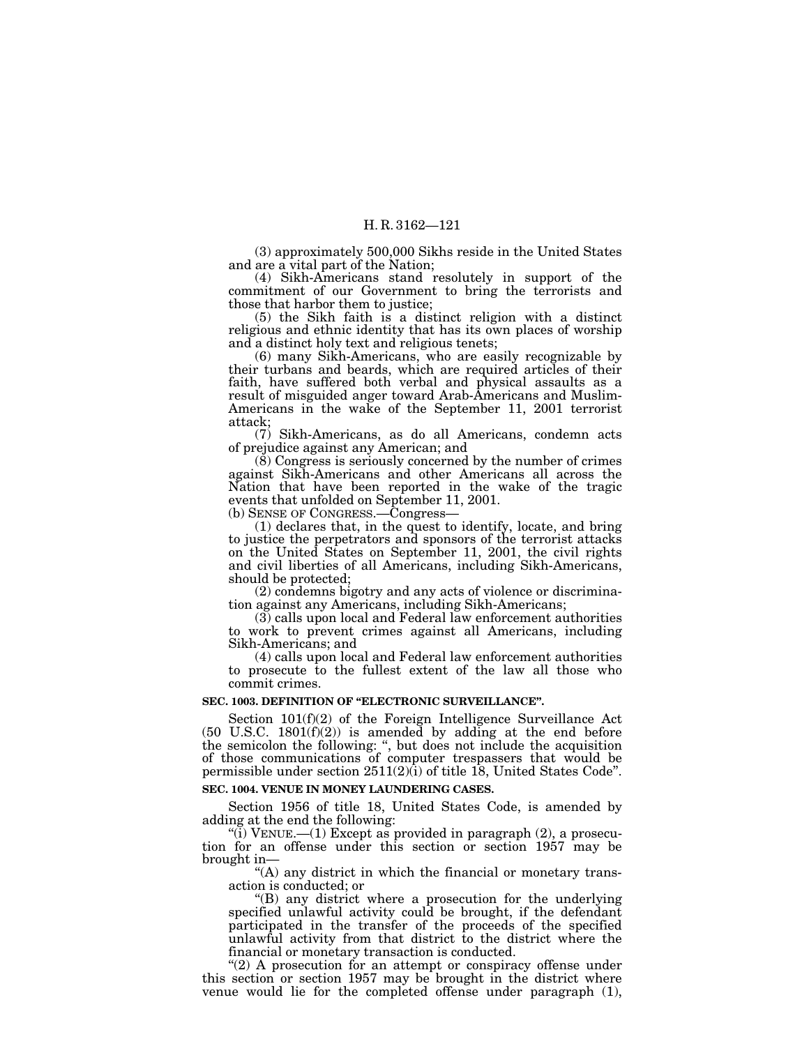(3) approximately 500,000 Sikhs reside in the United States and are a vital part of the Nation;

(4) Sikh-Americans stand resolutely in support of the commitment of our Government to bring the terrorists and those that harbor them to justice;

(5) the Sikh faith is a distinct religion with a distinct religious and ethnic identity that has its own places of worship and a distinct holy text and religious tenets;

(6) many Sikh-Americans, who are easily recognizable by their turbans and beards, which are required articles of their faith, have suffered both verbal and physical assaults as a result of misguided anger toward Arab-Americans and Muslim-Americans in the wake of the September 11, 2001 terrorist attack;

(7) Sikh-Americans, as do all Americans, condemn acts of prejudice against any American; and

(8) Congress is seriously concerned by the number of crimes against Sikh-Americans and other Americans all across the Nation that have been reported in the wake of the tragic events that unfolded on September 11, 2001.<br>(b) SENSE OF CONGRESS.—Congress—

 $(1)$  declares that, in the quest to identify, locate, and bring to justice the perpetrators and sponsors of the terrorist attacks on the United States on September 11, 2001, the civil rights and civil liberties of all Americans, including Sikh-Americans, should be protected;

(2) condemns bigotry and any acts of violence or discrimination against any Americans, including Sikh-Americans;

 $(3)$  calls upon local and Federal law enforcement authorities to work to prevent crimes against all Americans, including Sikh-Americans; and

(4) calls upon local and Federal law enforcement authorities to prosecute to the fullest extent of the law all those who commit crimes.

#### **SEC. 1003. DEFINITION OF ''ELECTRONIC SURVEILLANCE''.**

Section  $101(f)(2)$  of the Foreign Intelligence Surveillance Act  $(50 \text{ U.S.C. } 1801(f)(2))$  is amended by adding at the end before the semicolon the following: '', but does not include the acquisition of those communications of computer trespassers that would be permissible under section  $2511(2)(i)$  of title 18, United States Code".

#### **SEC. 1004. VENUE IN MONEY LAUNDERING CASES.**

Section 1956 of title 18, United States Code, is amended by

"(i) VENUE.—(1) Except as provided in paragraph (2), a prosecution for an offense under this section or section 1957 may be brought in—

 $f(A)$  any district in which the financial or monetary transaction is conducted; or

''(B) any district where a prosecution for the underlying specified unlawful activity could be brought, if the defendant participated in the transfer of the proceeds of the specified unlawful activity from that district to the district where the financial or monetary transaction is conducted.

" $(2)$  A prosecution for an attempt or conspiracy offense under this section or section 1957 may be brought in the district where venue would lie for the completed offense under paragraph (1),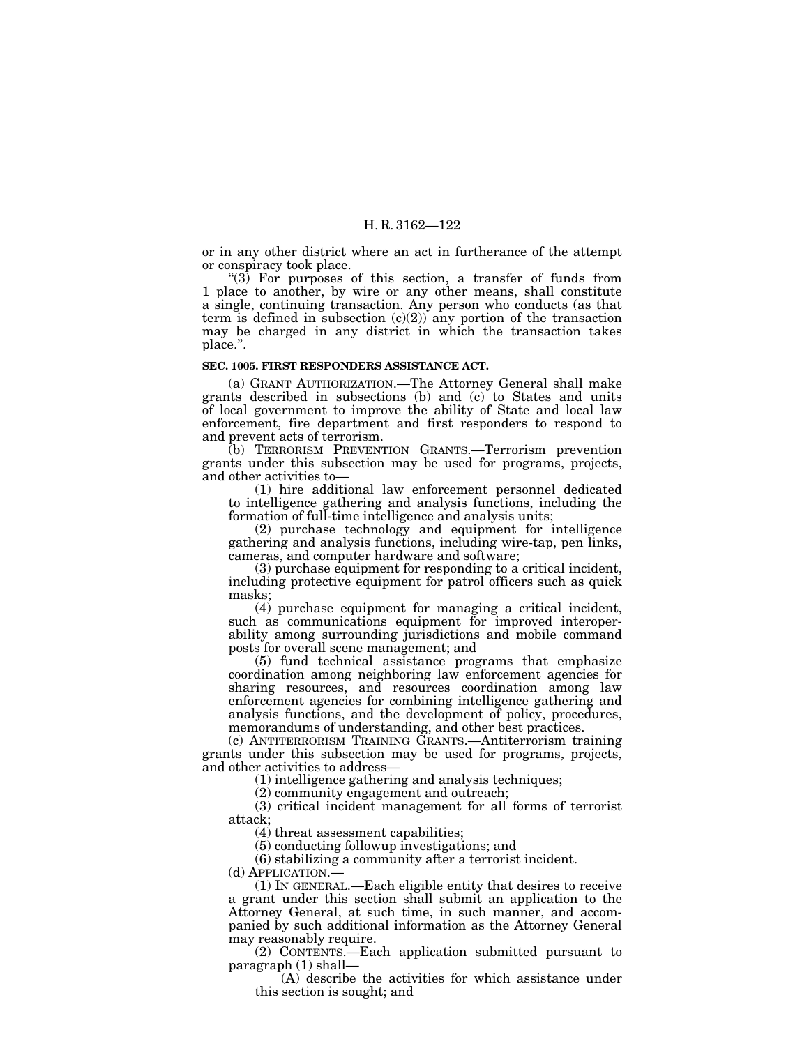or in any other district where an act in furtherance of the attempt or conspiracy took place.

 $(3)$  For purposes of this section, a transfer of funds from 1 place to another, by wire or any other means, shall constitute a single, continuing transaction. Any person who conducts (as that term is defined in subsection  $(c)(2)$  any portion of the transaction may be charged in any district in which the transaction takes place.''.

#### **SEC. 1005. FIRST RESPONDERS ASSISTANCE ACT.**

(a) GRANT AUTHORIZATION.—The Attorney General shall make grants described in subsections (b) and (c) to States and units of local government to improve the ability of State and local law enforcement, fire department and first responders to respond to and prevent acts of terrorism.

(b) TERRORISM PREVENTION GRANTS.—Terrorism prevention grants under this subsection may be used for programs, projects, and other activities to—

(1) hire additional law enforcement personnel dedicated to intelligence gathering and analysis functions, including the formation of full-time intelligence and analysis units;

(2) purchase technology and equipment for intelligence gathering and analysis functions, including wire-tap, pen links, cameras, and computer hardware and software;

(3) purchase equipment for responding to a critical incident, including protective equipment for patrol officers such as quick masks;

(4) purchase equipment for managing a critical incident, such as communications equipment for improved interoperability among surrounding jurisdictions and mobile command posts for overall scene management; and

(5) fund technical assistance programs that emphasize coordination among neighboring law enforcement agencies for sharing resources, and resources coordination among law enforcement agencies for combining intelligence gathering and analysis functions, and the development of policy, procedures, memorandums of understanding, and other best practices.

(c) ANTITERRORISM TRAINING GRANTS.—Antiterrorism training grants under this subsection may be used for programs, projects, and other activities to address—

(1) intelligence gathering and analysis techniques;

(2) community engagement and outreach;

(3) critical incident management for all forms of terrorist attack;

(4) threat assessment capabilities;

(5) conducting followup investigations; and

(6) stabilizing a community after a terrorist incident.

(d) APPLICATION.—

(1) IN GENERAL.—Each eligible entity that desires to receive a grant under this section shall submit an application to the Attorney General, at such time, in such manner, and accompanied by such additional information as the Attorney General may reasonably require.

(2) CONTENTS.—Each application submitted pursuant to paragraph (1) shall—

(A) describe the activities for which assistance under this section is sought; and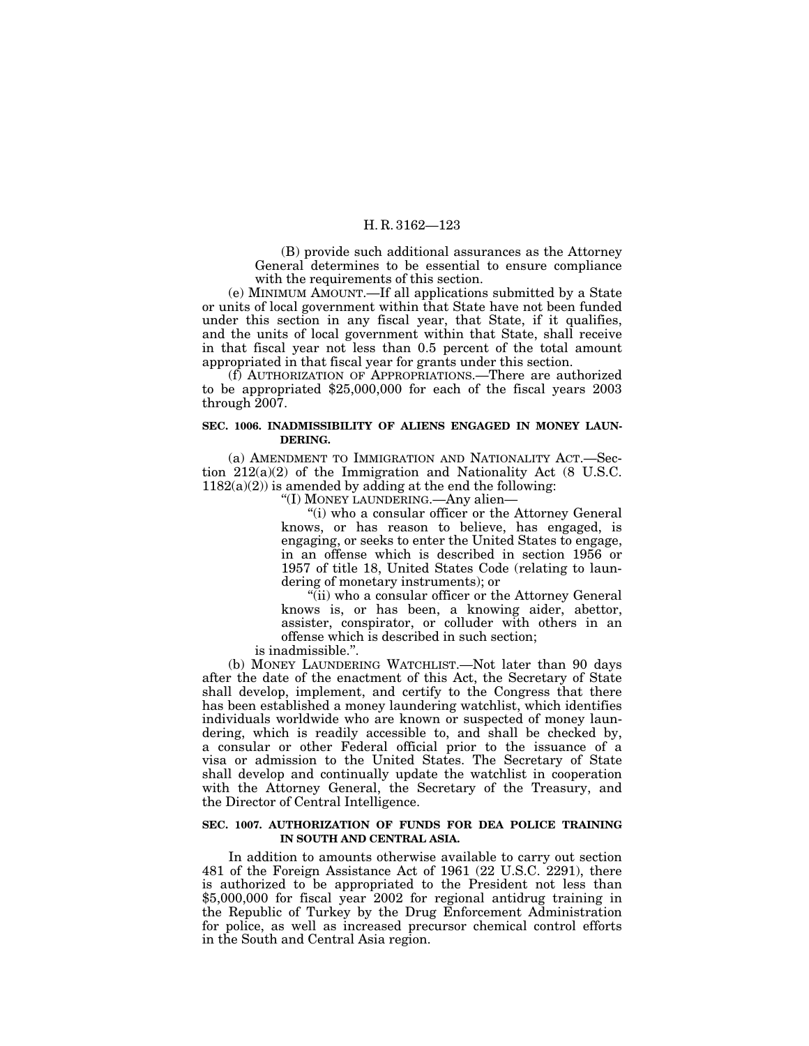(B) provide such additional assurances as the Attorney General determines to be essential to ensure compliance with the requirements of this section.

(e) MINIMUM AMOUNT.—If all applications submitted by a State or units of local government within that State have not been funded under this section in any fiscal year, that State, if it qualifies, and the units of local government within that State, shall receive in that fiscal year not less than 0.5 percent of the total amount appropriated in that fiscal year for grants under this section.

(f) AUTHORIZATION OF APPROPRIATIONS.—There are authorized to be appropriated \$25,000,000 for each of the fiscal years 2003 through  $\overline{2}00\overline{7}$ .

#### **SEC. 1006. INADMISSIBILITY OF ALIENS ENGAGED IN MONEY LAUN-DERING.**

(a) AMENDMENT TO IMMIGRATION AND NATIONALITY ACT.—Section 212(a)(2) of the Immigration and Nationality Act (8 U.S.C.  $1182(a)(2)$ ) is amended by adding at the end the following:

''(I) MONEY LAUNDERING.—Any alien—

"(i) who a consular officer or the Attorney General knows, or has reason to believe, has engaged, is engaging, or seeks to enter the United States to engage, in an offense which is described in section 1956 or 1957 of title 18, United States Code (relating to laundering of monetary instruments); or

''(ii) who a consular officer or the Attorney General knows is, or has been, a knowing aider, abettor, assister, conspirator, or colluder with others in an offense which is described in such section;

is inadmissible.''.

(b) MONEY LAUNDERING WATCHLIST.—Not later than 90 days after the date of the enactment of this Act, the Secretary of State shall develop, implement, and certify to the Congress that there has been established a money laundering watchlist, which identifies individuals worldwide who are known or suspected of money laundering, which is readily accessible to, and shall be checked by, a consular or other Federal official prior to the issuance of a visa or admission to the United States. The Secretary of State shall develop and continually update the watchlist in cooperation with the Attorney General, the Secretary of the Treasury, and the Director of Central Intelligence.

#### **SEC. 1007. AUTHORIZATION OF FUNDS FOR DEA POLICE TRAINING IN SOUTH AND CENTRAL ASIA.**

In addition to amounts otherwise available to carry out section 481 of the Foreign Assistance Act of 1961 (22 U.S.C. 2291), there is authorized to be appropriated to the President not less than \$5,000,000 for fiscal year 2002 for regional antidrug training in the Republic of Turkey by the Drug Enforcement Administration for police, as well as increased precursor chemical control efforts in the South and Central Asia region.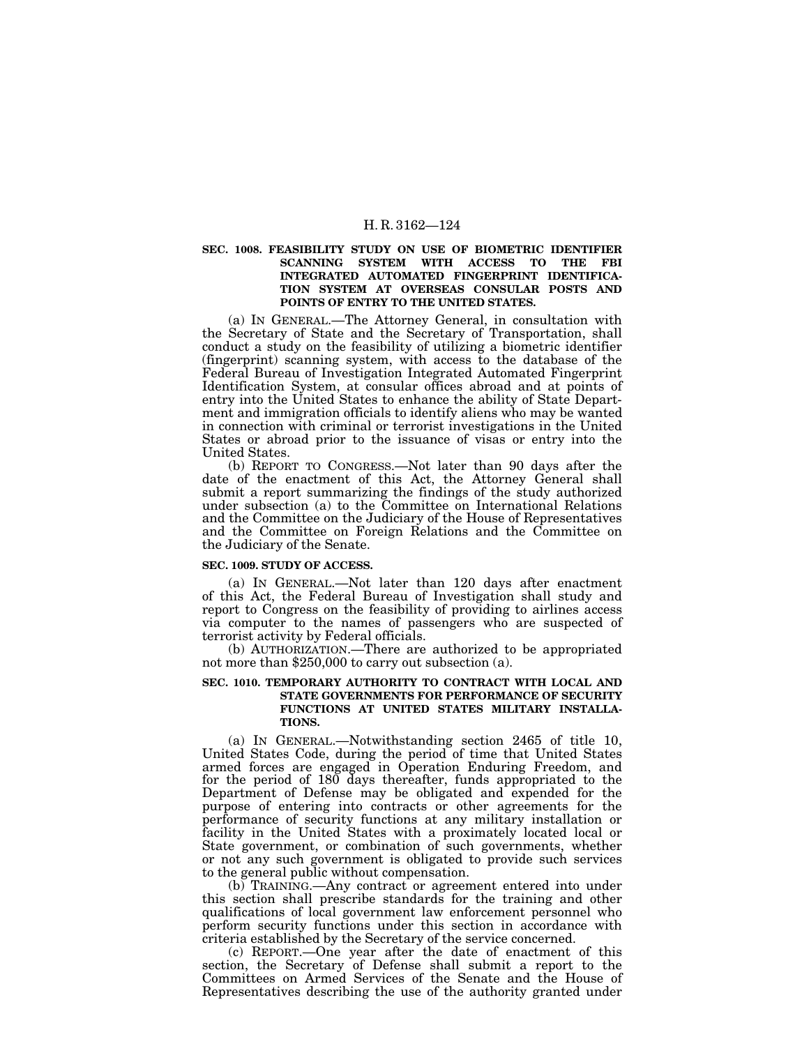#### **SEC. 1008. FEASIBILITY STUDY ON USE OF BIOMETRIC IDENTIFIER SCANNING SYSTEM WITH ACCESS TO THE FBI INTEGRATED AUTOMATED FINGERPRINT IDENTIFICA-TION SYSTEM AT OVERSEAS CONSULAR POSTS AND POINTS OF ENTRY TO THE UNITED STATES.**

(a) IN GENERAL.—The Attorney General, in consultation with the Secretary of State and the Secretary of Transportation, shall conduct a study on the feasibility of utilizing a biometric identifier (fingerprint) scanning system, with access to the database of the Federal Bureau of Investigation Integrated Automated Fingerprint Identification System, at consular offices abroad and at points of entry into the United States to enhance the ability of State Department and immigration officials to identify aliens who may be wanted in connection with criminal or terrorist investigations in the United States or abroad prior to the issuance of visas or entry into the United States.

(b) REPORT TO CONGRESS.—Not later than 90 days after the date of the enactment of this Act, the Attorney General shall submit a report summarizing the findings of the study authorized under subsection (a) to the Committee on International Relations and the Committee on the Judiciary of the House of Representatives and the Committee on Foreign Relations and the Committee on the Judiciary of the Senate.

## **SEC. 1009. STUDY OF ACCESS.**

(a) IN GENERAL.—Not later than 120 days after enactment of this Act, the Federal Bureau of Investigation shall study and report to Congress on the feasibility of providing to airlines access via computer to the names of passengers who are suspected of terrorist activity by Federal officials.

(b) AUTHORIZATION.—There are authorized to be appropriated not more than \$250,000 to carry out subsection (a).

## **SEC. 1010. TEMPORARY AUTHORITY TO CONTRACT WITH LOCAL AND STATE GOVERNMENTS FOR PERFORMANCE OF SECURITY FUNCTIONS AT UNITED STATES MILITARY INSTALLA-TIONS.**

(a) IN GENERAL.—Notwithstanding section 2465 of title 10, United States Code, during the period of time that United States armed forces are engaged in Operation Enduring Freedom, and for the period of 180 days thereafter, funds appropriated to the Department of Defense may be obligated and expended for the purpose of entering into contracts or other agreements for the performance of security functions at any military installation or facility in the United States with a proximately located local or State government, or combination of such governments, whether or not any such government is obligated to provide such services to the general public without compensation.

(b) TRAINING.—Any contract or agreement entered into under this section shall prescribe standards for the training and other qualifications of local government law enforcement personnel who perform security functions under this section in accordance with criteria established by the Secretary of the service concerned.

(c) REPORT.—One year after the date of enactment of this section, the Secretary of Defense shall submit a report to the Committees on Armed Services of the Senate and the House of Representatives describing the use of the authority granted under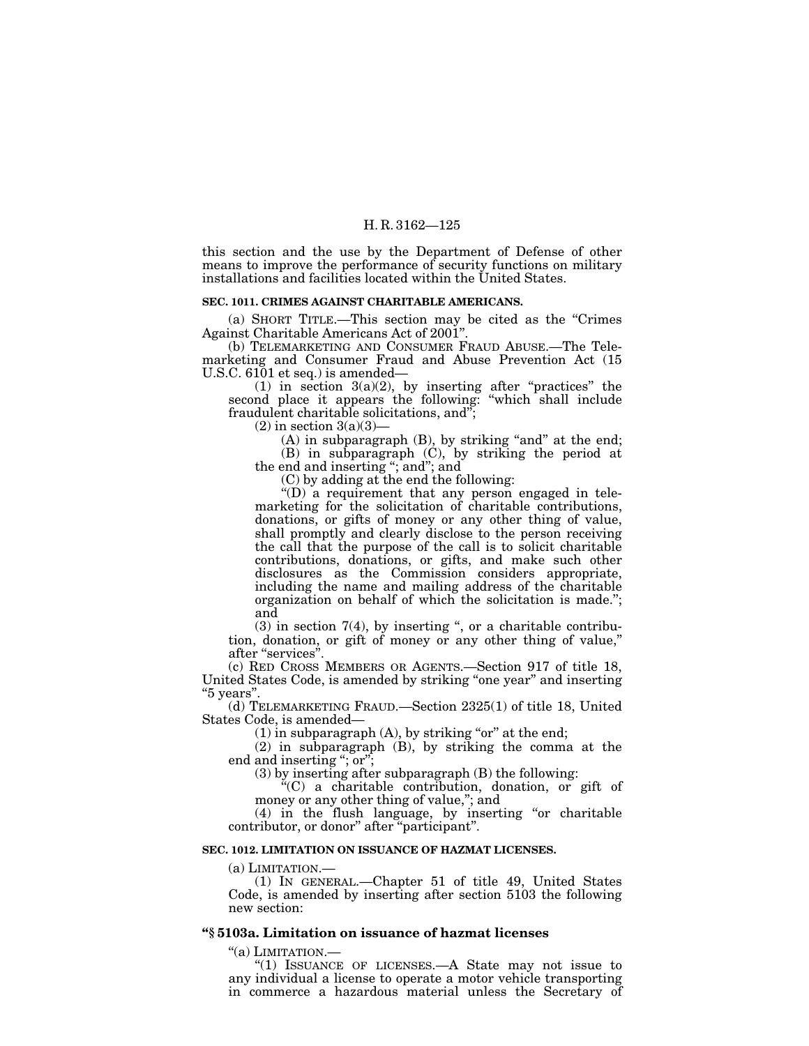this section and the use by the Department of Defense of other means to improve the performance of security functions on military installations and facilities located within the United States.

#### **SEC. 1011. CRIMES AGAINST CHARITABLE AMERICANS.**

(a) SHORT TITLE.—This section may be cited as the ''Crimes Against Charitable Americans Act of 2001".

(b) TELEMARKETING AND CONSUMER FRAUD ABUSE.—The Telemarketing and Consumer Fraud and Abuse Prevention Act (15 U.S.C. 6101 et seq.) is amended—

(1) in section  $3(a)(2)$ , by inserting after "practices" the second place it appears the following: ''which shall include fraudulent charitable solicitations, and'';

 $(2)$  in section  $3(a)(3)$ —

 $(A)$  in subparagraph  $(B)$ , by striking "and" at the end; (B) in subparagraph (C), by striking the period at the end and inserting "; and"; and

(C) by adding at the end the following:

''(D) a requirement that any person engaged in telemarketing for the solicitation of charitable contributions, donations, or gifts of money or any other thing of value, shall promptly and clearly disclose to the person receiving the call that the purpose of the call is to solicit charitable contributions, donations, or gifts, and make such other disclosures as the Commission considers appropriate, including the name and mailing address of the charitable organization on behalf of which the solicitation is made." and

 $(3)$  in section 7(4), by inserting ", or a charitable contribution, donation, or gift of money or any other thing of value,'' after "services"

(c) RED CROSS MEMBERS OR AGENTS.—Section 917 of title 18, United States Code, is amended by striking ''one year'' and inserting "5 years".

(d) TELEMARKETING FRAUD.—Section 2325(1) of title 18, United States Code, is amended—

 $(1)$  in subparagraph  $(A)$ , by striking "or" at the end;

(2) in subparagraph (B), by striking the comma at the end and inserting "; or";

(3) by inserting after subparagraph (B) the following:

 $E(C)$  a charitable contribution, donation, or gift of money or any other thing of value,''; and

(4) in the flush language, by inserting ''or charitable contributor, or donor'' after ''participant''.

## **SEC. 1012. LIMITATION ON ISSUANCE OF HAZMAT LICENSES.**

(a) LIMITATION.—

(1) IN GENERAL.—Chapter 51 of title 49, United States Code, is amended by inserting after section 5103 the following new section:

## **''§ 5103a. Limitation on issuance of hazmat licenses**

''(a) LIMITATION.—

''(1) ISSUANCE OF LICENSES.—A State may not issue to any individual a license to operate a motor vehicle transporting in commerce a hazardous material unless the Secretary of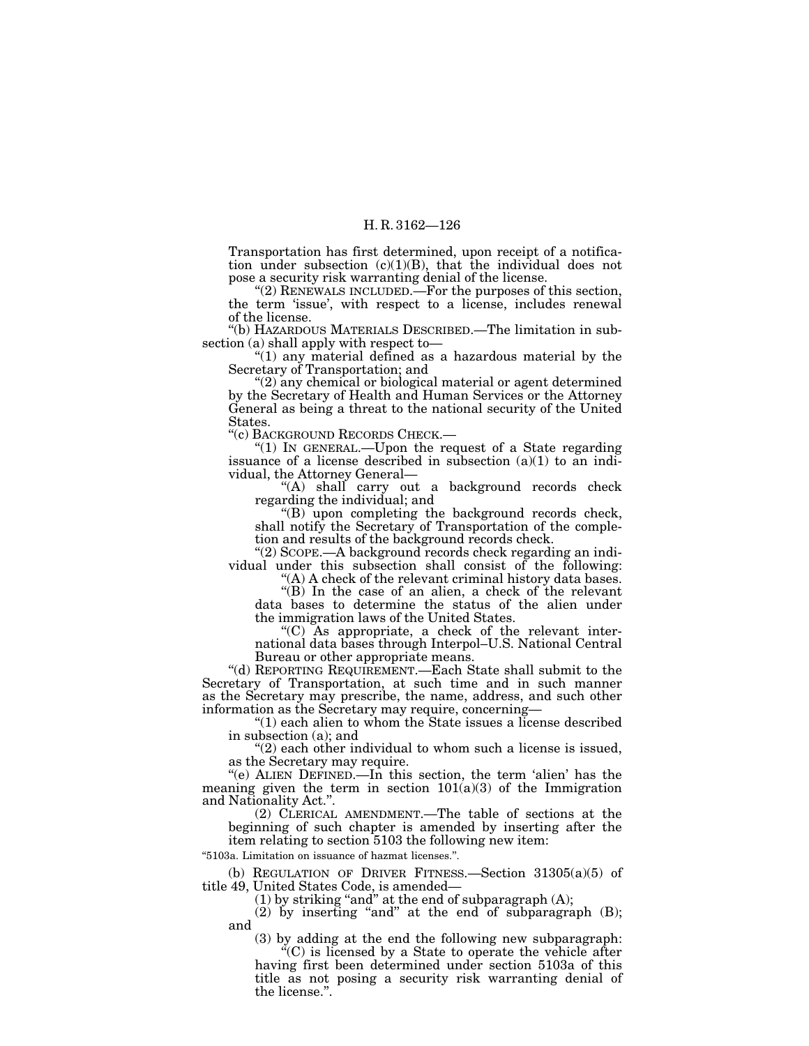Transportation has first determined, upon receipt of a notification under subsection  $(c)(1)(B)$ , that the individual does not pose a security risk warranting denial of the license.<br>"(2) RENEWALS INCLUDED.—For the purposes of this section,

the term 'issue', with respect to a license, includes renewal of the license.

''(b) HAZARDOUS MATERIALS DESCRIBED.—The limitation in subsection (a) shall apply with respect to—<br>"(1) any material defined as a hazardous material by the

Secretary of Transportation; and<br>"(2) any chemical or biological material or agent determined by the Secretary of Health and Human Services or the Attorney General as being a threat to the national security of the United States.<br>"(c) Background Records Check.—

"(1) IN GENERAL.—Upon the request of a State regarding issuance of a license described in subsection  $(a)(1)$  to an indi-

vidual, the Attorney General—<br>
"(A) shall carry out a background records check<br>
regarding the individual; and

" $(B)$  upon completing the background records check, shall notify the Secretary of Transportation of the completion and results of the background records check.

''(2) SCOPE.—A background records check regarding an individual under this subsection shall consist of the following: " $(A)$  A check of the relevant criminal history data bases.

''(B) In the case of an alien, a check of the relevant data bases to determine the status of the alien under the immigration laws of the United States.

"(C) As appropriate, a check of the relevant international data bases through Interpol–U.S. National Central

Bureau or other appropriate means.<br>"(d) REPORTING REQUIREMENT.—Each State shall submit to the Secretary of Transportation, at such time and in such manner as the Secretary may prescribe, the name, address, and such other information as the Secretary may require, concerning—

"(1) each alien to whom the State issues a license described in subsection (a); and

 $\degree$ (2) each other individual to whom such a license is issued, as the Secretary may require.

"(e) ALIEN DEFINED.—In this section, the term 'alien' has the meaning given the term in section  $101(a)(3)$  of the Immigration and Nationality Act.''. (2) CLERICAL AMENDMENT.—The table of sections at the

beginning of such chapter is amended by inserting after the item relating to section 5103 the following new item:

''5103a. Limitation on issuance of hazmat licenses.''.

(b) REGULATION OF DRIVER FITNESS.—Section  $31305(a)(5)$  of title 49, United States Code, is amended title 49, United States Code, is amended— (1) by striking ''and'' at the end of subparagraph (A);

(2) by inserting "and" at the end of subparagraph (B); and

(3) by adding at the end the following new subparagraph: ''(C) is licensed by a State to operate the vehicle after

having first been determined under section 5103a of this title as not posing a security risk warranting denial of the license.''.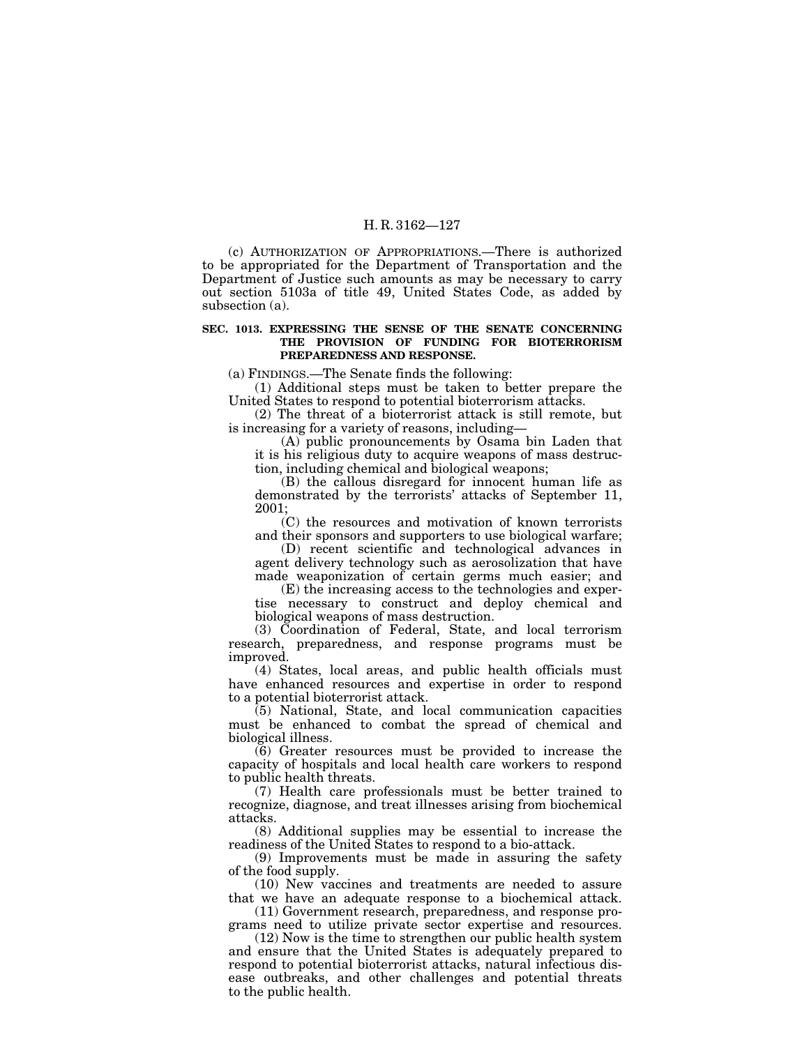(c) AUTHORIZATION OF APPROPRIATIONS.—There is authorized to be appropriated for the Department of Transportation and the Department of Justice such amounts as may be necessary to carry out section 5103a of title 49, United States Code, as added by subsection (a).

#### **SEC. 1013. EXPRESSING THE SENSE OF THE SENATE CONCERNING THE PROVISION OF FUNDING FOR BIOTERRORISM PREPAREDNESS AND RESPONSE.**

(a) FINDINGS.—The Senate finds the following:

(1) Additional steps must be taken to better prepare the United States to respond to potential bioterrorism attacks.

(2) The threat of a bioterrorist attack is still remote, but is increasing for a variety of reasons, including—

(A) public pronouncements by Osama bin Laden that it is his religious duty to acquire weapons of mass destruction, including chemical and biological weapons;

(B) the callous disregard for innocent human life as demonstrated by the terrorists' attacks of September 11, 2001;

(C) the resources and motivation of known terrorists and their sponsors and supporters to use biological warfare;

(D) recent scientific and technological advances in agent delivery technology such as aerosolization that have made weaponization of certain germs much easier; and

(E) the increasing access to the technologies and expertise necessary to construct and deploy chemical and biological weapons of mass destruction.

(3) Coordination of Federal, State, and local terrorism research, preparedness, and response programs must be improved.

(4) States, local areas, and public health officials must have enhanced resources and expertise in order to respond to a potential bioterrorist attack.

(5) National, State, and local communication capacities must be enhanced to combat the spread of chemical and biological illness.

(6) Greater resources must be provided to increase the capacity of hospitals and local health care workers to respond to public health threats.

(7) Health care professionals must be better trained to recognize, diagnose, and treat illnesses arising from biochemical attacks.

(8) Additional supplies may be essential to increase the readiness of the United States to respond to a bio-attack.

(9) Improvements must be made in assuring the safety of the food supply.

(10) New vaccines and treatments are needed to assure that we have an adequate response to a biochemical attack.

(11) Government research, preparedness, and response programs need to utilize private sector expertise and resources.

(12) Now is the time to strengthen our public health system and ensure that the United States is adequately prepared to respond to potential bioterrorist attacks, natural infectious disease outbreaks, and other challenges and potential threats to the public health.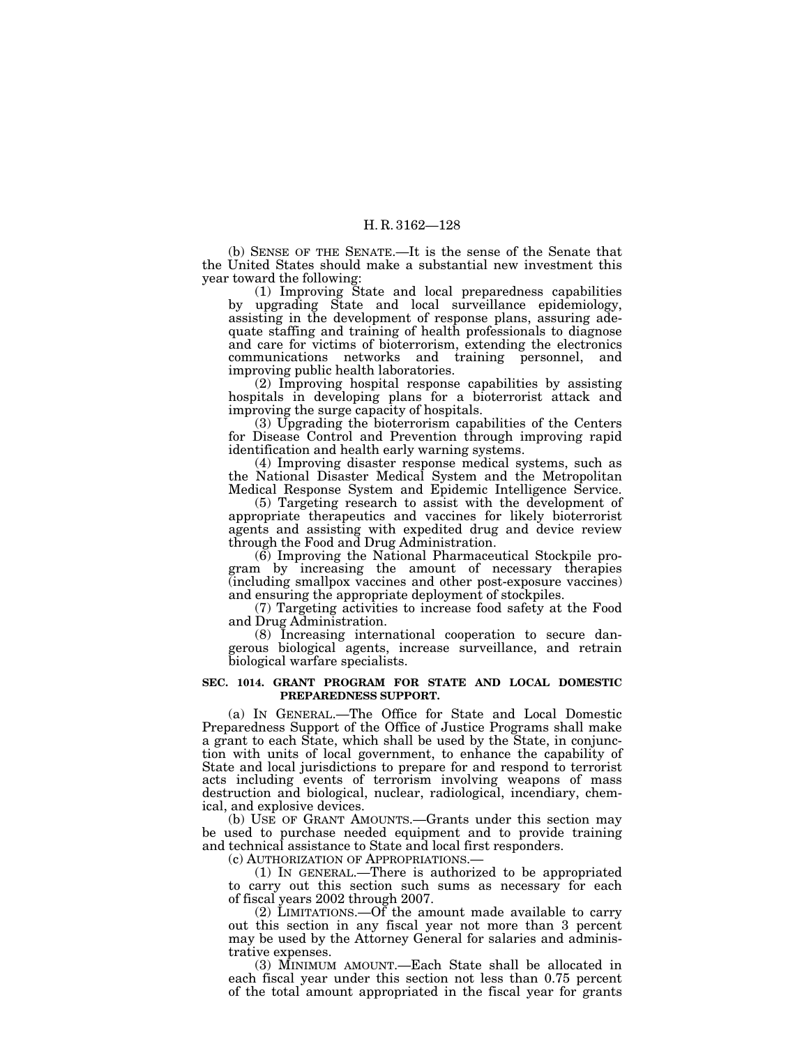(b) SENSE OF THE SENATE.—It is the sense of the Senate that the United States should make a substantial new investment this year toward the following:

(1) Improving State and local preparedness capabilities by upgrading State and local surveillance epidemiology, assisting in the development of response plans, assuring adequate staffing and training of health professionals to diagnose and care for victims of bioterrorism, extending the electronics communications networks and training personnel, and improving public health laboratories.

(2) Improving hospital response capabilities by assisting hospitals in developing plans for a bioterrorist attack and improving the surge capacity of hospitals.

(3) Upgrading the bioterrorism capabilities of the Centers for Disease Control and Prevention through improving rapid identification and health early warning systems.

(4) Improving disaster response medical systems, such as the National Disaster Medical System and the Metropolitan Medical Response System and Epidemic Intelligence Service.

(5) Targeting research to assist with the development of appropriate therapeutics and vaccines for likely bioterrorist agents and assisting with expedited drug and device review through the Food and Drug Administration.

(6) Improving the National Pharmaceutical Stockpile program by increasing the amount of necessary therapies (including smallpox vaccines and other post-exposure vaccines) and ensuring the appropriate deployment of stockpiles.

(7) Targeting activities to increase food safety at the Food and Drug Administration.

(8) Increasing international cooperation to secure dangerous biological agents, increase surveillance, and retrain biological warfare specialists.

#### **SEC. 1014. GRANT PROGRAM FOR STATE AND LOCAL DOMESTIC PREPAREDNESS SUPPORT.**

(a) IN GENERAL.—The Office for State and Local Domestic Preparedness Support of the Office of Justice Programs shall make a grant to each State, which shall be used by the State, in conjunction with units of local government, to enhance the capability of State and local jurisdictions to prepare for and respond to terrorist acts including events of terrorism involving weapons of mass destruction and biological, nuclear, radiological, incendiary, chemical, and explosive devices.

(b) USE OF GRANT AMOUNTS.—Grants under this section may be used to purchase needed equipment and to provide training and technical assistance to State and local first responders.

(c) AUTHORIZATION OF APPROPRIATIONS.—

(1) IN GENERAL.—There is authorized to be appropriated to carry out this section such sums as necessary for each of fiscal years 2002 through 2007.

(2) LIMITATIONS.—Of the amount made available to carry out this section in any fiscal year not more than 3 percent may be used by the Attorney General for salaries and administrative expenses.

(3) MINIMUM AMOUNT.—Each State shall be allocated in each fiscal year under this section not less than 0.75 percent of the total amount appropriated in the fiscal year for grants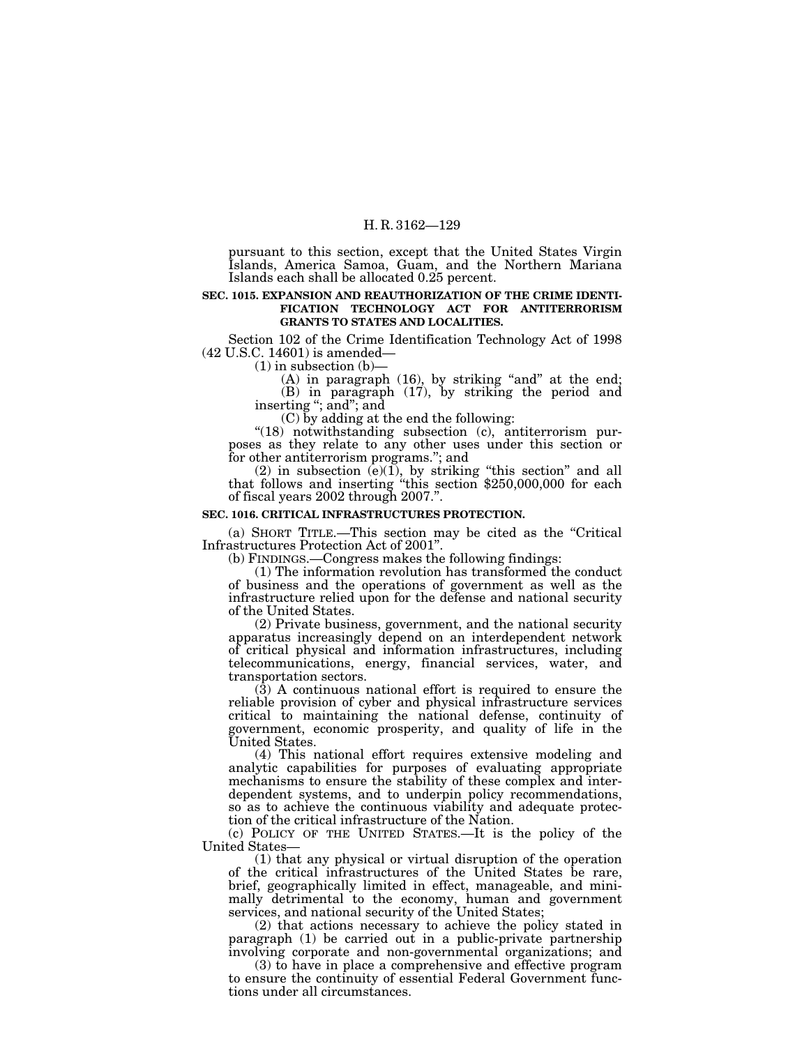pursuant to this section, except that the United States Virgin Islands, America Samoa, Guam, and the Northern Mariana Islands each shall be allocated 0.25 percent.

#### **SEC. 1015. EXPANSION AND REAUTHORIZATION OF THE CRIME IDENTI-FICATION TECHNOLOGY ACT FOR ANTITERRORISM GRANTS TO STATES AND LOCALITIES.**

Section 102 of the Crime Identification Technology Act of 1998 (42 U.S.C. 14601) is amended—

(1) in subsection (b)—<br>(A) in paragraph (16), by striking "and" at the end; (B) in paragraph (17), by striking the period and inserting "; and "; and "<br>(C) by adding at the end the following:

 $"(18)$  notwithstanding subsection (c), antiterrorism purposes as they relate to any other uses under this section or for other antiterrorism programs."; and

(2) in subsection  $(e)(1)$ , by striking "this section" and all that follows and inserting ''this section \$250,000,000 for each of fiscal years 2002 through 2007.''.

## **SEC. 1016. CRITICAL INFRASTRUCTURES PROTECTION.**

(a) SHORT TITLE.—This section may be cited as the "Critical Infrastructures Protection Act of 2001".

(b) FINDINGS.—Congress makes the following findings:

(1) The information revolution has transformed the conduct of business and the operations of government as well as the infrastructure relied upon for the defense and national security of the United States.

(2) Private business, government, and the national security apparatus increasingly depend on an interdependent network of critical physical and information infrastructures, including telecommunications, energy, financial services, water, and transportation sectors.

(3) A continuous national effort is required to ensure the reliable provision of cyber and physical infrastructure services critical to maintaining the national defense, continuity of government, economic prosperity, and quality of life in the United States.

(4) This national effort requires extensive modeling and analytic capabilities for purposes of evaluating appropriate mechanisms to ensure the stability of these complex and interdependent systems, and to underpin policy recommendations, so as to achieve the continuous viability and adequate protection of the critical infrastructure of the Nation.

(c) POLICY OF THE UNITED STATES.—It is the policy of the United States— (1) that any physical or virtual disruption of the operation

of the critical infrastructures of the United States be rare, brief, geographically limited in effect, manageable, and minimally detrimental to the economy, human and government services, and national security of the United States;

(2) that actions necessary to achieve the policy stated in paragraph (1) be carried out in a public-private partnership involving corporate and non-governmental organizations; and

(3) to have in place a comprehensive and effective program to ensure the continuity of essential Federal Government functions under all circumstances.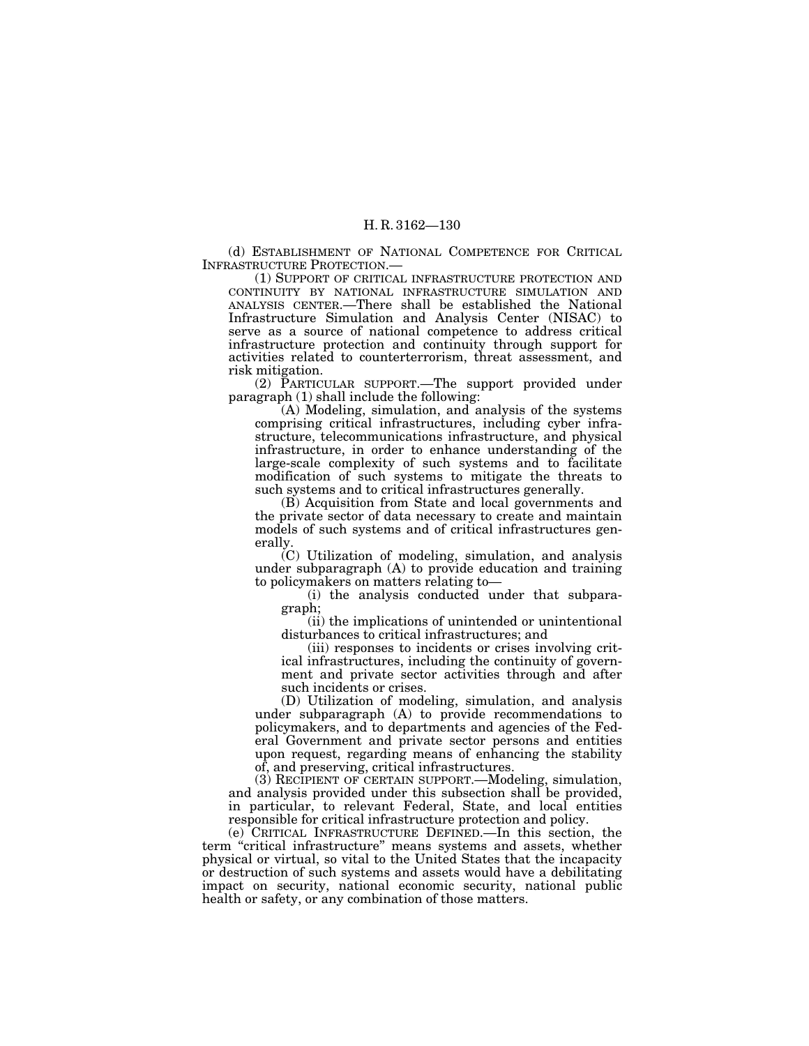(d) ESTABLISHMENT OF NATIONAL COMPETENCE FOR CRITICAL INFRASTRUCTURE PROTECTION.—

(1) SUPPORT OF CRITICAL INFRASTRUCTURE PROTECTION AND CONTINUITY BY NATIONAL INFRASTRUCTURE SIMULATION AND ANALYSIS CENTER.—There shall be established the National Infrastructure Simulation and Analysis Center (NISAC) to serve as a source of national competence to address critical infrastructure protection and continuity through support for activities related to counterterrorism, threat assessment, and risk mitigation.

(2) PARTICULAR SUPPORT.—The support provided under paragraph (1) shall include the following:

(A) Modeling, simulation, and analysis of the systems comprising critical infrastructures, including cyber infrastructure, telecommunications infrastructure, and physical infrastructure, in order to enhance understanding of the large-scale complexity of such systems and to facilitate modification of such systems to mitigate the threats to such systems and to critical infrastructures generally.

(B) Acquisition from State and local governments and the private sector of data necessary to create and maintain models of such systems and of critical infrastructures generally.

(C) Utilization of modeling, simulation, and analysis under subparagraph (A) to provide education and training to policymakers on matters relating to—

(i) the analysis conducted under that subparagraph;

(ii) the implications of unintended or unintentional disturbances to critical infrastructures; and

(iii) responses to incidents or crises involving critical infrastructures, including the continuity of government and private sector activities through and after such incidents or crises.

(D) Utilization of modeling, simulation, and analysis under subparagraph (A) to provide recommendations to policymakers, and to departments and agencies of the Federal Government and private sector persons and entities upon request, regarding means of enhancing the stability of, and preserving, critical infrastructures.

(3) RECIPIENT OF CERTAIN SUPPORT.—Modeling, simulation, and analysis provided under this subsection shall be provided, in particular, to relevant Federal, State, and local entities responsible for critical infrastructure protection and policy.

(e) CRITICAL INFRASTRUCTURE DEFINED.—In this section, the term "critical infrastructure" means systems and assets, whether physical or virtual, so vital to the United States that the incapacity or destruction of such systems and assets would have a debilitating impact on security, national economic security, national public health or safety, or any combination of those matters.